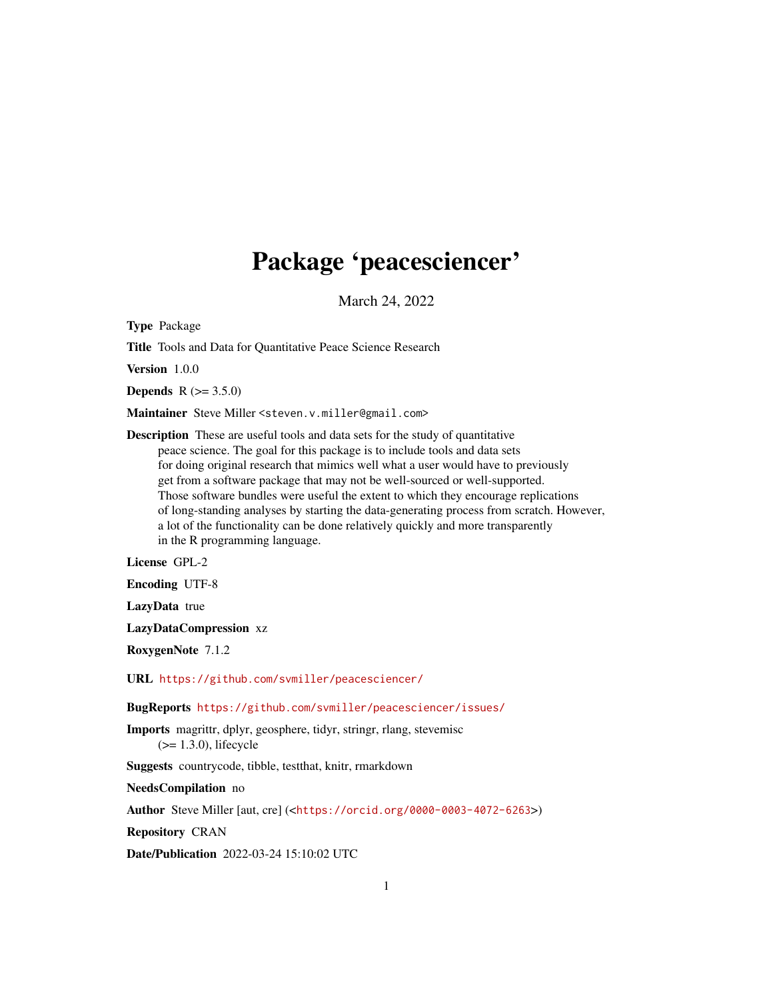# Package 'peacesciencer'

March 24, 2022

Type Package

Title Tools and Data for Quantitative Peace Science Research

Version 1.0.0

**Depends**  $R (= 3.5.0)$ 

Maintainer Steve Miller <steven. v.miller@gmail.com>

Description These are useful tools and data sets for the study of quantitative peace science. The goal for this package is to include tools and data sets for doing original research that mimics well what a user would have to previously get from a software package that may not be well-sourced or well-supported. Those software bundles were useful the extent to which they encourage replications of long-standing analyses by starting the data-generating process from scratch. However, a lot of the functionality can be done relatively quickly and more transparently in the R programming language.

License GPL-2

Encoding UTF-8

LazyData true

LazyDataCompression xz

RoxygenNote 7.1.2

URL <https://github.com/svmiller/peacesciencer/>

BugReports <https://github.com/svmiller/peacesciencer/issues/>

Imports magrittr, dplyr, geosphere, tidyr, stringr, rlang, stevemisc  $(>= 1.3.0)$ , lifecycle

Suggests countrycode, tibble, testthat, knitr, rmarkdown

NeedsCompilation no

Author Steve Miller [aut, cre] (<<https://orcid.org/0000-0003-4072-6263>>)

Repository CRAN

Date/Publication 2022-03-24 15:10:02 UTC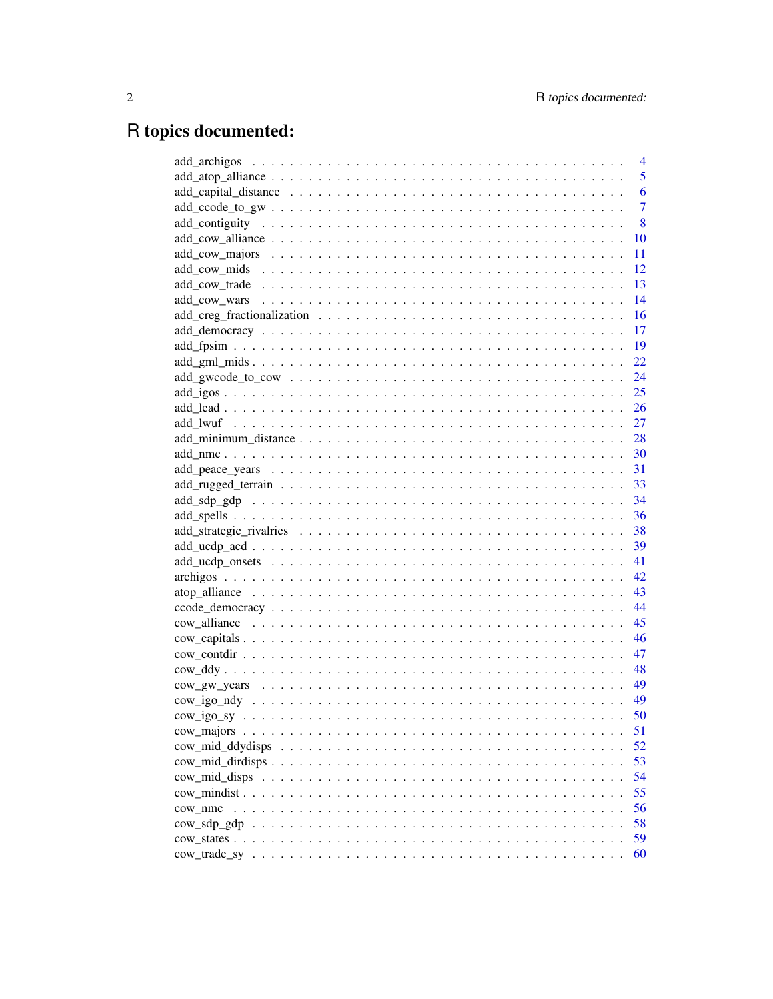# R topics documented:

|             | $\overline{4}$ |
|-------------|----------------|
|             | 5              |
|             | 6              |
|             | $\overline{7}$ |
|             | 8              |
|             | 10             |
|             | 11             |
|             | 12             |
|             | 13             |
|             | 14             |
|             | 16             |
|             | 17             |
|             | 19             |
|             | 22             |
|             | 24             |
|             |                |
|             |                |
|             |                |
|             |                |
|             |                |
|             |                |
|             |                |
|             |                |
|             |                |
|             |                |
|             |                |
|             | -41            |
|             | 42             |
|             | 43             |
|             |                |
|             |                |
|             |                |
|             | - 47           |
|             |                |
|             |                |
|             | 49             |
|             | 50             |
|             | 51             |
|             | 52             |
|             | 53             |
|             | 54             |
|             | 55             |
| cow nmc     | 56             |
| cow sdp gdp | 58             |
|             | 59             |
|             | 60             |
|             |                |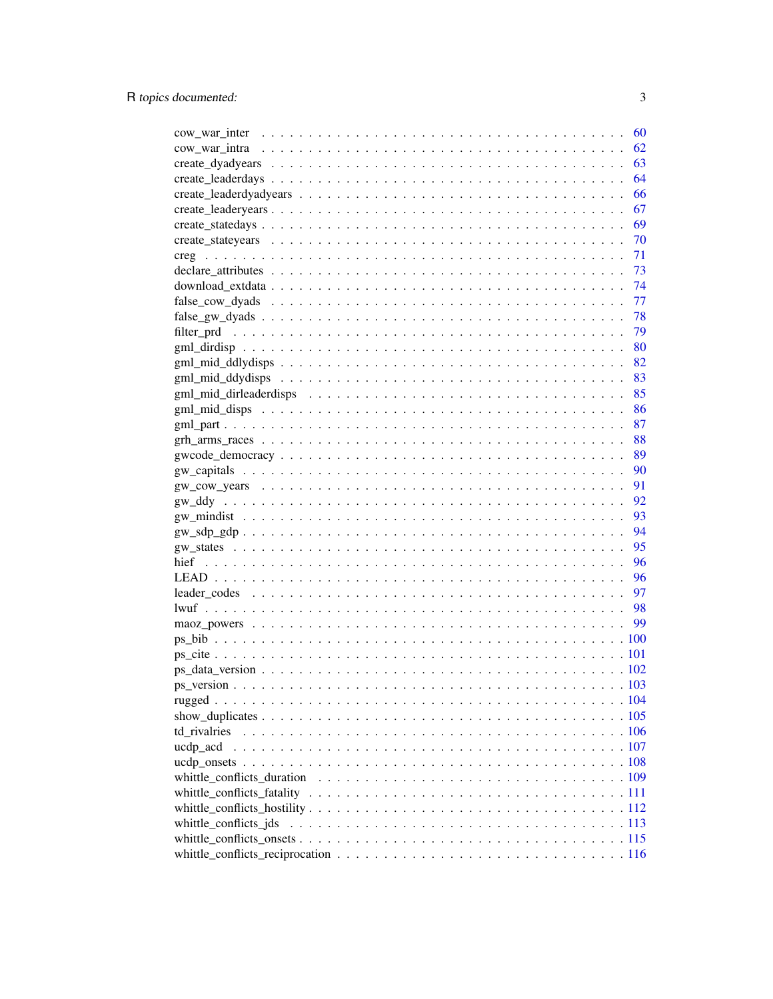|                                                                                                                             | 60   |
|-----------------------------------------------------------------------------------------------------------------------------|------|
|                                                                                                                             | 62   |
|                                                                                                                             | 63   |
|                                                                                                                             | 64   |
|                                                                                                                             | 66   |
|                                                                                                                             | 67   |
|                                                                                                                             | 69   |
|                                                                                                                             | 70   |
|                                                                                                                             | -71  |
|                                                                                                                             | - 73 |
|                                                                                                                             |      |
|                                                                                                                             |      |
|                                                                                                                             |      |
|                                                                                                                             |      |
|                                                                                                                             |      |
|                                                                                                                             |      |
|                                                                                                                             |      |
|                                                                                                                             |      |
|                                                                                                                             | 86   |
|                                                                                                                             | 87   |
|                                                                                                                             | 88   |
|                                                                                                                             | 89   |
|                                                                                                                             | 90   |
|                                                                                                                             | 91   |
|                                                                                                                             | 92   |
|                                                                                                                             | 93   |
|                                                                                                                             | 94   |
|                                                                                                                             | 95   |
|                                                                                                                             | 96   |
|                                                                                                                             | 96   |
|                                                                                                                             | 97   |
|                                                                                                                             |      |
|                                                                                                                             |      |
|                                                                                                                             |      |
|                                                                                                                             |      |
|                                                                                                                             |      |
|                                                                                                                             |      |
|                                                                                                                             |      |
|                                                                                                                             |      |
| td rivalries                                                                                                                |      |
| ucdp_acd                                                                                                                    |      |
|                                                                                                                             |      |
| whittle_conflicts_duration $\ldots \ldots \ldots \ldots \ldots \ldots \ldots \ldots \ldots \ldots \ldots \ldots \ldots 109$ |      |
|                                                                                                                             |      |
|                                                                                                                             |      |
| whittle_conflicts_jds                                                                                                       |      |
|                                                                                                                             |      |
|                                                                                                                             |      |
|                                                                                                                             |      |

 $\overline{3}$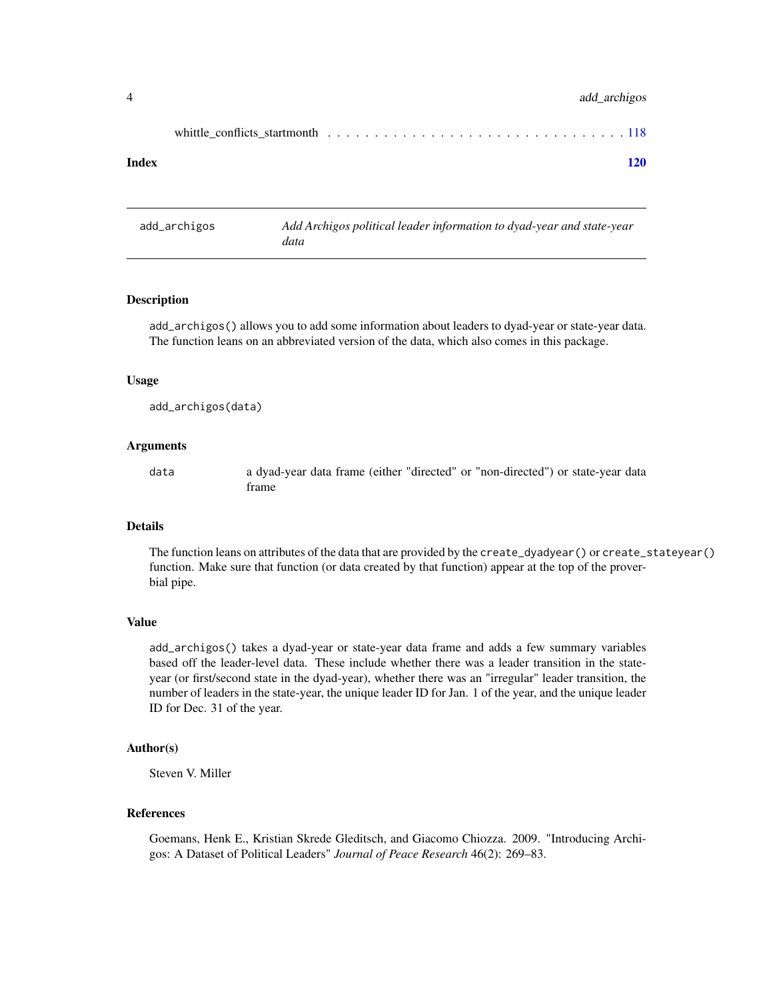# <span id="page-3-0"></span>4 add\_archigos

|--|--|--|

#### **Index** the contract of the contract of the contract of the contract of the contract of the contract of the contract of the contract of the contract of the contract of the contract of the contract of the contract of the co

add\_archigos *Add Archigos political leader information to dyad-year and state-year data*

# Description

add\_archigos() allows you to add some information about leaders to dyad-year or state-year data. The function leans on an abbreviated version of the data, which also comes in this package.

# Usage

```
add_archigos(data)
```
# Arguments

data a dyad-year data frame (either "directed" or "non-directed") or state-year data frame

# Details

The function leans on attributes of the data that are provided by the create\_dyadyear() or create\_stateyear() function. Make sure that function (or data created by that function) appear at the top of the proverbial pipe.

#### Value

add\_archigos() takes a dyad-year or state-year data frame and adds a few summary variables based off the leader-level data. These include whether there was a leader transition in the stateyear (or first/second state in the dyad-year), whether there was an "irregular" leader transition, the number of leaders in the state-year, the unique leader ID for Jan. 1 of the year, and the unique leader ID for Dec. 31 of the year.

#### Author(s)

Steven V. Miller

# References

Goemans, Henk E., Kristian Skrede Gleditsch, and Giacomo Chiozza. 2009. "Introducing Archigos: A Dataset of Political Leaders" *Journal of Peace Research* 46(2): 269–83.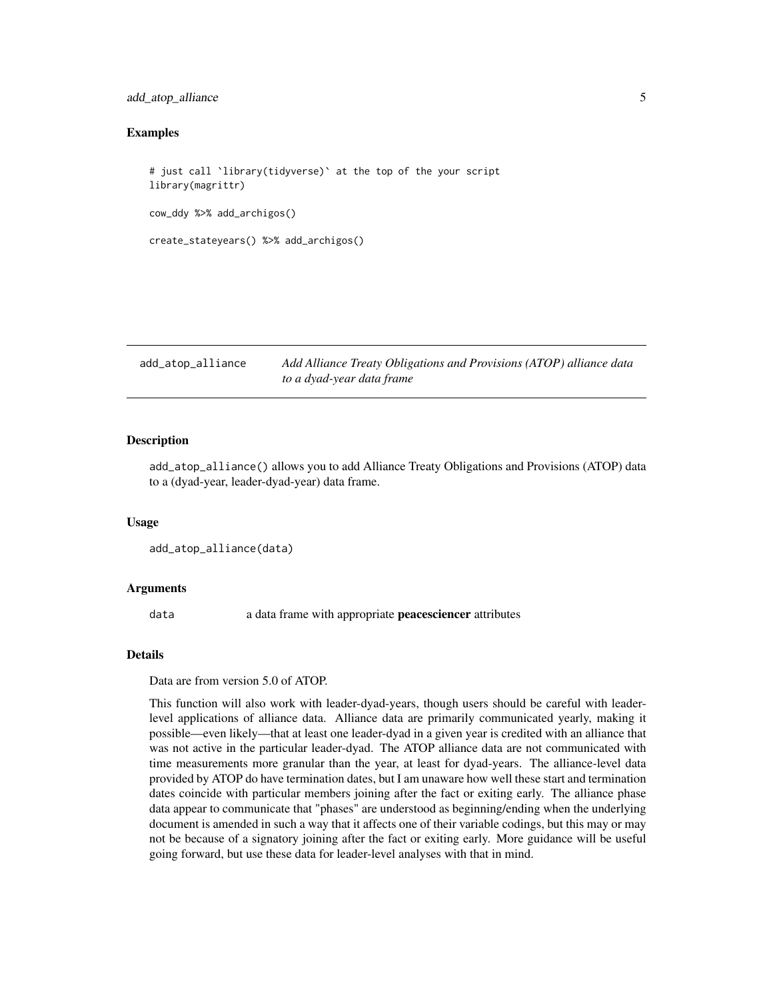# <span id="page-4-0"></span>add\_atop\_alliance 5

# Examples

```
# just call `library(tidyverse)` at the top of the your script
library(magrittr)
cow_ddy %>% add_archigos()
create_stateyears() %>% add_archigos()
```
add\_atop\_alliance *Add Alliance Treaty Obligations and Provisions (ATOP) alliance data to a dyad-year data frame*

# Description

add\_atop\_alliance() allows you to add Alliance Treaty Obligations and Provisions (ATOP) data to a (dyad-year, leader-dyad-year) data frame.

#### Usage

add\_atop\_alliance(data)

#### Arguments

data a data frame with appropriate **peacesciencer** attributes

# Details

Data are from version 5.0 of ATOP.

This function will also work with leader-dyad-years, though users should be careful with leaderlevel applications of alliance data. Alliance data are primarily communicated yearly, making it possible—even likely—that at least one leader-dyad in a given year is credited with an alliance that was not active in the particular leader-dyad. The ATOP alliance data are not communicated with time measurements more granular than the year, at least for dyad-years. The alliance-level data provided by ATOP do have termination dates, but I am unaware how well these start and termination dates coincide with particular members joining after the fact or exiting early. The alliance phase data appear to communicate that "phases" are understood as beginning/ending when the underlying document is amended in such a way that it affects one of their variable codings, but this may or may not be because of a signatory joining after the fact or exiting early. More guidance will be useful going forward, but use these data for leader-level analyses with that in mind.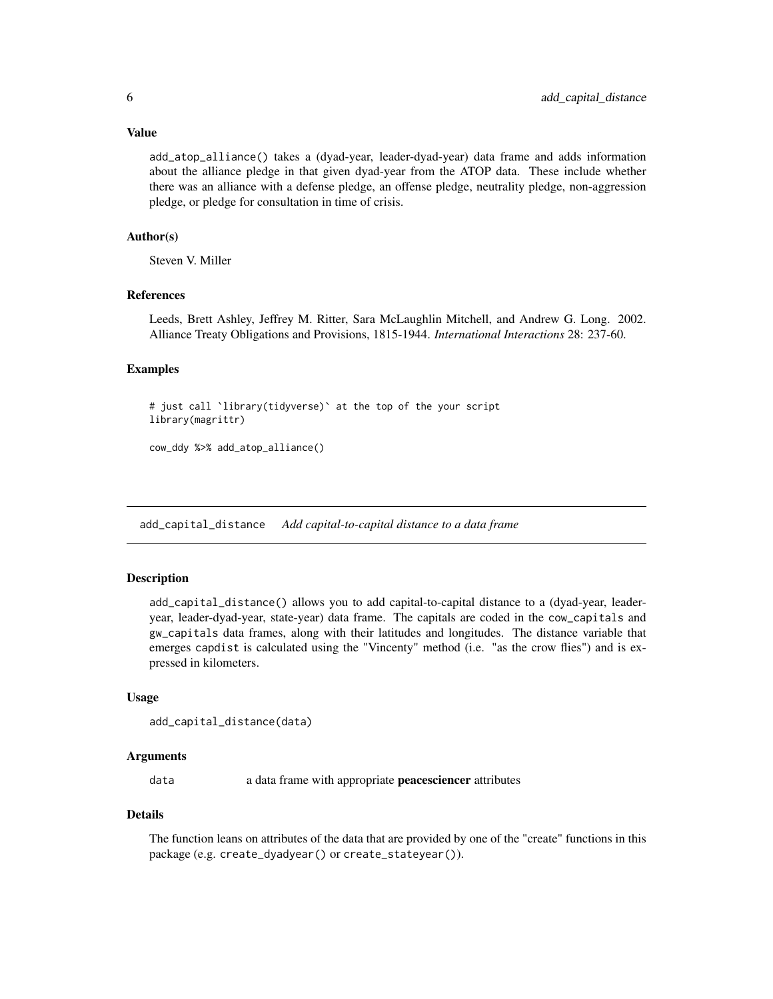#### <span id="page-5-0"></span>Value

add\_atop\_alliance() takes a (dyad-year, leader-dyad-year) data frame and adds information about the alliance pledge in that given dyad-year from the ATOP data. These include whether there was an alliance with a defense pledge, an offense pledge, neutrality pledge, non-aggression pledge, or pledge for consultation in time of crisis.

# Author(s)

Steven V. Miller

#### **References**

Leeds, Brett Ashley, Jeffrey M. Ritter, Sara McLaughlin Mitchell, and Andrew G. Long. 2002. Alliance Treaty Obligations and Provisions, 1815-1944. *International Interactions* 28: 237-60.

# Examples

```
# just call `library(tidyverse)` at the top of the your script
library(magrittr)
cow_ddy %>% add_atop_alliance()
```
add\_capital\_distance *Add capital-to-capital distance to a data frame*

#### **Description**

add\_capital\_distance() allows you to add capital-to-capital distance to a (dyad-year, leaderyear, leader-dyad-year, state-year) data frame. The capitals are coded in the cow\_capitals and gw\_capitals data frames, along with their latitudes and longitudes. The distance variable that emerges capdist is calculated using the "Vincenty" method (i.e. "as the crow flies") and is expressed in kilometers.

#### Usage

```
add_capital_distance(data)
```
# Arguments

data a data frame with appropriate **peacesciencer** attributes

#### Details

The function leans on attributes of the data that are provided by one of the "create" functions in this package (e.g. create\_dyadyear() or create\_stateyear()).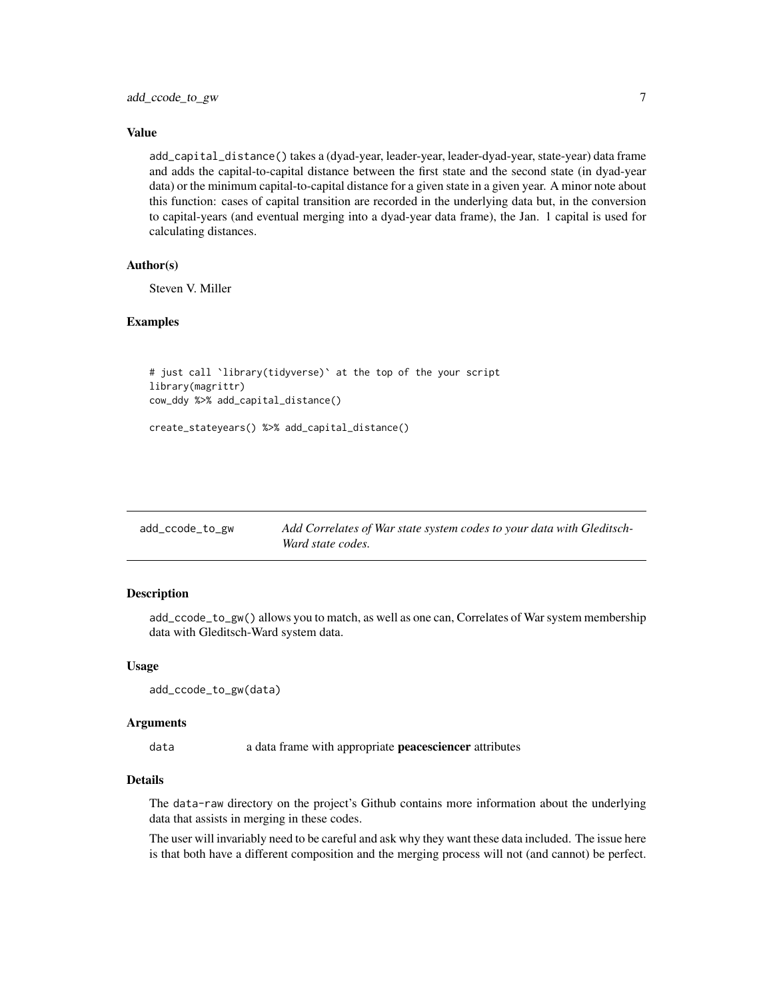# <span id="page-6-0"></span>Value

add\_capital\_distance() takes a (dyad-year, leader-year, leader-dyad-year, state-year) data frame and adds the capital-to-capital distance between the first state and the second state (in dyad-year data) or the minimum capital-to-capital distance for a given state in a given year. A minor note about this function: cases of capital transition are recorded in the underlying data but, in the conversion to capital-years (and eventual merging into a dyad-year data frame), the Jan. 1 capital is used for calculating distances.

# Author(s)

Steven V. Miller

# Examples

```
# just call `library(tidyverse)` at the top of the your script
library(magrittr)
cow_ddy %>% add_capital_distance()
```

```
create_stateyears() %>% add_capital_distance()
```

| add_ccode_to_gw | Add Correlates of War state system codes to your data with Gleditsch- |
|-----------------|-----------------------------------------------------------------------|
|                 | Ward state codes.                                                     |

# Description

add\_ccode\_to\_gw() allows you to match, as well as one can, Correlates of War system membership data with Gleditsch-Ward system data.

#### Usage

```
add_ccode_to_gw(data)
```
#### Arguments

data a data frame with appropriate **peacesciencer** attributes

# Details

The data-raw directory on the project's Github contains more information about the underlying data that assists in merging in these codes.

The user will invariably need to be careful and ask why they want these data included. The issue here is that both have a different composition and the merging process will not (and cannot) be perfect.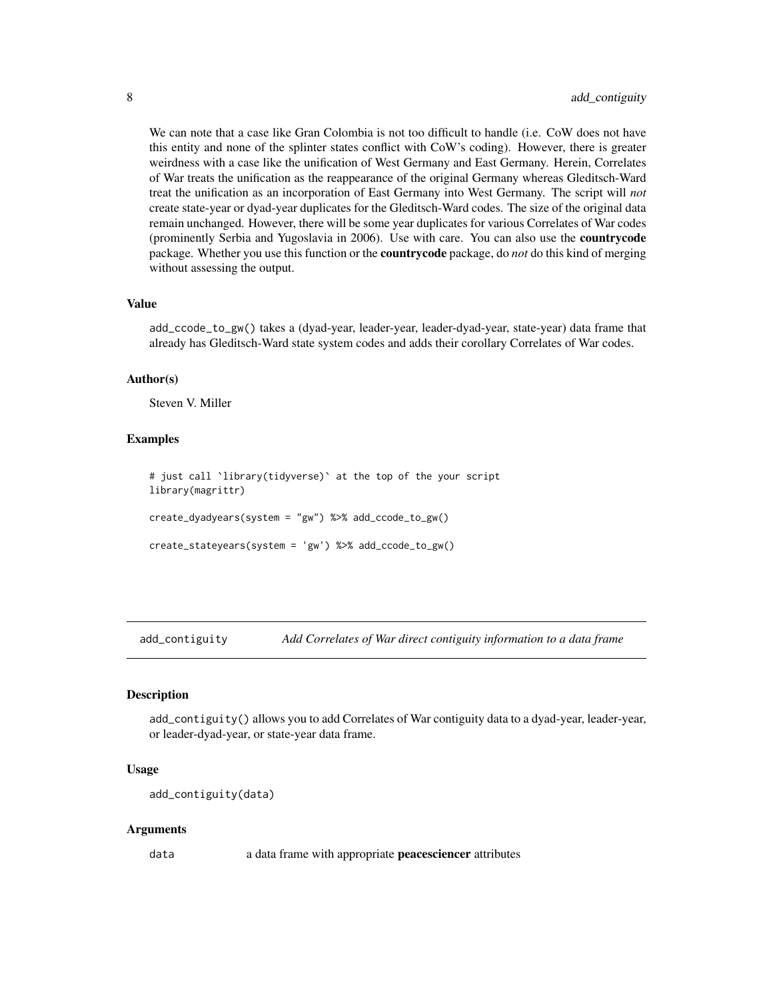We can note that a case like Gran Colombia is not too difficult to handle (i.e. CoW does not have this entity and none of the splinter states conflict with CoW's coding). However, there is greater weirdness with a case like the unification of West Germany and East Germany. Herein, Correlates of War treats the unification as the reappearance of the original Germany whereas Gleditsch-Ward treat the unification as an incorporation of East Germany into West Germany. The script will *not* create state-year or dyad-year duplicates for the Gleditsch-Ward codes. The size of the original data remain unchanged. However, there will be some year duplicates for various Correlates of War codes (prominently Serbia and Yugoslavia in 2006). Use with care. You can also use the countrycode package. Whether you use this function or the countrycode package, do *not* do this kind of merging without assessing the output.

# Value

add\_ccode\_to\_gw() takes a (dyad-year, leader-year, leader-dyad-year, state-year) data frame that already has Gleditsch-Ward state system codes and adds their corollary Correlates of War codes.

#### Author(s)

Steven V. Miller

# Examples

```
# just call `library(tidyverse)` at the top of the your script
library(magrittr)
create_dyadyears(system = "gw") %>% add_ccode_to_gw()
create_stateyears(system = 'gw') %>% add_ccode_to_gw()
```
add\_contiguity *Add Correlates of War direct contiguity information to a data frame*

# Description

add\_contiguity() allows you to add Correlates of War contiguity data to a dyad-year, leader-year, or leader-dyad-year, or state-year data frame.

#### Usage

```
add_contiguity(data)
```
#### Arguments

data a data frame with appropriate **peacesciencer** attributes

<span id="page-7-0"></span>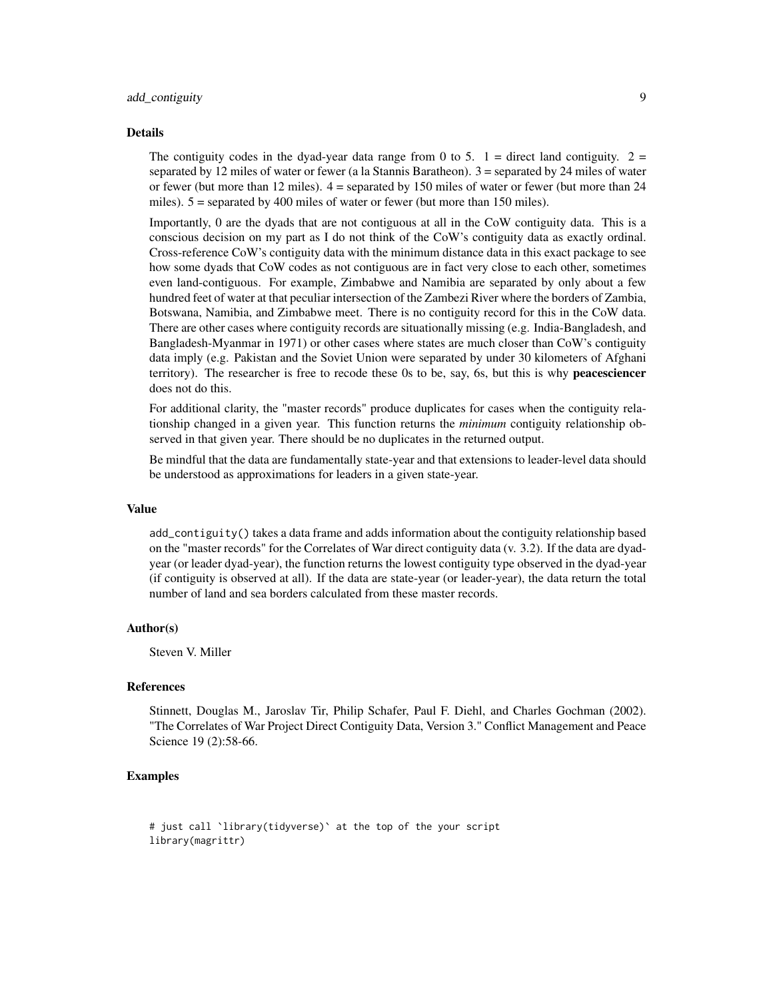# add\_contiguity 9

#### Details

The contiguity codes in the dyad-year data range from 0 to 5.  $1 =$  direct land contiguity.  $2 =$ separated by 12 miles of water or fewer (a la Stannis Baratheon). 3 = separated by 24 miles of water or fewer (but more than 12 miles). 4 = separated by 150 miles of water or fewer (but more than 24 miles). 5 = separated by 400 miles of water or fewer (but more than 150 miles).

Importantly, 0 are the dyads that are not contiguous at all in the CoW contiguity data. This is a conscious decision on my part as I do not think of the CoW's contiguity data as exactly ordinal. Cross-reference CoW's contiguity data with the minimum distance data in this exact package to see how some dyads that CoW codes as not contiguous are in fact very close to each other, sometimes even land-contiguous. For example, Zimbabwe and Namibia are separated by only about a few hundred feet of water at that peculiar intersection of the Zambezi River where the borders of Zambia, Botswana, Namibia, and Zimbabwe meet. There is no contiguity record for this in the CoW data. There are other cases where contiguity records are situationally missing (e.g. India-Bangladesh, and Bangladesh-Myanmar in 1971) or other cases where states are much closer than CoW's contiguity data imply (e.g. Pakistan and the Soviet Union were separated by under 30 kilometers of Afghani territory). The researcher is free to recode these 0s to be, say, 6s, but this is why **peacesciencer** does not do this.

For additional clarity, the "master records" produce duplicates for cases when the contiguity relationship changed in a given year. This function returns the *minimum* contiguity relationship observed in that given year. There should be no duplicates in the returned output.

Be mindful that the data are fundamentally state-year and that extensions to leader-level data should be understood as approximations for leaders in a given state-year.

#### Value

add\_contiguity() takes a data frame and adds information about the contiguity relationship based on the "master records" for the Correlates of War direct contiguity data (v. 3.2). If the data are dyadyear (or leader dyad-year), the function returns the lowest contiguity type observed in the dyad-year (if contiguity is observed at all). If the data are state-year (or leader-year), the data return the total number of land and sea borders calculated from these master records.

#### Author(s)

Steven V. Miller

#### References

Stinnett, Douglas M., Jaroslav Tir, Philip Schafer, Paul F. Diehl, and Charles Gochman (2002). "The Correlates of War Project Direct Contiguity Data, Version 3." Conflict Management and Peace Science 19 (2):58-66.

# Examples

```
# just call `library(tidyverse)` at the top of the your script
library(magrittr)
```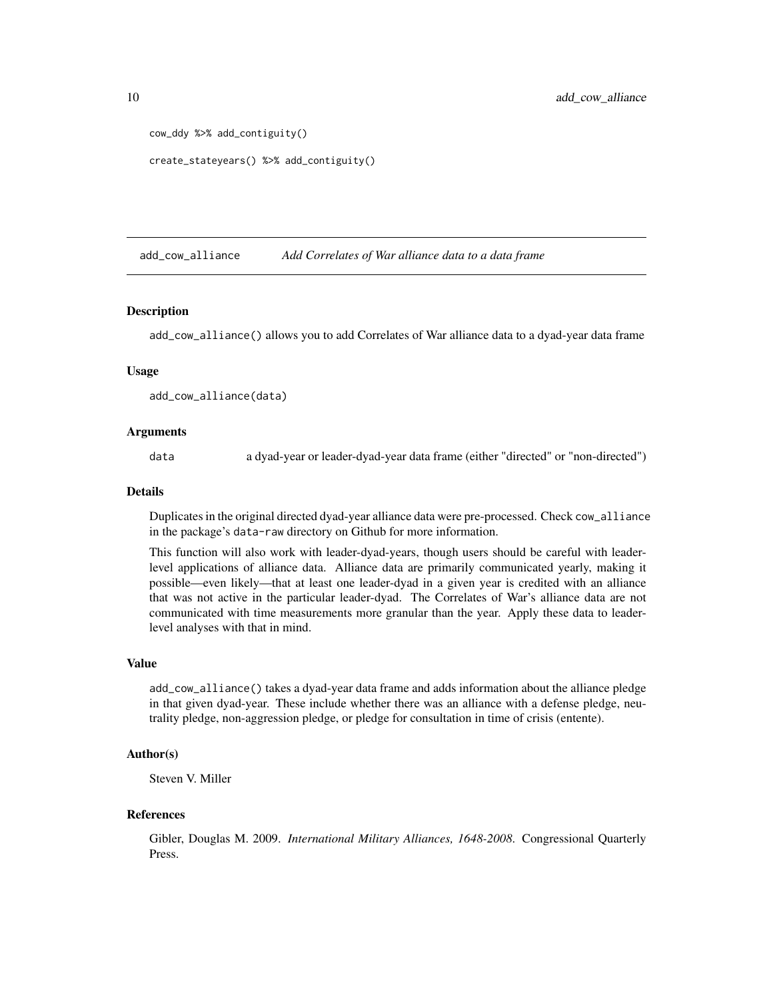```
cow_ddy %>% add_contiguity()
```

```
create_stateyears() %>% add_contiguity()
```
add\_cow\_alliance *Add Correlates of War alliance data to a data frame*

# **Description**

add\_cow\_alliance() allows you to add Correlates of War alliance data to a dyad-year data frame

#### Usage

```
add_cow_alliance(data)
```
#### Arguments

data a dyad-year or leader-dyad-year data frame (either "directed" or "non-directed")

#### Details

Duplicates in the original directed dyad-year alliance data were pre-processed. Check cow\_alliance in the package's data-raw directory on Github for more information.

This function will also work with leader-dyad-years, though users should be careful with leaderlevel applications of alliance data. Alliance data are primarily communicated yearly, making it possible—even likely—that at least one leader-dyad in a given year is credited with an alliance that was not active in the particular leader-dyad. The Correlates of War's alliance data are not communicated with time measurements more granular than the year. Apply these data to leaderlevel analyses with that in mind.

#### Value

add\_cow\_alliance() takes a dyad-year data frame and adds information about the alliance pledge in that given dyad-year. These include whether there was an alliance with a defense pledge, neutrality pledge, non-aggression pledge, or pledge for consultation in time of crisis (entente).

# Author(s)

Steven V. Miller

#### References

Gibler, Douglas M. 2009. *International Military Alliances, 1648-2008*. Congressional Quarterly Press.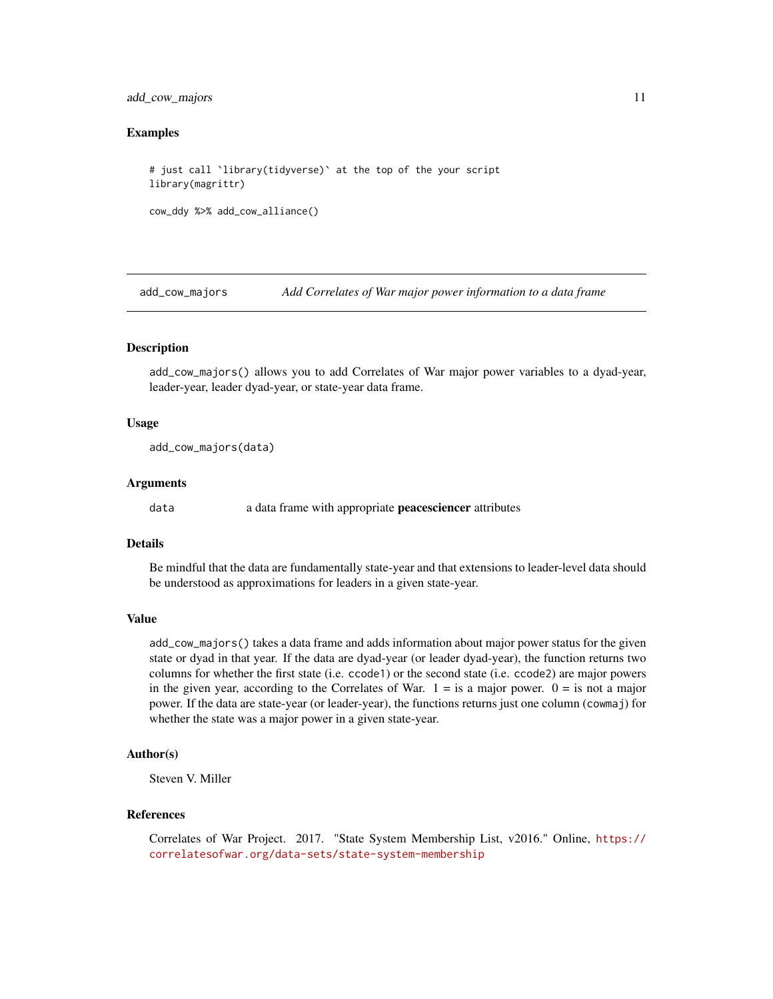# <span id="page-10-0"></span>add\_cow\_majors 11

# Examples

```
# just call `library(tidyverse)` at the top of the your script
library(magrittr)
cow_ddy %>% add_cow_alliance()
```
add\_cow\_majors *Add Correlates of War major power information to a data frame*

# **Description**

add\_cow\_majors() allows you to add Correlates of War major power variables to a dyad-year, leader-year, leader dyad-year, or state-year data frame.

# Usage

add\_cow\_majors(data)

#### Arguments

data a data frame with appropriate **peacesciencer** attributes

# Details

Be mindful that the data are fundamentally state-year and that extensions to leader-level data should be understood as approximations for leaders in a given state-year.

# Value

add\_cow\_majors() takes a data frame and adds information about major power status for the given state or dyad in that year. If the data are dyad-year (or leader dyad-year), the function returns two columns for whether the first state (i.e. ccode1) or the second state (i.e. ccode2) are major powers in the given year, according to the Correlates of War.  $1 =$  is a major power.  $0 =$  is not a major power. If the data are state-year (or leader-year), the functions returns just one column (cowmaj) for whether the state was a major power in a given state-year.

# Author(s)

Steven V. Miller

# References

Correlates of War Project. 2017. "State System Membership List, v2016." Online, [https://](https://correlatesofwar.org/data-sets/state-system-membership) [correlatesofwar.org/data-sets/state-system-membership](https://correlatesofwar.org/data-sets/state-system-membership)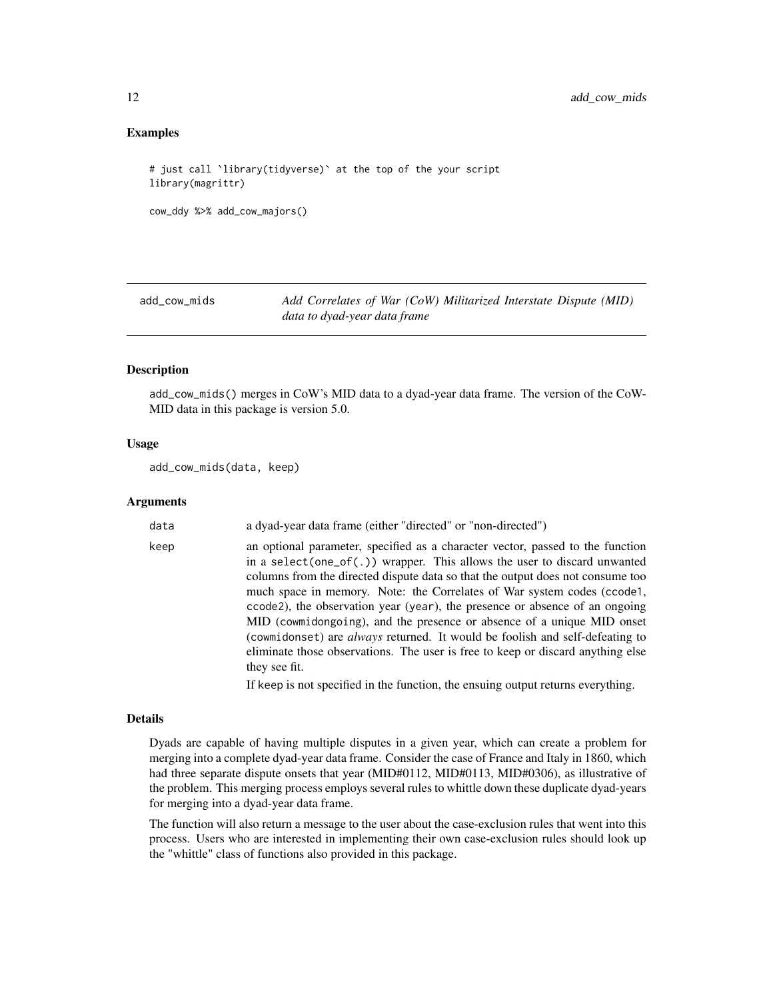# Examples

```
# just call `library(tidyverse)` at the top of the your script
library(magrittr)
cow_ddy %>% add_cow_majors()
```
add\_cow\_mids *Add Correlates of War (CoW) Militarized Interstate Dispute (MID) data to dyad-year data frame*

# Description

add\_cow\_mids() merges in CoW's MID data to a dyad-year data frame. The version of the CoW-MID data in this package is version 5.0.

# Usage

add\_cow\_mids(data, keep)

#### Arguments

| data | a dyad-year data frame (either "directed" or "non-directed")                                                                                                                                                                                                                                                                                                                                                                                                                                                                                                                                                                                                                 |
|------|------------------------------------------------------------------------------------------------------------------------------------------------------------------------------------------------------------------------------------------------------------------------------------------------------------------------------------------------------------------------------------------------------------------------------------------------------------------------------------------------------------------------------------------------------------------------------------------------------------------------------------------------------------------------------|
| keep | an optional parameter, specified as a character vector, passed to the function<br>in a select (one_of(.)) wrapper. This allows the user to discard unwanted<br>columns from the directed dispute data so that the output does not consume too<br>much space in memory. Note: the Correlates of War system codes (ccode1,<br>ccode2), the observation year (year), the presence or absence of an ongoing<br>MID (cowmidongoing), and the presence or absence of a unique MID onset<br>(cowmidonset) are <i>always</i> returned. It would be foolish and self-defeating to<br>eliminate those observations. The user is free to keep or discard anything else<br>they see fit. |
|      |                                                                                                                                                                                                                                                                                                                                                                                                                                                                                                                                                                                                                                                                              |

If keep is not specified in the function, the ensuing output returns everything.

#### Details

Dyads are capable of having multiple disputes in a given year, which can create a problem for merging into a complete dyad-year data frame. Consider the case of France and Italy in 1860, which had three separate dispute onsets that year (MID#0112, MID#0113, MID#0306), as illustrative of the problem. This merging process employs several rules to whittle down these duplicate dyad-years for merging into a dyad-year data frame.

The function will also return a message to the user about the case-exclusion rules that went into this process. Users who are interested in implementing their own case-exclusion rules should look up the "whittle" class of functions also provided in this package.

<span id="page-11-0"></span>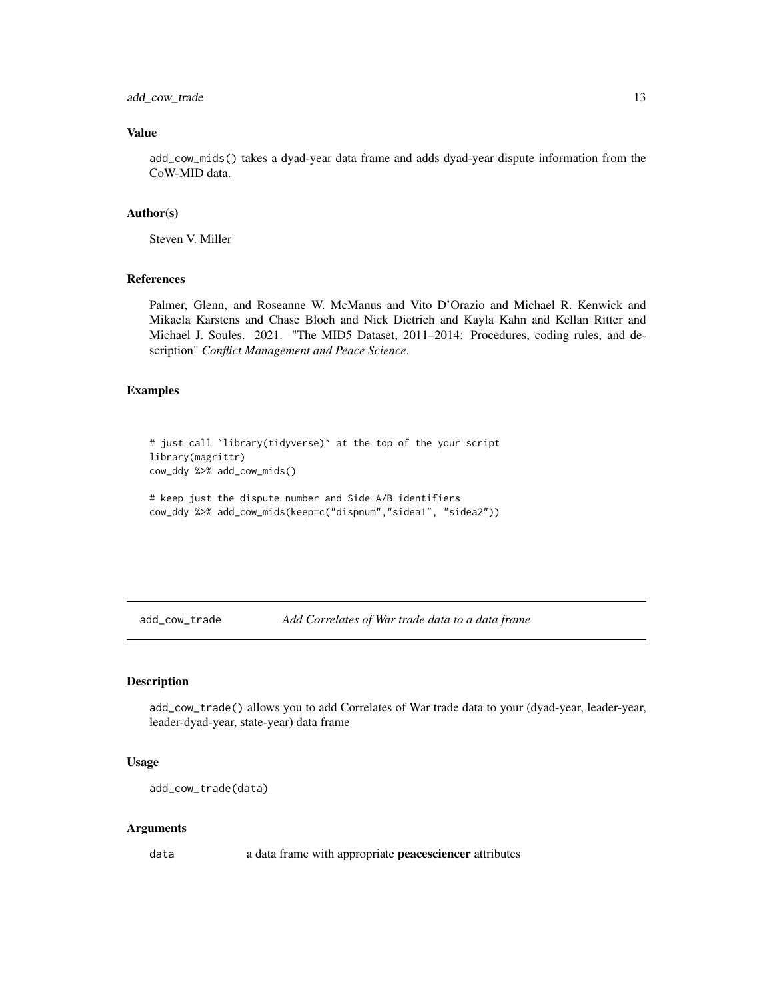<span id="page-12-0"></span>add\_cow\_trade 13

# Value

add\_cow\_mids() takes a dyad-year data frame and adds dyad-year dispute information from the CoW-MID data.

# Author(s)

Steven V. Miller

# References

Palmer, Glenn, and Roseanne W. McManus and Vito D'Orazio and Michael R. Kenwick and Mikaela Karstens and Chase Bloch and Nick Dietrich and Kayla Kahn and Kellan Ritter and Michael J. Soules. 2021. "The MID5 Dataset, 2011–2014: Procedures, coding rules, and description" *Conflict Management and Peace Science*.

# Examples

```
# just call `library(tidyverse)` at the top of the your script
library(magrittr)
cow_ddy %>% add_cow_mids()
# keep just the dispute number and Side A/B identifiers
```

```
cow_ddy %>% add_cow_mids(keep=c("dispnum","sidea1", "sidea2"))
```
add\_cow\_trade *Add Correlates of War trade data to a data frame*

#### Description

add\_cow\_trade() allows you to add Correlates of War trade data to your (dyad-year, leader-year, leader-dyad-year, state-year) data frame

#### Usage

add\_cow\_trade(data)

#### Arguments

data a data frame with appropriate **peacesciencer** attributes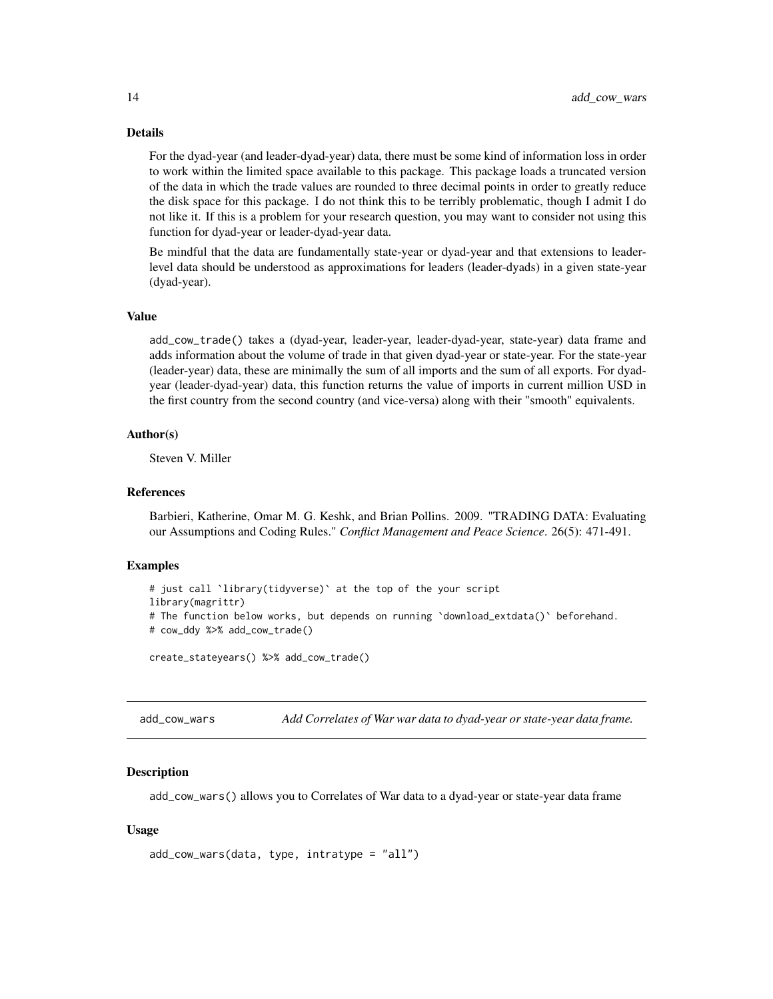#### <span id="page-13-0"></span>Details

For the dyad-year (and leader-dyad-year) data, there must be some kind of information loss in order to work within the limited space available to this package. This package loads a truncated version of the data in which the trade values are rounded to three decimal points in order to greatly reduce the disk space for this package. I do not think this to be terribly problematic, though I admit I do not like it. If this is a problem for your research question, you may want to consider not using this function for dyad-year or leader-dyad-year data.

Be mindful that the data are fundamentally state-year or dyad-year and that extensions to leaderlevel data should be understood as approximations for leaders (leader-dyads) in a given state-year (dyad-year).

# Value

add\_cow\_trade() takes a (dyad-year, leader-year, leader-dyad-year, state-year) data frame and adds information about the volume of trade in that given dyad-year or state-year. For the state-year (leader-year) data, these are minimally the sum of all imports and the sum of all exports. For dyadyear (leader-dyad-year) data, this function returns the value of imports in current million USD in the first country from the second country (and vice-versa) along with their "smooth" equivalents.

# Author(s)

Steven V. Miller

#### References

Barbieri, Katherine, Omar M. G. Keshk, and Brian Pollins. 2009. "TRADING DATA: Evaluating our Assumptions and Coding Rules." *Conflict Management and Peace Science*. 26(5): 471-491.

#### Examples

```
# just call `library(tidyverse)` at the top of the your script
library(magrittr)
# The function below works, but depends on running `download_extdata()` beforehand.
# cow_ddy %>% add_cow_trade()
```

```
create_stateyears() %>% add_cow_trade()
```
add\_cow\_wars *Add Correlates of War war data to dyad-year or state-year data frame.*

#### Description

add\_cow\_wars() allows you to Correlates of War data to a dyad-year or state-year data frame

# Usage

```
add_cow_wars(data, type, intratype = "all")
```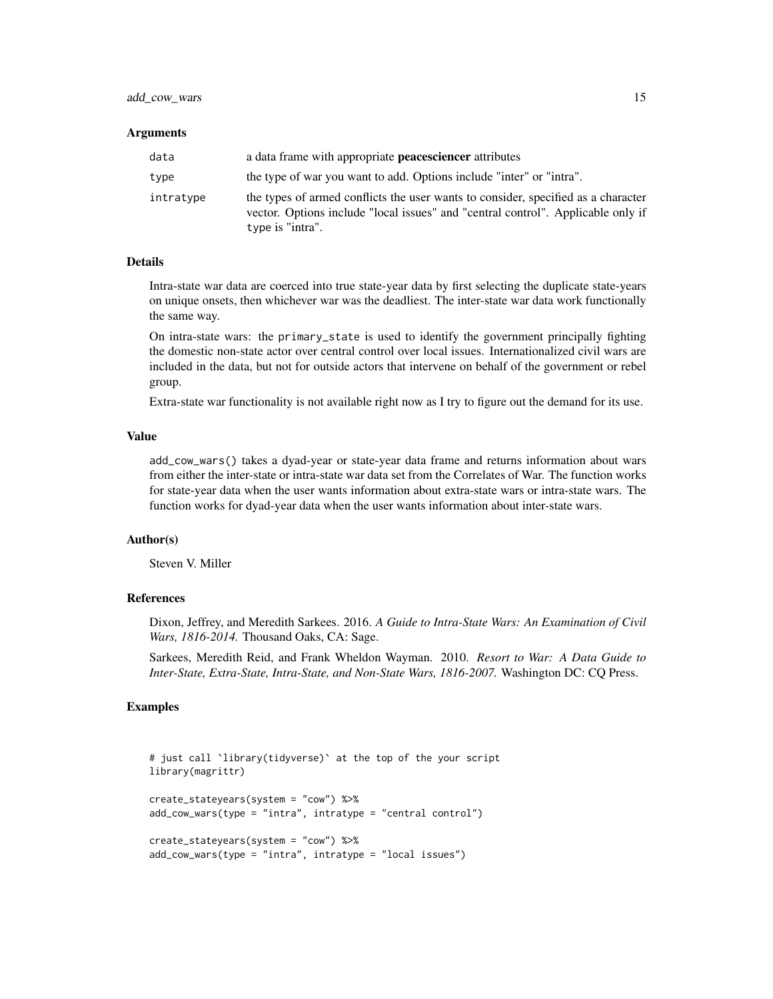#### Arguments

| data      | a data frame with appropriate <b>peacesciencer</b> attributes                                                                                                                             |
|-----------|-------------------------------------------------------------------------------------------------------------------------------------------------------------------------------------------|
| type      | the type of war you want to add. Options include "inter" or "intra".                                                                                                                      |
| intratype | the types of armed conflicts the user wants to consider, specified as a character<br>vector. Options include "local issues" and "central control". Applicable only if<br>type is "intra". |

#### Details

Intra-state war data are coerced into true state-year data by first selecting the duplicate state-years on unique onsets, then whichever war was the deadliest. The inter-state war data work functionally the same way.

On intra-state wars: the primary\_state is used to identify the government principally fighting the domestic non-state actor over central control over local issues. Internationalized civil wars are included in the data, but not for outside actors that intervene on behalf of the government or rebel group.

Extra-state war functionality is not available right now as I try to figure out the demand for its use.

# Value

add\_cow\_wars() takes a dyad-year or state-year data frame and returns information about wars from either the inter-state or intra-state war data set from the Correlates of War. The function works for state-year data when the user wants information about extra-state wars or intra-state wars. The function works for dyad-year data when the user wants information about inter-state wars.

# Author(s)

Steven V. Miller

# References

Dixon, Jeffrey, and Meredith Sarkees. 2016. *A Guide to Intra-State Wars: An Examination of Civil Wars, 1816-2014.* Thousand Oaks, CA: Sage.

Sarkees, Meredith Reid, and Frank Wheldon Wayman. 2010. *Resort to War: A Data Guide to Inter-State, Extra-State, Intra-State, and Non-State Wars, 1816-2007.* Washington DC: CQ Press.

# Examples

```
# just call `library(tidyverse)` at the top of the your script
library(magrittr)
create_stateyears(system = "cow") %>%
add_cow_wars(type = "intra", intratype = "central control")
create_stateyears(system = "cow") %>%
add_cow_wars(type = "intra", intratype = "local issues")
```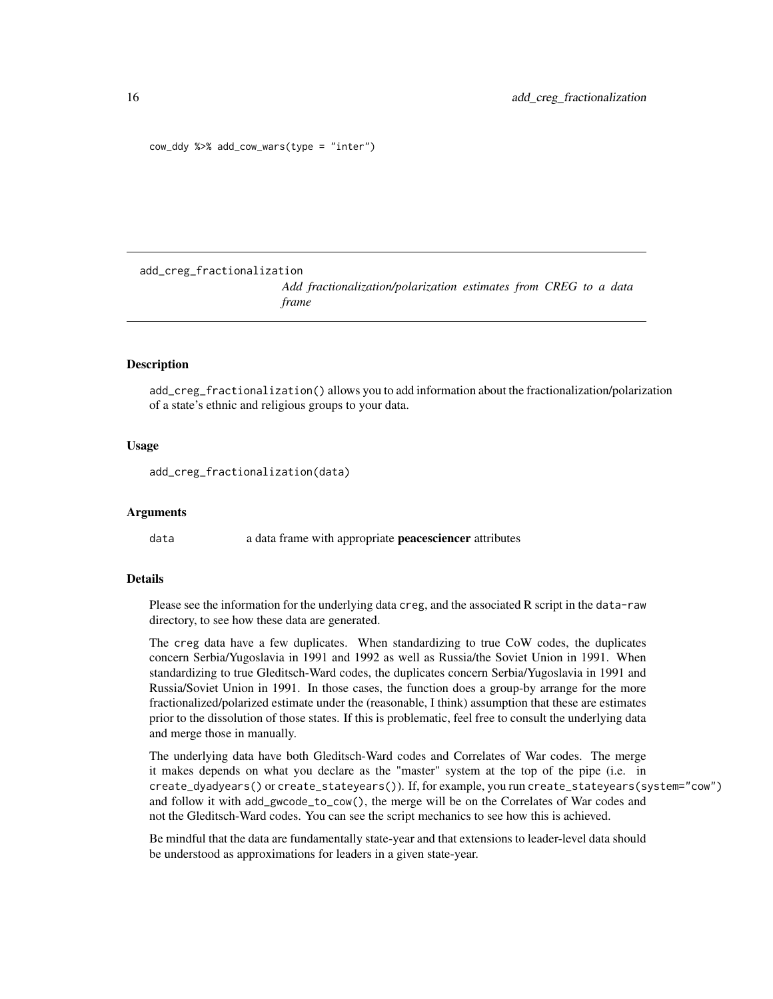<span id="page-15-0"></span>cow\_ddy %>% add\_cow\_wars(type = "inter")

add\_creg\_fractionalization

*Add fractionalization/polarization estimates from CREG to a data frame*

# Description

add\_creg\_fractionalization() allows you to add information about the fractionalization/polarization of a state's ethnic and religious groups to your data.

# Usage

add\_creg\_fractionalization(data)

#### Arguments

data a data frame with appropriate **peacesciencer** attributes

#### Details

Please see the information for the underlying data creg, and the associated R script in the data-raw directory, to see how these data are generated.

The creg data have a few duplicates. When standardizing to true CoW codes, the duplicates concern Serbia/Yugoslavia in 1991 and 1992 as well as Russia/the Soviet Union in 1991. When standardizing to true Gleditsch-Ward codes, the duplicates concern Serbia/Yugoslavia in 1991 and Russia/Soviet Union in 1991. In those cases, the function does a group-by arrange for the more fractionalized/polarized estimate under the (reasonable, I think) assumption that these are estimates prior to the dissolution of those states. If this is problematic, feel free to consult the underlying data and merge those in manually.

The underlying data have both Gleditsch-Ward codes and Correlates of War codes. The merge it makes depends on what you declare as the "master" system at the top of the pipe (i.e. in create\_dyadyears() or create\_stateyears()). If, for example, you run create\_stateyears(system="cow") and follow it with add\_gwcode\_to\_cow(), the merge will be on the Correlates of War codes and not the Gleditsch-Ward codes. You can see the script mechanics to see how this is achieved.

Be mindful that the data are fundamentally state-year and that extensions to leader-level data should be understood as approximations for leaders in a given state-year.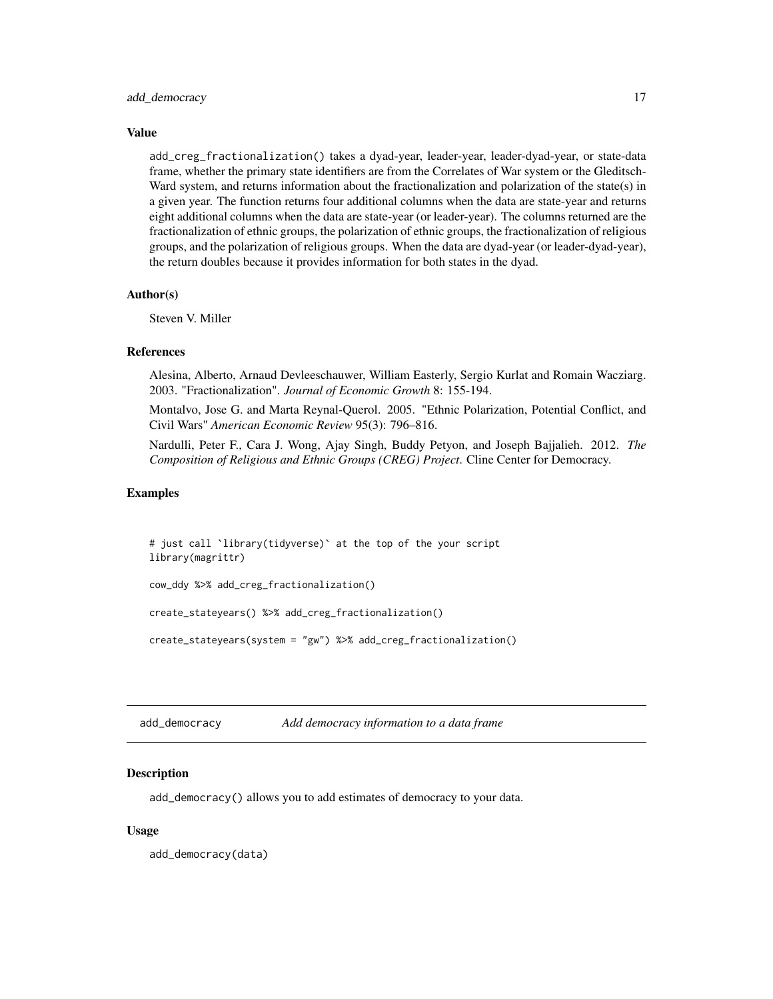#### <span id="page-16-0"></span>add\_democracy 17

# Value

add\_creg\_fractionalization() takes a dyad-year, leader-year, leader-dyad-year, or state-data frame, whether the primary state identifiers are from the Correlates of War system or the Gleditsch-Ward system, and returns information about the fractionalization and polarization of the state(s) in a given year. The function returns four additional columns when the data are state-year and returns eight additional columns when the data are state-year (or leader-year). The columns returned are the fractionalization of ethnic groups, the polarization of ethnic groups, the fractionalization of religious groups, and the polarization of religious groups. When the data are dyad-year (or leader-dyad-year), the return doubles because it provides information for both states in the dyad.

#### Author(s)

Steven V. Miller

# References

Alesina, Alberto, Arnaud Devleeschauwer, William Easterly, Sergio Kurlat and Romain Wacziarg. 2003. "Fractionalization". *Journal of Economic Growth* 8: 155-194.

Montalvo, Jose G. and Marta Reynal-Querol. 2005. "Ethnic Polarization, Potential Conflict, and Civil Wars" *American Economic Review* 95(3): 796–816.

Nardulli, Peter F., Cara J. Wong, Ajay Singh, Buddy Petyon, and Joseph Bajjalieh. 2012. *The Composition of Religious and Ethnic Groups (CREG) Project*. Cline Center for Democracy.

# Examples

```
# just call `library(tidyverse)` at the top of the your script
library(magrittr)
cow_ddy %>% add_creg_fractionalization()
create_stateyears() %>% add_creg_fractionalization()
```
create\_stateyears(system = "gw") %>% add\_creg\_fractionalization()

add\_democracy *Add democracy information to a data frame*

# **Description**

add\_democracy() allows you to add estimates of democracy to your data.

# Usage

add\_democracy(data)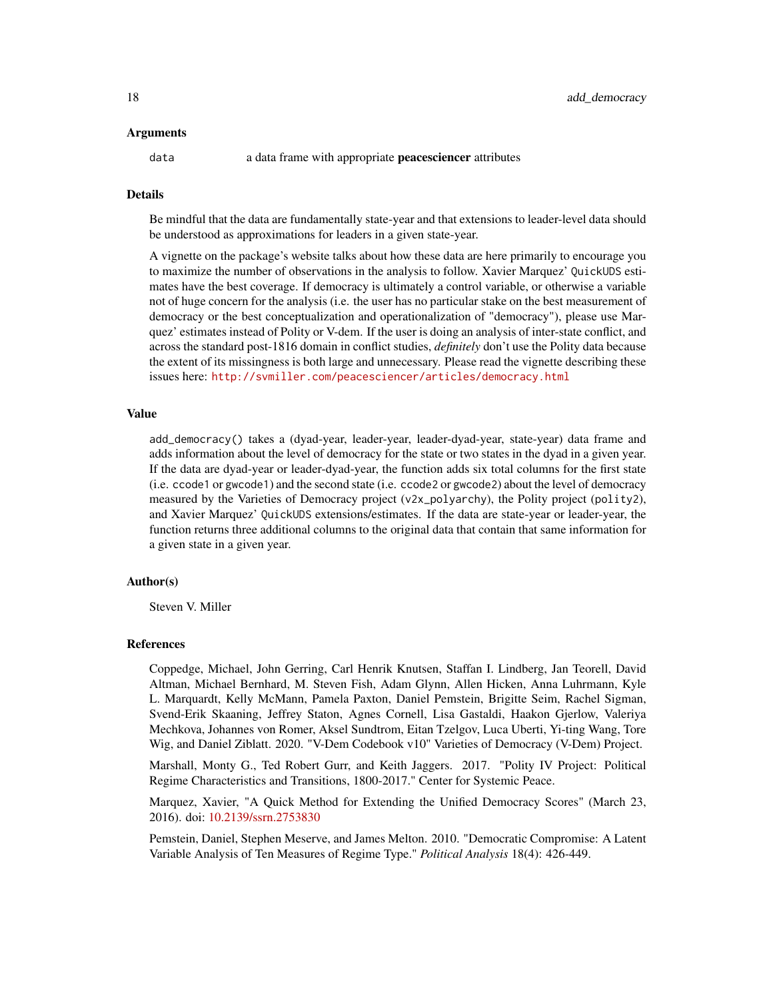#### Arguments

data a data frame with appropriate **peacesciencer** attributes

# Details

Be mindful that the data are fundamentally state-year and that extensions to leader-level data should be understood as approximations for leaders in a given state-year.

A vignette on the package's website talks about how these data are here primarily to encourage you to maximize the number of observations in the analysis to follow. Xavier Marquez' QuickUDS estimates have the best coverage. If democracy is ultimately a control variable, or otherwise a variable not of huge concern for the analysis (i.e. the user has no particular stake on the best measurement of democracy or the best conceptualization and operationalization of "democracy"), please use Marquez' estimates instead of Polity or V-dem. If the user is doing an analysis of inter-state conflict, and across the standard post-1816 domain in conflict studies, *definitely* don't use the Polity data because the extent of its missingness is both large and unnecessary. Please read the vignette describing these issues here: <http://svmiller.com/peacesciencer/articles/democracy.html>

#### Value

add\_democracy() takes a (dyad-year, leader-year, leader-dyad-year, state-year) data frame and adds information about the level of democracy for the state or two states in the dyad in a given year. If the data are dyad-year or leader-dyad-year, the function adds six total columns for the first state (i.e. ccode1 or gwcode1) and the second state (i.e. ccode2 or gwcode2) about the level of democracy measured by the Varieties of Democracy project (v2x\_polyarchy), the Polity project (polity2), and Xavier Marquez' QuickUDS extensions/estimates. If the data are state-year or leader-year, the function returns three additional columns to the original data that contain that same information for a given state in a given year.

# Author(s)

Steven V. Miller

# References

Coppedge, Michael, John Gerring, Carl Henrik Knutsen, Staffan I. Lindberg, Jan Teorell, David Altman, Michael Bernhard, M. Steven Fish, Adam Glynn, Allen Hicken, Anna Luhrmann, Kyle L. Marquardt, Kelly McMann, Pamela Paxton, Daniel Pemstein, Brigitte Seim, Rachel Sigman, Svend-Erik Skaaning, Jeffrey Staton, Agnes Cornell, Lisa Gastaldi, Haakon Gjerlow, Valeriya Mechkova, Johannes von Romer, Aksel Sundtrom, Eitan Tzelgov, Luca Uberti, Yi-ting Wang, Tore Wig, and Daniel Ziblatt. 2020. "V-Dem Codebook v10" Varieties of Democracy (V-Dem) Project.

Marshall, Monty G., Ted Robert Gurr, and Keith Jaggers. 2017. "Polity IV Project: Political Regime Characteristics and Transitions, 1800-2017." Center for Systemic Peace.

Marquez, Xavier, "A Quick Method for Extending the Unified Democracy Scores" (March 23, 2016). doi: [10.2139/ssrn.2753830](https://doi.org/10.2139/ssrn.2753830)

Pemstein, Daniel, Stephen Meserve, and James Melton. 2010. "Democratic Compromise: A Latent Variable Analysis of Ten Measures of Regime Type." *Political Analysis* 18(4): 426-449.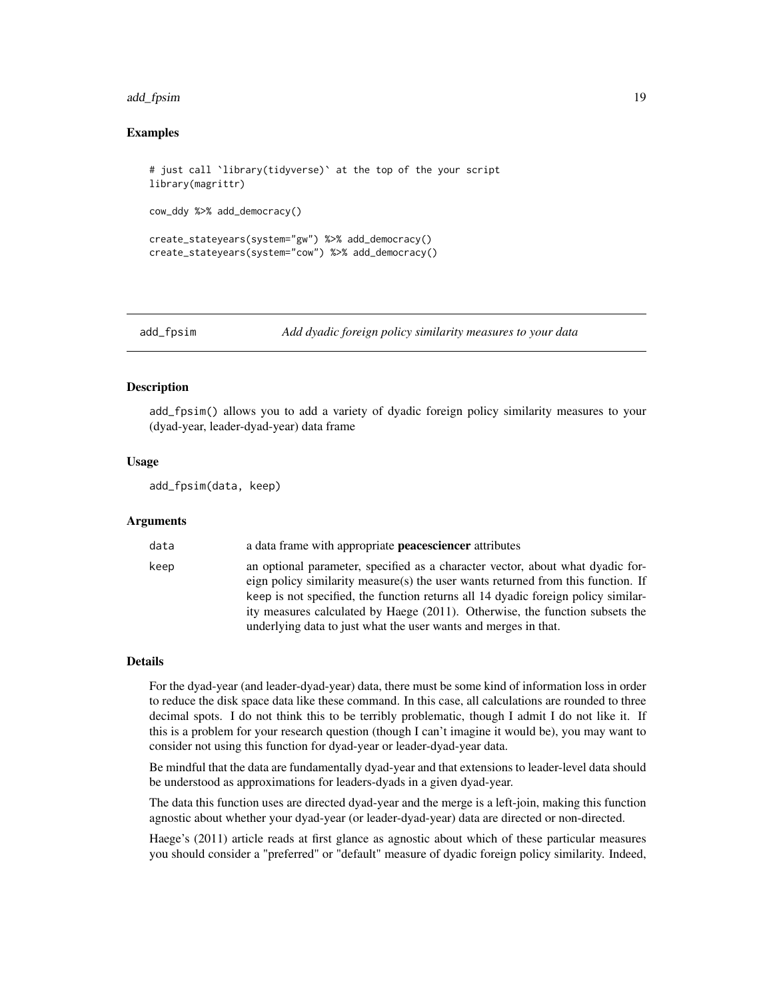#### <span id="page-18-0"></span>add\_fpsim and 19

# Examples

```
# just call `library(tidyverse)` at the top of the your script
library(magrittr)
cow_ddy %>% add_democracy()
create_stateyears(system="gw") %>% add_democracy()
create_stateyears(system="cow") %>% add_democracy()
```

```
add_fpsim Add dyadic foreign policy similarity measures to your data
```
# **Description**

add\_fpsim() allows you to add a variety of dyadic foreign policy similarity measures to your (dyad-year, leader-dyad-year) data frame

#### Usage

add\_fpsim(data, keep)

# Arguments

| data | a data frame with appropriate <b>peacesciencer</b> attributes                                                                                                                                                                                                                                                                                                                                              |
|------|------------------------------------------------------------------------------------------------------------------------------------------------------------------------------------------------------------------------------------------------------------------------------------------------------------------------------------------------------------------------------------------------------------|
| keep | an optional parameter, specified as a character vector, about what dyadic for-<br>eign policy similarity measure(s) the user wants returned from this function. If<br>keep is not specified, the function returns all 14 dyadic foreign policy similar-<br>ity measures calculated by Haege (2011). Otherwise, the function subsets the<br>underlying data to just what the user wants and merges in that. |

#### Details

For the dyad-year (and leader-dyad-year) data, there must be some kind of information loss in order to reduce the disk space data like these command. In this case, all calculations are rounded to three decimal spots. I do not think this to be terribly problematic, though I admit I do not like it. If this is a problem for your research question (though I can't imagine it would be), you may want to consider not using this function for dyad-year or leader-dyad-year data.

Be mindful that the data are fundamentally dyad-year and that extensions to leader-level data should be understood as approximations for leaders-dyads in a given dyad-year.

The data this function uses are directed dyad-year and the merge is a left-join, making this function agnostic about whether your dyad-year (or leader-dyad-year) data are directed or non-directed.

Haege's (2011) article reads at first glance as agnostic about which of these particular measures you should consider a "preferred" or "default" measure of dyadic foreign policy similarity. Indeed,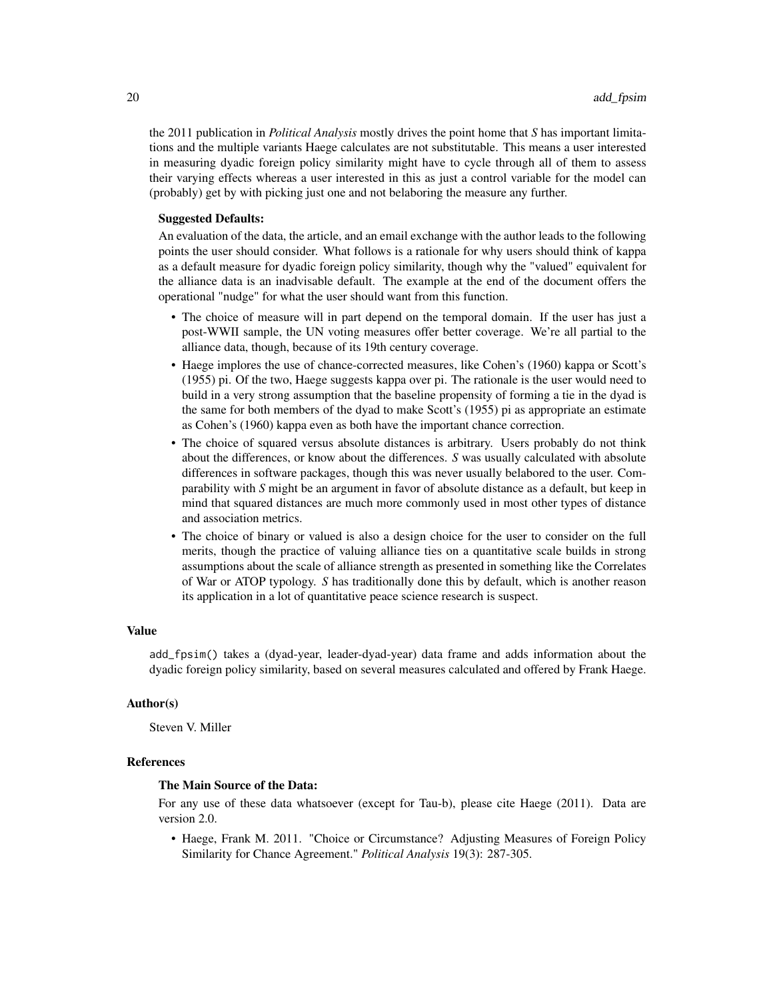the 2011 publication in *Political Analysis* mostly drives the point home that *S* has important limitations and the multiple variants Haege calculates are not substitutable. This means a user interested in measuring dyadic foreign policy similarity might have to cycle through all of them to assess their varying effects whereas a user interested in this as just a control variable for the model can (probably) get by with picking just one and not belaboring the measure any further.

#### Suggested Defaults:

An evaluation of the data, the article, and an email exchange with the author leads to the following points the user should consider. What follows is a rationale for why users should think of kappa as a default measure for dyadic foreign policy similarity, though why the "valued" equivalent for the alliance data is an inadvisable default. The example at the end of the document offers the operational "nudge" for what the user should want from this function.

- The choice of measure will in part depend on the temporal domain. If the user has just a post-WWII sample, the UN voting measures offer better coverage. We're all partial to the alliance data, though, because of its 19th century coverage.
- Haege implores the use of chance-corrected measures, like Cohen's (1960) kappa or Scott's (1955) pi. Of the two, Haege suggests kappa over pi. The rationale is the user would need to build in a very strong assumption that the baseline propensity of forming a tie in the dyad is the same for both members of the dyad to make Scott's (1955) pi as appropriate an estimate as Cohen's (1960) kappa even as both have the important chance correction.
- The choice of squared versus absolute distances is arbitrary. Users probably do not think about the differences, or know about the differences. *S* was usually calculated with absolute differences in software packages, though this was never usually belabored to the user. Comparability with *S* might be an argument in favor of absolute distance as a default, but keep in mind that squared distances are much more commonly used in most other types of distance and association metrics.
- The choice of binary or valued is also a design choice for the user to consider on the full merits, though the practice of valuing alliance ties on a quantitative scale builds in strong assumptions about the scale of alliance strength as presented in something like the Correlates of War or ATOP typology. *S* has traditionally done this by default, which is another reason its application in a lot of quantitative peace science research is suspect.

#### Value

add\_fpsim() takes a (dyad-year, leader-dyad-year) data frame and adds information about the dyadic foreign policy similarity, based on several measures calculated and offered by Frank Haege.

#### Author(s)

Steven V. Miller

#### References

# The Main Source of the Data:

For any use of these data whatsoever (except for Tau-b), please cite Haege (2011). Data are version 2.0.

• Haege, Frank M. 2011. "Choice or Circumstance? Adjusting Measures of Foreign Policy Similarity for Chance Agreement." *Political Analysis* 19(3): 287-305.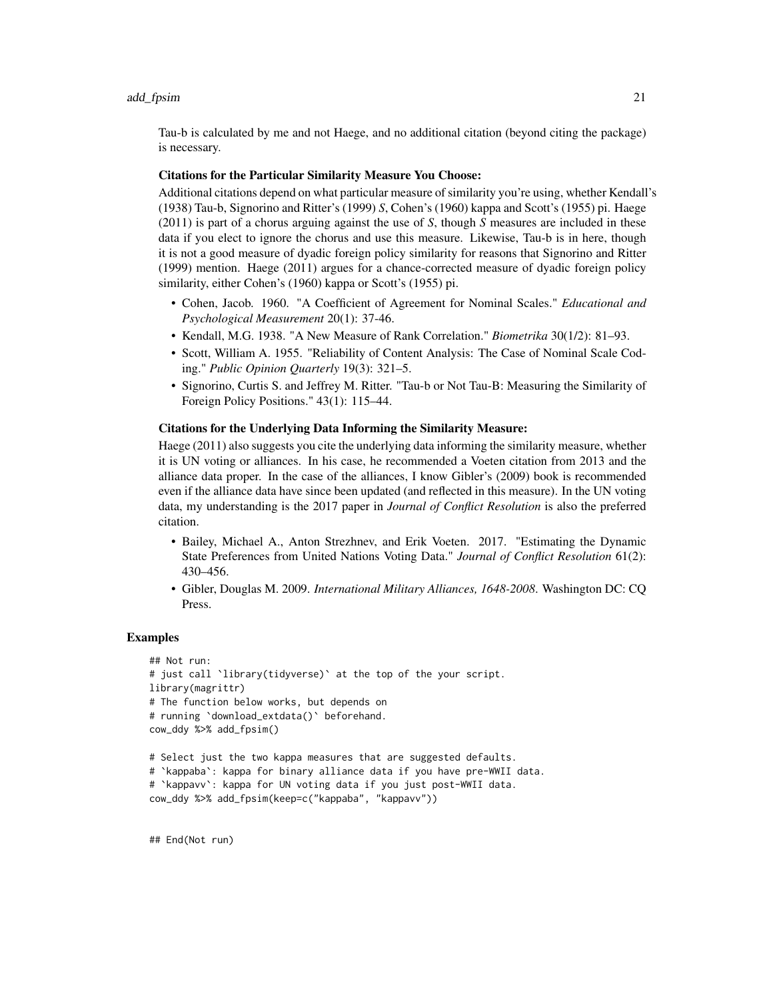# add\_fpsim 21

Tau-b is calculated by me and not Haege, and no additional citation (beyond citing the package) is necessary.

# Citations for the Particular Similarity Measure You Choose:

Additional citations depend on what particular measure of similarity you're using, whether Kendall's (1938) Tau-b, Signorino and Ritter's (1999) *S*, Cohen's (1960) kappa and Scott's (1955) pi. Haege (2011) is part of a chorus arguing against the use of *S*, though *S* measures are included in these data if you elect to ignore the chorus and use this measure. Likewise, Tau-b is in here, though it is not a good measure of dyadic foreign policy similarity for reasons that Signorino and Ritter (1999) mention. Haege (2011) argues for a chance-corrected measure of dyadic foreign policy similarity, either Cohen's (1960) kappa or Scott's (1955) pi.

- Cohen, Jacob. 1960. "A Coefficient of Agreement for Nominal Scales." *Educational and Psychological Measurement* 20(1): 37-46.
- Kendall, M.G. 1938. "A New Measure of Rank Correlation." *Biometrika* 30(1/2): 81–93.
- Scott, William A. 1955. "Reliability of Content Analysis: The Case of Nominal Scale Coding." *Public Opinion Quarterly* 19(3): 321–5.
- Signorino, Curtis S. and Jeffrey M. Ritter. "Tau-b or Not Tau-B: Measuring the Similarity of Foreign Policy Positions." 43(1): 115–44.

# Citations for the Underlying Data Informing the Similarity Measure:

Haege (2011) also suggests you cite the underlying data informing the similarity measure, whether it is UN voting or alliances. In his case, he recommended a Voeten citation from 2013 and the alliance data proper. In the case of the alliances, I know Gibler's (2009) book is recommended even if the alliance data have since been updated (and reflected in this measure). In the UN voting data, my understanding is the 2017 paper in *Journal of Conflict Resolution* is also the preferred citation.

- Bailey, Michael A., Anton Strezhnev, and Erik Voeten. 2017. "Estimating the Dynamic State Preferences from United Nations Voting Data." *Journal of Conflict Resolution* 61(2): 430–456.
- Gibler, Douglas M. 2009. *International Military Alliances, 1648-2008*. Washington DC: CQ Press.

#### Examples

```
## Not run:
# just call `library(tidyverse)` at the top of the your script.
library(magrittr)
# The function below works, but depends on
# running `download_extdata()` beforehand.
cow_ddy %>% add_fpsim()
# Select just the two kappa measures that are suggested defaults.
# `kappaba`: kappa for binary alliance data if you have pre-WWII data.
# `kappavv`: kappa for UN voting data if you just post-WWII data.
cow_ddy %>% add_fpsim(keep=c("kappaba", "kappavv"))
```
## End(Not run)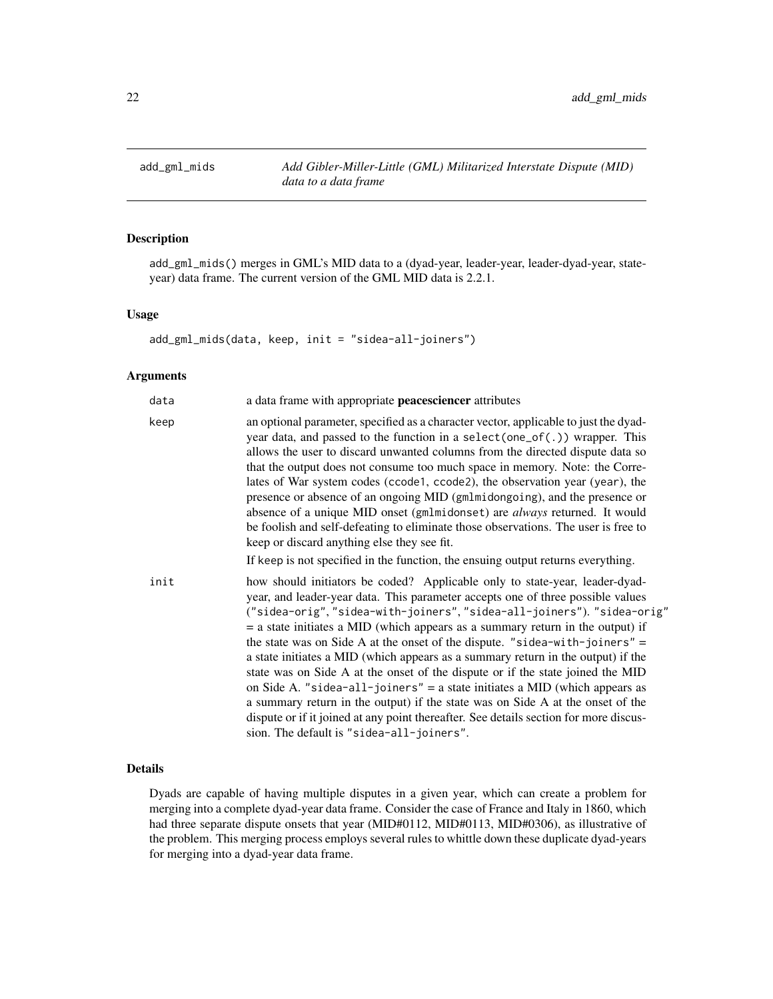<span id="page-21-0"></span>add\_gml\_mids *Add Gibler-Miller-Little (GML) Militarized Interstate Dispute (MID) data to a data frame*

# Description

add\_gml\_mids() merges in GML's MID data to a (dyad-year, leader-year, leader-dyad-year, stateyear) data frame. The current version of the GML MID data is 2.2.1.

#### Usage

add\_gml\_mids(data, keep, init = "sidea-all-joiners")

#### Arguments

| data | a data frame with appropriate peacesciencer attributes                                                                                                                                                                                                                                                                                                                                                                                                                                                                                                                                                                                                                                                                                                                                                                                                                                   |
|------|------------------------------------------------------------------------------------------------------------------------------------------------------------------------------------------------------------------------------------------------------------------------------------------------------------------------------------------------------------------------------------------------------------------------------------------------------------------------------------------------------------------------------------------------------------------------------------------------------------------------------------------------------------------------------------------------------------------------------------------------------------------------------------------------------------------------------------------------------------------------------------------|
| keep | an optional parameter, specified as a character vector, applicable to just the dyad-<br>year data, and passed to the function in a select (one_of(.)) wrapper. This<br>allows the user to discard unwanted columns from the directed dispute data so<br>that the output does not consume too much space in memory. Note: the Corre-<br>lates of War system codes (ccode1, ccode2), the observation year (year), the<br>presence or absence of an ongoing MID (gmlmidongoing), and the presence or<br>absence of a unique MID onset (gmlmidonset) are always returned. It would<br>be foolish and self-defeating to eliminate those observations. The user is free to<br>keep or discard anything else they see fit.                                                                                                                                                                      |
|      | If keep is not specified in the function, the ensuing output returns everything.                                                                                                                                                                                                                                                                                                                                                                                                                                                                                                                                                                                                                                                                                                                                                                                                         |
| init | how should initiators be coded? Applicable only to state-year, leader-dyad-<br>year, and leader-year data. This parameter accepts one of three possible values<br>("sidea-orig", "sidea-with-joiners", "sidea-all-joiners"). "sidea-orig"<br>$=$ a state initiates a MID (which appears as a summary return in the output) if<br>the state was on Side A at the onset of the dispute. "sidea-with-joiners" =<br>a state initiates a MID (which appears as a summary return in the output) if the<br>state was on Side A at the onset of the dispute or if the state joined the MID<br>on Side A. "sidea-all-joiners" = a state initiates a MID (which appears as<br>a summary return in the output) if the state was on Side A at the onset of the<br>dispute or if it joined at any point thereafter. See details section for more discus-<br>sion. The default is "sidea-all-joiners". |

# Details

Dyads are capable of having multiple disputes in a given year, which can create a problem for merging into a complete dyad-year data frame. Consider the case of France and Italy in 1860, which had three separate dispute onsets that year (MID#0112, MID#0113, MID#0306), as illustrative of the problem. This merging process employs several rules to whittle down these duplicate dyad-years for merging into a dyad-year data frame.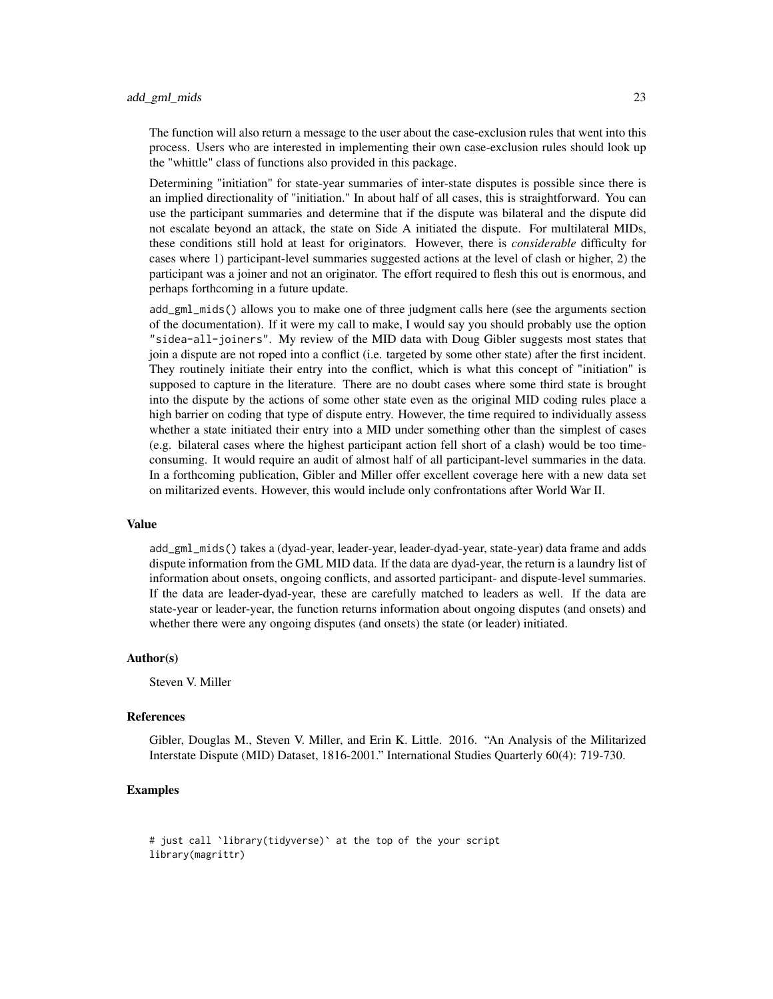The function will also return a message to the user about the case-exclusion rules that went into this process. Users who are interested in implementing their own case-exclusion rules should look up the "whittle" class of functions also provided in this package.

Determining "initiation" for state-year summaries of inter-state disputes is possible since there is an implied directionality of "initiation." In about half of all cases, this is straightforward. You can use the participant summaries and determine that if the dispute was bilateral and the dispute did not escalate beyond an attack, the state on Side A initiated the dispute. For multilateral MIDs, these conditions still hold at least for originators. However, there is *considerable* difficulty for cases where 1) participant-level summaries suggested actions at the level of clash or higher, 2) the participant was a joiner and not an originator. The effort required to flesh this out is enormous, and perhaps forthcoming in a future update.

add\_gml\_mids() allows you to make one of three judgment calls here (see the arguments section of the documentation). If it were my call to make, I would say you should probably use the option "sidea-all-joiners". My review of the MID data with Doug Gibler suggests most states that join a dispute are not roped into a conflict (i.e. targeted by some other state) after the first incident. They routinely initiate their entry into the conflict, which is what this concept of "initiation" is supposed to capture in the literature. There are no doubt cases where some third state is brought into the dispute by the actions of some other state even as the original MID coding rules place a high barrier on coding that type of dispute entry. However, the time required to individually assess whether a state initiated their entry into a MID under something other than the simplest of cases (e.g. bilateral cases where the highest participant action fell short of a clash) would be too timeconsuming. It would require an audit of almost half of all participant-level summaries in the data. In a forthcoming publication, Gibler and Miller offer excellent coverage here with a new data set on militarized events. However, this would include only confrontations after World War II.

#### Value

add\_gml\_mids() takes a (dyad-year, leader-year, leader-dyad-year, state-year) data frame and adds dispute information from the GML MID data. If the data are dyad-year, the return is a laundry list of information about onsets, ongoing conflicts, and assorted participant- and dispute-level summaries. If the data are leader-dyad-year, these are carefully matched to leaders as well. If the data are state-year or leader-year, the function returns information about ongoing disputes (and onsets) and whether there were any ongoing disputes (and onsets) the state (or leader) initiated.

#### Author(s)

Steven V. Miller

#### References

Gibler, Douglas M., Steven V. Miller, and Erin K. Little. 2016. "An Analysis of the Militarized Interstate Dispute (MID) Dataset, 1816-2001." International Studies Quarterly 60(4): 719-730.

# Examples

```
# just call `library(tidyverse)` at the top of the your script
library(magrittr)
```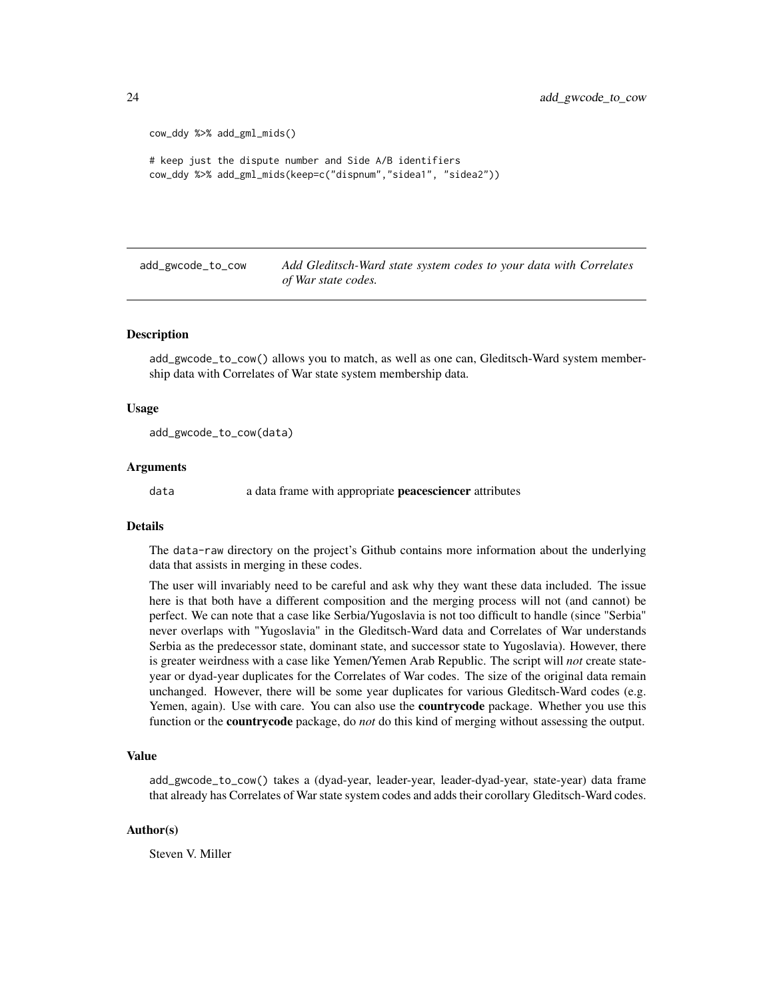```
cow_ddy %>% add_gml_mids()
# keep just the dispute number and Side A/B identifiers
cow_ddy %>% add_gml_mids(keep=c("dispnum","sidea1", "sidea2"))
```
add\_gwcode\_to\_cow *Add Gleditsch-Ward state system codes to your data with Correlates of War state codes.*

#### **Description**

add\_gwcode\_to\_cow() allows you to match, as well as one can, Gleditsch-Ward system membership data with Correlates of War state system membership data.

#### Usage

add\_gwcode\_to\_cow(data)

#### **Arguments**

data a data frame with appropriate **peacesciencer** attributes

#### Details

The data-raw directory on the project's Github contains more information about the underlying data that assists in merging in these codes.

The user will invariably need to be careful and ask why they want these data included. The issue here is that both have a different composition and the merging process will not (and cannot) be perfect. We can note that a case like Serbia/Yugoslavia is not too difficult to handle (since "Serbia" never overlaps with "Yugoslavia" in the Gleditsch-Ward data and Correlates of War understands Serbia as the predecessor state, dominant state, and successor state to Yugoslavia). However, there is greater weirdness with a case like Yemen/Yemen Arab Republic. The script will *not* create stateyear or dyad-year duplicates for the Correlates of War codes. The size of the original data remain unchanged. However, there will be some year duplicates for various Gleditsch-Ward codes (e.g. Yemen, again). Use with care. You can also use the **countrycode** package. Whether you use this function or the countrycode package, do *not* do this kind of merging without assessing the output.

# Value

add\_gwcode\_to\_cow() takes a (dyad-year, leader-year, leader-dyad-year, state-year) data frame that already has Correlates of War state system codes and adds their corollary Gleditsch-Ward codes.

# Author(s)

Steven V. Miller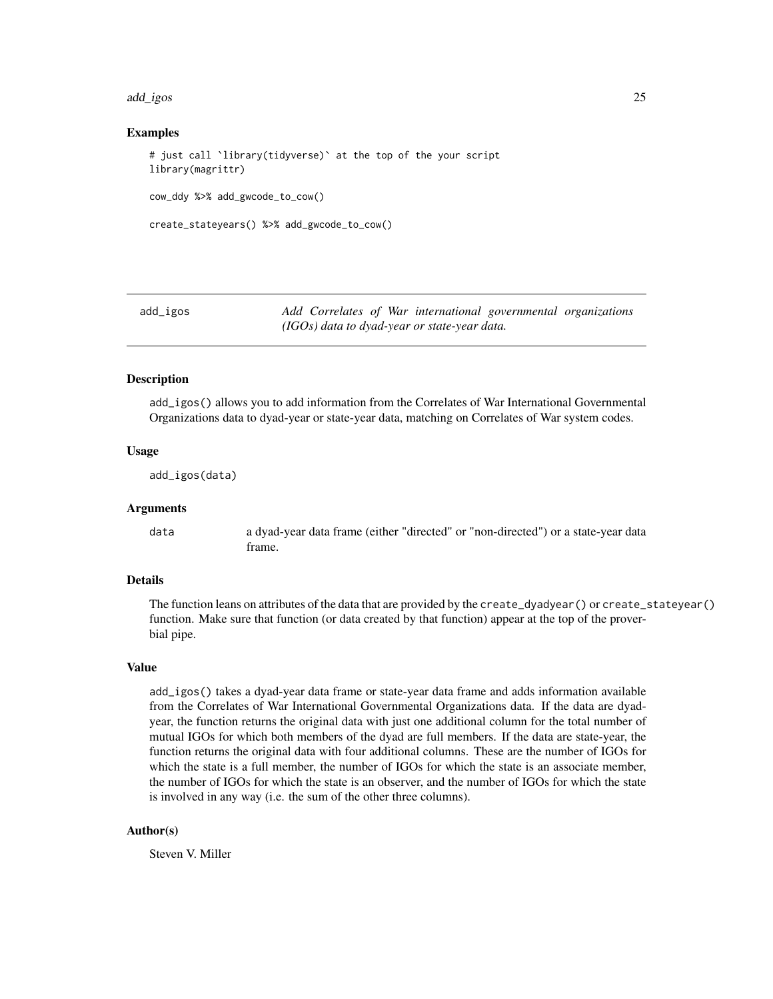#### <span id="page-24-0"></span>add\_igos 25

# Examples

```
# just call `library(tidyverse)` at the top of the your script
library(magrittr)
cow_ddy %>% add_gwcode_to_cow()
create_stateyears() %>% add_gwcode_to_cow()
```
add\_igos *Add Correlates of War international governmental organizations (IGOs) data to dyad-year or state-year data.*

#### **Description**

add\_igos() allows you to add information from the Correlates of War International Governmental Organizations data to dyad-year or state-year data, matching on Correlates of War system codes.

# Usage

add\_igos(data)

#### Arguments

data a dyad-year data frame (either "directed" or "non-directed") or a state-year data frame.

#### Details

The function leans on attributes of the data that are provided by the create\_dyadyear() or create\_stateyear() function. Make sure that function (or data created by that function) appear at the top of the proverbial pipe.

# Value

add\_igos() takes a dyad-year data frame or state-year data frame and adds information available from the Correlates of War International Governmental Organizations data. If the data are dyadyear, the function returns the original data with just one additional column for the total number of mutual IGOs for which both members of the dyad are full members. If the data are state-year, the function returns the original data with four additional columns. These are the number of IGOs for which the state is a full member, the number of IGOs for which the state is an associate member, the number of IGOs for which the state is an observer, and the number of IGOs for which the state is involved in any way (i.e. the sum of the other three columns).

# Author(s)

Steven V. Miller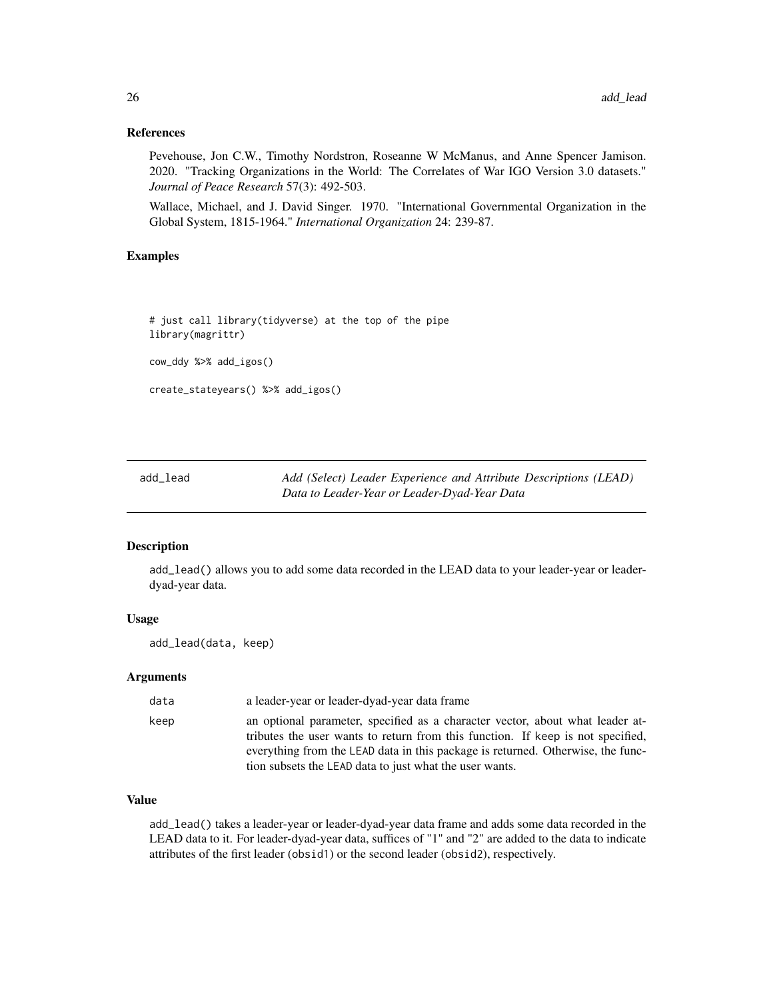# References

Pevehouse, Jon C.W., Timothy Nordstron, Roseanne W McManus, and Anne Spencer Jamison. 2020. "Tracking Organizations in the World: The Correlates of War IGO Version 3.0 datasets." *Journal of Peace Research* 57(3): 492-503.

Wallace, Michael, and J. David Singer. 1970. "International Governmental Organization in the Global System, 1815-1964." *International Organization* 24: 239-87.

# Examples

# just call library(tidyverse) at the top of the pipe library(magrittr)

```
cow_ddy %>% add_igos()
```

```
create_stateyears() %>% add_igos()
```
add\_lead *Add (Select) Leader Experience and Attribute Descriptions (LEAD) Data to Leader-Year or Leader-Dyad-Year Data*

#### Description

add\_lead() allows you to add some data recorded in the LEAD data to your leader-year or leaderdyad-year data.

# Usage

add\_lead(data, keep)

# Arguments

| data | a leader-year or leader-dyad-year data frame                                                                                                                                                                                                                                                                   |
|------|----------------------------------------------------------------------------------------------------------------------------------------------------------------------------------------------------------------------------------------------------------------------------------------------------------------|
| keep | an optional parameter, specified as a character vector, about what leader at-<br>tributes the user wants to return from this function. If keep is not specified,<br>everything from the LEAD data in this package is returned. Otherwise, the func-<br>tion subsets the LEAD data to just what the user wants. |

# Value

add\_lead() takes a leader-year or leader-dyad-year data frame and adds some data recorded in the LEAD data to it. For leader-dyad-year data, suffices of "1" and "2" are added to the data to indicate attributes of the first leader (obsid1) or the second leader (obsid2), respectively.

<span id="page-25-0"></span>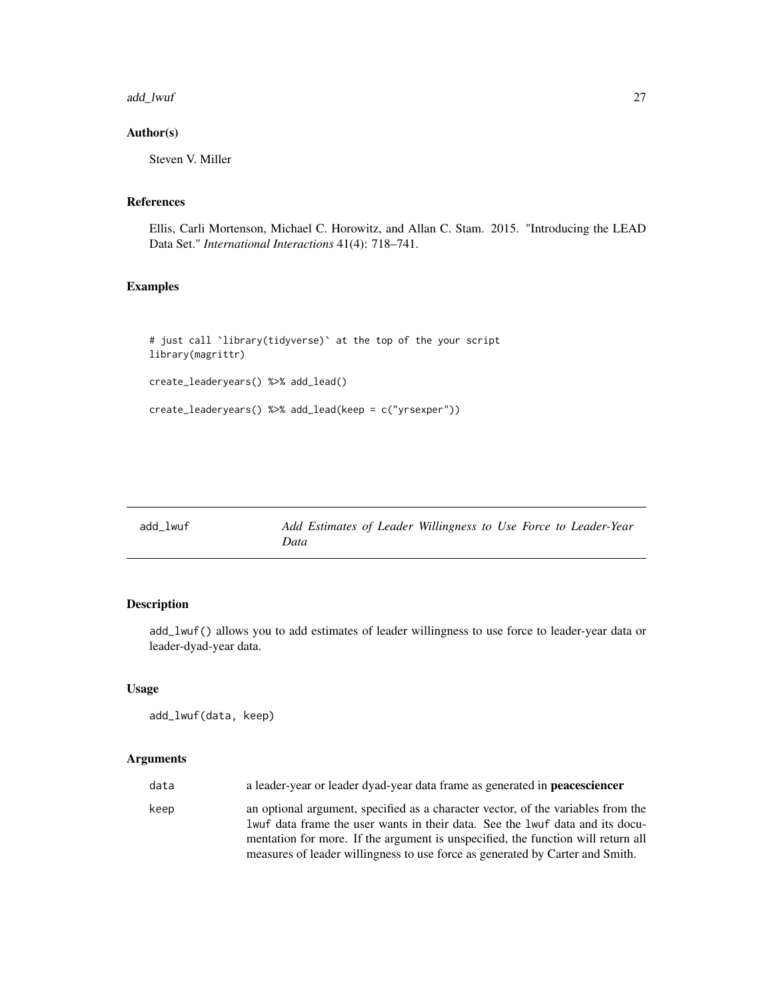<span id="page-26-0"></span>add\_lwuf 27

# Author(s)

Steven V. Miller

# References

Ellis, Carli Mortenson, Michael C. Horowitz, and Allan C. Stam. 2015. "Introducing the LEAD Data Set." *International Interactions* 41(4): 718–741.

# Examples

```
# just call `library(tidyverse)` at the top of the your script
library(magrittr)
create_leaderyears() %>% add_lead()
create_leaderyears() %>% add_lead(keep = c("yrsexper"))
```

| add_lwuf | Add Estimates of Leader Willingness to Use Force to Leader-Year |  |  |  |
|----------|-----------------------------------------------------------------|--|--|--|
|          | Data                                                            |  |  |  |

# Description

add\_lwuf() allows you to add estimates of leader willingness to use force to leader-year data or leader-dyad-year data.

# Usage

add\_lwuf(data, keep)

#### Arguments

| data<br>a leader-year or leader dyad-year data frame as generated in <b>peacesciencer</b>                                                                                                                                                                                                                                                      |  |
|------------------------------------------------------------------------------------------------------------------------------------------------------------------------------------------------------------------------------------------------------------------------------------------------------------------------------------------------|--|
| an optional argument, specified as a character vector, of the variables from the<br>keep<br>lwuf data frame the user wants in their data. See the lwuf data and its docu-<br>mentation for more. If the argument is unspecified, the function will return all<br>measures of leader willingness to use force as generated by Carter and Smith. |  |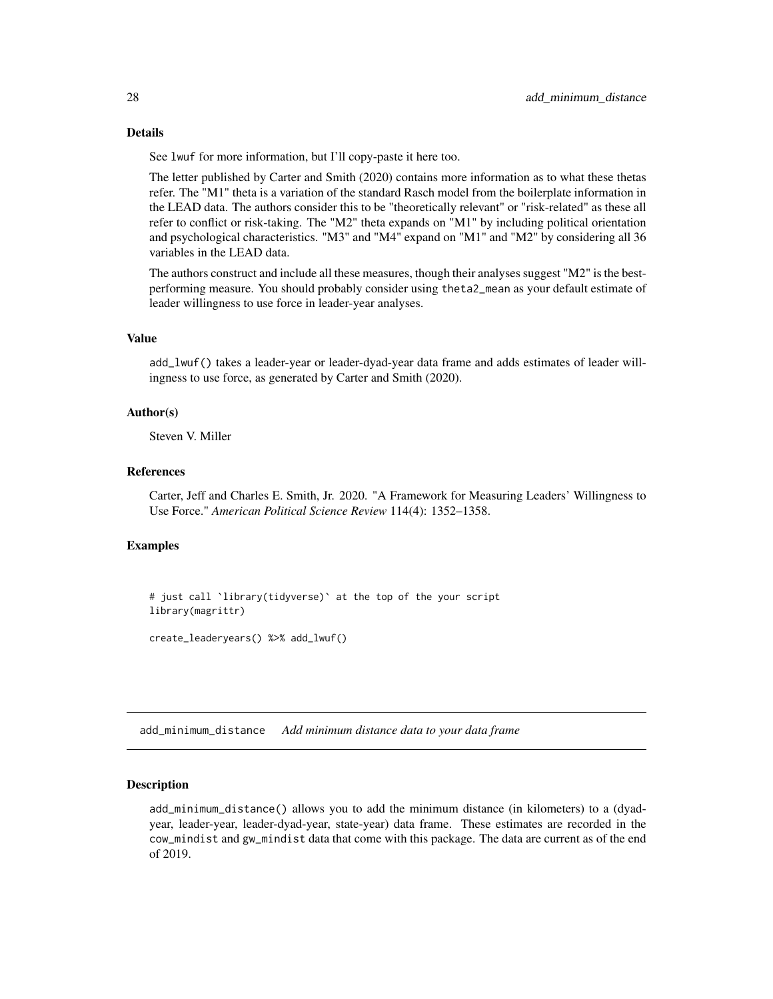# <span id="page-27-0"></span>Details

See lwuf for more information, but I'll copy-paste it here too.

The letter published by Carter and Smith (2020) contains more information as to what these thetas refer. The "M1" theta is a variation of the standard Rasch model from the boilerplate information in the LEAD data. The authors consider this to be "theoretically relevant" or "risk-related" as these all refer to conflict or risk-taking. The "M2" theta expands on "M1" by including political orientation and psychological characteristics. "M3" and "M4" expand on "M1" and "M2" by considering all 36 variables in the LEAD data.

The authors construct and include all these measures, though their analyses suggest "M2" is the bestperforming measure. You should probably consider using theta2\_mean as your default estimate of leader willingness to use force in leader-year analyses.

# Value

add\_lwuf() takes a leader-year or leader-dyad-year data frame and adds estimates of leader willingness to use force, as generated by Carter and Smith (2020).

# Author(s)

Steven V. Miller

#### References

Carter, Jeff and Charles E. Smith, Jr. 2020. "A Framework for Measuring Leaders' Willingness to Use Force." *American Political Science Review* 114(4): 1352–1358.

#### Examples

# just call `library(tidyverse)` at the top of the your script library(magrittr)

create\_leaderyears() %>% add\_lwuf()

add\_minimum\_distance *Add minimum distance data to your data frame*

# Description

add\_minimum\_distance() allows you to add the minimum distance (in kilometers) to a (dyadyear, leader-year, leader-dyad-year, state-year) data frame. These estimates are recorded in the cow\_mindist and gw\_mindist data that come with this package. The data are current as of the end of 2019.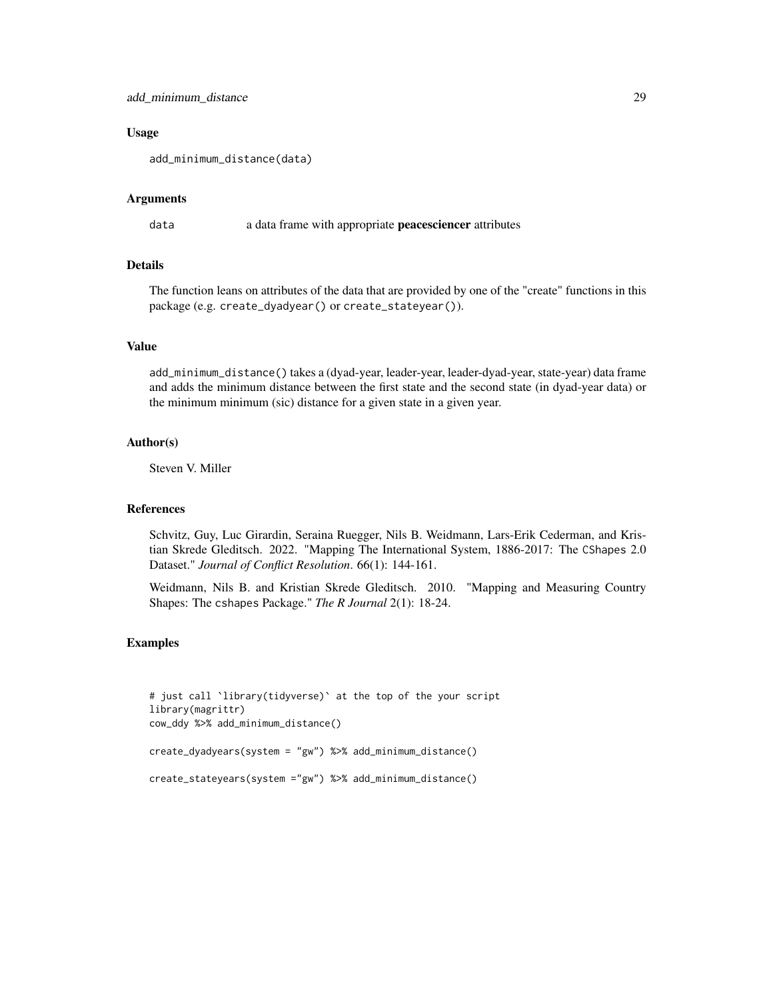# add\_minimum\_distance 29

#### Usage

add\_minimum\_distance(data)

# Arguments

data a data frame with appropriate **peacesciencer** attributes

# Details

The function leans on attributes of the data that are provided by one of the "create" functions in this package (e.g. create\_dyadyear() or create\_stateyear()).

# Value

add\_minimum\_distance() takes a (dyad-year, leader-year, leader-dyad-year, state-year) data frame and adds the minimum distance between the first state and the second state (in dyad-year data) or the minimum minimum (sic) distance for a given state in a given year.

# Author(s)

Steven V. Miller

#### References

Schvitz, Guy, Luc Girardin, Seraina Ruegger, Nils B. Weidmann, Lars-Erik Cederman, and Kristian Skrede Gleditsch. 2022. "Mapping The International System, 1886-2017: The CShapes 2.0 Dataset." *Journal of Conflict Resolution*. 66(1): 144-161.

Weidmann, Nils B. and Kristian Skrede Gleditsch. 2010. "Mapping and Measuring Country Shapes: The cshapes Package." *The R Journal* 2(1): 18-24.

# Examples

```
# just call `library(tidyverse)` at the top of the your script
library(magrittr)
cow_ddy %>% add_minimum_distance()
create_dyadyears(system = "gw") %>% add_minimum_distance()
```

```
create_stateyears(system ="gw") %>% add_minimum_distance()
```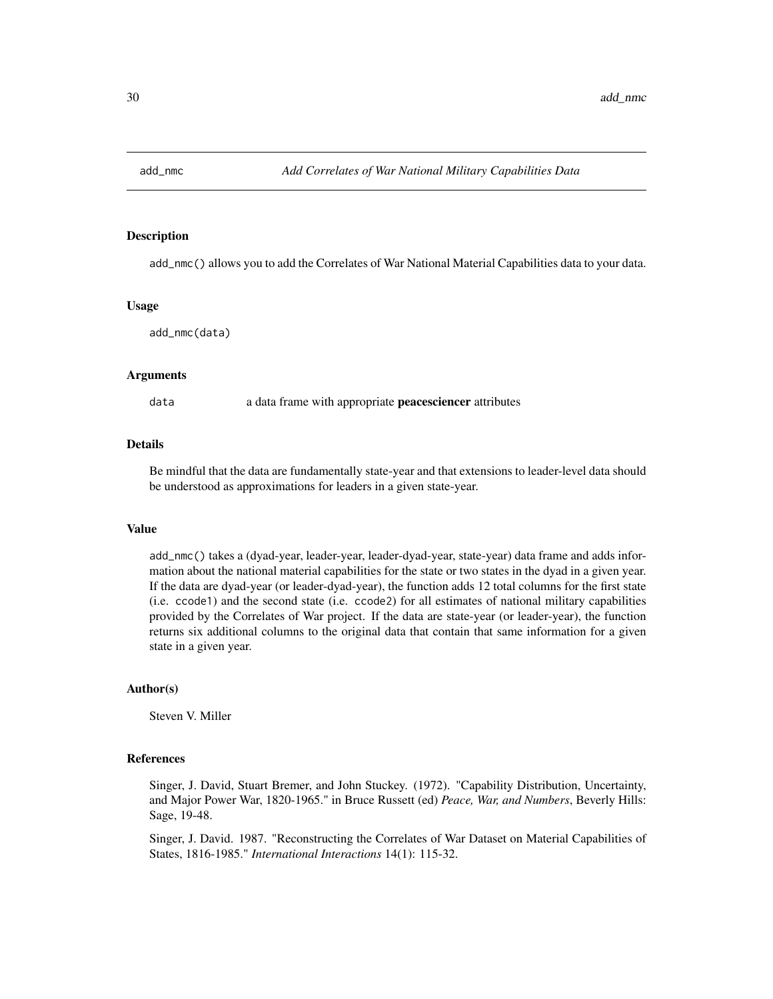<span id="page-29-0"></span>

#### Description

add\_nmc() allows you to add the Correlates of War National Material Capabilities data to your data.

#### Usage

add\_nmc(data)

# Arguments

data a data frame with appropriate **peacesciencer** attributes

# Details

Be mindful that the data are fundamentally state-year and that extensions to leader-level data should be understood as approximations for leaders in a given state-year.

#### Value

add\_nmc() takes a (dyad-year, leader-year, leader-dyad-year, state-year) data frame and adds information about the national material capabilities for the state or two states in the dyad in a given year. If the data are dyad-year (or leader-dyad-year), the function adds 12 total columns for the first state (i.e. ccode1) and the second state (i.e. ccode2) for all estimates of national military capabilities provided by the Correlates of War project. If the data are state-year (or leader-year), the function returns six additional columns to the original data that contain that same information for a given state in a given year.

# Author(s)

Steven V. Miller

#### References

Singer, J. David, Stuart Bremer, and John Stuckey. (1972). "Capability Distribution, Uncertainty, and Major Power War, 1820-1965." in Bruce Russett (ed) *Peace, War, and Numbers*, Beverly Hills: Sage, 19-48.

Singer, J. David. 1987. "Reconstructing the Correlates of War Dataset on Material Capabilities of States, 1816-1985." *International Interactions* 14(1): 115-32.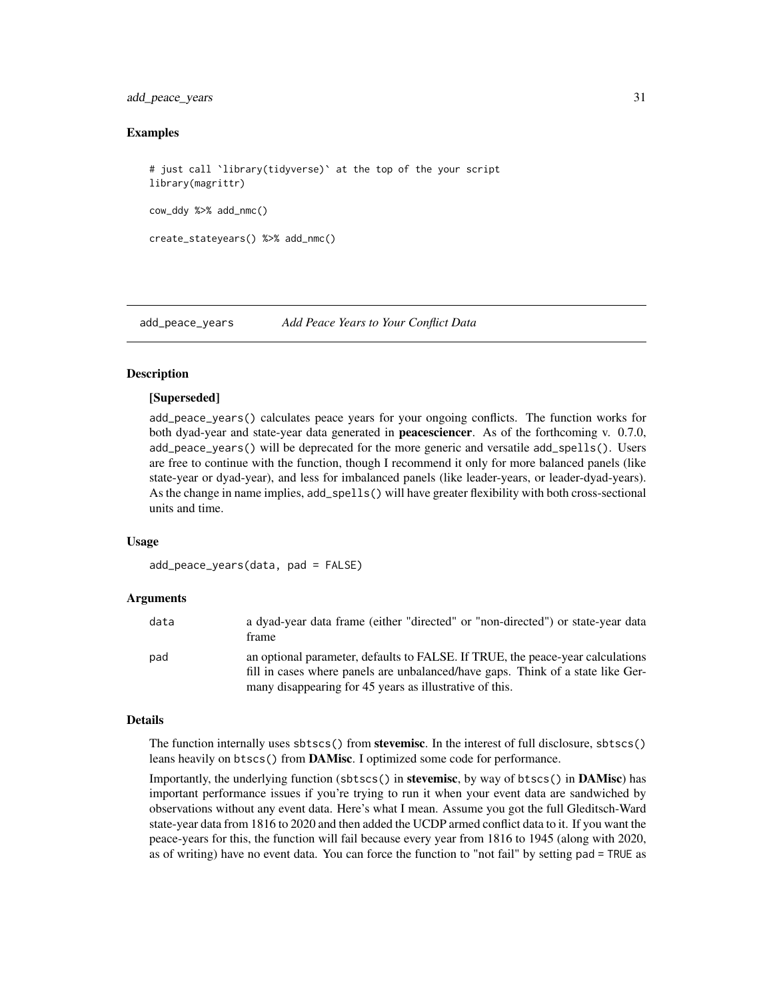# <span id="page-30-0"></span>add\_peace\_years 31

# Examples

```
# just call `library(tidyverse)` at the top of the your script
library(magrittr)
cow_ddy %>% add_nmc()
create_stateyears() %>% add_nmc()
```
add\_peace\_years *Add Peace Years to Your Conflict Data*

# Description

#### [Superseded]

add\_peace\_years() calculates peace years for your ongoing conflicts. The function works for both dyad-year and state-year data generated in **peacesciencer**. As of the forthcoming v. 0.7.0, add\_peace\_years() will be deprecated for the more generic and versatile add\_spells(). Users are free to continue with the function, though I recommend it only for more balanced panels (like state-year or dyad-year), and less for imbalanced panels (like leader-years, or leader-dyad-years). As the change in name implies, add\_spells() will have greater flexibility with both cross-sectional units and time.

#### Usage

add\_peace\_years(data, pad = FALSE)

# Arguments

| data | a dyad-year data frame (either "directed" or "non-directed") or state-year data<br>frame                                                                          |
|------|-------------------------------------------------------------------------------------------------------------------------------------------------------------------|
| pad  | an optional parameter, defaults to FALSE. If TRUE, the peace-year calculations<br>fill in cases where panels are unbalanced/have gaps. Think of a state like Ger- |
|      | many disappearing for 45 years as illustrative of this.                                                                                                           |

#### Details

The function internally uses sbtscs() from stevemisc. In the interest of full disclosure, sbtscs() leans heavily on btscs() from **DAMisc**. I optimized some code for performance.

Importantly, the underlying function (sbtscs() in **stevemisc**, by way of btscs() in **DAMisc**) has important performance issues if you're trying to run it when your event data are sandwiched by observations without any event data. Here's what I mean. Assume you got the full Gleditsch-Ward state-year data from 1816 to 2020 and then added the UCDP armed conflict data to it. If you want the peace-years for this, the function will fail because every year from 1816 to 1945 (along with 2020, as of writing) have no event data. You can force the function to "not fail" by setting pad = TRUE as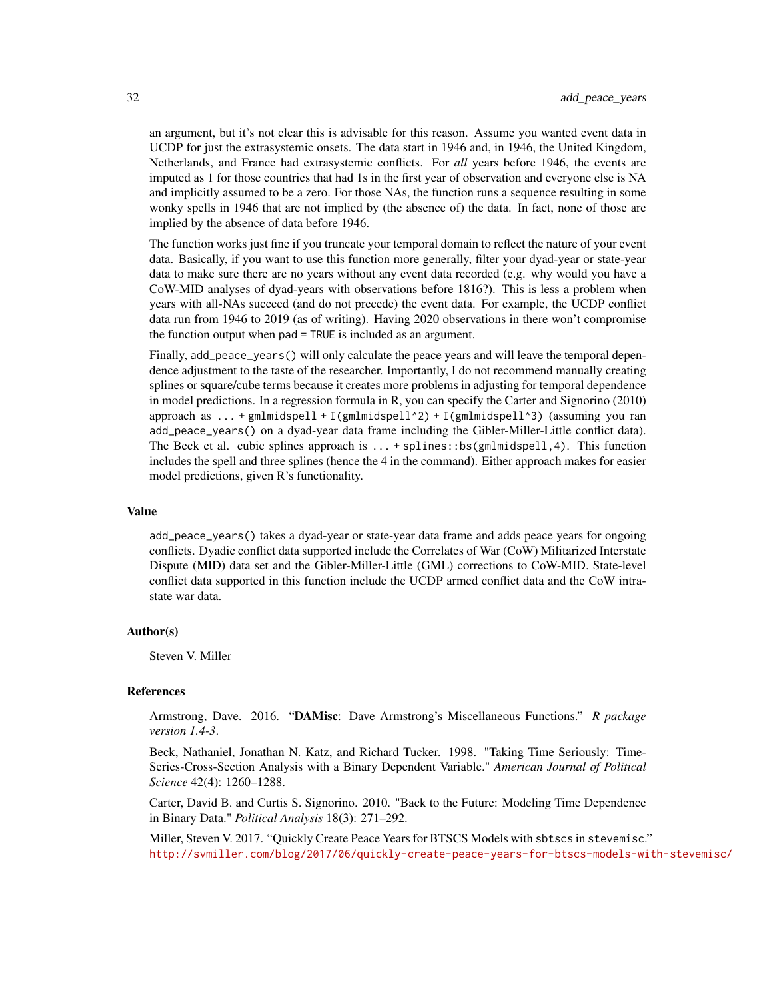an argument, but it's not clear this is advisable for this reason. Assume you wanted event data in UCDP for just the extrasystemic onsets. The data start in 1946 and, in 1946, the United Kingdom, Netherlands, and France had extrasystemic conflicts. For *all* years before 1946, the events are imputed as 1 for those countries that had 1s in the first year of observation and everyone else is NA and implicitly assumed to be a zero. For those NAs, the function runs a sequence resulting in some wonky spells in 1946 that are not implied by (the absence of) the data. In fact, none of those are implied by the absence of data before 1946.

The function works just fine if you truncate your temporal domain to reflect the nature of your event data. Basically, if you want to use this function more generally, filter your dyad-year or state-year data to make sure there are no years without any event data recorded (e.g. why would you have a CoW-MID analyses of dyad-years with observations before 1816?). This is less a problem when years with all-NAs succeed (and do not precede) the event data. For example, the UCDP conflict data run from 1946 to 2019 (as of writing). Having 2020 observations in there won't compromise the function output when pad = TRUE is included as an argument.

Finally, add\_peace\_years() will only calculate the peace years and will leave the temporal dependence adjustment to the taste of the researcher. Importantly, I do not recommend manually creating splines or square/cube terms because it creates more problems in adjusting for temporal dependence in model predictions. In a regression formula in R, you can specify the Carter and Signorino (2010) approach as ... +  $gmmidspell + I(gmlmidspell^2) + I(gmlmidspell^3)$  (assuming you ran add\_peace\_years() on a dyad-year data frame including the Gibler-Miller-Little conflict data). The Beck et al. cubic splines approach is ... + splines::bs(gmlmidspell,4). This function includes the spell and three splines (hence the 4 in the command). Either approach makes for easier model predictions, given R's functionality.

#### Value

add\_peace\_years() takes a dyad-year or state-year data frame and adds peace years for ongoing conflicts. Dyadic conflict data supported include the Correlates of War (CoW) Militarized Interstate Dispute (MID) data set and the Gibler-Miller-Little (GML) corrections to CoW-MID. State-level conflict data supported in this function include the UCDP armed conflict data and the CoW intrastate war data.

#### Author(s)

Steven V. Miller

# References

Armstrong, Dave. 2016. "DAMisc: Dave Armstrong's Miscellaneous Functions." *R package version 1.4-3*.

Beck, Nathaniel, Jonathan N. Katz, and Richard Tucker. 1998. "Taking Time Seriously: Time-Series-Cross-Section Analysis with a Binary Dependent Variable." *American Journal of Political Science* 42(4): 1260–1288.

Carter, David B. and Curtis S. Signorino. 2010. "Back to the Future: Modeling Time Dependence in Binary Data." *Political Analysis* 18(3): 271–292.

Miller, Steven V. 2017. "Quickly Create Peace Years for BTSCS Models with sbtscs in stevemisc." <http://svmiller.com/blog/2017/06/quickly-create-peace-years-for-btscs-models-with-stevemisc/>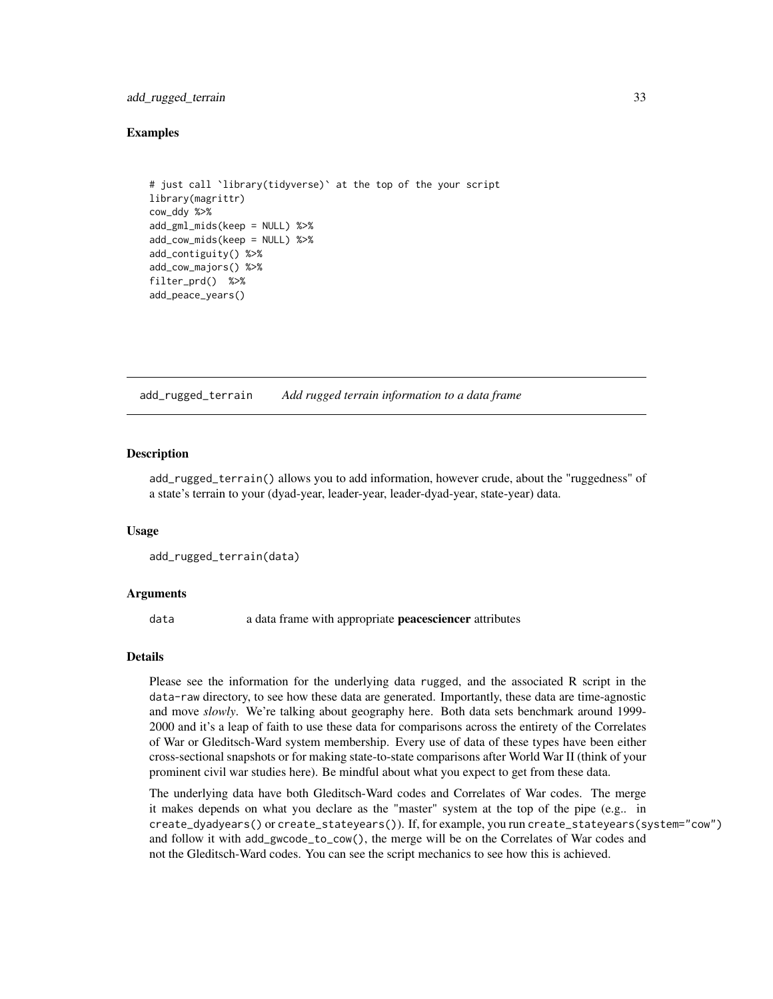#### <span id="page-32-0"></span>add\_rugged\_terrain 33

# Examples

```
# just call `library(tidyverse)` at the top of the your script
library(magrittr)
cow_ddy %>%
add_gml_mids(keep = NULL) %>%
add_cow_mids(keep = NULL) %>%
add_contiguity() %>%
add_cow_majors() %>%
filter_prd() %>%
add_peace_years()
```
add\_rugged\_terrain *Add rugged terrain information to a data frame*

#### **Description**

add\_rugged\_terrain() allows you to add information, however crude, about the "ruggedness" of a state's terrain to your (dyad-year, leader-year, leader-dyad-year, state-year) data.

#### Usage

```
add_rugged_terrain(data)
```
# Arguments

data a data frame with appropriate **peacesciencer** attributes

#### Details

Please see the information for the underlying data rugged, and the associated R script in the data-raw directory, to see how these data are generated. Importantly, these data are time-agnostic and move *slowly*. We're talking about geography here. Both data sets benchmark around 1999- 2000 and it's a leap of faith to use these data for comparisons across the entirety of the Correlates of War or Gleditsch-Ward system membership. Every use of data of these types have been either cross-sectional snapshots or for making state-to-state comparisons after World War II (think of your prominent civil war studies here). Be mindful about what you expect to get from these data.

The underlying data have both Gleditsch-Ward codes and Correlates of War codes. The merge it makes depends on what you declare as the "master" system at the top of the pipe (e.g.. in create\_dyadyears() or create\_stateyears()). If, for example, you run create\_stateyears(system="cow") and follow it with add\_gwcode\_to\_cow(), the merge will be on the Correlates of War codes and not the Gleditsch-Ward codes. You can see the script mechanics to see how this is achieved.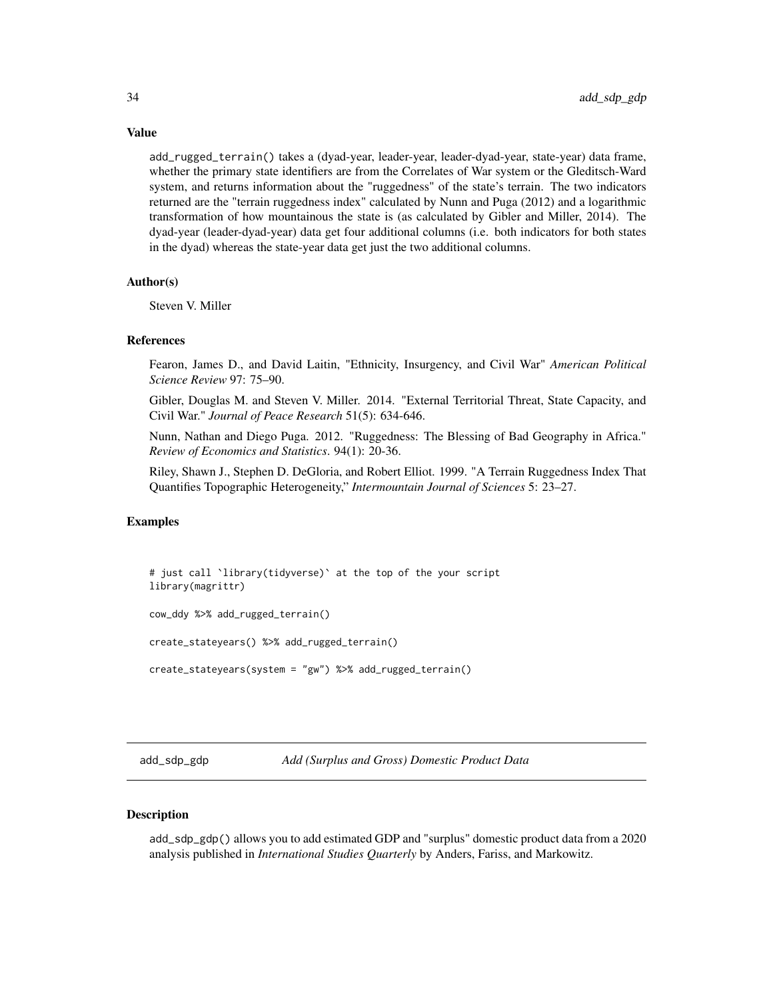add\_rugged\_terrain() takes a (dyad-year, leader-year, leader-dyad-year, state-year) data frame, whether the primary state identifiers are from the Correlates of War system or the Gleditsch-Ward system, and returns information about the "ruggedness" of the state's terrain. The two indicators returned are the "terrain ruggedness index" calculated by Nunn and Puga (2012) and a logarithmic transformation of how mountainous the state is (as calculated by Gibler and Miller, 2014). The dyad-year (leader-dyad-year) data get four additional columns (i.e. both indicators for both states in the dyad) whereas the state-year data get just the two additional columns.

#### Author(s)

Steven V. Miller

# References

Fearon, James D., and David Laitin, "Ethnicity, Insurgency, and Civil War" *American Political Science Review* 97: 75–90.

Gibler, Douglas M. and Steven V. Miller. 2014. "External Territorial Threat, State Capacity, and Civil War." *Journal of Peace Research* 51(5): 634-646.

Nunn, Nathan and Diego Puga. 2012. "Ruggedness: The Blessing of Bad Geography in Africa." *Review of Economics and Statistics*. 94(1): 20-36.

Riley, Shawn J., Stephen D. DeGloria, and Robert Elliot. 1999. "A Terrain Ruggedness Index That Quantifies Topographic Heterogeneity," *Intermountain Journal of Sciences* 5: 23–27.

# Examples

```
# just call `library(tidyverse)` at the top of the your script
library(magrittr)
cow_ddy %>% add_rugged_terrain()
create_stateyears() %>% add_rugged_terrain()
create_stateyears(system = "gw") %>% add_rugged_terrain()
```
add\_sdp\_gdp *Add (Surplus and Gross) Domestic Product Data*

#### **Description**

add\_sdp\_gdp() allows you to add estimated GDP and "surplus" domestic product data from a 2020 analysis published in *International Studies Quarterly* by Anders, Fariss, and Markowitz.

<span id="page-33-0"></span>

# Value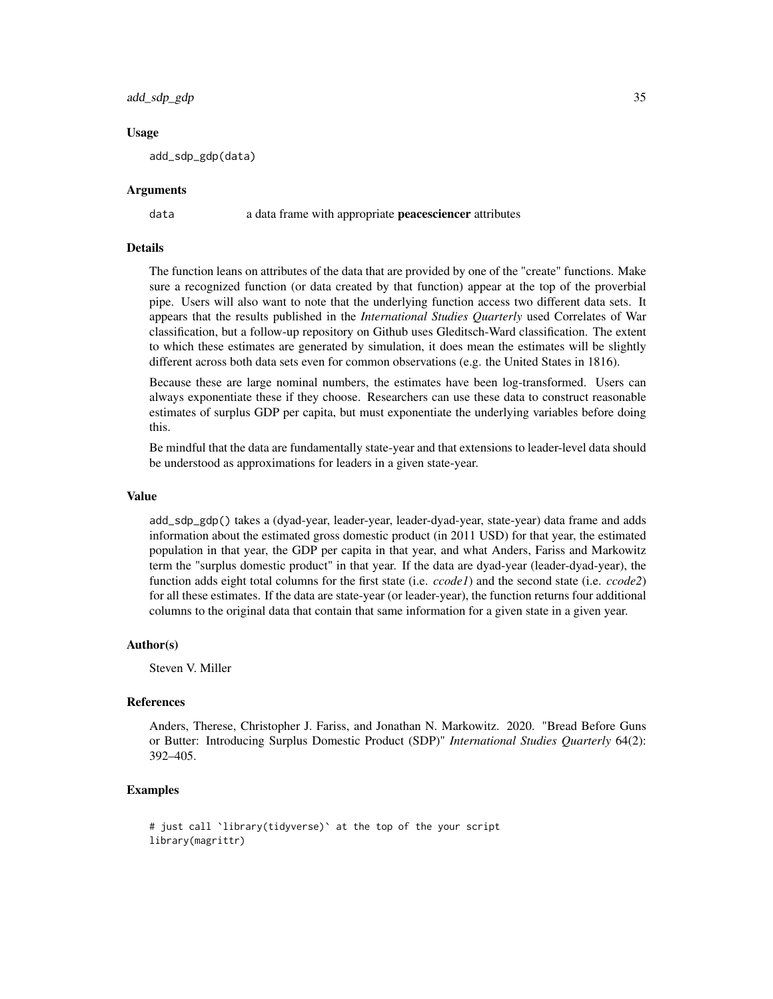# add\_sdp\_gdp 35

#### Usage

add\_sdp\_gdp(data)

# Arguments

data a data frame with appropriate **peacesciencer** attributes

#### Details

The function leans on attributes of the data that are provided by one of the "create" functions. Make sure a recognized function (or data created by that function) appear at the top of the proverbial pipe. Users will also want to note that the underlying function access two different data sets. It appears that the results published in the *International Studies Quarterly* used Correlates of War classification, but a follow-up repository on Github uses Gleditsch-Ward classification. The extent to which these estimates are generated by simulation, it does mean the estimates will be slightly different across both data sets even for common observations (e.g. the United States in 1816).

Because these are large nominal numbers, the estimates have been log-transformed. Users can always exponentiate these if they choose. Researchers can use these data to construct reasonable estimates of surplus GDP per capita, but must exponentiate the underlying variables before doing this.

Be mindful that the data are fundamentally state-year and that extensions to leader-level data should be understood as approximations for leaders in a given state-year.

#### Value

add\_sdp\_gdp() takes a (dyad-year, leader-year, leader-dyad-year, state-year) data frame and adds information about the estimated gross domestic product (in 2011 USD) for that year, the estimated population in that year, the GDP per capita in that year, and what Anders, Fariss and Markowitz term the "surplus domestic product" in that year. If the data are dyad-year (leader-dyad-year), the function adds eight total columns for the first state (i.e. *ccode1*) and the second state (i.e. *ccode2*) for all these estimates. If the data are state-year (or leader-year), the function returns four additional columns to the original data that contain that same information for a given state in a given year.

# Author(s)

Steven V. Miller

#### References

Anders, Therese, Christopher J. Fariss, and Jonathan N. Markowitz. 2020. "Bread Before Guns or Butter: Introducing Surplus Domestic Product (SDP)" *International Studies Quarterly* 64(2): 392–405.

# Examples

```
# just call `library(tidyverse)` at the top of the your script
library(magrittr)
```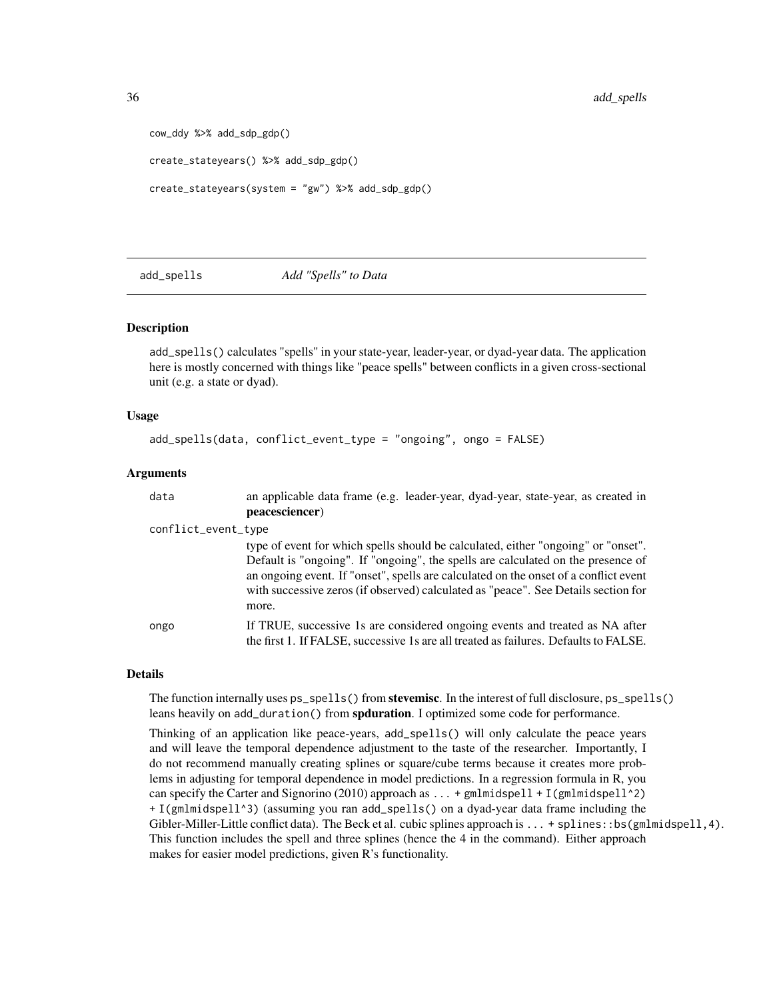```
cow_ddy %>% add_sdp_gdp()
create_stateyears() %>% add_sdp_gdp()
create_stateyears(system = "gw") %>% add_sdp_gdp()
```
add\_spells *Add "Spells" to Data*

#### Description

add\_spells() calculates "spells" in your state-year, leader-year, or dyad-year data. The application here is mostly concerned with things like "peace spells" between conflicts in a given cross-sectional unit (e.g. a state or dyad).

#### Usage

```
add_spells(data, conflict_event_type = "ongoing", ongo = FALSE)
```
#### Arguments

| data                | an applicable data frame (e.g. leader-year, dyad-year, state-year, as created in<br>peacesciencer)                                                                                                                                                                                                                                                           |
|---------------------|--------------------------------------------------------------------------------------------------------------------------------------------------------------------------------------------------------------------------------------------------------------------------------------------------------------------------------------------------------------|
| conflict_event_type |                                                                                                                                                                                                                                                                                                                                                              |
|                     | type of event for which spells should be calculated, either "ongoing" or "onset".<br>Default is "ongoing". If "ongoing", the spells are calculated on the presence of<br>an ongoing event. If "onset", spells are calculated on the onset of a conflict event<br>with successive zeros (if observed) calculated as "peace". See Details section for<br>more. |
| ongo                | If TRUE, successive 1s are considered ongoing events and treated as NA after<br>the first 1. If FALSE, successive 1s are all treated as failures. Defaults to FALSE.                                                                                                                                                                                         |

# Details

The function internally uses ps\_spells() from **stevemisc**. In the interest of full disclosure, ps\_spells() leans heavily on add\_duration() from spduration. I optimized some code for performance.

Thinking of an application like peace-years, add\_spells() will only calculate the peace years and will leave the temporal dependence adjustment to the taste of the researcher. Importantly, I do not recommend manually creating splines or square/cube terms because it creates more problems in adjusting for temporal dependence in model predictions. In a regression formula in R, you can specify the Carter and Signorino (2010) approach as ... +  $gmImidspell + I(gmlmidspell^2)$ + I(gmlmidspell^3) (assuming you ran add\_spells() on a dyad-year data frame including the Gibler-Miller-Little conflict data). The Beck et al. cubic splines approach is ... + splines: : bs(gmlmidspell, 4). This function includes the spell and three splines (hence the 4 in the command). Either approach makes for easier model predictions, given R's functionality.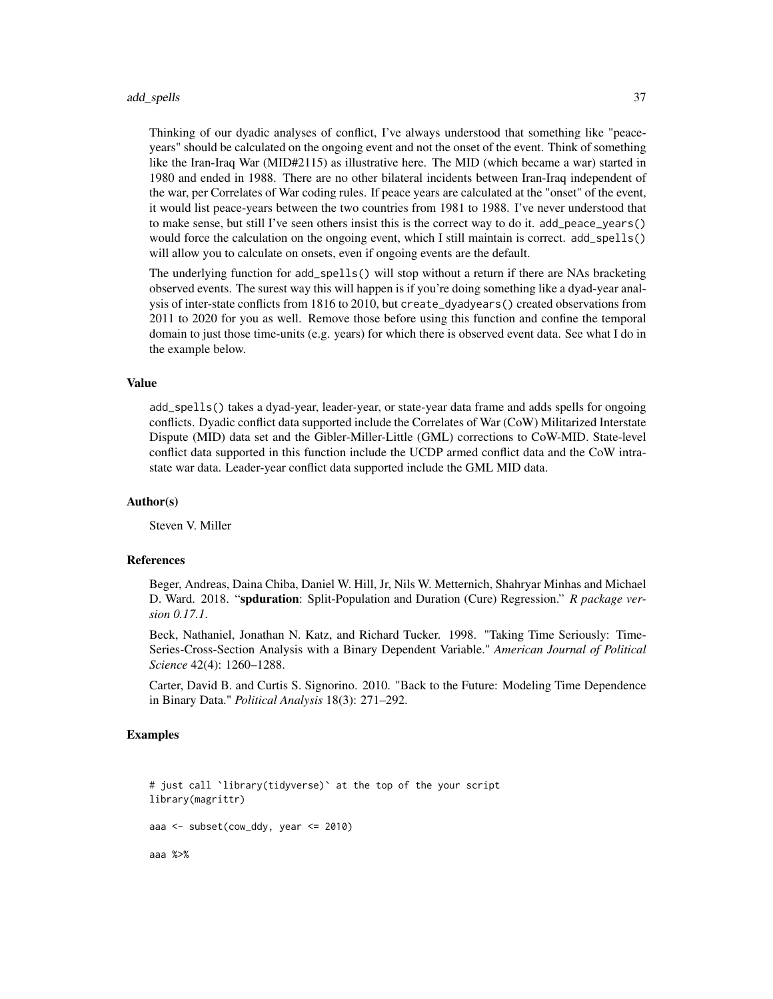#### add\_spells 37

Thinking of our dyadic analyses of conflict, I've always understood that something like "peaceyears" should be calculated on the ongoing event and not the onset of the event. Think of something like the Iran-Iraq War (MID#2115) as illustrative here. The MID (which became a war) started in 1980 and ended in 1988. There are no other bilateral incidents between Iran-Iraq independent of the war, per Correlates of War coding rules. If peace years are calculated at the "onset" of the event, it would list peace-years between the two countries from 1981 to 1988. I've never understood that to make sense, but still I've seen others insist this is the correct way to do it. add\_peace\_years() would force the calculation on the ongoing event, which I still maintain is correct. add\_spells() will allow you to calculate on onsets, even if ongoing events are the default.

The underlying function for add\_spells() will stop without a return if there are NAs bracketing observed events. The surest way this will happen is if you're doing something like a dyad-year analysis of inter-state conflicts from 1816 to 2010, but create\_dyadyears() created observations from 2011 to 2020 for you as well. Remove those before using this function and confine the temporal domain to just those time-units (e.g. years) for which there is observed event data. See what I do in the example below.

#### Value

add\_spells() takes a dyad-year, leader-year, or state-year data frame and adds spells for ongoing conflicts. Dyadic conflict data supported include the Correlates of War (CoW) Militarized Interstate Dispute (MID) data set and the Gibler-Miller-Little (GML) corrections to CoW-MID. State-level conflict data supported in this function include the UCDP armed conflict data and the CoW intrastate war data. Leader-year conflict data supported include the GML MID data.

#### Author(s)

Steven V. Miller

# References

Beger, Andreas, Daina Chiba, Daniel W. Hill, Jr, Nils W. Metternich, Shahryar Minhas and Michael D. Ward. 2018. "spduration: Split-Population and Duration (Cure) Regression." *R package version 0.17.1*.

Beck, Nathaniel, Jonathan N. Katz, and Richard Tucker. 1998. "Taking Time Seriously: Time-Series-Cross-Section Analysis with a Binary Dependent Variable." *American Journal of Political Science* 42(4): 1260–1288.

Carter, David B. and Curtis S. Signorino. 2010. "Back to the Future: Modeling Time Dependence in Binary Data." *Political Analysis* 18(3): 271–292.

## Examples

```
# just call `library(tidyverse)` at the top of the your script
library(magrittr)
aaa <- subset(cow_ddy, year <= 2010)
aaa %>%
```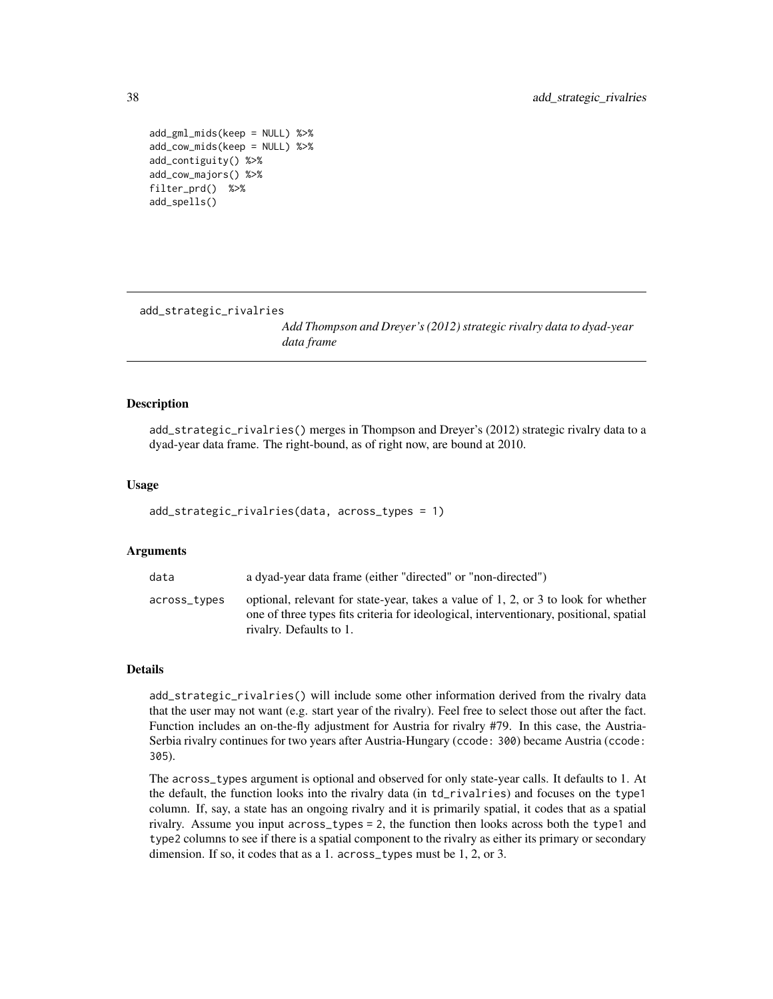```
add_gml_mids(keep = NULL) %>%
add_cow_mids(keep = NULL) %>%
add_contiguity() %>%
add_cow_majors() %>%
filter_prd() %>%
add_spells()
```
add\_strategic\_rivalries

*Add Thompson and Dreyer's (2012) strategic rivalry data to dyad-year data frame*

# **Description**

add\_strategic\_rivalries() merges in Thompson and Dreyer's (2012) strategic rivalry data to a dyad-year data frame. The right-bound, as of right now, are bound at 2010.

## Usage

```
add_strategic_rivalries(data, across_types = 1)
```
## Arguments

| data         | a dyad-year data frame (either "directed" or "non-directed")                                                                                                                                            |
|--------------|---------------------------------------------------------------------------------------------------------------------------------------------------------------------------------------------------------|
| across_types | optional, relevant for state-year, takes a value of 1, 2, or 3 to look for whether<br>one of three types fits criteria for ideological, interventionary, positional, spatial<br>rivalry. Defaults to 1. |

# Details

add\_strategic\_rivalries() will include some other information derived from the rivalry data that the user may not want (e.g. start year of the rivalry). Feel free to select those out after the fact. Function includes an on-the-fly adjustment for Austria for rivalry #79. In this case, the Austria-Serbia rivalry continues for two years after Austria-Hungary (ccode: 300) became Austria (ccode: 305).

The across\_types argument is optional and observed for only state-year calls. It defaults to 1. At the default, the function looks into the rivalry data (in td\_rivalries) and focuses on the type1 column. If, say, a state has an ongoing rivalry and it is primarily spatial, it codes that as a spatial rivalry. Assume you input across\_types = 2, the function then looks across both the type1 and type2 columns to see if there is a spatial component to the rivalry as either its primary or secondary dimension. If so, it codes that as a 1. across\_types must be 1, 2, or 3.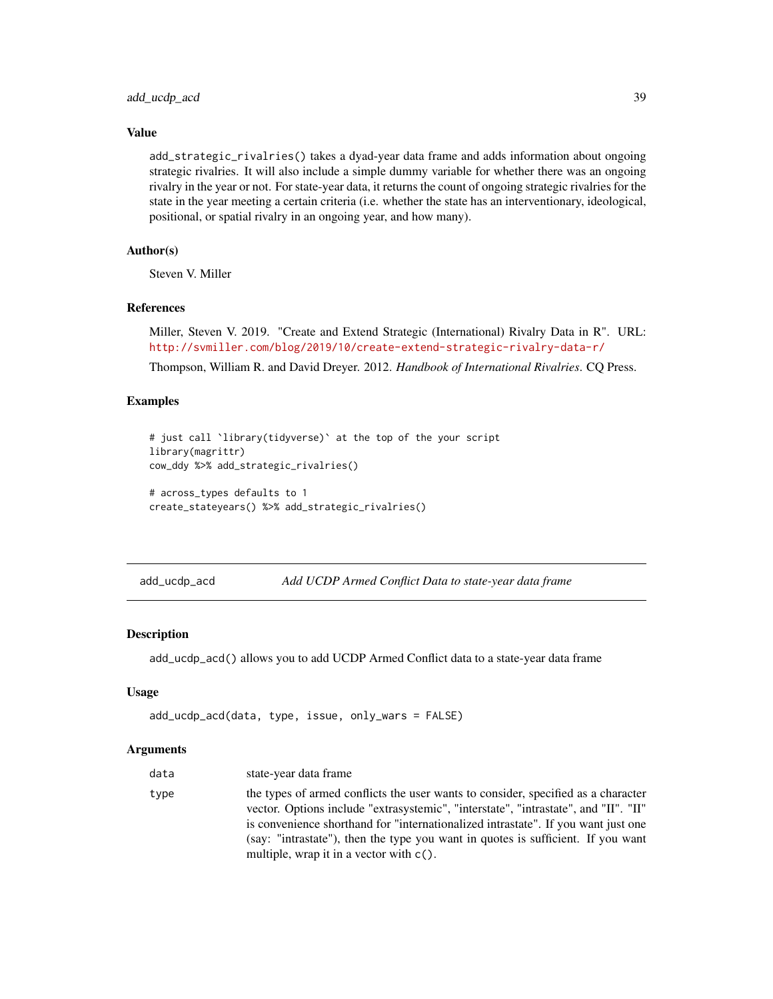# add\_ucdp\_acd 39

# Value

add\_strategic\_rivalries() takes a dyad-year data frame and adds information about ongoing strategic rivalries. It will also include a simple dummy variable for whether there was an ongoing rivalry in the year or not. For state-year data, it returns the count of ongoing strategic rivalries for the state in the year meeting a certain criteria (i.e. whether the state has an interventionary, ideological, positional, or spatial rivalry in an ongoing year, and how many).

# Author(s)

Steven V. Miller

# References

Miller, Steven V. 2019. "Create and Extend Strategic (International) Rivalry Data in R". URL: <http://svmiller.com/blog/2019/10/create-extend-strategic-rivalry-data-r/>

Thompson, William R. and David Dreyer. 2012. *Handbook of International Rivalries*. CQ Press.

## Examples

```
# just call `library(tidyverse)` at the top of the your script
library(magrittr)
cow_ddy %>% add_strategic_rivalries()
# across_types defaults to 1
```

```
create_stateyears() %>% add_strategic_rivalries()
```
add\_ucdp\_acd *Add UCDP Armed Conflict Data to state-year data frame*

## Description

add\_ucdp\_acd() allows you to add UCDP Armed Conflict data to a state-year data frame

# Usage

```
add_ucdp_acd(data, type, issue, only_wars = FALSE)
```
#### Arguments

| data | state-year data frame                                                                                                                                                                                                                                                                                                                                                                           |
|------|-------------------------------------------------------------------------------------------------------------------------------------------------------------------------------------------------------------------------------------------------------------------------------------------------------------------------------------------------------------------------------------------------|
| type | the types of armed conflicts the user wants to consider, specified as a character<br>vector. Options include "extrasystemic", "interstate", "intrastate", and "II". "II"<br>is convenience shorthand for "internationalized intrastate". If you want just one<br>(say: "intrastate"), then the type you want in quotes is sufficient. If you want<br>multiple, wrap it in a vector with $c()$ . |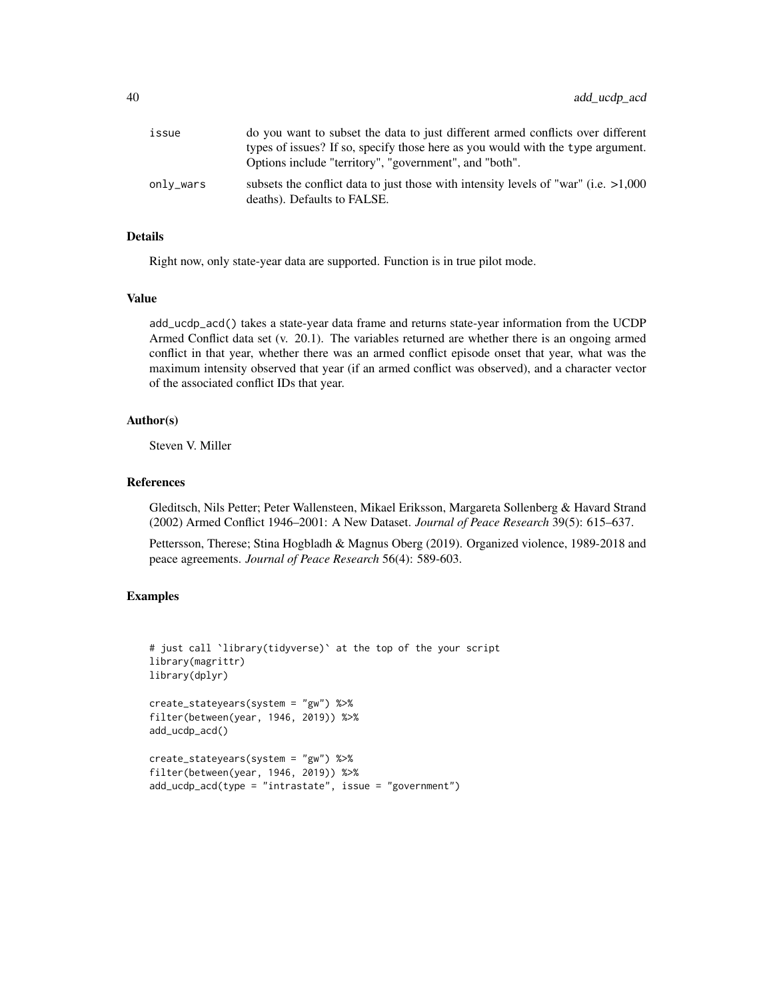| issue     | do you want to subset the data to just different armed conflicts over different                                      |
|-----------|----------------------------------------------------------------------------------------------------------------------|
|           | types of issues? If so, specify those here as you would with the type argument.                                      |
|           | Options include "territory", "government", and "both".                                                               |
| onlv_wars | subsets the conflict data to just those with intensity levels of "war" (i.e. $>1,000$<br>deaths). Defaults to FALSE. |

# Details

Right now, only state-year data are supported. Function is in true pilot mode.

# Value

add\_ucdp\_acd() takes a state-year data frame and returns state-year information from the UCDP Armed Conflict data set (v. 20.1). The variables returned are whether there is an ongoing armed conflict in that year, whether there was an armed conflict episode onset that year, what was the maximum intensity observed that year (if an armed conflict was observed), and a character vector of the associated conflict IDs that year.

# Author(s)

Steven V. Miller

## References

Gleditsch, Nils Petter; Peter Wallensteen, Mikael Eriksson, Margareta Sollenberg & Havard Strand (2002) Armed Conflict 1946–2001: A New Dataset. *Journal of Peace Research* 39(5): 615–637.

Pettersson, Therese; Stina Hogbladh & Magnus Oberg (2019). Organized violence, 1989-2018 and peace agreements. *Journal of Peace Research* 56(4): 589-603.

# Examples

```
# just call `library(tidyverse)` at the top of the your script
library(magrittr)
library(dplyr)
create_stateyears(system = "gw") %>%
filter(between(year, 1946, 2019)) %>%
add_ucdp_acd()
create_stateyears(system = "gw") %>%
filter(between(year, 1946, 2019)) %>%
add_ucdp_acd(type = "intrastate", issue = "government")
```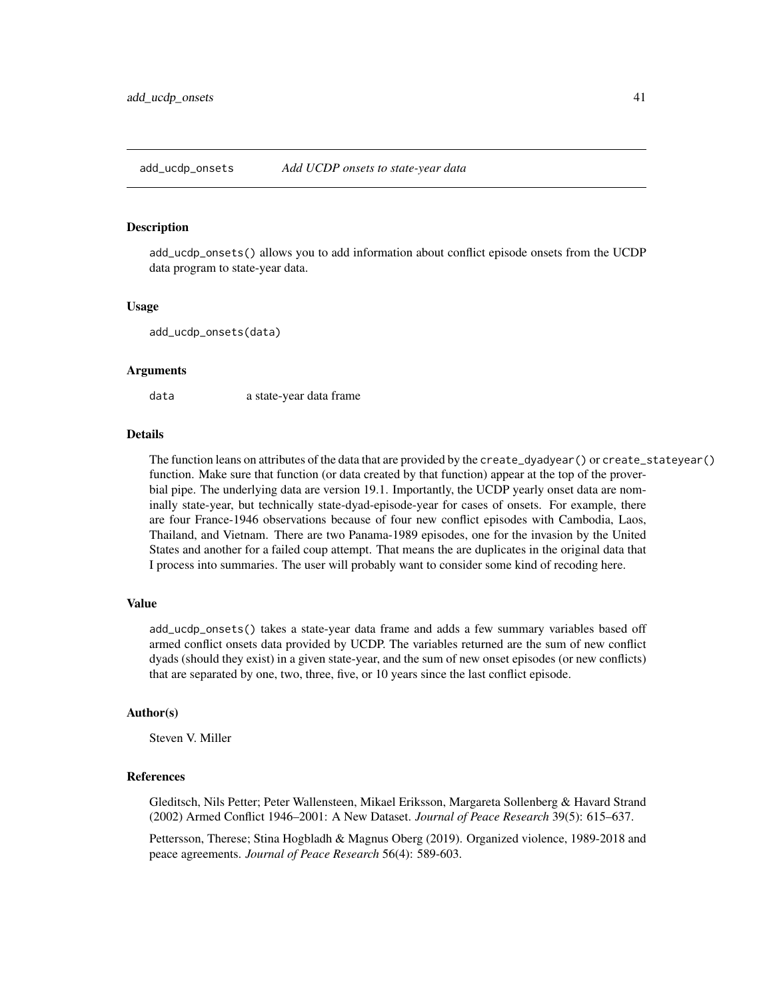add\_ucdp\_onsets *Add UCDP onsets to state-year data*

# Description

add\_ucdp\_onsets() allows you to add information about conflict episode onsets from the UCDP data program to state-year data.

## Usage

add\_ucdp\_onsets(data)

#### **Arguments**

data a state-year data frame

#### **Details**

The function leans on attributes of the data that are provided by the create\_dyadyear() or create\_stateyear() function. Make sure that function (or data created by that function) appear at the top of the proverbial pipe. The underlying data are version 19.1. Importantly, the UCDP yearly onset data are nominally state-year, but technically state-dyad-episode-year for cases of onsets. For example, there are four France-1946 observations because of four new conflict episodes with Cambodia, Laos, Thailand, and Vietnam. There are two Panama-1989 episodes, one for the invasion by the United States and another for a failed coup attempt. That means the are duplicates in the original data that I process into summaries. The user will probably want to consider some kind of recoding here.

# Value

add\_ucdp\_onsets() takes a state-year data frame and adds a few summary variables based off armed conflict onsets data provided by UCDP. The variables returned are the sum of new conflict dyads (should they exist) in a given state-year, and the sum of new onset episodes (or new conflicts) that are separated by one, two, three, five, or 10 years since the last conflict episode.

#### Author(s)

Steven V. Miller

# References

Gleditsch, Nils Petter; Peter Wallensteen, Mikael Eriksson, Margareta Sollenberg & Havard Strand (2002) Armed Conflict 1946–2001: A New Dataset. *Journal of Peace Research* 39(5): 615–637.

Pettersson, Therese; Stina Hogbladh & Magnus Oberg (2019). Organized violence, 1989-2018 and peace agreements. *Journal of Peace Research* 56(4): 589-603.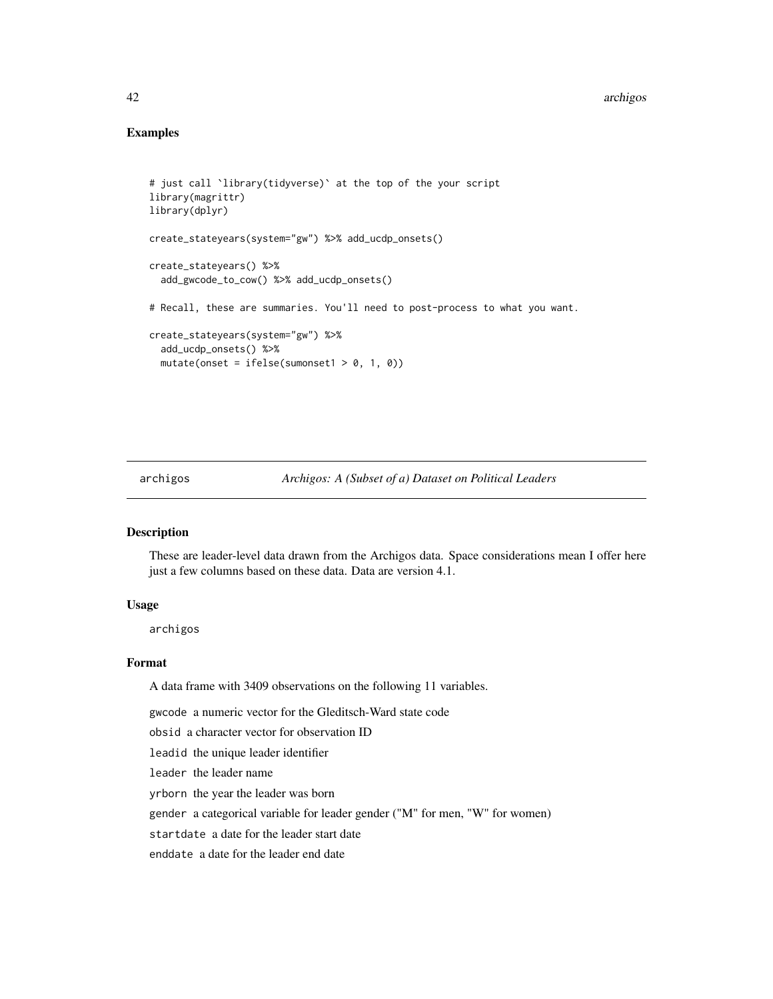# Examples

```
# just call `library(tidyverse)` at the top of the your script
library(magrittr)
library(dplyr)
create_stateyears(system="gw") %>% add_ucdp_onsets()
create_stateyears() %>%
 add_gwcode_to_cow() %>% add_ucdp_onsets()
# Recall, these are summaries. You'll need to post-process to what you want.
create_stateyears(system="gw") %>%
 add_ucdp_onsets() %>%
 mutate(onset = ifelse(sumonset1 > 0, 1, 0))
```
archigos *Archigos: A (Subset of a) Dataset on Political Leaders*

# Description

These are leader-level data drawn from the Archigos data. Space considerations mean I offer here just a few columns based on these data. Data are version 4.1.

## Usage

archigos

## Format

A data frame with 3409 observations on the following 11 variables.

gwcode a numeric vector for the Gleditsch-Ward state code

obsid a character vector for observation ID

leadid the unique leader identifier

leader the leader name

yrborn the year the leader was born

gender a categorical variable for leader gender ("M" for men, "W" for women)

startdate a date for the leader start date

enddate a date for the leader end date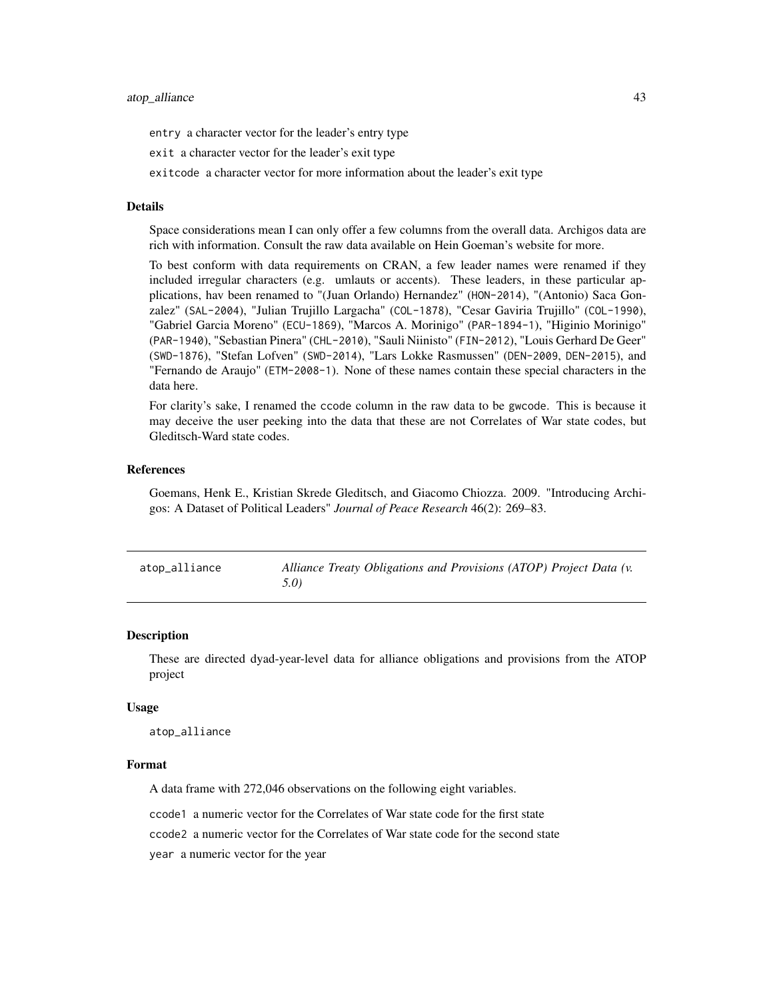## atop\_alliance 43

entry a character vector for the leader's entry type

exit a character vector for the leader's exit type

exitcode a character vector for more information about the leader's exit type

#### Details

Space considerations mean I can only offer a few columns from the overall data. Archigos data are rich with information. Consult the raw data available on Hein Goeman's website for more.

To best conform with data requirements on CRAN, a few leader names were renamed if they included irregular characters (e.g. umlauts or accents). These leaders, in these particular applications, hav been renamed to "(Juan Orlando) Hernandez" (HON-2014), "(Antonio) Saca Gonzalez" (SAL-2004), "Julian Trujillo Largacha" (COL-1878), "Cesar Gaviria Trujillo" (COL-1990), "Gabriel Garcia Moreno" (ECU-1869), "Marcos A. Morinigo" (PAR-1894-1), "Higinio Morinigo" (PAR-1940), "Sebastian Pinera" (CHL-2010), "Sauli Niinisto" (FIN-2012), "Louis Gerhard De Geer" (SWD-1876), "Stefan Lofven" (SWD-2014), "Lars Lokke Rasmussen" (DEN-2009, DEN-2015), and "Fernando de Araujo" (ETM-2008-1). None of these names contain these special characters in the data here.

For clarity's sake, I renamed the ccode column in the raw data to be gwcode. This is because it may deceive the user peeking into the data that these are not Correlates of War state codes, but Gleditsch-Ward state codes.

#### References

Goemans, Henk E., Kristian Skrede Gleditsch, and Giacomo Chiozza. 2009. "Introducing Archigos: A Dataset of Political Leaders" *Journal of Peace Research* 46(2): 269–83.

| atop_alliance | Alliance Treaty Obligations and Provisions (ATOP) Project Data (v. |
|---------------|--------------------------------------------------------------------|
|               | 5.0)                                                               |

#### **Description**

These are directed dyad-year-level data for alliance obligations and provisions from the ATOP project

#### Usage

atop\_alliance

#### Format

A data frame with 272,046 observations on the following eight variables.

ccode1 a numeric vector for the Correlates of War state code for the first state

ccode2 a numeric vector for the Correlates of War state code for the second state

year a numeric vector for the year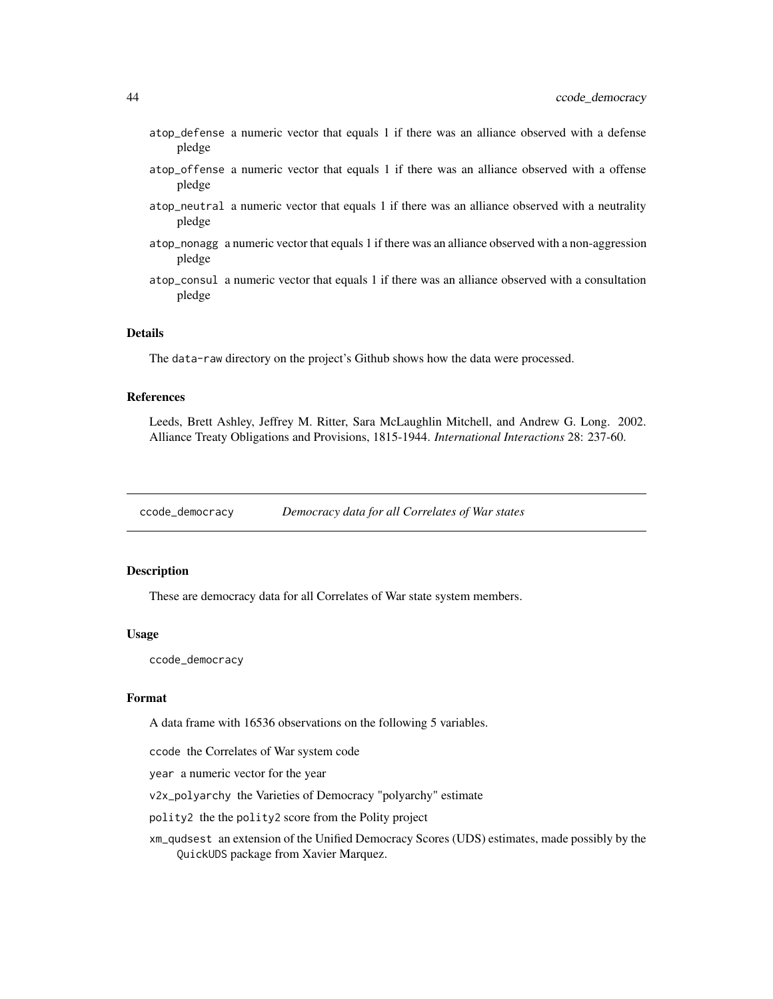- atop\_defense a numeric vector that equals 1 if there was an alliance observed with a defense pledge
- atop\_offense a numeric vector that equals 1 if there was an alliance observed with a offense pledge
- atop\_neutral a numeric vector that equals 1 if there was an alliance observed with a neutrality pledge
- atop\_nonagg a numeric vector that equals 1 if there was an alliance observed with a non-aggression pledge
- atop\_consul a numeric vector that equals 1 if there was an alliance observed with a consultation pledge

## Details

The data-raw directory on the project's Github shows how the data were processed.

# References

Leeds, Brett Ashley, Jeffrey M. Ritter, Sara McLaughlin Mitchell, and Andrew G. Long. 2002. Alliance Treaty Obligations and Provisions, 1815-1944. *International Interactions* 28: 237-60.

ccode\_democracy *Democracy data for all Correlates of War states*

#### **Description**

These are democracy data for all Correlates of War state system members.

#### Usage

ccode\_democracy

# Format

A data frame with 16536 observations on the following 5 variables.

ccode the Correlates of War system code

year a numeric vector for the year

v2x\_polyarchy the Varieties of Democracy "polyarchy" estimate

polity2 the the polity2 score from the Polity project

xm\_qudsest an extension of the Unified Democracy Scores (UDS) estimates, made possibly by the QuickUDS package from Xavier Marquez.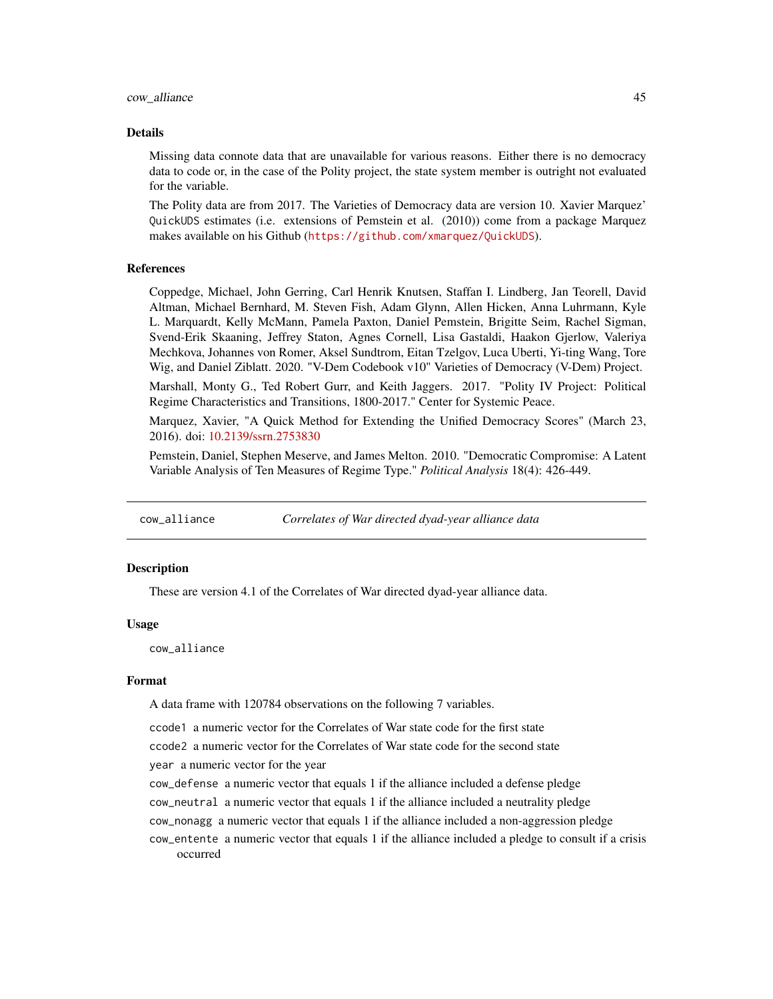#### cow\_alliance 45

#### Details

Missing data connote data that are unavailable for various reasons. Either there is no democracy data to code or, in the case of the Polity project, the state system member is outright not evaluated for the variable.

The Polity data are from 2017. The Varieties of Democracy data are version 10. Xavier Marquez' QuickUDS estimates (i.e. extensions of Pemstein et al. (2010)) come from a package Marquez makes available on his Github (<https://github.com/xmarquez/QuickUDS>).

## References

Coppedge, Michael, John Gerring, Carl Henrik Knutsen, Staffan I. Lindberg, Jan Teorell, David Altman, Michael Bernhard, M. Steven Fish, Adam Glynn, Allen Hicken, Anna Luhrmann, Kyle L. Marquardt, Kelly McMann, Pamela Paxton, Daniel Pemstein, Brigitte Seim, Rachel Sigman, Svend-Erik Skaaning, Jeffrey Staton, Agnes Cornell, Lisa Gastaldi, Haakon Gjerlow, Valeriya Mechkova, Johannes von Romer, Aksel Sundtrom, Eitan Tzelgov, Luca Uberti, Yi-ting Wang, Tore Wig, and Daniel Ziblatt. 2020. "V-Dem Codebook v10" Varieties of Democracy (V-Dem) Project.

Marshall, Monty G., Ted Robert Gurr, and Keith Jaggers. 2017. "Polity IV Project: Political Regime Characteristics and Transitions, 1800-2017." Center for Systemic Peace.

Marquez, Xavier, "A Quick Method for Extending the Unified Democracy Scores" (March 23, 2016). doi: [10.2139/ssrn.2753830](https://doi.org/10.2139/ssrn.2753830)

Pemstein, Daniel, Stephen Meserve, and James Melton. 2010. "Democratic Compromise: A Latent Variable Analysis of Ten Measures of Regime Type." *Political Analysis* 18(4): 426-449.

cow\_alliance *Correlates of War directed dyad-year alliance data*

#### Description

These are version 4.1 of the Correlates of War directed dyad-year alliance data.

## Usage

cow\_alliance

#### Format

A data frame with 120784 observations on the following 7 variables.

ccode1 a numeric vector for the Correlates of War state code for the first state

ccode2 a numeric vector for the Correlates of War state code for the second state year a numeric vector for the year

cow\_defense a numeric vector that equals 1 if the alliance included a defense pledge

cow\_neutral a numeric vector that equals 1 if the alliance included a neutrality pledge

cow\_nonagg a numeric vector that equals 1 if the alliance included a non-aggression pledge

cow\_entente a numeric vector that equals 1 if the alliance included a pledge to consult if a crisis occurred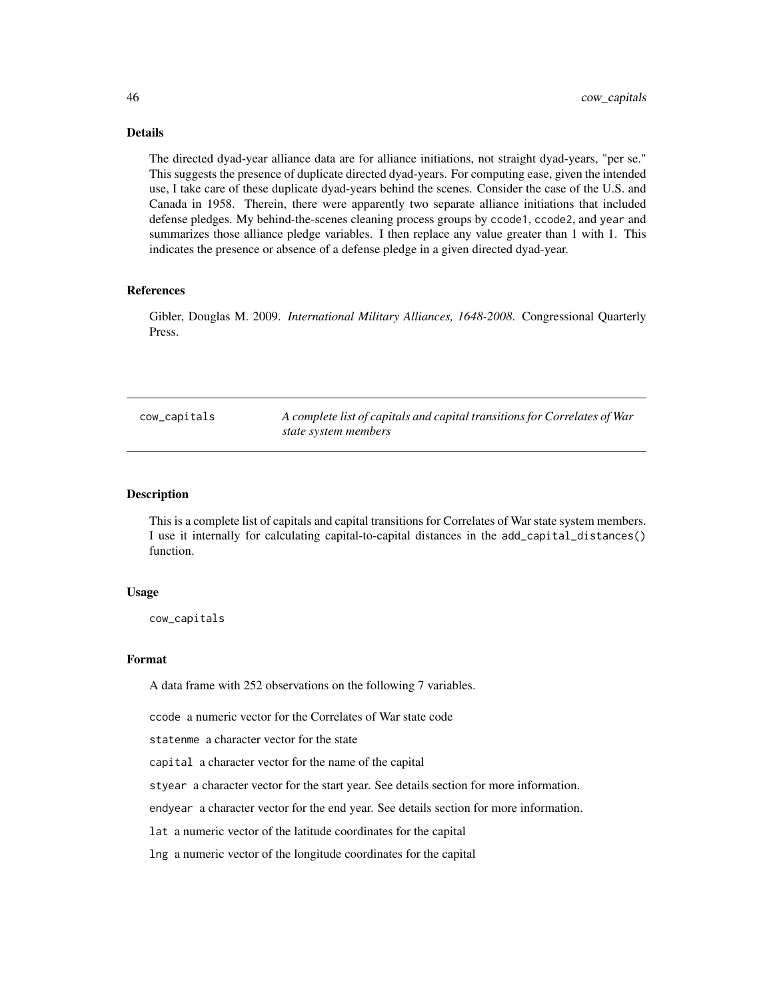# Details

The directed dyad-year alliance data are for alliance initiations, not straight dyad-years, "per se." This suggests the presence of duplicate directed dyad-years. For computing ease, given the intended use, I take care of these duplicate dyad-years behind the scenes. Consider the case of the U.S. and Canada in 1958. Therein, there were apparently two separate alliance initiations that included defense pledges. My behind-the-scenes cleaning process groups by ccode1, ccode2, and year and summarizes those alliance pledge variables. I then replace any value greater than 1 with 1. This indicates the presence or absence of a defense pledge in a given directed dyad-year.

# References

Gibler, Douglas M. 2009. *International Military Alliances, 1648-2008*. Congressional Quarterly Press.

cow\_capitals *A complete list of capitals and capital transitions for Correlates of War state system members*

# **Description**

This is a complete list of capitals and capital transitions for Correlates of War state system members. I use it internally for calculating capital-to-capital distances in the add\_capital\_distances() function.

## Usage

cow\_capitals

## Format

A data frame with 252 observations on the following 7 variables.

ccode a numeric vector for the Correlates of War state code

statenme a character vector for the state

capital a character vector for the name of the capital

styear a character vector for the start year. See details section for more information.

endyear a character vector for the end year. See details section for more information.

lat a numeric vector of the latitude coordinates for the capital

lng a numeric vector of the longitude coordinates for the capital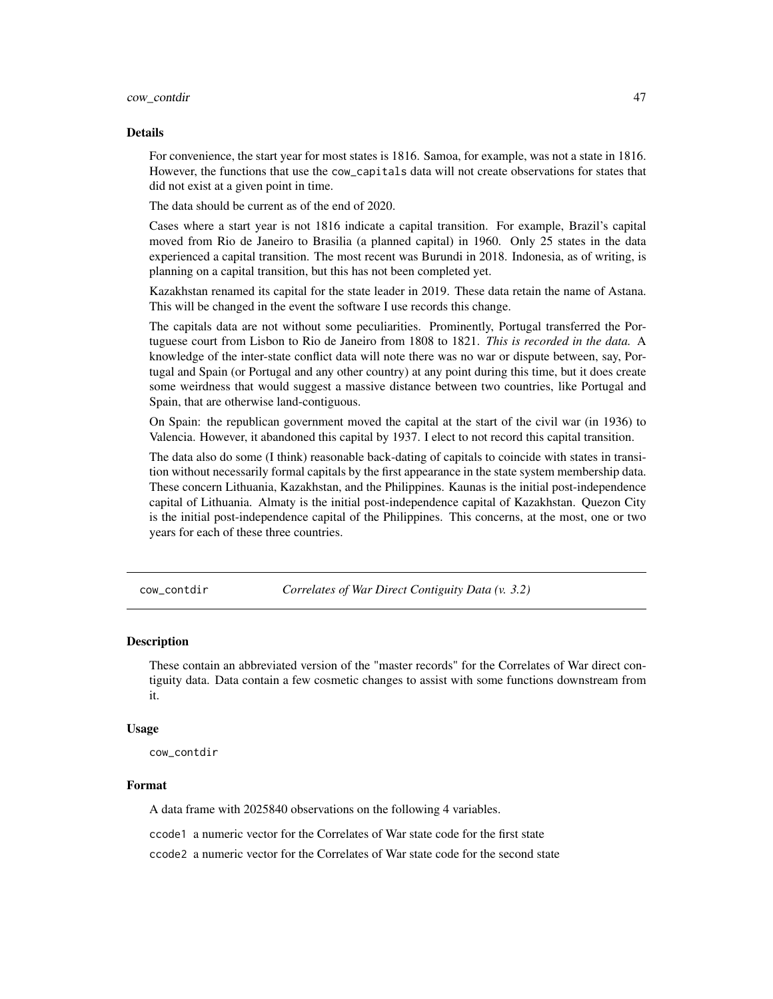#### Details

For convenience, the start year for most states is 1816. Samoa, for example, was not a state in 1816. However, the functions that use the cow\_capitals data will not create observations for states that did not exist at a given point in time.

The data should be current as of the end of 2020.

Cases where a start year is not 1816 indicate a capital transition. For example, Brazil's capital moved from Rio de Janeiro to Brasilia (a planned capital) in 1960. Only 25 states in the data experienced a capital transition. The most recent was Burundi in 2018. Indonesia, as of writing, is planning on a capital transition, but this has not been completed yet.

Kazakhstan renamed its capital for the state leader in 2019. These data retain the name of Astana. This will be changed in the event the software I use records this change.

The capitals data are not without some peculiarities. Prominently, Portugal transferred the Portuguese court from Lisbon to Rio de Janeiro from 1808 to 1821. *This is recorded in the data.* A knowledge of the inter-state conflict data will note there was no war or dispute between, say, Portugal and Spain (or Portugal and any other country) at any point during this time, but it does create some weirdness that would suggest a massive distance between two countries, like Portugal and Spain, that are otherwise land-contiguous.

On Spain: the republican government moved the capital at the start of the civil war (in 1936) to Valencia. However, it abandoned this capital by 1937. I elect to not record this capital transition.

The data also do some (I think) reasonable back-dating of capitals to coincide with states in transition without necessarily formal capitals by the first appearance in the state system membership data. These concern Lithuania, Kazakhstan, and the Philippines. Kaunas is the initial post-independence capital of Lithuania. Almaty is the initial post-independence capital of Kazakhstan. Quezon City is the initial post-independence capital of the Philippines. This concerns, at the most, one or two years for each of these three countries.

cow\_contdir *Correlates of War Direct Contiguity Data (v. 3.2)*

#### Description

These contain an abbreviated version of the "master records" for the Correlates of War direct contiguity data. Data contain a few cosmetic changes to assist with some functions downstream from it.

#### Usage

cow\_contdir

## Format

A data frame with 2025840 observations on the following 4 variables.

ccode1 a numeric vector for the Correlates of War state code for the first state

ccode2 a numeric vector for the Correlates of War state code for the second state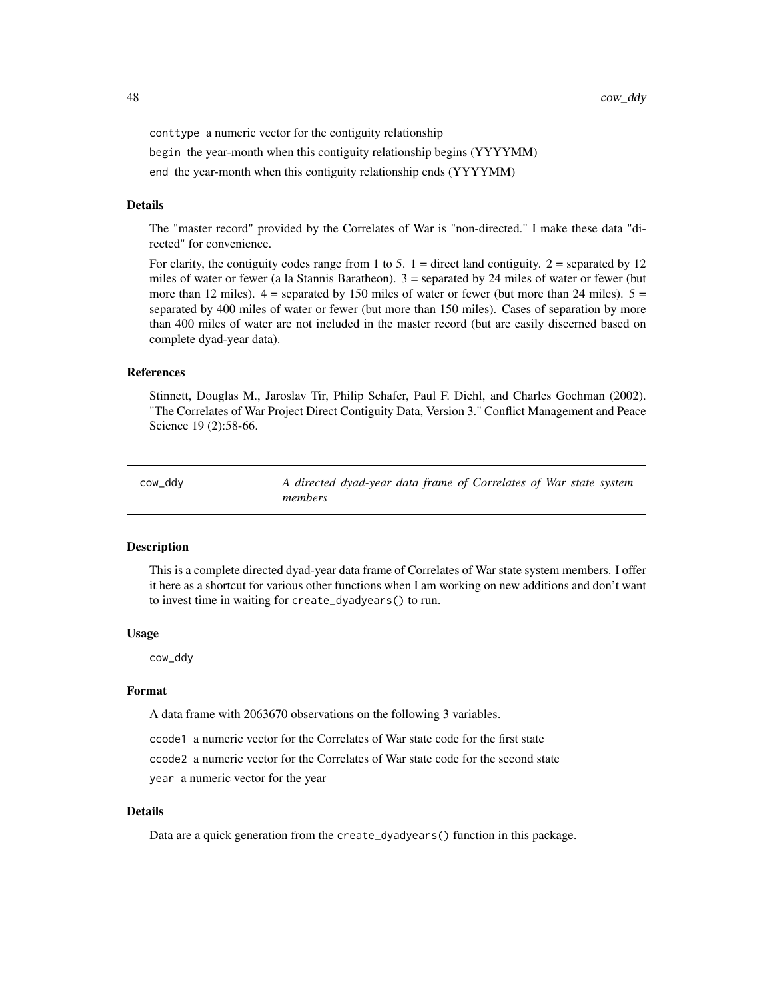conttype a numeric vector for the contiguity relationship

begin the year-month when this contiguity relationship begins (YYYYMM)

end the year-month when this contiguity relationship ends (YYYYMM)

#### Details

The "master record" provided by the Correlates of War is "non-directed." I make these data "directed" for convenience.

For clarity, the contiguity codes range from 1 to 5.  $1 =$  direct land contiguity.  $2 =$  separated by 12 miles of water or fewer (a la Stannis Baratheon). 3 = separated by 24 miles of water or fewer (but more than 12 miles).  $4 =$  separated by 150 miles of water or fewer (but more than 24 miles).  $5 =$ separated by 400 miles of water or fewer (but more than 150 miles). Cases of separation by more than 400 miles of water are not included in the master record (but are easily discerned based on complete dyad-year data).

#### References

Stinnett, Douglas M., Jaroslav Tir, Philip Schafer, Paul F. Diehl, and Charles Gochman (2002). "The Correlates of War Project Direct Contiguity Data, Version 3." Conflict Management and Peace Science 19 (2):58-66.

| cow_ddy |         | A directed dyad-year data frame of Correlates of War state system |  |  |  |
|---------|---------|-------------------------------------------------------------------|--|--|--|
|         | members |                                                                   |  |  |  |

# **Description**

This is a complete directed dyad-year data frame of Correlates of War state system members. I offer it here as a shortcut for various other functions when I am working on new additions and don't want to invest time in waiting for create\_dyadyears() to run.

#### Usage

cow\_ddy

#### Format

A data frame with 2063670 observations on the following 3 variables.

ccode1 a numeric vector for the Correlates of War state code for the first state

ccode2 a numeric vector for the Correlates of War state code for the second state

year a numeric vector for the year

# Details

Data are a quick generation from the create\_dyadyears() function in this package.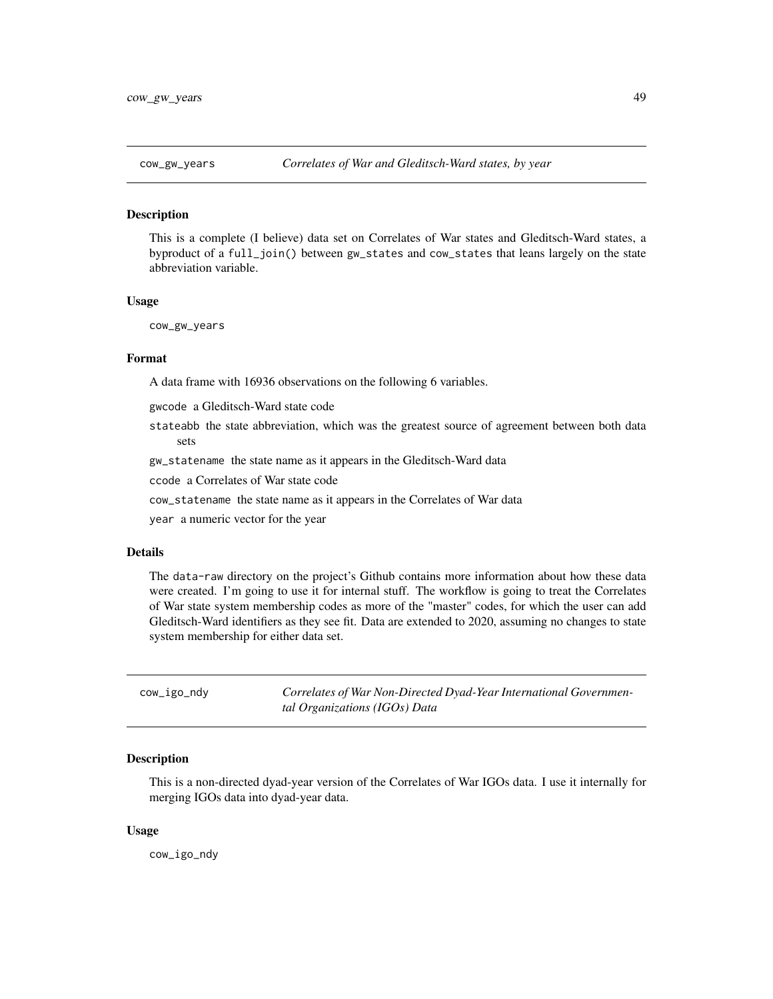This is a complete (I believe) data set on Correlates of War states and Gleditsch-Ward states, a byproduct of a full\_join() between gw\_states and cow\_states that leans largely on the state abbreviation variable.

#### Usage

cow\_gw\_years

#### Format

A data frame with 16936 observations on the following 6 variables.

gwcode a Gleditsch-Ward state code

stateabb the state abbreviation, which was the greatest source of agreement between both data sets

gw\_statename the state name as it appears in the Gleditsch-Ward data

ccode a Correlates of War state code

cow\_statename the state name as it appears in the Correlates of War data

year a numeric vector for the year

#### Details

The data-raw directory on the project's Github contains more information about how these data were created. I'm going to use it for internal stuff. The workflow is going to treat the Correlates of War state system membership codes as more of the "master" codes, for which the user can add Gleditsch-Ward identifiers as they see fit. Data are extended to 2020, assuming no changes to state system membership for either data set.

cow\_igo\_ndy *Correlates of War Non-Directed Dyad-Year International Governmental Organizations (IGOs) Data*

#### **Description**

This is a non-directed dyad-year version of the Correlates of War IGOs data. I use it internally for merging IGOs data into dyad-year data.

## Usage

cow\_igo\_ndy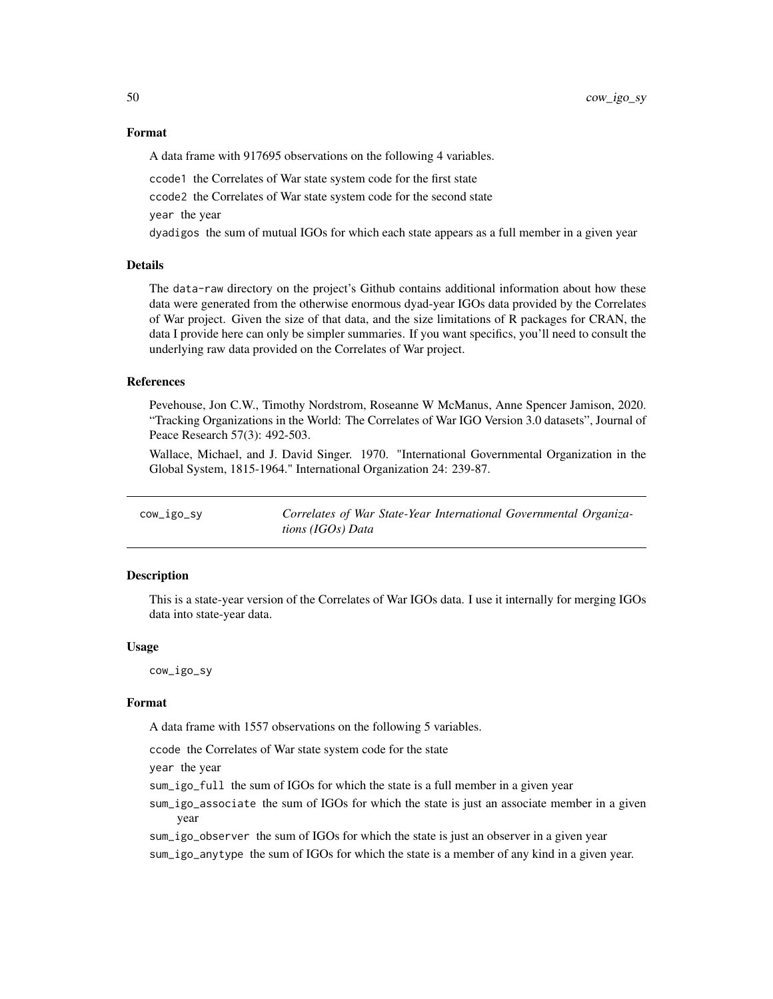## Format

A data frame with 917695 observations on the following 4 variables.

ccode1 the Correlates of War state system code for the first state

ccode2 the Correlates of War state system code for the second state

year the year

dyadigos the sum of mutual IGOs for which each state appears as a full member in a given year

## Details

The data-raw directory on the project's Github contains additional information about how these data were generated from the otherwise enormous dyad-year IGOs data provided by the Correlates of War project. Given the size of that data, and the size limitations of R packages for CRAN, the data I provide here can only be simpler summaries. If you want specifics, you'll need to consult the underlying raw data provided on the Correlates of War project.

## References

Pevehouse, Jon C.W., Timothy Nordstrom, Roseanne W McManus, Anne Spencer Jamison, 2020. "Tracking Organizations in the World: The Correlates of War IGO Version 3.0 datasets", Journal of Peace Research 57(3): 492-503.

Wallace, Michael, and J. David Singer. 1970. "International Governmental Organization in the Global System, 1815-1964." International Organization 24: 239-87.

cow\_igo\_sy *Correlates of War State-Year International Governmental Organizations (IGOs) Data*

# Description

This is a state-year version of the Correlates of War IGOs data. I use it internally for merging IGOs data into state-year data.

#### Usage

cow\_igo\_sy

## Format

A data frame with 1557 observations on the following 5 variables.

ccode the Correlates of War state system code for the state

year the year

sum\_igo\_full the sum of IGOs for which the state is a full member in a given year

- sum\_igo\_associate the sum of IGOs for which the state is just an associate member in a given year
- sum\_igo\_observer the sum of IGOs for which the state is just an observer in a given year

sum\_igo\_anytype the sum of IGOs for which the state is a member of any kind in a given year.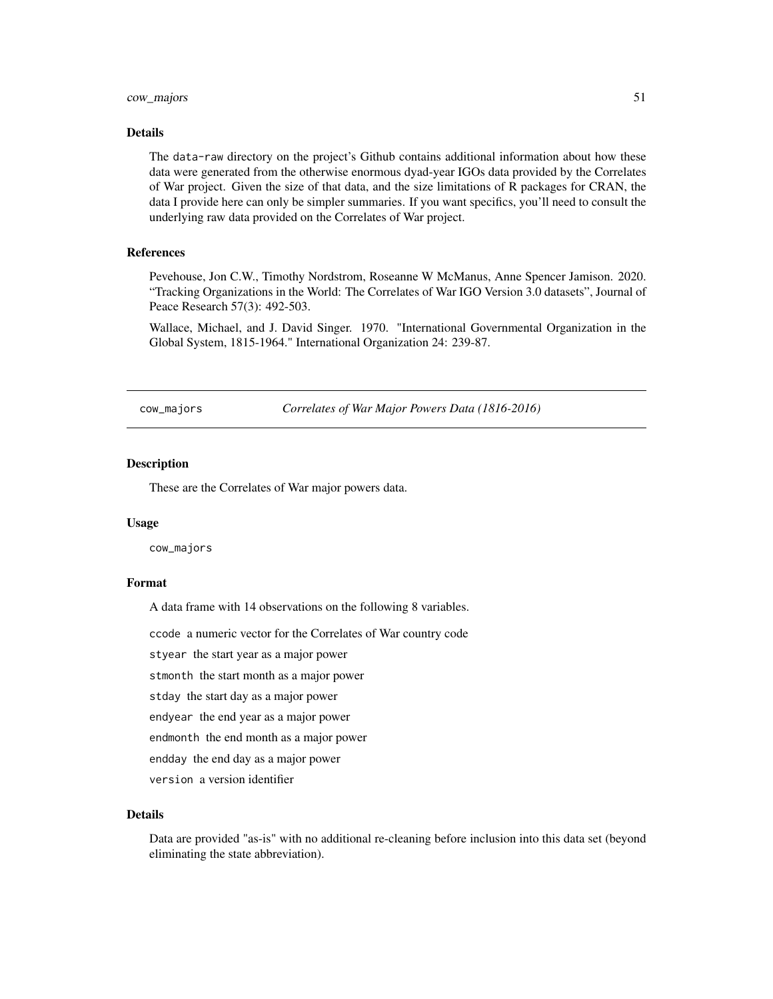#### cow\_majors 51

#### Details

The data-raw directory on the project's Github contains additional information about how these data were generated from the otherwise enormous dyad-year IGOs data provided by the Correlates of War project. Given the size of that data, and the size limitations of R packages for CRAN, the data I provide here can only be simpler summaries. If you want specifics, you'll need to consult the underlying raw data provided on the Correlates of War project.

## References

Pevehouse, Jon C.W., Timothy Nordstrom, Roseanne W McManus, Anne Spencer Jamison. 2020. "Tracking Organizations in the World: The Correlates of War IGO Version 3.0 datasets", Journal of Peace Research 57(3): 492-503.

Wallace, Michael, and J. David Singer. 1970. "International Governmental Organization in the Global System, 1815-1964." International Organization 24: 239-87.

cow\_majors *Correlates of War Major Powers Data (1816-2016)*

#### Description

These are the Correlates of War major powers data.

#### Usage

cow\_majors

## Format

A data frame with 14 observations on the following 8 variables.

ccode a numeric vector for the Correlates of War country code

styear the start year as a major power

- stmonth the start month as a major power
- stday the start day as a major power
- endyear the end year as a major power
- endmonth the end month as a major power
- endday the end day as a major power
- version a version identifier

#### Details

Data are provided "as-is" with no additional re-cleaning before inclusion into this data set (beyond eliminating the state abbreviation).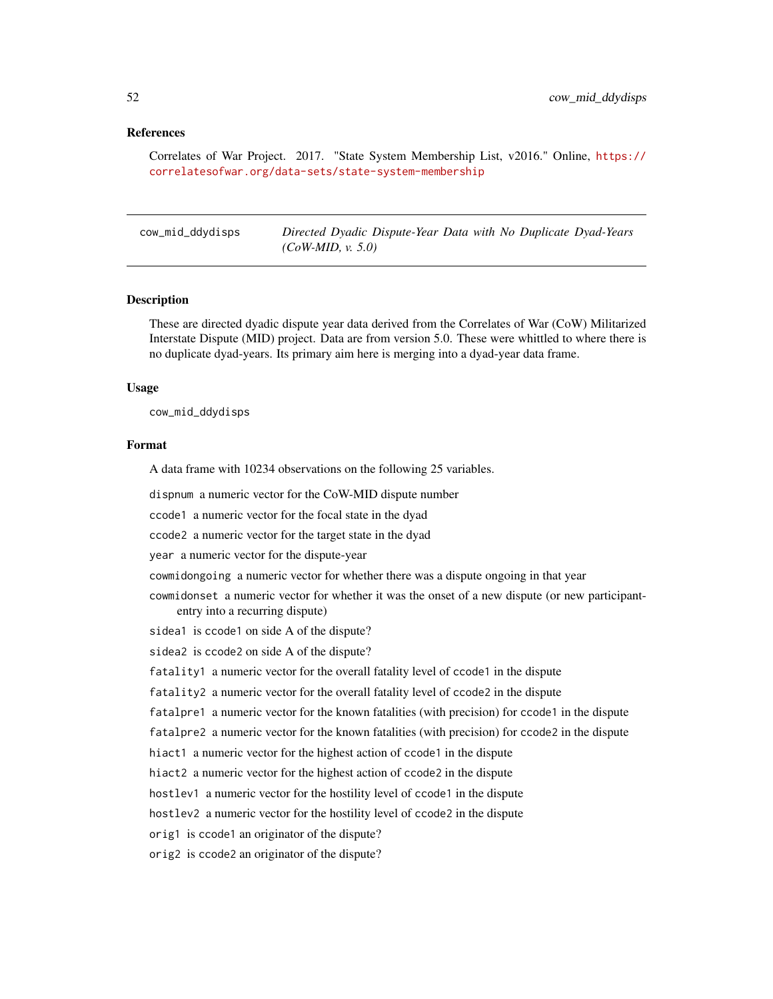## References

Correlates of War Project. 2017. "State System Membership List, v2016." Online, [https://](https://correlatesofwar.org/data-sets/state-system-membership) [correlatesofwar.org/data-sets/state-system-membership](https://correlatesofwar.org/data-sets/state-system-membership)

cow\_mid\_ddydisps *Directed Dyadic Dispute-Year Data with No Duplicate Dyad-Years (CoW-MID, v. 5.0)*

#### **Description**

These are directed dyadic dispute year data derived from the Correlates of War (CoW) Militarized Interstate Dispute (MID) project. Data are from version 5.0. These were whittled to where there is no duplicate dyad-years. Its primary aim here is merging into a dyad-year data frame.

#### Usage

cow\_mid\_ddydisps

## Format

A data frame with 10234 observations on the following 25 variables.

dispnum a numeric vector for the CoW-MID dispute number

ccode1 a numeric vector for the focal state in the dyad

ccode2 a numeric vector for the target state in the dyad

year a numeric vector for the dispute-year

cowmidongoing a numeric vector for whether there was a dispute ongoing in that year

cowmidonset a numeric vector for whether it was the onset of a new dispute (or new participantentry into a recurring dispute)

sidea1 is ccode1 on side A of the dispute?

sidea2 is ccode2 on side A of the dispute?

fatality1 a numeric vector for the overall fatality level of ccode1 in the dispute

fatality2 a numeric vector for the overall fatality level of ccode2 in the dispute

fatalpre1 a numeric vector for the known fatalities (with precision) for ccode1 in the dispute

fatalpre2 a numeric vector for the known fatalities (with precision) for ccode2 in the dispute

hiact1 a numeric vector for the highest action of ccode1 in the dispute

hiact2 a numeric vector for the highest action of ccode2 in the dispute

hostlev1 a numeric vector for the hostility level of ccode1 in the dispute

hostlev2 a numeric vector for the hostility level of ccode2 in the dispute

orig1 is ccode1 an originator of the dispute?

orig2 is ccode2 an originator of the dispute?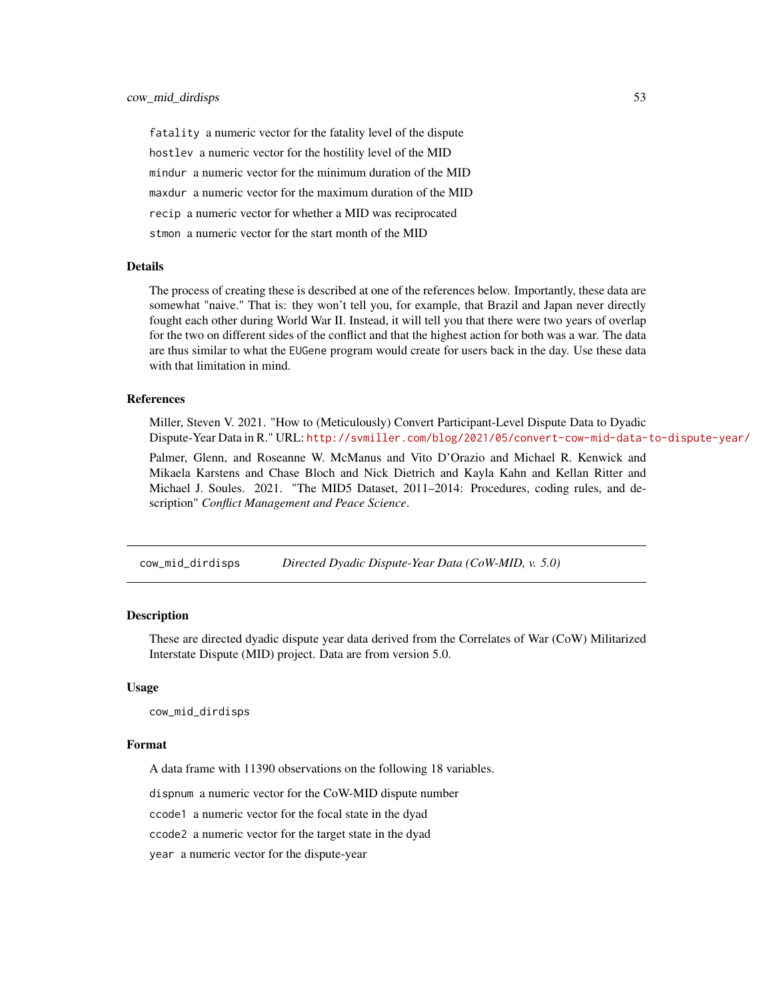fatality a numeric vector for the fatality level of the dispute hostlev a numeric vector for the hostility level of the MID mindur a numeric vector for the minimum duration of the MID maxdur a numeric vector for the maximum duration of the MID recip a numeric vector for whether a MID was reciprocated stmon a numeric vector for the start month of the MID

#### Details

The process of creating these is described at one of the references below. Importantly, these data are somewhat "naive." That is: they won't tell you, for example, that Brazil and Japan never directly fought each other during World War II. Instead, it will tell you that there were two years of overlap for the two on different sides of the conflict and that the highest action for both was a war. The data are thus similar to what the EUGene program would create for users back in the day. Use these data with that limitation in mind.

#### References

Miller, Steven V. 2021. "How to (Meticulously) Convert Participant-Level Dispute Data to Dyadic Dispute-Year Data in R." URL: <http://svmiller.com/blog/2021/05/convert-cow-mid-data-to-dispute-year/>

Palmer, Glenn, and Roseanne W. McManus and Vito D'Orazio and Michael R. Kenwick and Mikaela Karstens and Chase Bloch and Nick Dietrich and Kayla Kahn and Kellan Ritter and Michael J. Soules. 2021. "The MID5 Dataset, 2011–2014: Procedures, coding rules, and description" *Conflict Management and Peace Science*.

cow\_mid\_dirdisps *Directed Dyadic Dispute-Year Data (CoW-MID, v. 5.0)*

## Description

These are directed dyadic dispute year data derived from the Correlates of War (CoW) Militarized Interstate Dispute (MID) project. Data are from version 5.0.

#### Usage

cow\_mid\_dirdisps

#### Format

A data frame with 11390 observations on the following 18 variables.

dispnum a numeric vector for the CoW-MID dispute number

ccode1 a numeric vector for the focal state in the dyad

ccode2 a numeric vector for the target state in the dyad

year a numeric vector for the dispute-year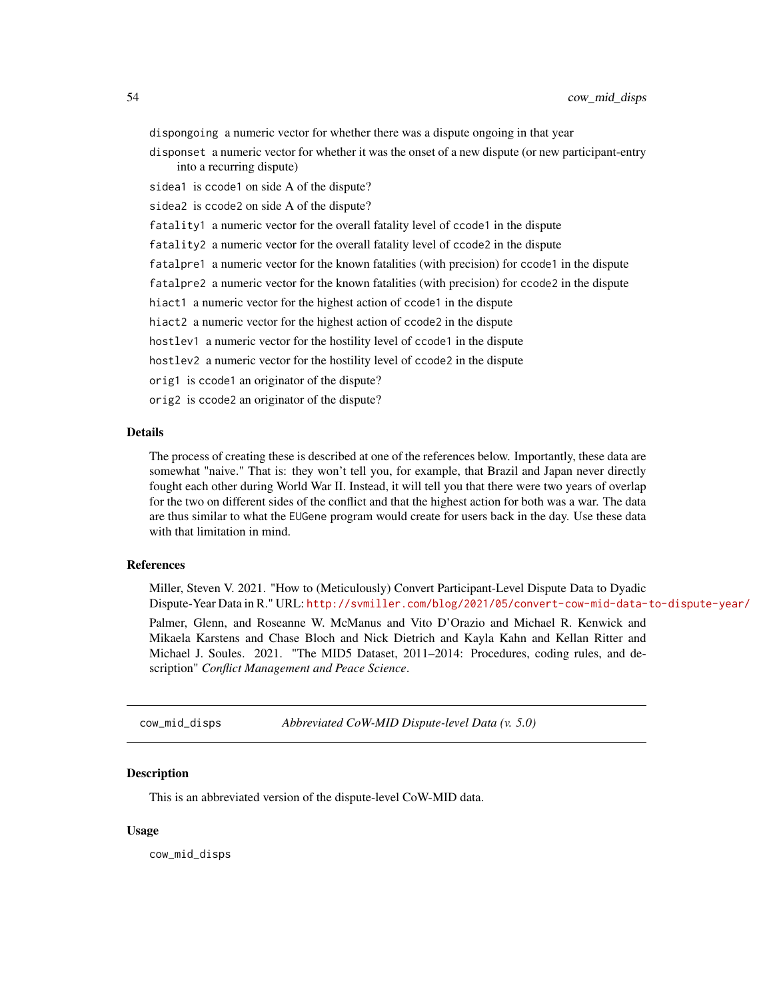dispongoing a numeric vector for whether there was a dispute ongoing in that year

disponset a numeric vector for whether it was the onset of a new dispute (or new participant-entry into a recurring dispute)

sidea1 is ccode1 on side A of the dispute?

sidea2 is ccode2 on side A of the dispute?

fatality1 a numeric vector for the overall fatality level of ccode1 in the dispute

fatality2 a numeric vector for the overall fatality level of ccode2 in the dispute

fatalpre1 a numeric vector for the known fatalities (with precision) for ccode1 in the dispute

fatalpre2 a numeric vector for the known fatalities (with precision) for ccode2 in the dispute

hiact1 a numeric vector for the highest action of ccode1 in the dispute

hiact2 a numeric vector for the highest action of ccode2 in the dispute

hostlev1 a numeric vector for the hostility level of ccode1 in the dispute

hostlev2 a numeric vector for the hostility level of ccode2 in the dispute

orig1 is ccode1 an originator of the dispute?

orig2 is ccode2 an originator of the dispute?

#### Details

The process of creating these is described at one of the references below. Importantly, these data are somewhat "naive." That is: they won't tell you, for example, that Brazil and Japan never directly fought each other during World War II. Instead, it will tell you that there were two years of overlap for the two on different sides of the conflict and that the highest action for both was a war. The data are thus similar to what the EUGene program would create for users back in the day. Use these data with that limitation in mind.

#### **References**

Miller, Steven V. 2021. "How to (Meticulously) Convert Participant-Level Dispute Data to Dyadic Dispute-Year Data in R." URL: <http://svmiller.com/blog/2021/05/convert-cow-mid-data-to-dispute-year/>

Palmer, Glenn, and Roseanne W. McManus and Vito D'Orazio and Michael R. Kenwick and Mikaela Karstens and Chase Bloch and Nick Dietrich and Kayla Kahn and Kellan Ritter and Michael J. Soules. 2021. "The MID5 Dataset, 2011–2014: Procedures, coding rules, and description" *Conflict Management and Peace Science*.

cow\_mid\_disps *Abbreviated CoW-MID Dispute-level Data (v. 5.0)*

## **Description**

This is an abbreviated version of the dispute-level CoW-MID data.

## Usage

cow\_mid\_disps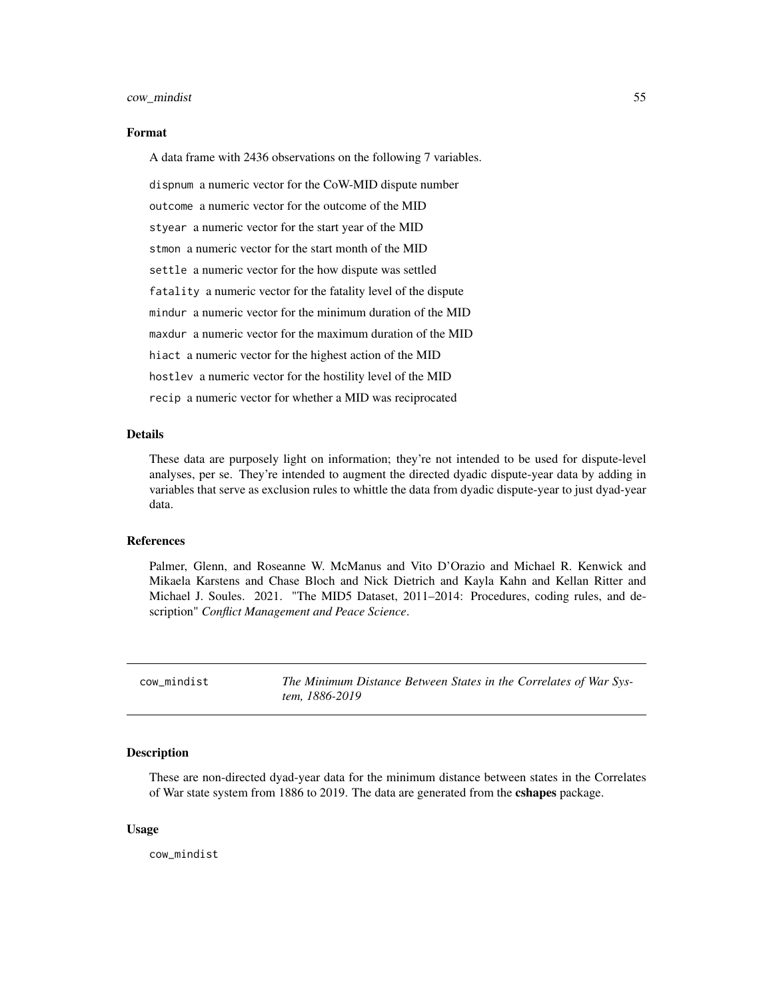#### Format

A data frame with 2436 observations on the following 7 variables.

dispnum a numeric vector for the CoW-MID dispute number outcome a numeric vector for the outcome of the MID styear a numeric vector for the start year of the MID stmon a numeric vector for the start month of the MID settle a numeric vector for the how dispute was settled fatality a numeric vector for the fatality level of the dispute mindur a numeric vector for the minimum duration of the MID maxdur a numeric vector for the maximum duration of the MID hiact a numeric vector for the highest action of the MID hostlev a numeric vector for the hostility level of the MID recip a numeric vector for whether a MID was reciprocated

## Details

These data are purposely light on information; they're not intended to be used for dispute-level analyses, per se. They're intended to augment the directed dyadic dispute-year data by adding in variables that serve as exclusion rules to whittle the data from dyadic dispute-year to just dyad-year data.

#### References

Palmer, Glenn, and Roseanne W. McManus and Vito D'Orazio and Michael R. Kenwick and Mikaela Karstens and Chase Bloch and Nick Dietrich and Kayla Kahn and Kellan Ritter and Michael J. Soules. 2021. "The MID5 Dataset, 2011–2014: Procedures, coding rules, and description" *Conflict Management and Peace Science*.

cow\_mindist *The Minimum Distance Between States in the Correlates of War System, 1886-2019*

#### **Description**

These are non-directed dyad-year data for the minimum distance between states in the Correlates of War state system from 1886 to 2019. The data are generated from the **cshapes** package.

## Usage

cow\_mindist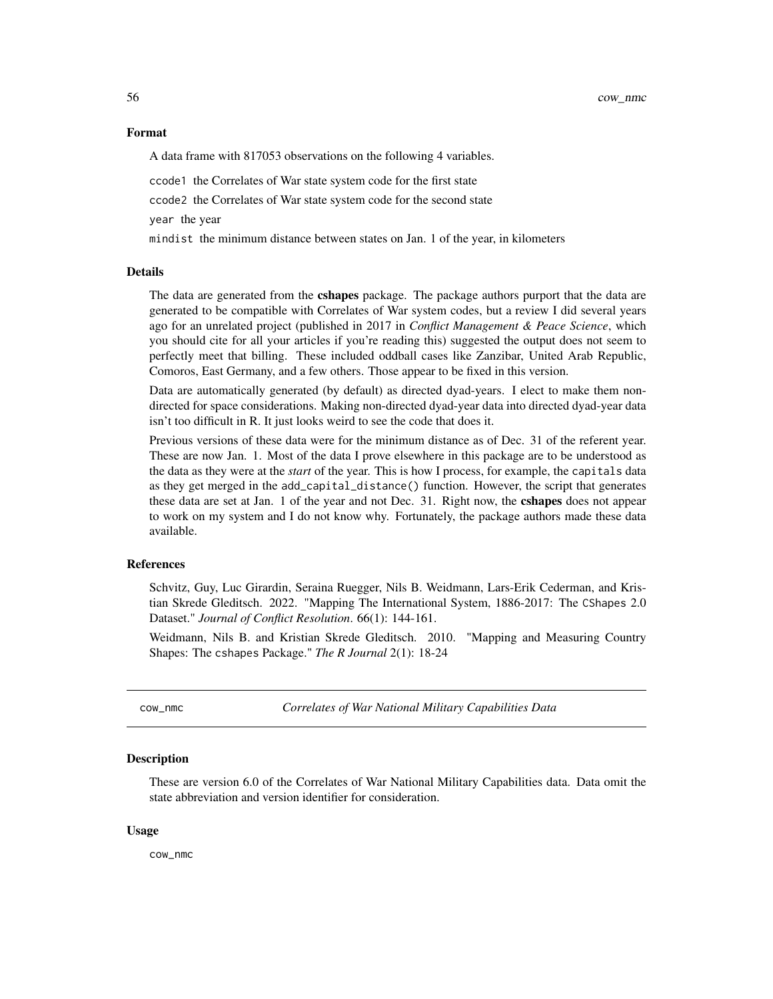#### Format

A data frame with 817053 observations on the following 4 variables.

ccode1 the Correlates of War state system code for the first state

ccode2 the Correlates of War state system code for the second state

year the year

mindist the minimum distance between states on Jan. 1 of the year, in kilometers

## Details

The data are generated from the **cshapes** package. The package authors purport that the data are generated to be compatible with Correlates of War system codes, but a review I did several years ago for an unrelated project (published in 2017 in *Conflict Management & Peace Science*, which you should cite for all your articles if you're reading this) suggested the output does not seem to perfectly meet that billing. These included oddball cases like Zanzibar, United Arab Republic, Comoros, East Germany, and a few others. Those appear to be fixed in this version.

Data are automatically generated (by default) as directed dyad-years. I elect to make them nondirected for space considerations. Making non-directed dyad-year data into directed dyad-year data isn't too difficult in R. It just looks weird to see the code that does it.

Previous versions of these data were for the minimum distance as of Dec. 31 of the referent year. These are now Jan. 1. Most of the data I prove elsewhere in this package are to be understood as the data as they were at the *start* of the year. This is how I process, for example, the capitals data as they get merged in the add\_capital\_distance() function. However, the script that generates these data are set at Jan. 1 of the year and not Dec. 31. Right now, the cshapes does not appear to work on my system and I do not know why. Fortunately, the package authors made these data available.

# References

Schvitz, Guy, Luc Girardin, Seraina Ruegger, Nils B. Weidmann, Lars-Erik Cederman, and Kristian Skrede Gleditsch. 2022. "Mapping The International System, 1886-2017: The CShapes 2.0 Dataset." *Journal of Conflict Resolution*. 66(1): 144-161.

Weidmann, Nils B. and Kristian Skrede Gleditsch. 2010. "Mapping and Measuring Country Shapes: The cshapes Package." *The R Journal* 2(1): 18-24

cow\_nmc *Correlates of War National Military Capabilities Data*

#### **Description**

These are version 6.0 of the Correlates of War National Military Capabilities data. Data omit the state abbreviation and version identifier for consideration.

#### Usage

cow\_nmc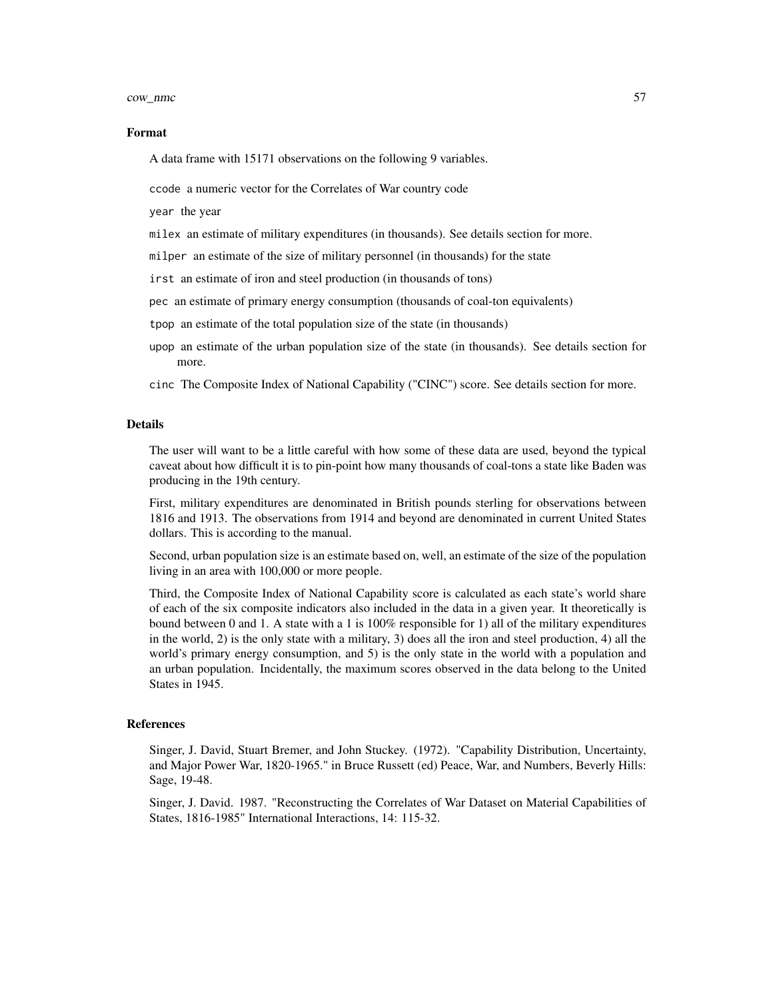#### cow\_nmc 57

#### Format

A data frame with 15171 observations on the following 9 variables.

ccode a numeric vector for the Correlates of War country code

year the year

milex an estimate of military expenditures (in thousands). See details section for more.

milper an estimate of the size of military personnel (in thousands) for the state

irst an estimate of iron and steel production (in thousands of tons)

pec an estimate of primary energy consumption (thousands of coal-ton equivalents)

tpop an estimate of the total population size of the state (in thousands)

upop an estimate of the urban population size of the state (in thousands). See details section for more.

cinc The Composite Index of National Capability ("CINC") score. See details section for more.

# Details

The user will want to be a little careful with how some of these data are used, beyond the typical caveat about how difficult it is to pin-point how many thousands of coal-tons a state like Baden was producing in the 19th century.

First, military expenditures are denominated in British pounds sterling for observations between 1816 and 1913. The observations from 1914 and beyond are denominated in current United States dollars. This is according to the manual.

Second, urban population size is an estimate based on, well, an estimate of the size of the population living in an area with 100,000 or more people.

Third, the Composite Index of National Capability score is calculated as each state's world share of each of the six composite indicators also included in the data in a given year. It theoretically is bound between 0 and 1. A state with a 1 is 100% responsible for 1) all of the military expenditures in the world, 2) is the only state with a military, 3) does all the iron and steel production, 4) all the world's primary energy consumption, and 5) is the only state in the world with a population and an urban population. Incidentally, the maximum scores observed in the data belong to the United States in 1945.

#### References

Singer, J. David, Stuart Bremer, and John Stuckey. (1972). "Capability Distribution, Uncertainty, and Major Power War, 1820-1965." in Bruce Russett (ed) Peace, War, and Numbers, Beverly Hills: Sage, 19-48.

Singer, J. David. 1987. "Reconstructing the Correlates of War Dataset on Material Capabilities of States, 1816-1985" International Interactions, 14: 115-32.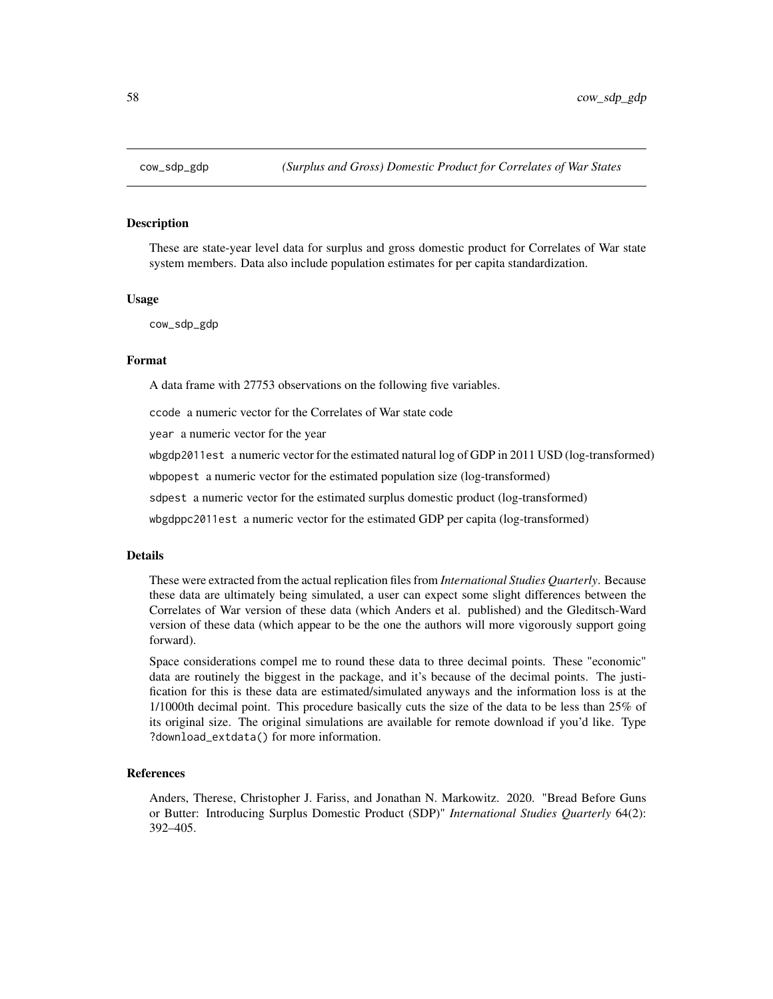These are state-year level data for surplus and gross domestic product for Correlates of War state system members. Data also include population estimates for per capita standardization.

#### Usage

cow\_sdp\_gdp

# Format

A data frame with 27753 observations on the following five variables.

ccode a numeric vector for the Correlates of War state code

year a numeric vector for the year

wbgdp2011est a numeric vector for the estimated natural log of GDP in 2011 USD (log-transformed)

wbpopest a numeric vector for the estimated population size (log-transformed)

sdpest a numeric vector for the estimated surplus domestic product (log-transformed)

wbgdppc2011est a numeric vector for the estimated GDP per capita (log-transformed)

#### Details

These were extracted from the actual replication files from *International Studies Quarterly*. Because these data are ultimately being simulated, a user can expect some slight differences between the Correlates of War version of these data (which Anders et al. published) and the Gleditsch-Ward version of these data (which appear to be the one the authors will more vigorously support going forward).

Space considerations compel me to round these data to three decimal points. These "economic" data are routinely the biggest in the package, and it's because of the decimal points. The justification for this is these data are estimated/simulated anyways and the information loss is at the 1/1000th decimal point. This procedure basically cuts the size of the data to be less than 25% of its original size. The original simulations are available for remote download if you'd like. Type ?download\_extdata() for more information.

# References

Anders, Therese, Christopher J. Fariss, and Jonathan N. Markowitz. 2020. "Bread Before Guns or Butter: Introducing Surplus Domestic Product (SDP)" *International Studies Quarterly* 64(2): 392–405.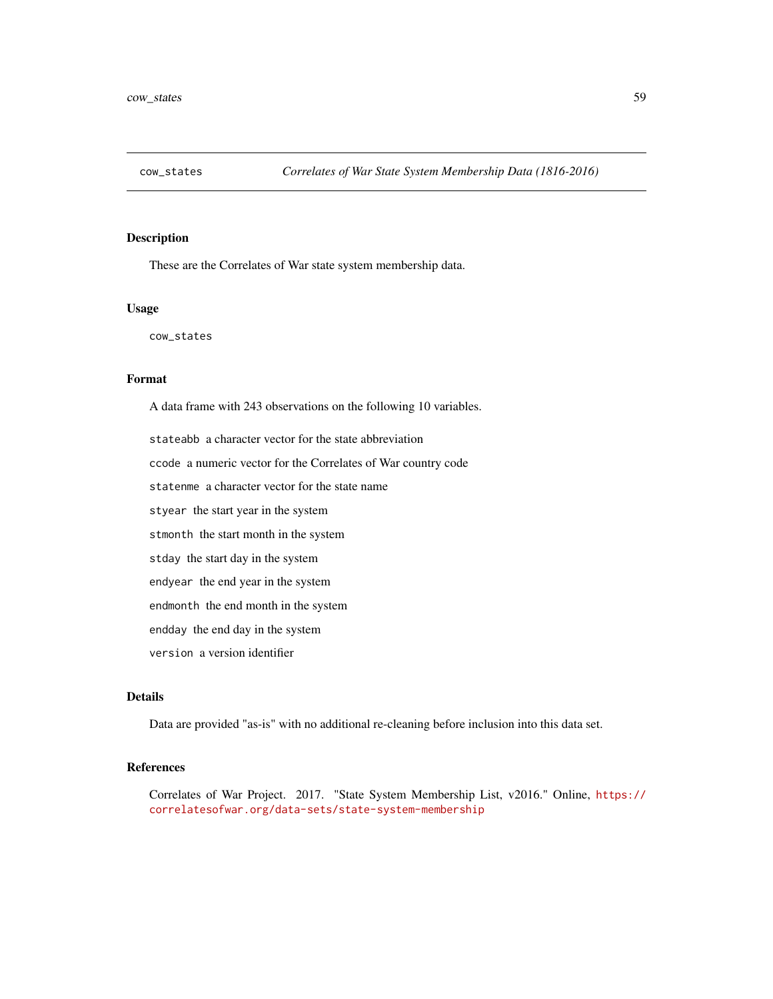These are the Correlates of War state system membership data.

## Usage

cow\_states

## Format

A data frame with 243 observations on the following 10 variables.

stateabb a character vector for the state abbreviation ccode a numeric vector for the Correlates of War country code statenme a character vector for the state name styear the start year in the system stmonth the start month in the system stday the start day in the system endyear the end year in the system endmonth the end month in the system endday the end day in the system version a version identifier

# Details

Data are provided "as-is" with no additional re-cleaning before inclusion into this data set.

# References

Correlates of War Project. 2017. "State System Membership List, v2016." Online, [https://](https://correlatesofwar.org/data-sets/state-system-membership) [correlatesofwar.org/data-sets/state-system-membership](https://correlatesofwar.org/data-sets/state-system-membership)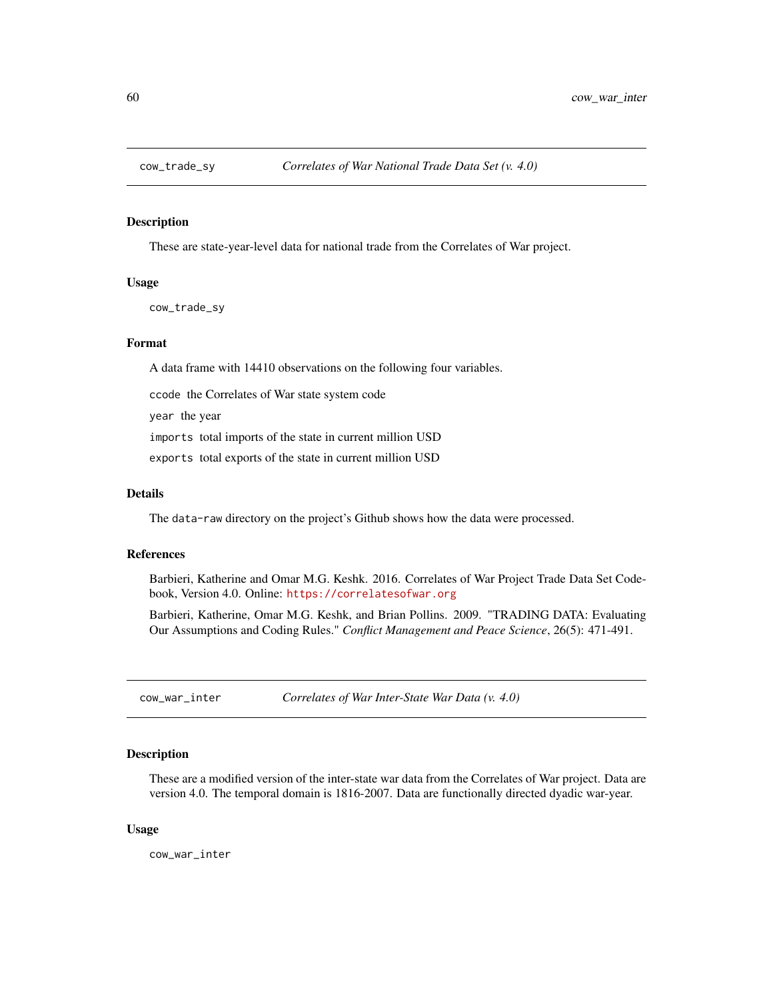These are state-year-level data for national trade from the Correlates of War project.

## Usage

cow\_trade\_sy

# Format

A data frame with 14410 observations on the following four variables.

ccode the Correlates of War state system code

year the year

imports total imports of the state in current million USD

exports total exports of the state in current million USD

# Details

The data-raw directory on the project's Github shows how the data were processed.

# References

Barbieri, Katherine and Omar M.G. Keshk. 2016. Correlates of War Project Trade Data Set Codebook, Version 4.0. Online: <https://correlatesofwar.org>

Barbieri, Katherine, Omar M.G. Keshk, and Brian Pollins. 2009. "TRADING DATA: Evaluating Our Assumptions and Coding Rules." *Conflict Management and Peace Science*, 26(5): 471-491.

cow\_war\_inter *Correlates of War Inter-State War Data (v. 4.0)*

# Description

These are a modified version of the inter-state war data from the Correlates of War project. Data are version 4.0. The temporal domain is 1816-2007. Data are functionally directed dyadic war-year.

#### Usage

cow\_war\_inter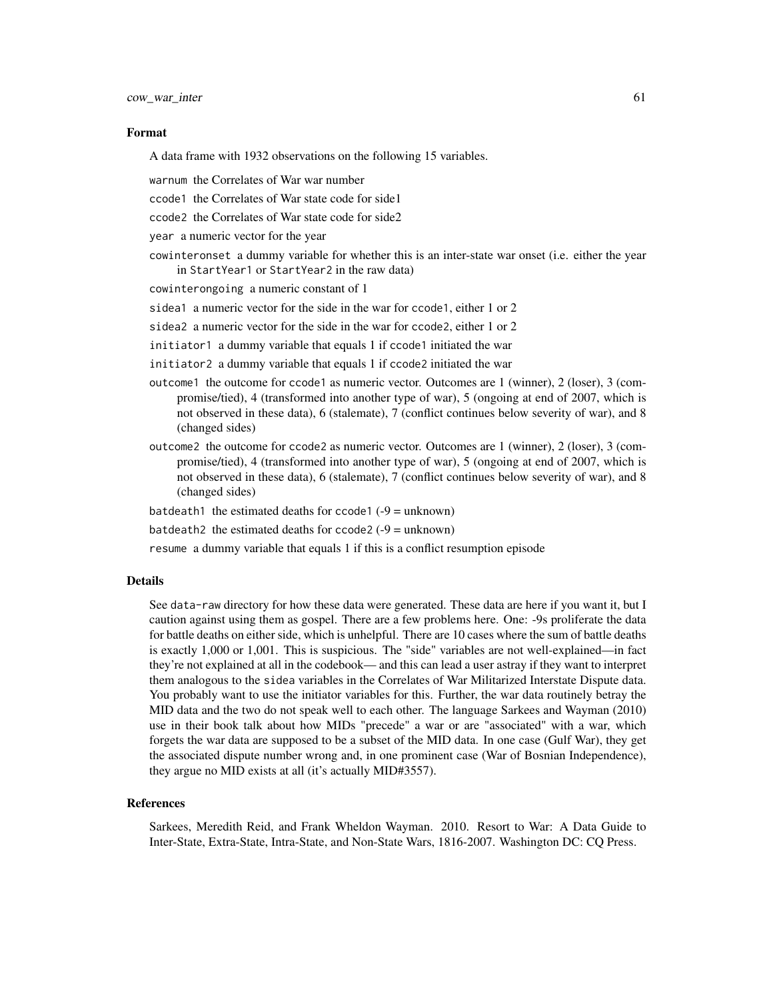#### Format

A data frame with 1932 observations on the following 15 variables.

warnum the Correlates of War war number

ccode1 the Correlates of War state code for side1

ccode2 the Correlates of War state code for side2

year a numeric vector for the year

cowinteronset a dummy variable for whether this is an inter-state war onset (i.e. either the year in StartYear1 or StartYear2 in the raw data)

cowinterongoing a numeric constant of 1

sidea1 a numeric vector for the side in the war for ccode1, either 1 or 2

sidea2 a numeric vector for the side in the war for ccode2, either 1 or 2

initiator1 a dummy variable that equals 1 if ccode1 initiated the war

- initiator2 a dummy variable that equals 1 if ccode2 initiated the war
- outcome1 the outcome for ccode1 as numeric vector. Outcomes are 1 (winner), 2 (loser), 3 (compromise/tied), 4 (transformed into another type of war), 5 (ongoing at end of 2007, which is not observed in these data), 6 (stalemate), 7 (conflict continues below severity of war), and 8 (changed sides)
- outcome2 the outcome for ccode2 as numeric vector. Outcomes are 1 (winner), 2 (loser), 3 (compromise/tied), 4 (transformed into another type of war), 5 (ongoing at end of 2007, which is not observed in these data), 6 (stalemate), 7 (conflict continues below severity of war), and 8 (changed sides)

batdeath1 the estimated deaths for  $ccode1$  (-9 = unknown)

batdeath2 the estimated deaths for  $ccode2$  (-9 = unknown)

resume a dummy variable that equals 1 if this is a conflict resumption episode

#### Details

See data-raw directory for how these data were generated. These data are here if you want it, but I caution against using them as gospel. There are a few problems here. One: -9s proliferate the data for battle deaths on either side, which is unhelpful. There are 10 cases where the sum of battle deaths is exactly 1,000 or 1,001. This is suspicious. The "side" variables are not well-explained—in fact they're not explained at all in the codebook— and this can lead a user astray if they want to interpret them analogous to the sidea variables in the Correlates of War Militarized Interstate Dispute data. You probably want to use the initiator variables for this. Further, the war data routinely betray the MID data and the two do not speak well to each other. The language Sarkees and Wayman (2010) use in their book talk about how MIDs "precede" a war or are "associated" with a war, which forgets the war data are supposed to be a subset of the MID data. In one case (Gulf War), they get the associated dispute number wrong and, in one prominent case (War of Bosnian Independence), they argue no MID exists at all (it's actually MID#3557).

## References

Sarkees, Meredith Reid, and Frank Wheldon Wayman. 2010. Resort to War: A Data Guide to Inter-State, Extra-State, Intra-State, and Non-State Wars, 1816-2007. Washington DC: CQ Press.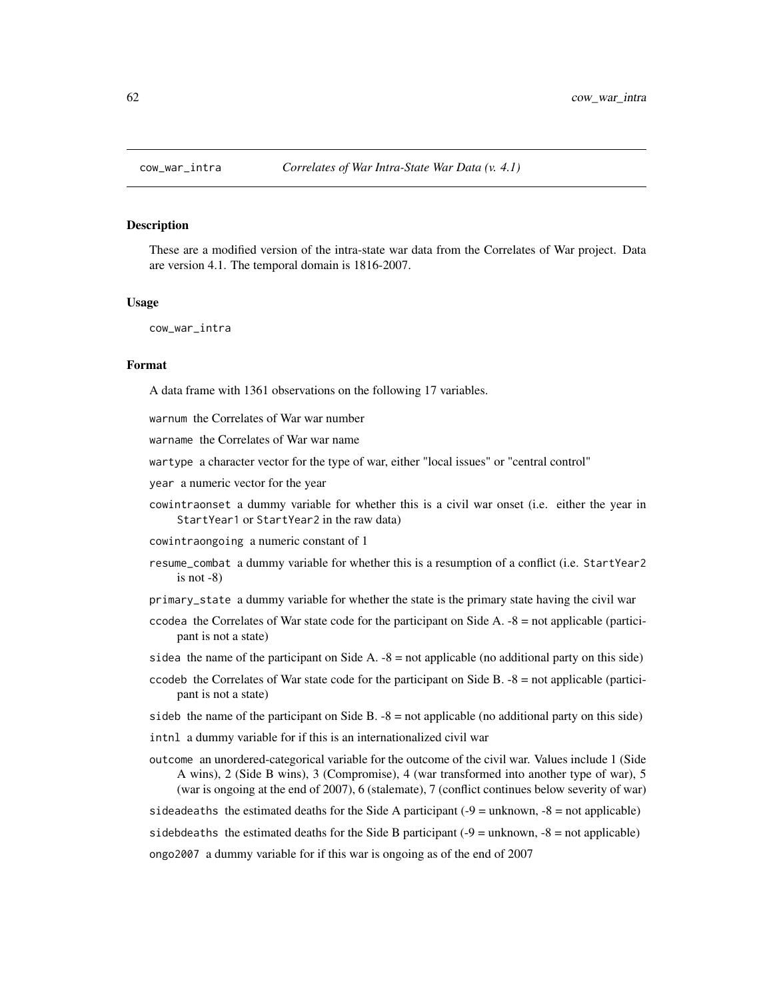These are a modified version of the intra-state war data from the Correlates of War project. Data are version 4.1. The temporal domain is 1816-2007.

#### Usage

cow\_war\_intra

#### Format

A data frame with 1361 observations on the following 17 variables.

warnum the Correlates of War war number

warname the Correlates of War war name

wartype a character vector for the type of war, either "local issues" or "central control"

- year a numeric vector for the year
- cowintraonset a dummy variable for whether this is a civil war onset (i.e. either the year in StartYear1 or StartYear2 in the raw data)

cowintraongoing a numeric constant of 1

- resume\_combat a dummy variable for whether this is a resumption of a conflict (i.e. StartYear2 is not -8)
- primary\_state a dummy variable for whether the state is the primary state having the civil war
- ccodea the Correlates of War state code for the participant on Side A.  $-8$  = not applicable (participant is not a state)
- sidea the name of the participant on Side A.  $-8$  = not applicable (no additional party on this side)
- ccodeb the Correlates of War state code for the participant on Side B.  $-8 =$  not applicable (participant is not a state)
- sideb the name of the participant on Side B.  $-8 =$  not applicable (no additional party on this side)

intnl a dummy variable for if this is an internationalized civil war

outcome an unordered-categorical variable for the outcome of the civil war. Values include 1 (Side A wins), 2 (Side B wins), 3 (Compromise), 4 (war transformed into another type of war), 5 (war is ongoing at the end of 2007), 6 (stalemate), 7 (conflict continues below severity of war)

sideadeaths the estimated deaths for the Side A participant  $(-9) =$  unknown,  $-8 =$  not applicable)

sidebdeaths the estimated deaths for the Side B participant  $(-9)$  = unknown,  $-8$  = not applicable)

ongo2007 a dummy variable for if this war is ongoing as of the end of 2007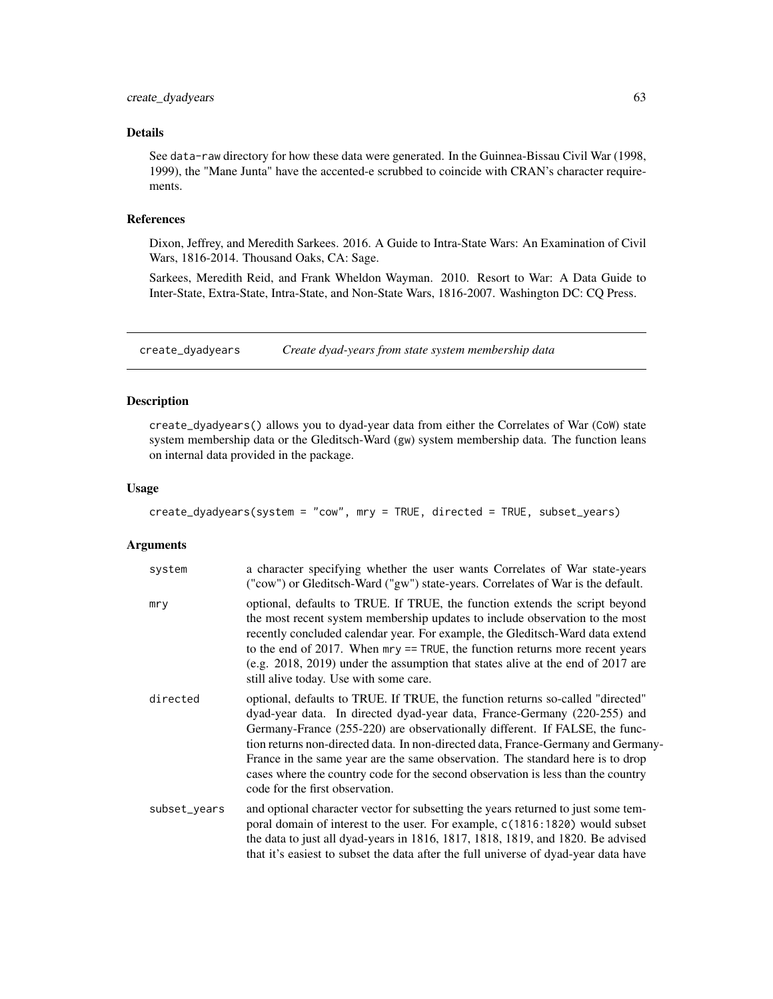# Details

See data-raw directory for how these data were generated. In the Guinnea-Bissau Civil War (1998, 1999), the "Mane Junta" have the accented-e scrubbed to coincide with CRAN's character requirements.

# References

Dixon, Jeffrey, and Meredith Sarkees. 2016. A Guide to Intra-State Wars: An Examination of Civil Wars, 1816-2014. Thousand Oaks, CA: Sage.

Sarkees, Meredith Reid, and Frank Wheldon Wayman. 2010. Resort to War: A Data Guide to Inter-State, Extra-State, Intra-State, and Non-State Wars, 1816-2007. Washington DC: CQ Press.

create\_dyadyears *Create dyad-years from state system membership data*

# Description

create\_dyadyears() allows you to dyad-year data from either the Correlates of War (CoW) state system membership data or the Gleditsch-Ward (gw) system membership data. The function leans on internal data provided in the package.

#### Usage

```
create_dyadyears(system = "cow", mry = TRUE, directed = TRUE, subset_years)
```
## Arguments

| system       | a character specifying whether the user wants Correlates of War state-years<br>("cow") or Gleditsch-Ward ("gw") state-years. Correlates of War is the default.                                                                                                                                                                                                                                                                                                                                                                          |
|--------------|-----------------------------------------------------------------------------------------------------------------------------------------------------------------------------------------------------------------------------------------------------------------------------------------------------------------------------------------------------------------------------------------------------------------------------------------------------------------------------------------------------------------------------------------|
| mry          | optional, defaults to TRUE. If TRUE, the function extends the script beyond<br>the most recent system membership updates to include observation to the most<br>recently concluded calendar year. For example, the Gleditsch-Ward data extend<br>to the end of 2017. When $mry = TRUE$ , the function returns more recent years<br>(e.g. 2018, 2019) under the assumption that states alive at the end of 2017 are<br>still alive today. Use with some care.                                                                             |
| directed     | optional, defaults to TRUE. If TRUE, the function returns so-called "directed"<br>dyad-year data. In directed dyad-year data, France-Germany (220-255) and<br>Germany-France (255-220) are observationally different. If FALSE, the func-<br>tion returns non-directed data. In non-directed data, France-Germany and Germany-<br>France in the same year are the same observation. The standard here is to drop<br>cases where the country code for the second observation is less than the country<br>code for the first observation. |
| subset_years | and optional character vector for subsetting the years returned to just some tem-<br>poral domain of interest to the user. For example, c(1816:1820) would subset<br>the data to just all dyad-years in 1816, 1817, 1818, 1819, and 1820. Be advised<br>that it's easiest to subset the data after the full universe of dyad-year data have                                                                                                                                                                                             |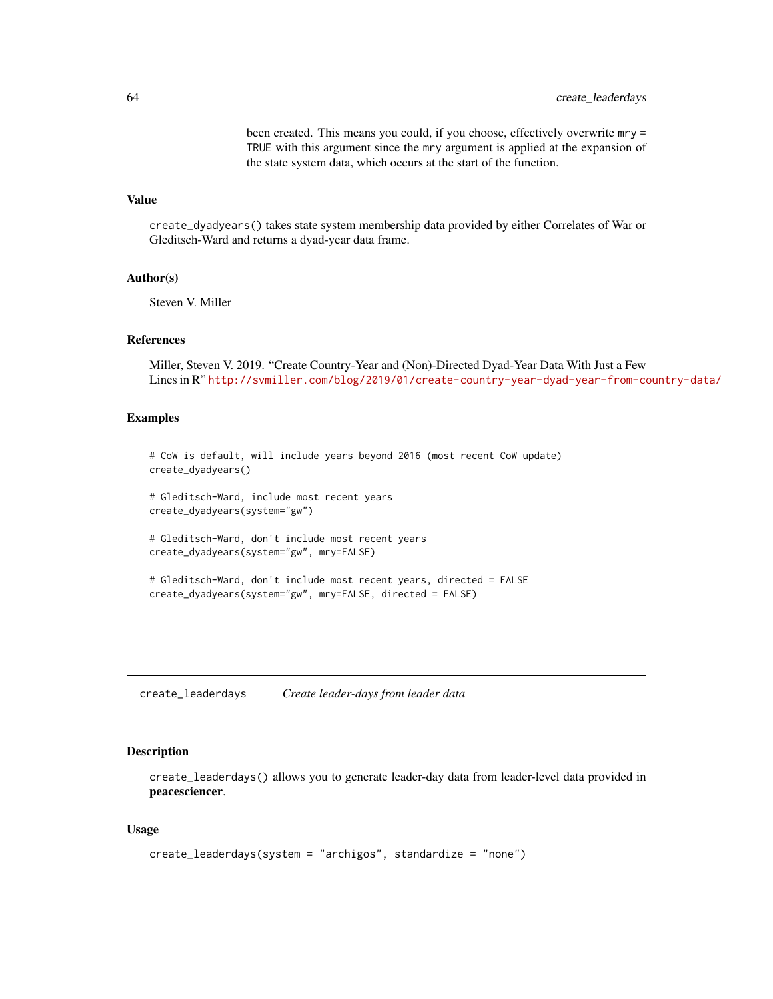been created. This means you could, if you choose, effectively overwrite mry = TRUE with this argument since the mry argument is applied at the expansion of the state system data, which occurs at the start of the function.

# Value

create\_dyadyears() takes state system membership data provided by either Correlates of War or Gleditsch-Ward and returns a dyad-year data frame.

# Author(s)

Steven V. Miller

# References

Miller, Steven V. 2019. "Create Country-Year and (Non)-Directed Dyad-Year Data With Just a Few Lines in R" <http://svmiller.com/blog/2019/01/create-country-year-dyad-year-from-country-data/>

## Examples

```
# CoW is default, will include years beyond 2016 (most recent CoW update)
create_dyadyears()
```
# Gleditsch-Ward, include most recent years create\_dyadyears(system="gw")

# Gleditsch-Ward, don't include most recent years create\_dyadyears(system="gw", mry=FALSE)

```
# Gleditsch-Ward, don't include most recent years, directed = FALSE
create_dyadyears(system="gw", mry=FALSE, directed = FALSE)
```
create\_leaderdays *Create leader-days from leader data*

## **Description**

create\_leaderdays() allows you to generate leader-day data from leader-level data provided in peacesciencer.

# Usage

```
create_leaderdays(system = "archigos", standardize = "none")
```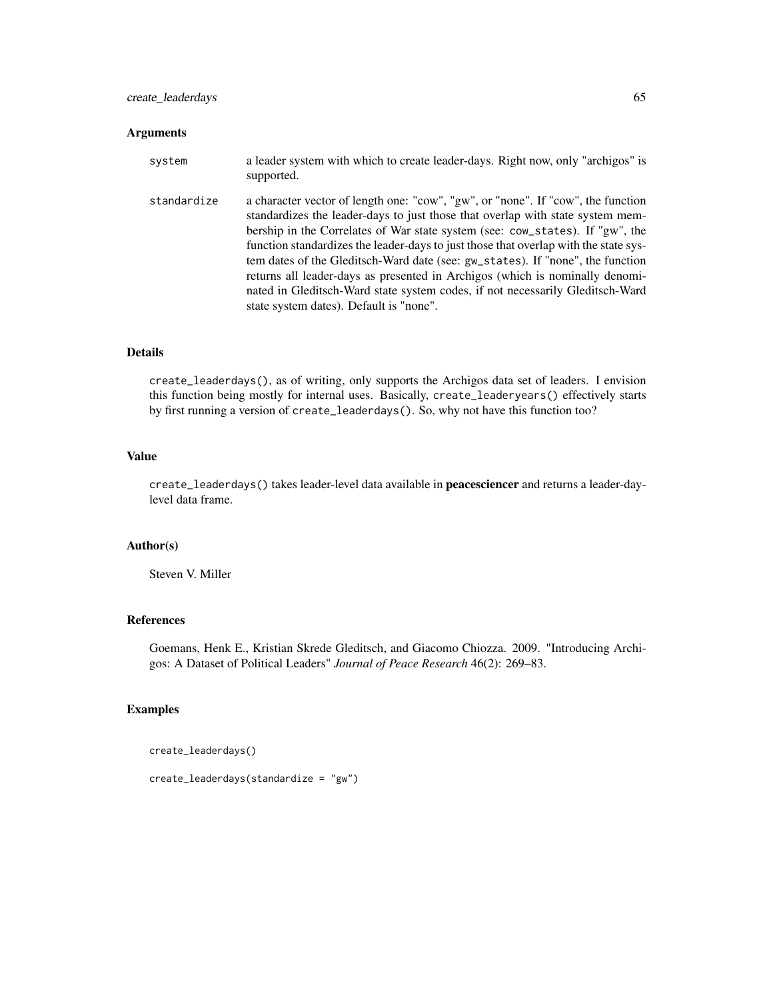# Arguments

| system      | a leader system with which to create leader-days. Right now, only "archigos" is<br>supported.                                                                                                                                                                                                                                                                                                                                                                                                                                                                                                                                             |
|-------------|-------------------------------------------------------------------------------------------------------------------------------------------------------------------------------------------------------------------------------------------------------------------------------------------------------------------------------------------------------------------------------------------------------------------------------------------------------------------------------------------------------------------------------------------------------------------------------------------------------------------------------------------|
| standardize | a character vector of length one: "cow", "gw", or "none". If "cow", the function<br>standardizes the leader-days to just those that overlap with state system mem-<br>bership in the Correlates of War state system (see: cow_states). If "gw", the<br>function standardizes the leader-days to just those that overlap with the state sys-<br>tem dates of the Gleditsch-Ward date (see: gw_states). If "none", the function<br>returns all leader-days as presented in Archigos (which is nominally denomi-<br>nated in Gleditsch-Ward state system codes, if not necessarily Gleditsch-Ward<br>state system dates). Default is "none". |

## Details

create\_leaderdays(), as of writing, only supports the Archigos data set of leaders. I envision this function being mostly for internal uses. Basically, create\_leaderyears() effectively starts by first running a version of create\_leaderdays(). So, why not have this function too?

# Value

create\_leaderdays() takes leader-level data available in peacesciencer and returns a leader-daylevel data frame.

#### Author(s)

Steven V. Miller

# References

Goemans, Henk E., Kristian Skrede Gleditsch, and Giacomo Chiozza. 2009. "Introducing Archigos: A Dataset of Political Leaders" *Journal of Peace Research* 46(2): 269–83.

# Examples

create\_leaderdays()

create\_leaderdays(standardize = "gw")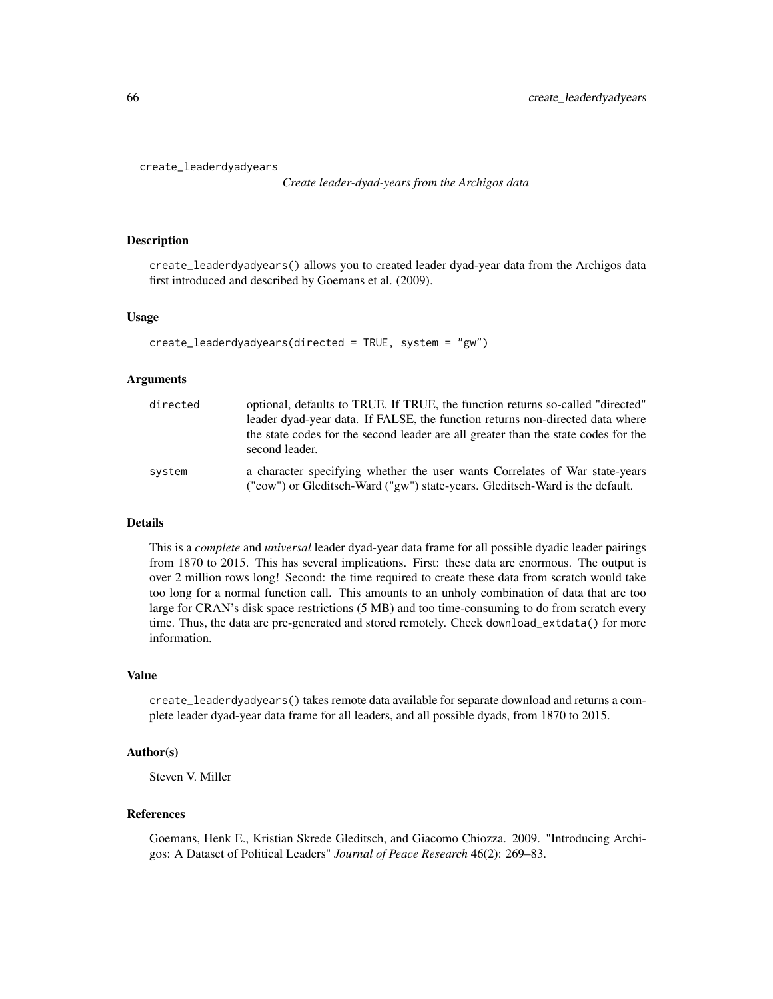```
create_leaderdyadyears
```
*Create leader-dyad-years from the Archigos data*

## Description

create\_leaderdyadyears() allows you to created leader dyad-year data from the Archigos data first introduced and described by Goemans et al. (2009).

## Usage

```
create_leaderdyadyears(directed = TRUE, system = "gw")
```
#### Arguments

| directed | optional, defaults to TRUE. If TRUE, the function returns so-called "directed"                                                                              |
|----------|-------------------------------------------------------------------------------------------------------------------------------------------------------------|
|          | leader dyad-year data. If FALSE, the function returns non-directed data where                                                                               |
|          | the state codes for the second leader are all greater than the state codes for the<br>second leader.                                                        |
| system   | a character specifying whether the user wants Correlates of War state-years<br>("cow") or Gleditsch-Ward ("gw") state-years. Gleditsch-Ward is the default. |

#### Details

This is a *complete* and *universal* leader dyad-year data frame for all possible dyadic leader pairings from 1870 to 2015. This has several implications. First: these data are enormous. The output is over 2 million rows long! Second: the time required to create these data from scratch would take too long for a normal function call. This amounts to an unholy combination of data that are too large for CRAN's disk space restrictions (5 MB) and too time-consuming to do from scratch every time. Thus, the data are pre-generated and stored remotely. Check download\_extdata() for more information.

#### Value

create\_leaderdyadyears() takes remote data available for separate download and returns a complete leader dyad-year data frame for all leaders, and all possible dyads, from 1870 to 2015.

# Author(s)

Steven V. Miller

# References

Goemans, Henk E., Kristian Skrede Gleditsch, and Giacomo Chiozza. 2009. "Introducing Archigos: A Dataset of Political Leaders" *Journal of Peace Research* 46(2): 269–83.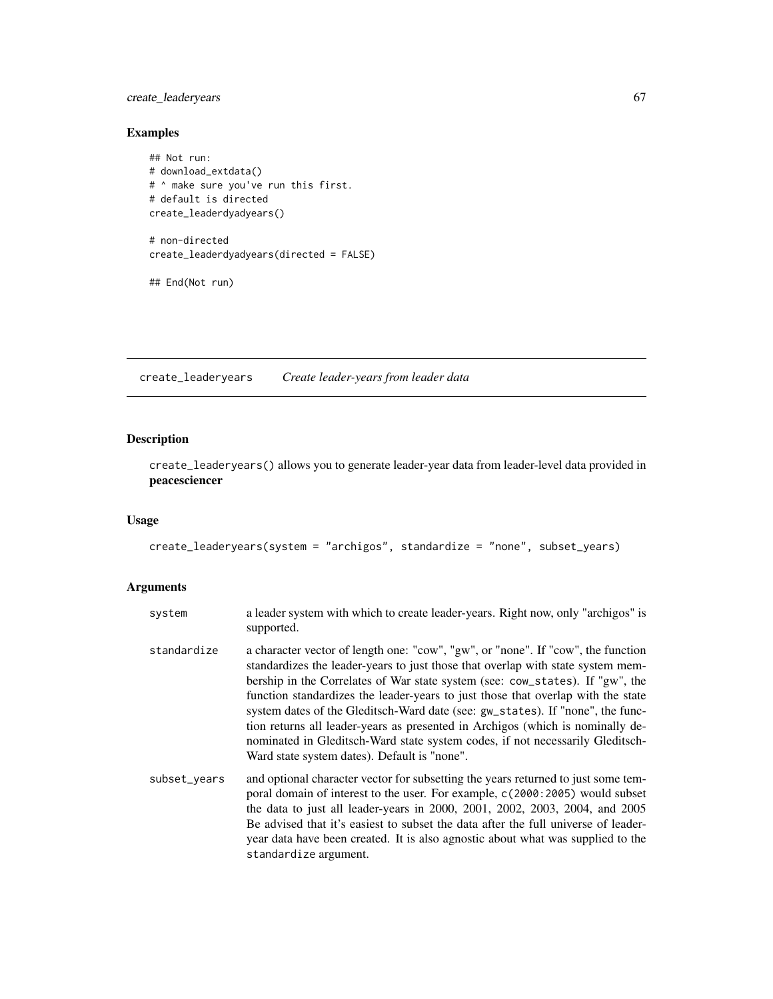# create\_leaderyears 67

# Examples

```
## Not run:
# download_extdata()
# ^ make sure you've run this first.
# default is directed
create_leaderdyadyears()
# non-directed
create_leaderdyadyears(directed = FALSE)
## End(Not run)
```
create\_leaderyears *Create leader-years from leader data*

standardize argument.

# Description

create\_leaderyears() allows you to generate leader-year data from leader-level data provided in peacesciencer

# Usage

```
create_leaderyears(system = "archigos", standardize = "none", subset_years)
```
# Arguments

| system       | a leader system with which to create leader-years. Right now, only "archigos" is<br>supported.                                                                                                                                                                                                                                                                                                                                                                                                                                                                                                                                                |
|--------------|-----------------------------------------------------------------------------------------------------------------------------------------------------------------------------------------------------------------------------------------------------------------------------------------------------------------------------------------------------------------------------------------------------------------------------------------------------------------------------------------------------------------------------------------------------------------------------------------------------------------------------------------------|
| standardize  | a character vector of length one: "cow", "gw", or "none". If "cow", the function<br>standardizes the leader-years to just those that overlap with state system mem-<br>bership in the Correlates of War state system (see: cow_states). If "gw", the<br>function standardizes the leader-years to just those that overlap with the state<br>system dates of the Gleditsch-Ward date (see: gw_states). If "none", the func-<br>tion returns all leader-years as presented in Archigos (which is nominally de-<br>nominated in Gleditsch-Ward state system codes, if not necessarily Gleditsch-<br>Ward state system dates). Default is "none". |
| subset_vears | and optional character vector for subsetting the years returned to just some tem-<br>poral domain of interest to the user. For example, c(2000:2005) would subset<br>the data to just all leader-years in 2000, 2001, 2002, 2003, 2004, and 2005<br>Be advised that it's easiest to subset the data after the full universe of leader-<br>year data have been created. It is also agnostic about what was supplied to the                                                                                                                                                                                                                     |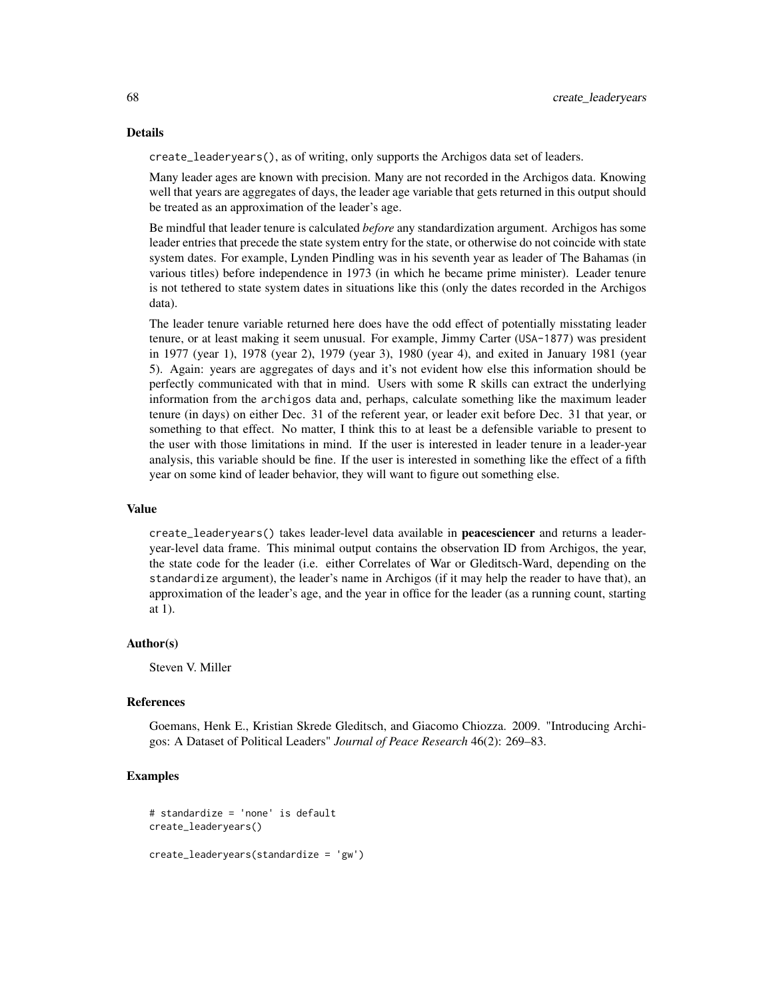#### Details

create\_leaderyears(), as of writing, only supports the Archigos data set of leaders.

Many leader ages are known with precision. Many are not recorded in the Archigos data. Knowing well that years are aggregates of days, the leader age variable that gets returned in this output should be treated as an approximation of the leader's age.

Be mindful that leader tenure is calculated *before* any standardization argument. Archigos has some leader entries that precede the state system entry for the state, or otherwise do not coincide with state system dates. For example, Lynden Pindling was in his seventh year as leader of The Bahamas (in various titles) before independence in 1973 (in which he became prime minister). Leader tenure is not tethered to state system dates in situations like this (only the dates recorded in the Archigos data).

The leader tenure variable returned here does have the odd effect of potentially misstating leader tenure, or at least making it seem unusual. For example, Jimmy Carter (USA-1877) was president in 1977 (year 1), 1978 (year 2), 1979 (year 3), 1980 (year 4), and exited in January 1981 (year 5). Again: years are aggregates of days and it's not evident how else this information should be perfectly communicated with that in mind. Users with some R skills can extract the underlying information from the archigos data and, perhaps, calculate something like the maximum leader tenure (in days) on either Dec. 31 of the referent year, or leader exit before Dec. 31 that year, or something to that effect. No matter, I think this to at least be a defensible variable to present to the user with those limitations in mind. If the user is interested in leader tenure in a leader-year analysis, this variable should be fine. If the user is interested in something like the effect of a fifth year on some kind of leader behavior, they will want to figure out something else.

#### Value

create\_leaderyears() takes leader-level data available in peacesciencer and returns a leaderyear-level data frame. This minimal output contains the observation ID from Archigos, the year, the state code for the leader (i.e. either Correlates of War or Gleditsch-Ward, depending on the standardize argument), the leader's name in Archigos (if it may help the reader to have that), an approximation of the leader's age, and the year in office for the leader (as a running count, starting at 1).

# Author(s)

Steven V. Miller

#### References

Goemans, Henk E., Kristian Skrede Gleditsch, and Giacomo Chiozza. 2009. "Introducing Archigos: A Dataset of Political Leaders" *Journal of Peace Research* 46(2): 269–83.

# Examples

```
# standardize = 'none' is default
create_leaderyears()
create_leaderyears(standardize = 'gw')
```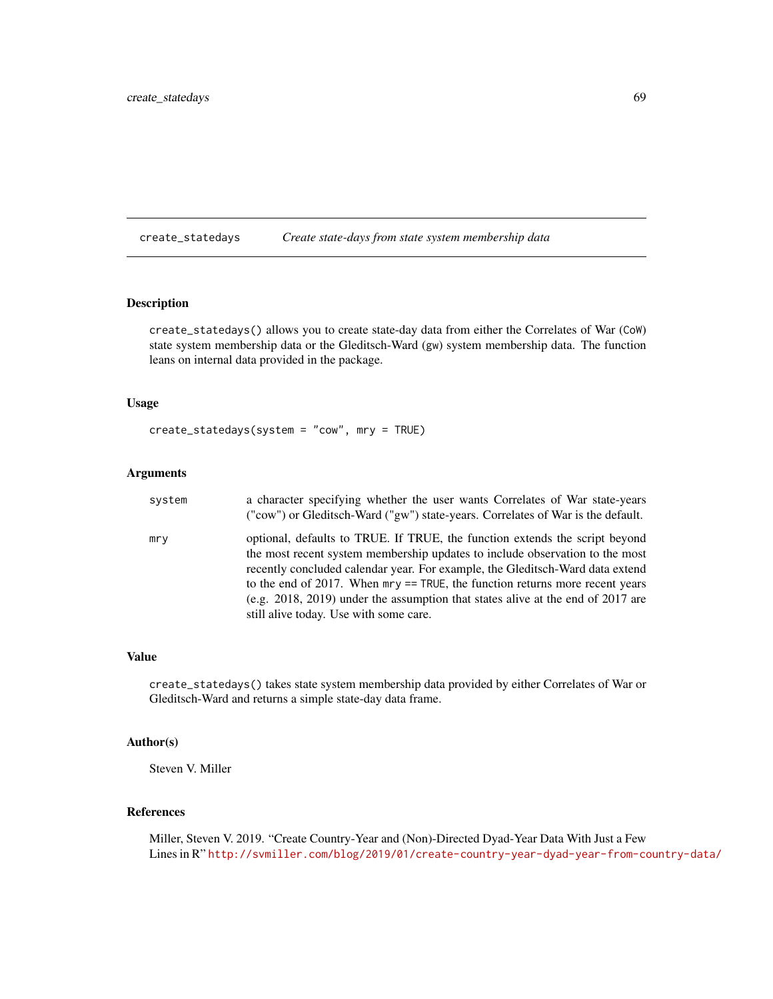create\_statedays *Create state-days from state system membership data*

#### Description

create\_statedays() allows you to create state-day data from either the Correlates of War (CoW) state system membership data or the Gleditsch-Ward (gw) system membership data. The function leans on internal data provided in the package.

# Usage

```
create_statedays(system = "cow", mry = TRUE)
```
# Arguments

| system | a character specifying whether the user wants Correlates of War state-years<br>("cow") or Gleditsch-Ward ("gw") state-years. Correlates of War is the default.                                                                                                                                                                                                                                                                                                      |
|--------|---------------------------------------------------------------------------------------------------------------------------------------------------------------------------------------------------------------------------------------------------------------------------------------------------------------------------------------------------------------------------------------------------------------------------------------------------------------------|
| mry    | optional, defaults to TRUE. If TRUE, the function extends the script beyond<br>the most recent system membership updates to include observation to the most<br>recently concluded calendar year. For example, the Gleditsch-Ward data extend<br>to the end of 2017. When $mry = TRUE$ , the function returns more recent years<br>(e.g. $2018$ , $2019$ ) under the assumption that states alive at the end of $2017$ are<br>still alive today. Use with some care. |

# Value

create\_statedays() takes state system membership data provided by either Correlates of War or Gleditsch-Ward and returns a simple state-day data frame.

# Author(s)

Steven V. Miller

# References

Miller, Steven V. 2019. "Create Country-Year and (Non)-Directed Dyad-Year Data With Just a Few Lines in R" <http://svmiller.com/blog/2019/01/create-country-year-dyad-year-from-country-data/>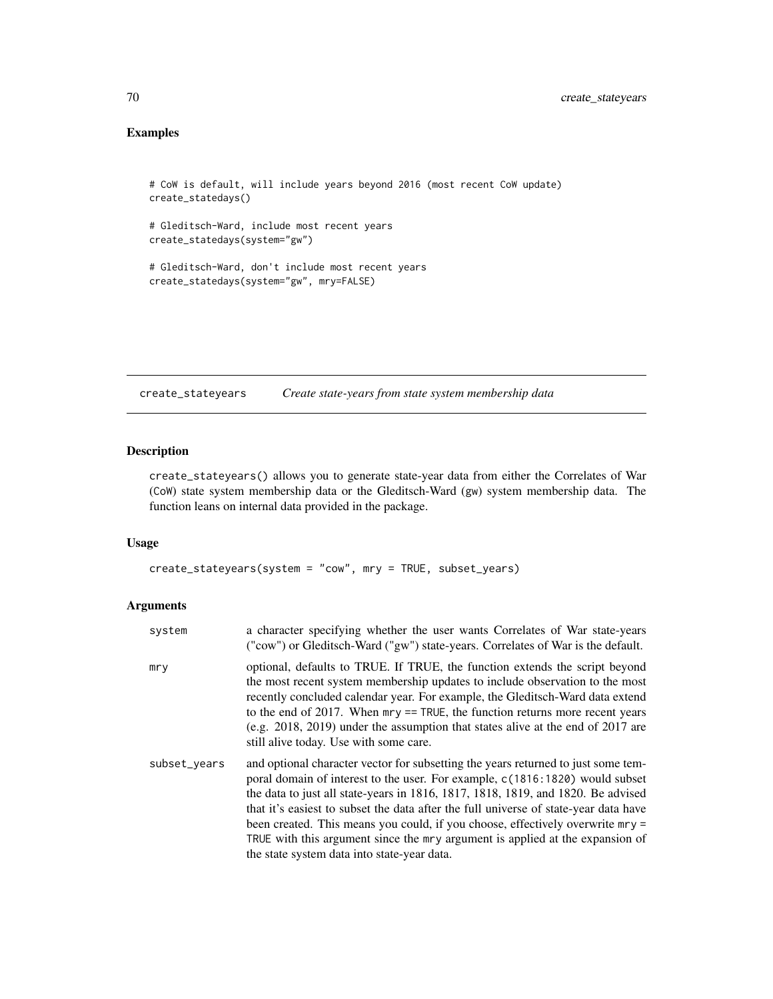# Examples

```
# CoW is default, will include years beyond 2016 (most recent CoW update)
create_statedays()
# Gleditsch-Ward, include most recent years
create_statedays(system="gw")
# Gleditsch-Ward, don't include most recent years
create_statedays(system="gw", mry=FALSE)
```
create\_stateyears *Create state-years from state system membership data*

# Description

create\_stateyears() allows you to generate state-year data from either the Correlates of War (CoW) state system membership data or the Gleditsch-Ward (gw) system membership data. The function leans on internal data provided in the package.

## Usage

```
create_stateyears(system = "cow", mry = TRUE, subset_years)
```
# Arguments

| system       | a character specifying whether the user wants Correlates of War state-years<br>("cow") or Gleditsch-Ward ("gw") state-years. Correlates of War is the default.                                                                                                                                                                                                                                                                                                                                                                                                  |
|--------------|-----------------------------------------------------------------------------------------------------------------------------------------------------------------------------------------------------------------------------------------------------------------------------------------------------------------------------------------------------------------------------------------------------------------------------------------------------------------------------------------------------------------------------------------------------------------|
| mry          | optional, defaults to TRUE. If TRUE, the function extends the script beyond<br>the most recent system membership updates to include observation to the most<br>recently concluded calendar year. For example, the Gleditsch-Ward data extend<br>to the end of 2017. When $mry = TRUE$ , the function returns more recent years<br>(e.g. 2018, 2019) under the assumption that states alive at the end of 2017 are<br>still alive today. Use with some care.                                                                                                     |
| subset_vears | and optional character vector for subsetting the years returned to just some tem-<br>poral domain of interest to the user. For example, c(1816:1820) would subset<br>the data to just all state-years in 1816, 1817, 1818, 1819, and 1820. Be advised<br>that it's easiest to subset the data after the full universe of state-year data have<br>been created. This means you could, if you choose, effectively overwrite mry =<br>TRUE with this argument since the mry argument is applied at the expansion of<br>the state system data into state-year data. |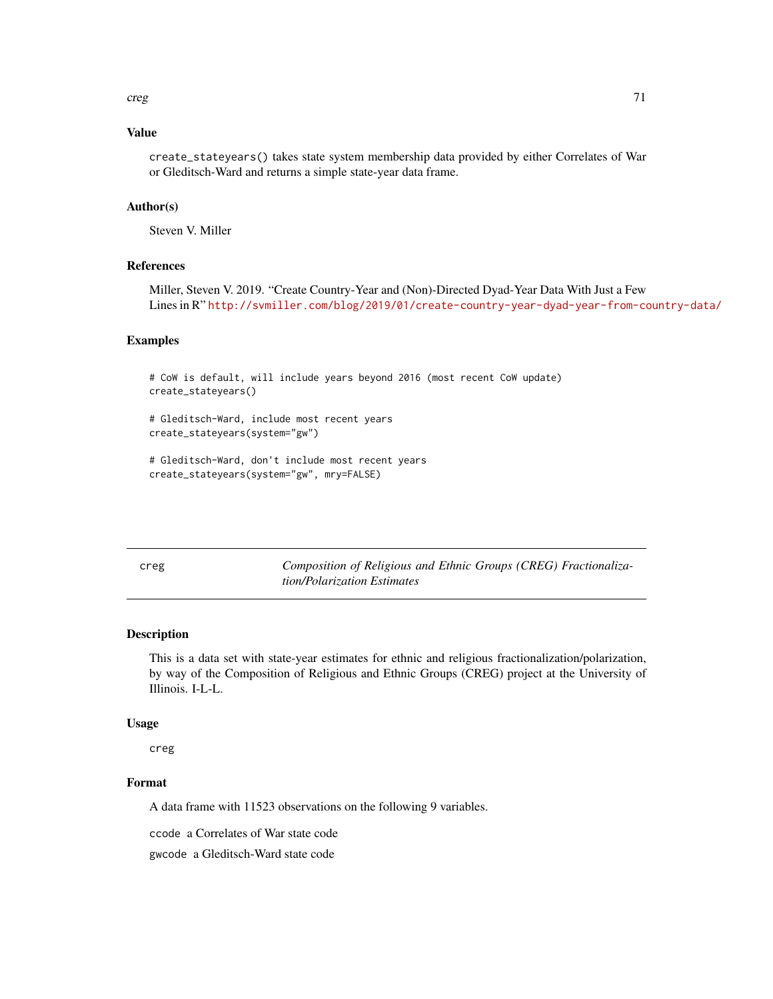creg 21 and 22 and 22 and 22 and 23 and 23 and 23 and 23 and 23 and 23 and 23 and 24 and 25 and 25 and 26 and 26 and 27 and 27 and 27 and 27 and 27 and 27 and 27 and 27 and 27 and 27 and 27 and 27 and 27 and 27 and 27 and

## Value

create\_stateyears() takes state system membership data provided by either Correlates of War or Gleditsch-Ward and returns a simple state-year data frame.

# Author(s)

Steven V. Miller

## References

Miller, Steven V. 2019. "Create Country-Year and (Non)-Directed Dyad-Year Data With Just a Few Lines in R" <http://svmiller.com/blog/2019/01/create-country-year-dyad-year-from-country-data/>

# Examples

```
# CoW is default, will include years beyond 2016 (most recent CoW update)
create_stateyears()
# Gleditsch-Ward, include most recent years
create_stateyears(system="gw")
# Gleditsch-Ward, don't include most recent years
create_stateyears(system="gw", mry=FALSE)
```
creg *Composition of Religious and Ethnic Groups (CREG) Fractionalization/Polarization Estimates*

## Description

This is a data set with state-year estimates for ethnic and religious fractionalization/polarization, by way of the Composition of Religious and Ethnic Groups (CREG) project at the University of Illinois. I-L-L.

## Usage

creg

# Format

A data frame with 11523 observations on the following 9 variables.

ccode a Correlates of War state code

gwcode a Gleditsch-Ward state code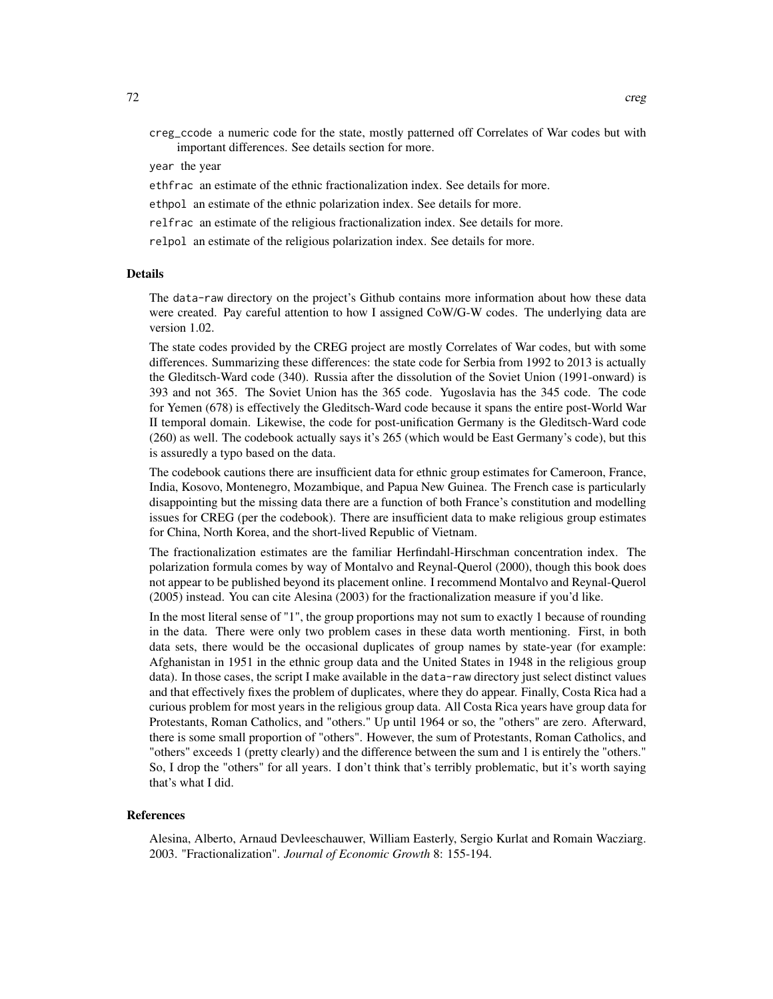creg\_ccode a numeric code for the state, mostly patterned off Correlates of War codes but with important differences. See details section for more.

year the year

ethfrac an estimate of the ethnic fractionalization index. See details for more.

- ethpol an estimate of the ethnic polarization index. See details for more.
- relfrac an estimate of the religious fractionalization index. See details for more.
- relpol an estimate of the religious polarization index. See details for more.

#### Details

The data-raw directory on the project's Github contains more information about how these data were created. Pay careful attention to how I assigned CoW/G-W codes. The underlying data are version 1.02.

The state codes provided by the CREG project are mostly Correlates of War codes, but with some differences. Summarizing these differences: the state code for Serbia from 1992 to 2013 is actually the Gleditsch-Ward code (340). Russia after the dissolution of the Soviet Union (1991-onward) is 393 and not 365. The Soviet Union has the 365 code. Yugoslavia has the 345 code. The code for Yemen (678) is effectively the Gleditsch-Ward code because it spans the entire post-World War II temporal domain. Likewise, the code for post-unification Germany is the Gleditsch-Ward code (260) as well. The codebook actually says it's 265 (which would be East Germany's code), but this is assuredly a typo based on the data.

The codebook cautions there are insufficient data for ethnic group estimates for Cameroon, France, India, Kosovo, Montenegro, Mozambique, and Papua New Guinea. The French case is particularly disappointing but the missing data there are a function of both France's constitution and modelling issues for CREG (per the codebook). There are insufficient data to make religious group estimates for China, North Korea, and the short-lived Republic of Vietnam.

The fractionalization estimates are the familiar Herfindahl-Hirschman concentration index. The polarization formula comes by way of Montalvo and Reynal-Querol (2000), though this book does not appear to be published beyond its placement online. I recommend Montalvo and Reynal-Querol (2005) instead. You can cite Alesina (2003) for the fractionalization measure if you'd like.

In the most literal sense of "1", the group proportions may not sum to exactly 1 because of rounding in the data. There were only two problem cases in these data worth mentioning. First, in both data sets, there would be the occasional duplicates of group names by state-year (for example: Afghanistan in 1951 in the ethnic group data and the United States in 1948 in the religious group data). In those cases, the script I make available in the data-raw directory just select distinct values and that effectively fixes the problem of duplicates, where they do appear. Finally, Costa Rica had a curious problem for most years in the religious group data. All Costa Rica years have group data for Protestants, Roman Catholics, and "others." Up until 1964 or so, the "others" are zero. Afterward, there is some small proportion of "others". However, the sum of Protestants, Roman Catholics, and "others" exceeds 1 (pretty clearly) and the difference between the sum and 1 is entirely the "others." So, I drop the "others" for all years. I don't think that's terribly problematic, but it's worth saying that's what I did.

#### References

Alesina, Alberto, Arnaud Devleeschauwer, William Easterly, Sergio Kurlat and Romain Wacziarg. 2003. "Fractionalization". *Journal of Economic Growth* 8: 155-194.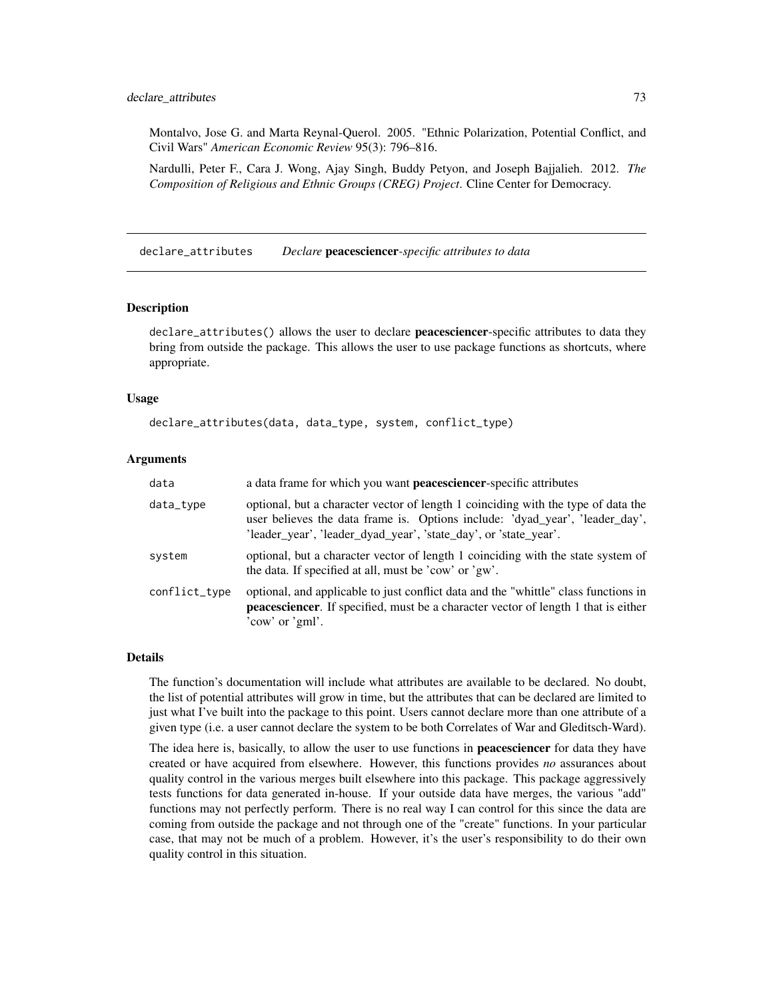Montalvo, Jose G. and Marta Reynal-Querol. 2005. "Ethnic Polarization, Potential Conflict, and Civil Wars" *American Economic Review* 95(3): 796–816.

Nardulli, Peter F., Cara J. Wong, Ajay Singh, Buddy Petyon, and Joseph Bajjalieh. 2012. *The Composition of Religious and Ethnic Groups (CREG) Project*. Cline Center for Democracy.

declare\_attributes *Declare* peacesciencer*-specific attributes to data*

#### Description

declare\_attributes() allows the user to declare peacesciencer-specific attributes to data they bring from outside the package. This allows the user to use package functions as shortcuts, where appropriate.

## Usage

```
declare_attributes(data, data_type, system, conflict_type)
```
## Arguments

| data          | a data frame for which you want peacesciencer-specific attributes                                                                                                                                                                     |
|---------------|---------------------------------------------------------------------------------------------------------------------------------------------------------------------------------------------------------------------------------------|
| data_type     | optional, but a character vector of length 1 coinciding with the type of data the<br>user believes the data frame is. Options include: 'dyad_year', 'leader_day',<br>'leader_year', 'leader_dyad_year', 'state_day', or 'state_year'. |
| system        | optional, but a character vector of length 1 coinciding with the state system of<br>the data. If specified at all, must be 'cow' or 'gw'.                                                                                             |
| conflict_type | optional, and applicable to just conflict data and the "whittle" class functions in<br><b>peacesciencer</b> . If specified, must be a character vector of length 1 that is either<br>'cow' or 'gml'.                                  |

#### Details

The function's documentation will include what attributes are available to be declared. No doubt, the list of potential attributes will grow in time, but the attributes that can be declared are limited to just what I've built into the package to this point. Users cannot declare more than one attribute of a given type (i.e. a user cannot declare the system to be both Correlates of War and Gleditsch-Ward).

The idea here is, basically, to allow the user to use functions in **peacesciencer** for data they have created or have acquired from elsewhere. However, this functions provides *no* assurances about quality control in the various merges built elsewhere into this package. This package aggressively tests functions for data generated in-house. If your outside data have merges, the various "add" functions may not perfectly perform. There is no real way I can control for this since the data are coming from outside the package and not through one of the "create" functions. In your particular case, that may not be much of a problem. However, it's the user's responsibility to do their own quality control in this situation.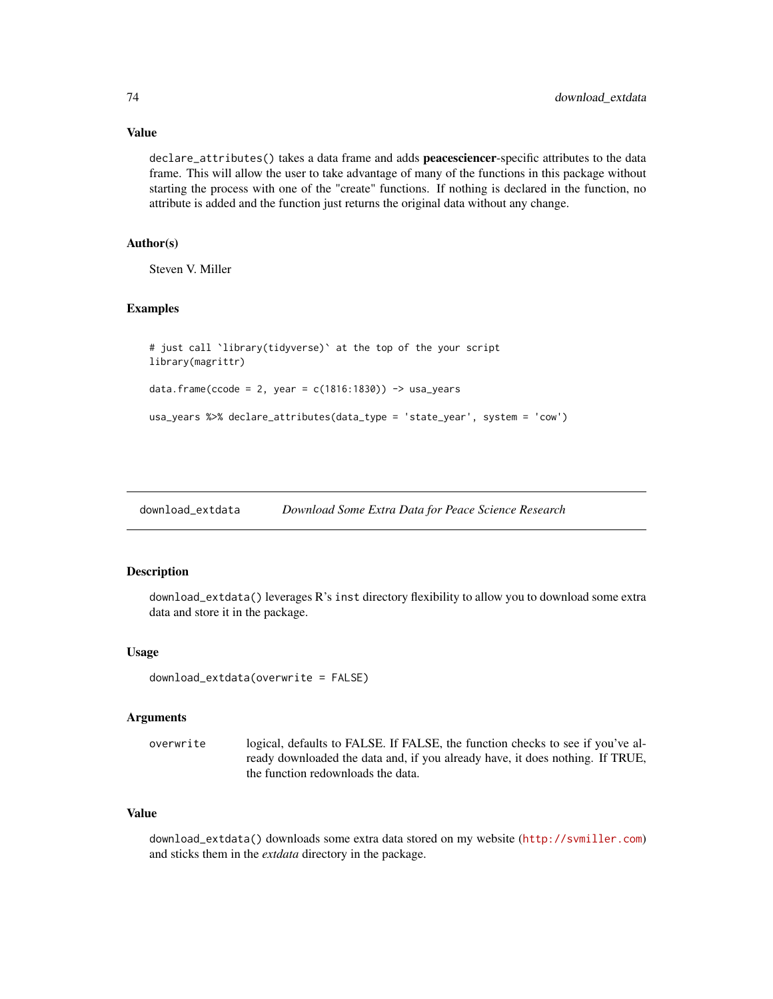# Value

declare\_attributes() takes a data frame and adds **peacesciencer**-specific attributes to the data frame. This will allow the user to take advantage of many of the functions in this package without starting the process with one of the "create" functions. If nothing is declared in the function, no attribute is added and the function just returns the original data without any change.

# Author(s)

Steven V. Miller

# Examples

```
# just call `library(tidyverse)` at the top of the your script
library(magrittr)
data.frame(ccode = 2, year = c(1816:1830)) -> usa_years
usa_years %>% declare_attributes(data_type = 'state_year', system = 'cow')
```
download\_extdata *Download Some Extra Data for Peace Science Research*

# **Description**

download\_extdata() leverages R's inst directory flexibility to allow you to download some extra data and store it in the package.

## Usage

```
download_extdata(overwrite = FALSE)
```
#### Arguments

overwrite logical, defaults to FALSE. If FALSE, the function checks to see if you've already downloaded the data and, if you already have, it does nothing. If TRUE, the function redownloads the data.

# Value

download\_extdata() downloads some extra data stored on my website (<http://svmiller.com>) and sticks them in the *extdata* directory in the package.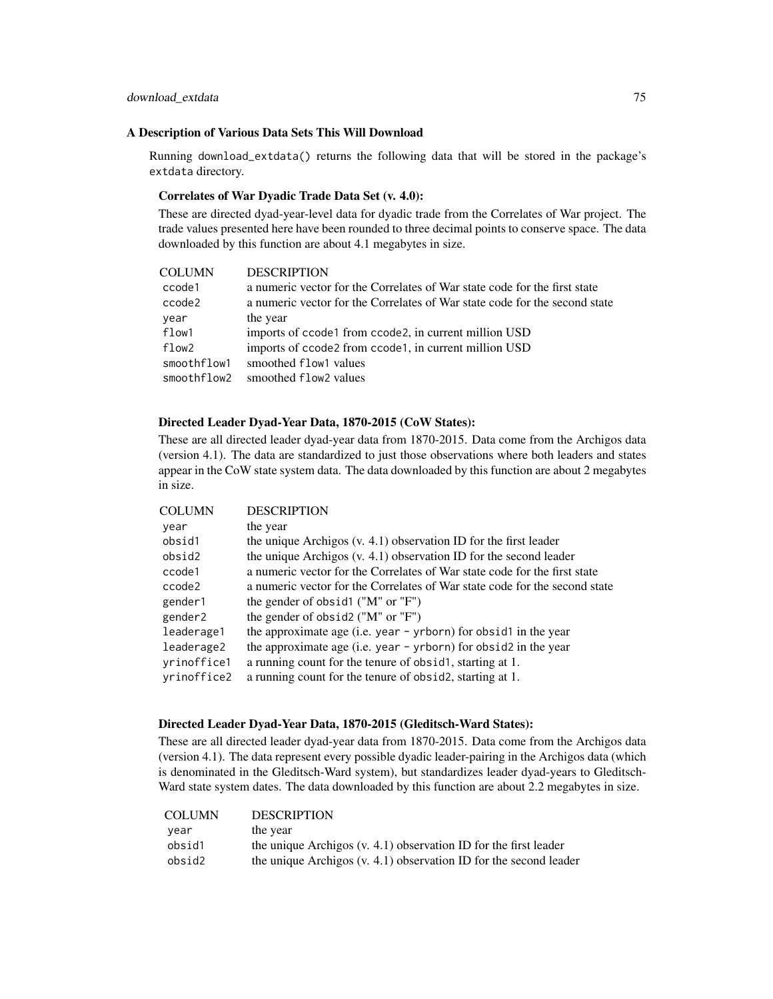#### A Description of Various Data Sets This Will Download

Running download\_extdata() returns the following data that will be stored in the package's extdata directory.

## Correlates of War Dyadic Trade Data Set (v. 4.0):

These are directed dyad-year-level data for dyadic trade from the Correlates of War project. The trade values presented here have been rounded to three decimal points to conserve space. The data downloaded by this function are about 4.1 megabytes in size.

| <b>COLUMN</b>     | <b>DESCRIPTION</b>                                                         |
|-------------------|----------------------------------------------------------------------------|
| ccode1            | a numeric vector for the Correlates of War state code for the first state  |
| ccode2            | a numeric vector for the Correlates of War state code for the second state |
| year              | the year                                                                   |
| flow1             | imports of ccode1 from ccode2, in current million USD                      |
| flow <sub>2</sub> | imports of ccode2 from ccode1, in current million USD                      |
| smoothflow1       | smoothed flow1 values                                                      |
| smoothflow2       | smoothed flow2 values                                                      |

## Directed Leader Dyad-Year Data, 1870-2015 (CoW States):

These are all directed leader dyad-year data from 1870-2015. Data come from the Archigos data (version 4.1). The data are standardized to just those observations where both leaders and states appear in the CoW state system data. The data downloaded by this function are about 2 megabytes in size.

| <b>COLUMN</b>      | <b>DESCRIPTION</b>                                                         |
|--------------------|----------------------------------------------------------------------------|
| year               | the year                                                                   |
| obsid1             | the unique Archigos $(v. 4.1)$ observation ID for the first leader         |
| obsid2             | the unique Archigos $(v. 4.1)$ observation ID for the second leader        |
| ccode1             | a numeric vector for the Correlates of War state code for the first state  |
| ccode <sub>2</sub> | a numeric vector for the Correlates of War state code for the second state |
| gender1            | the gender of obsid1 (" $M$ " or " $F$ ")                                  |
| gender2            | the gender of obsid2 (" $M$ " or " $F$ ")                                  |
| leaderage1         | the approximate age (i.e. year $-$ yrborn) for obsid1 in the year          |
| leaderage2         | the approximate age (i.e. year - yrborn) for obsid2 in the year            |
| yrinoffice1        | a running count for the tenure of obsider, starting at 1.                  |
| yrinoffice2        | a running count for the tenure of obside, starting at 1.                   |

#### Directed Leader Dyad-Year Data, 1870-2015 (Gleditsch-Ward States):

These are all directed leader dyad-year data from 1870-2015. Data come from the Archigos data (version 4.1). The data represent every possible dyadic leader-pairing in the Archigos data (which is denominated in the Gleditsch-Ward system), but standardizes leader dyad-years to Gleditsch-Ward state system dates. The data downloaded by this function are about 2.2 megabytes in size.

| <b>COLUMN</b> | <b>DESCRIPTION</b>                                                  |
|---------------|---------------------------------------------------------------------|
| year          | the year                                                            |
| obsid1        | the unique Archigos $(v, 4.1)$ observation ID for the first leader  |
| obsid2        | the unique Archigos $(v. 4.1)$ observation ID for the second leader |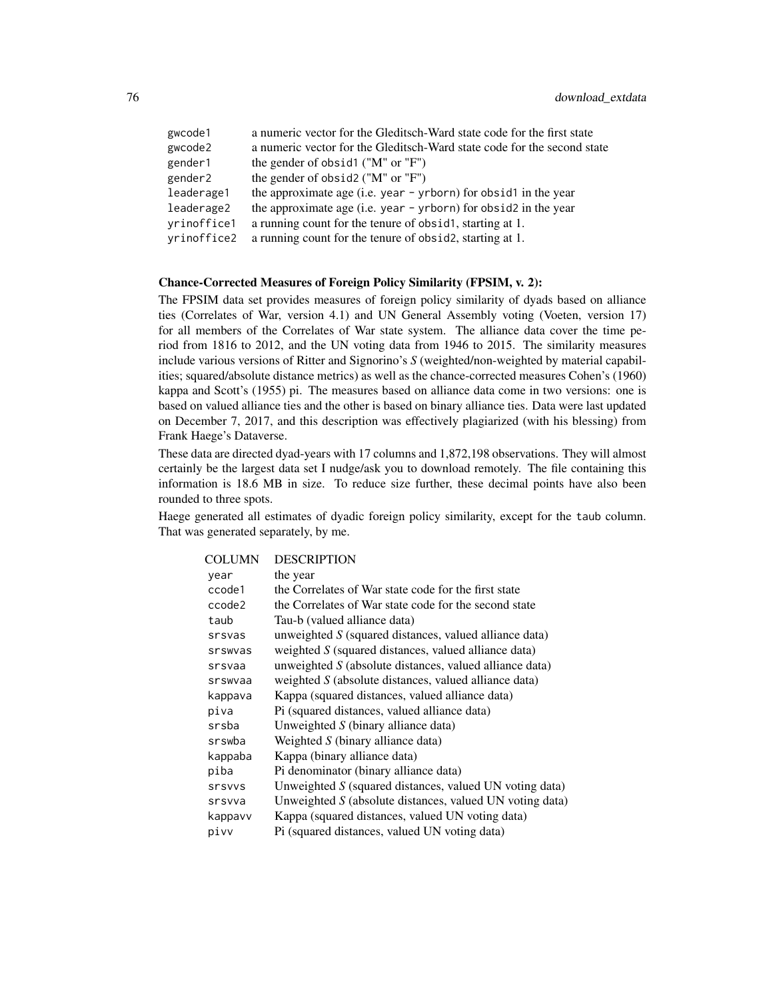| gwcode1     | a numeric vector for the Gleditsch-Ward state code for the first state  |
|-------------|-------------------------------------------------------------------------|
| gwcode2     | a numeric vector for the Gleditsch-Ward state code for the second state |
| gender1     | the gender of obsid1 $("M" or "F")$                                     |
| gender2     | the gender of obsid2 ("M" or "F")                                       |
| leaderage1  | the approximate age (i.e. year $-$ yrborn) for obsid1 in the year       |
| leaderage2  | the approximate age (i.e. year $-$ yrborn) for obsid2 in the year       |
| yrinoffice1 | a running count for the tenure of obsider, starting at 1.               |
| yrinoffice2 | a running count for the tenure of obsid2, starting at 1.                |

#### Chance-Corrected Measures of Foreign Policy Similarity (FPSIM, v. 2):

The FPSIM data set provides measures of foreign policy similarity of dyads based on alliance ties (Correlates of War, version 4.1) and UN General Assembly voting (Voeten, version 17) for all members of the Correlates of War state system. The alliance data cover the time period from 1816 to 2012, and the UN voting data from 1946 to 2015. The similarity measures include various versions of Ritter and Signorino's *S* (weighted/non-weighted by material capabilities; squared/absolute distance metrics) as well as the chance-corrected measures Cohen's (1960) kappa and Scott's (1955) pi. The measures based on alliance data come in two versions: one is based on valued alliance ties and the other is based on binary alliance ties. Data were last updated on December 7, 2017, and this description was effectively plagiarized (with his blessing) from Frank Haege's Dataverse.

These data are directed dyad-years with 17 columns and 1,872,198 observations. They will almost certainly be the largest data set I nudge/ask you to download remotely. The file containing this information is 18.6 MB in size. To reduce size further, these decimal points have also been rounded to three spots.

Haege generated all estimates of dyadic foreign policy similarity, except for the taub column. That was generated separately, by me.

| COLUMN  | <b>DESCRIPTION</b>                                        |
|---------|-----------------------------------------------------------|
| year    | the year                                                  |
| ccode1  | the Correlates of War state code for the first state      |
| ccode2  | the Correlates of War state code for the second state     |
| taub    | Tau-b (valued alliance data)                              |
| srsvas  | unweighted $S$ (squared distances, valued alliance data)  |
| srswyas | weighted S (squared distances, valued alliance data)      |
| srsvaa  | unweighted $S$ (absolute distances, valued alliance data) |
| srswyaa | weighted S (absolute distances, valued alliance data)     |
| kappava | Kappa (squared distances, valued alliance data)           |
| piva    | Pi (squared distances, valued alliance data)              |
| srsba   | Unweighted $S$ (binary alliance data)                     |
| srswba  | Weighted $S$ (binary alliance data)                       |
| kappaba | Kappa (binary alliance data)                              |
| piba    | Pi denominator (binary alliance data)                     |
| srsvvs  | Unweighted S (squared distances, valued UN voting data)   |
| srsvva  | Unweighted S (absolute distances, valued UN voting data)  |
| kappavv | Kappa (squared distances, valued UN voting data)          |
| pivv    | Pi (squared distances, valued UN voting data)             |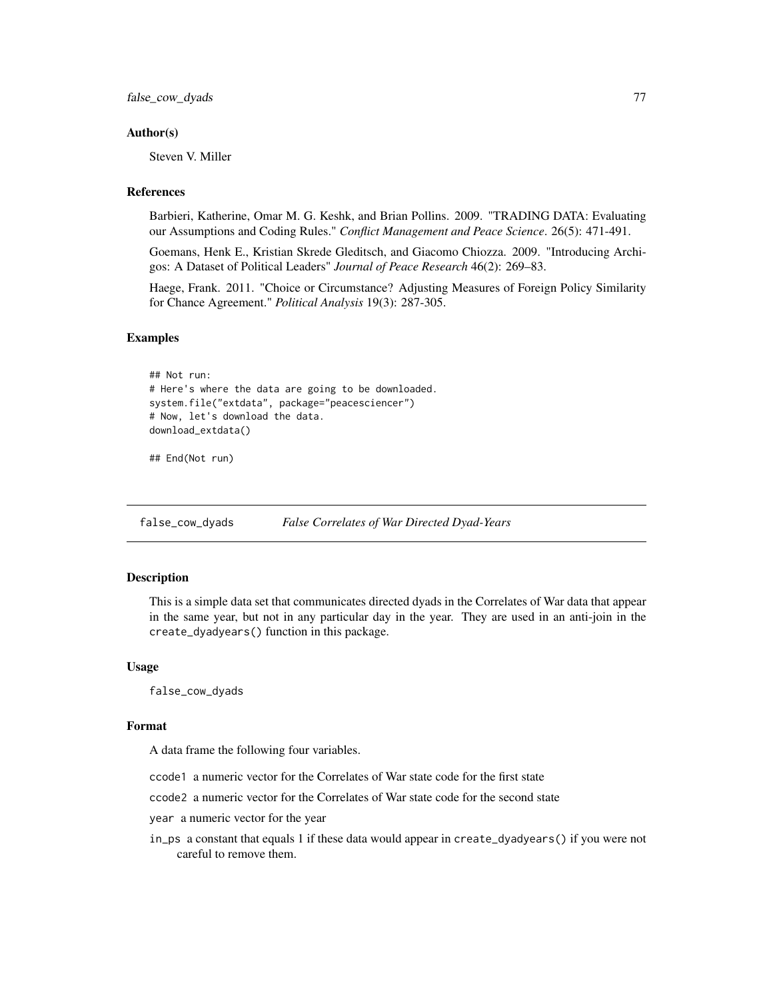## Author(s)

Steven V. Miller

# References

Barbieri, Katherine, Omar M. G. Keshk, and Brian Pollins. 2009. "TRADING DATA: Evaluating our Assumptions and Coding Rules." *Conflict Management and Peace Science*. 26(5): 471-491.

Goemans, Henk E., Kristian Skrede Gleditsch, and Giacomo Chiozza. 2009. "Introducing Archigos: A Dataset of Political Leaders" *Journal of Peace Research* 46(2): 269–83.

Haege, Frank. 2011. "Choice or Circumstance? Adjusting Measures of Foreign Policy Similarity for Chance Agreement." *Political Analysis* 19(3): 287-305.

## Examples

```
## Not run:
# Here's where the data are going to be downloaded.
system.file("extdata", package="peacesciencer")
# Now, let's download the data.
download_extdata()
```
## End(Not run)

false\_cow\_dyads *False Correlates of War Directed Dyad-Years*

#### **Description**

This is a simple data set that communicates directed dyads in the Correlates of War data that appear in the same year, but not in any particular day in the year. They are used in an anti-join in the create\_dyadyears() function in this package.

## Usage

false\_cow\_dyads

## Format

A data frame the following four variables.

ccode1 a numeric vector for the Correlates of War state code for the first state

ccode2 a numeric vector for the Correlates of War state code for the second state

- year a numeric vector for the year
- in\_ps a constant that equals 1 if these data would appear in create\_dyadyears() if you were not careful to remove them.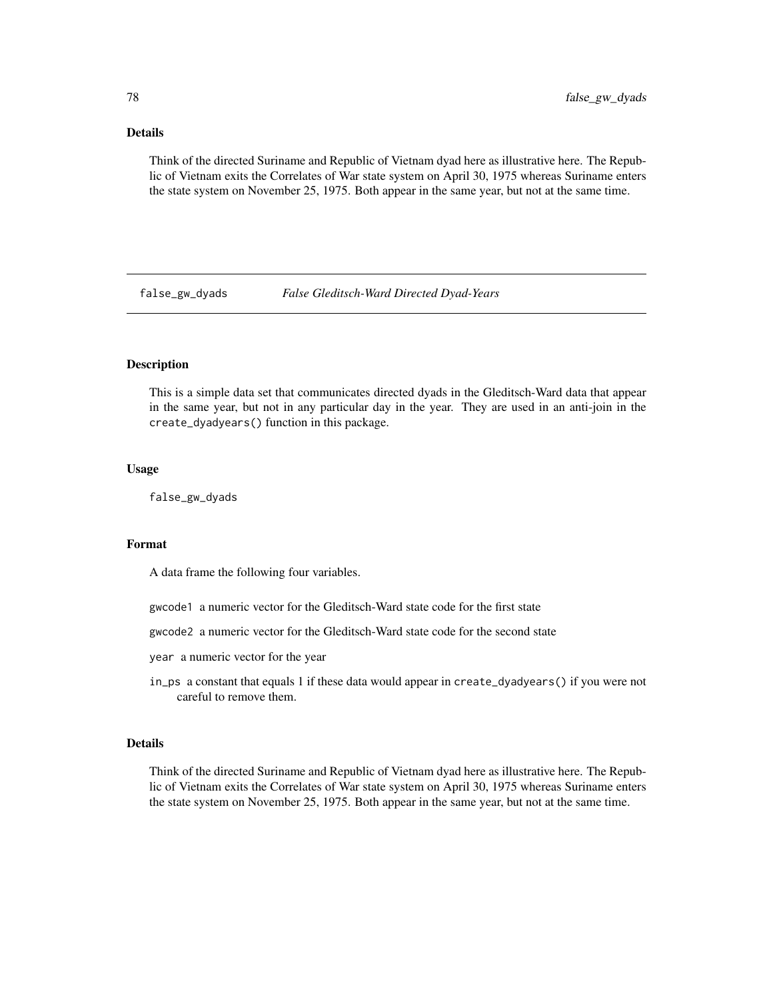Think of the directed Suriname and Republic of Vietnam dyad here as illustrative here. The Republic of Vietnam exits the Correlates of War state system on April 30, 1975 whereas Suriname enters the state system on November 25, 1975. Both appear in the same year, but not at the same time.

false\_gw\_dyads *False Gleditsch-Ward Directed Dyad-Years*

# Description

This is a simple data set that communicates directed dyads in the Gleditsch-Ward data that appear in the same year, but not in any particular day in the year. They are used in an anti-join in the create\_dyadyears() function in this package.

#### Usage

false\_gw\_dyads

# Format

A data frame the following four variables.

gwcode1 a numeric vector for the Gleditsch-Ward state code for the first state

gwcode2 a numeric vector for the Gleditsch-Ward state code for the second state

- year a numeric vector for the year
- in\_ps a constant that equals 1 if these data would appear in create\_dyadyears() if you were not careful to remove them.

# Details

Think of the directed Suriname and Republic of Vietnam dyad here as illustrative here. The Republic of Vietnam exits the Correlates of War state system on April 30, 1975 whereas Suriname enters the state system on November 25, 1975. Both appear in the same year, but not at the same time.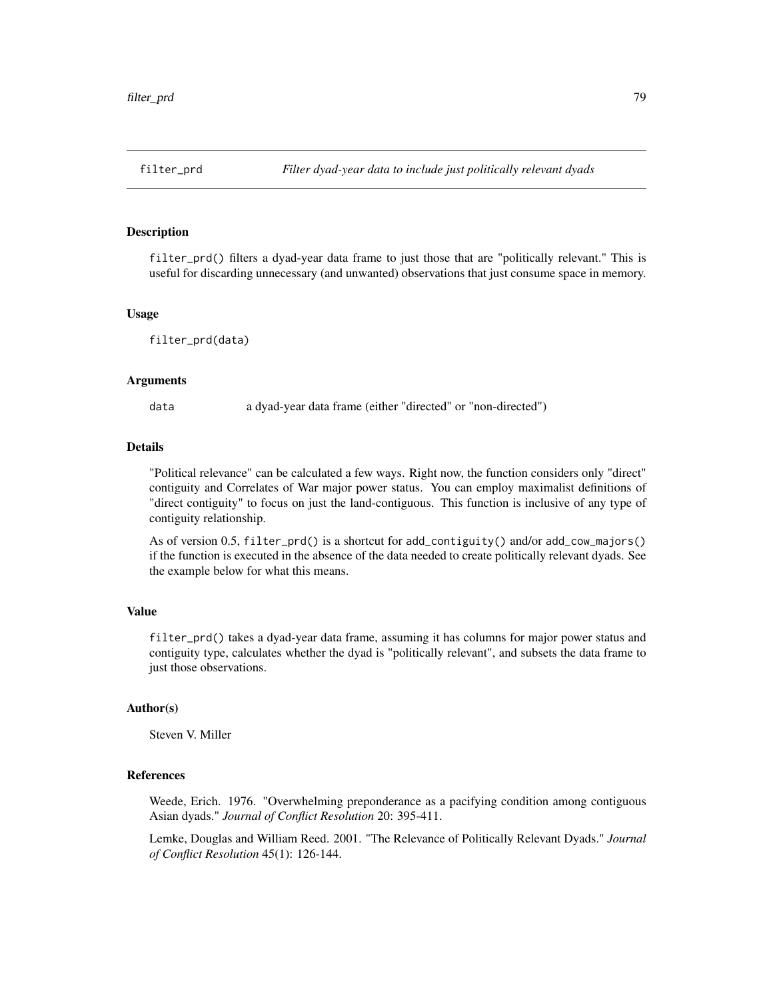filter\_prd() filters a dyad-year data frame to just those that are "politically relevant." This is useful for discarding unnecessary (and unwanted) observations that just consume space in memory.

## Usage

filter\_prd(data)

## Arguments

data a dyad-year data frame (either "directed" or "non-directed")

# **Details**

"Political relevance" can be calculated a few ways. Right now, the function considers only "direct" contiguity and Correlates of War major power status. You can employ maximalist definitions of "direct contiguity" to focus on just the land-contiguous. This function is inclusive of any type of contiguity relationship.

As of version 0.5, filter\_prd() is a shortcut for add\_contiguity() and/or add\_cow\_majors() if the function is executed in the absence of the data needed to create politically relevant dyads. See the example below for what this means.

# Value

filter\_prd() takes a dyad-year data frame, assuming it has columns for major power status and contiguity type, calculates whether the dyad is "politically relevant", and subsets the data frame to just those observations.

## Author(s)

Steven V. Miller

# References

Weede, Erich. 1976. "Overwhelming preponderance as a pacifying condition among contiguous Asian dyads." *Journal of Conflict Resolution* 20: 395-411.

Lemke, Douglas and William Reed. 2001. "The Relevance of Politically Relevant Dyads." *Journal of Conflict Resolution* 45(1): 126-144.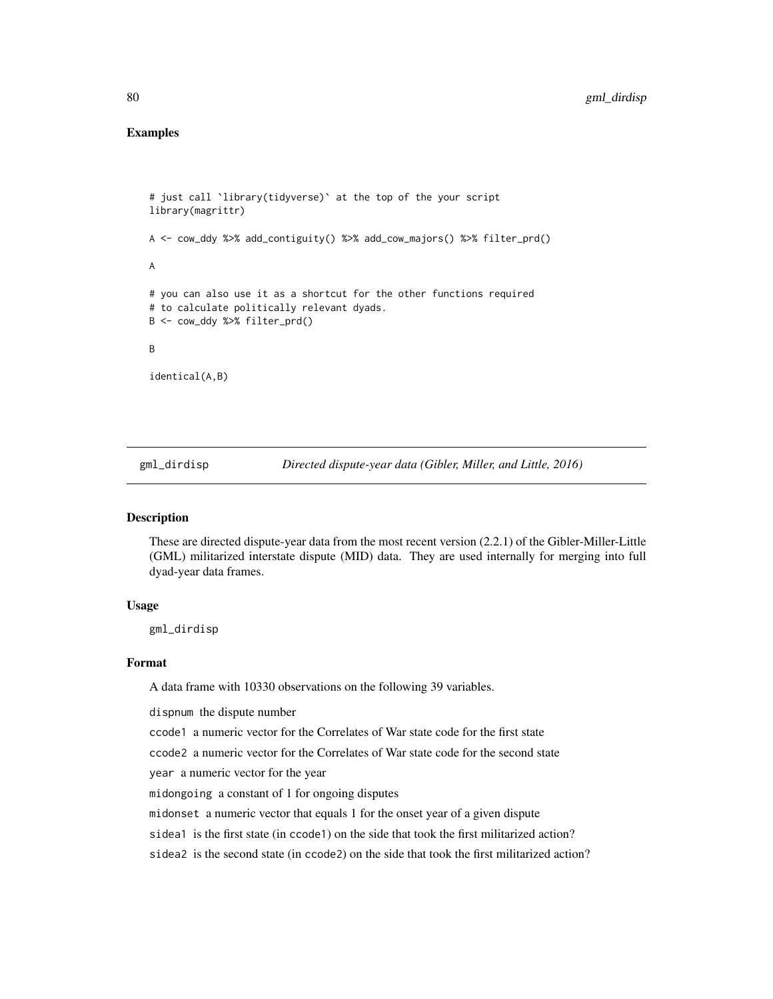# Examples

```
# just call `library(tidyverse)` at the top of the your script
library(magrittr)
A <- cow_ddy %>% add_contiguity() %>% add_cow_majors() %>% filter_prd()
A
# you can also use it as a shortcut for the other functions required
# to calculate politically relevant dyads.
B <- cow_ddy %>% filter_prd()
B
identical(A,B)
```
gml\_dirdisp *Directed dispute-year data (Gibler, Miller, and Little, 2016)*

# Description

These are directed dispute-year data from the most recent version (2.2.1) of the Gibler-Miller-Little (GML) militarized interstate dispute (MID) data. They are used internally for merging into full dyad-year data frames.

#### Usage

gml\_dirdisp

#### Format

A data frame with 10330 observations on the following 39 variables.

dispnum the dispute number

ccode1 a numeric vector for the Correlates of War state code for the first state

ccode2 a numeric vector for the Correlates of War state code for the second state

year a numeric vector for the year

midongoing a constant of 1 for ongoing disputes

midonset a numeric vector that equals 1 for the onset year of a given dispute

sidea1 is the first state (in ccode1) on the side that took the first militarized action?

sidea2 is the second state (in ccode2) on the side that took the first militarized action?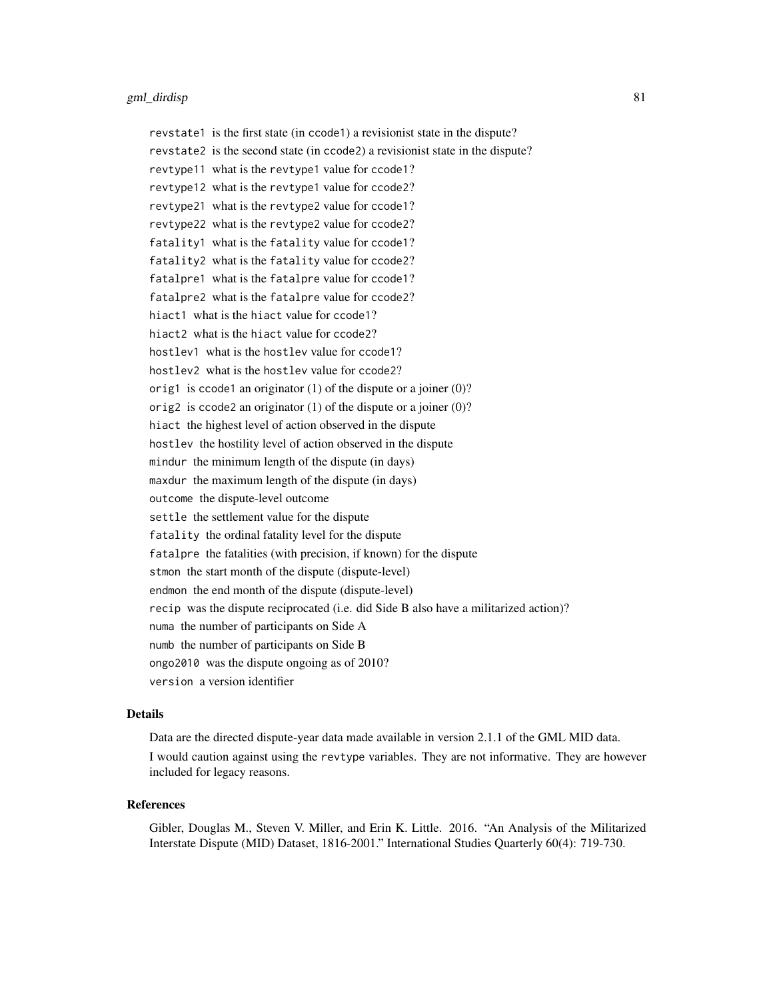revstate1 is the first state (in ccode1) a revisionist state in the dispute? revstate2 is the second state (in ccode2) a revisionist state in the dispute? revtype11 what is the revtype1 value for ccode1? revtype12 what is the revtype1 value for ccode2? revtype21 what is the revtype2 value for ccode1? revtype22 what is the revtype2 value for ccode2? fatality1 what is the fatality value for ccode1? fatality2 what is the fatality value for ccode2? fatalpre1 what is the fatalpre value for ccode1? fatalpre2 what is the fatalpre value for ccode2? hiact1 what is the hiact value for ccode1? hiact2 what is the hiact value for ccode2? hostlev1 what is the hostlev value for ccode1? hostlev2 what is the hostlev value for ccode2? orig1 is ccode1 an originator (1) of the dispute or a joiner (0)? orig2 is ccode2 an originator (1) of the dispute or a joiner (0)? hiact the highest level of action observed in the dispute hostlev the hostility level of action observed in the dispute mindur the minimum length of the dispute (in days) maxdur the maximum length of the dispute (in days) outcome the dispute-level outcome settle the settlement value for the dispute fatality the ordinal fatality level for the dispute fatalpre the fatalities (with precision, if known) for the dispute stmon the start month of the dispute (dispute-level) endmon the end month of the dispute (dispute-level) recip was the dispute reciprocated (i.e. did Side B also have a militarized action)? numa the number of participants on Side A numb the number of participants on Side B ongo2010 was the dispute ongoing as of 2010? version a version identifier

# **Details**

Data are the directed dispute-year data made available in version 2.1.1 of the GML MID data. I would caution against using the revtype variables. They are not informative. They are however included for legacy reasons.

## References

Gibler, Douglas M., Steven V. Miller, and Erin K. Little. 2016. "An Analysis of the Militarized Interstate Dispute (MID) Dataset, 1816-2001." International Studies Quarterly 60(4): 719-730.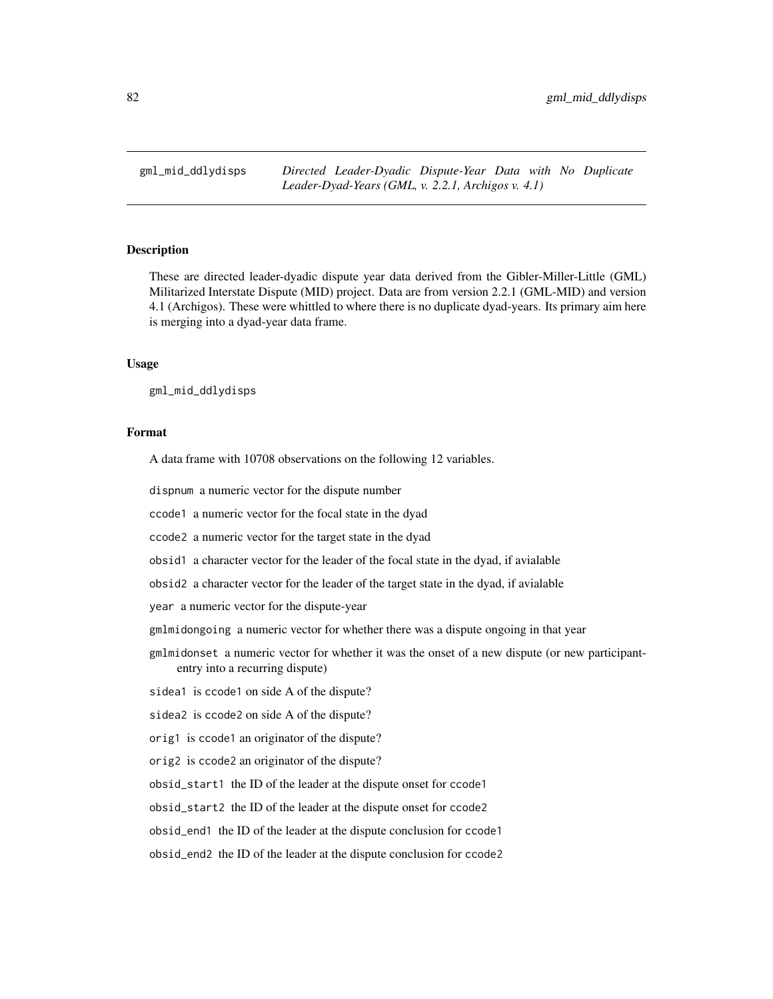gml\_mid\_ddlydisps *Directed Leader-Dyadic Dispute-Year Data with No Duplicate Leader-Dyad-Years (GML, v. 2.2.1, Archigos v. 4.1)*

# Description

These are directed leader-dyadic dispute year data derived from the Gibler-Miller-Little (GML) Militarized Interstate Dispute (MID) project. Data are from version 2.2.1 (GML-MID) and version 4.1 (Archigos). These were whittled to where there is no duplicate dyad-years. Its primary aim here is merging into a dyad-year data frame.

## Usage

gml\_mid\_ddlydisps

## Format

A data frame with 10708 observations on the following 12 variables.

dispnum a numeric vector for the dispute number

ccode1 a numeric vector for the focal state in the dyad

ccode2 a numeric vector for the target state in the dyad

obsid1 a character vector for the leader of the focal state in the dyad, if avialable

obsid2 a character vector for the leader of the target state in the dyad, if avialable

year a numeric vector for the dispute-year

gmlmidongoing a numeric vector for whether there was a dispute ongoing in that year

gmlmidonset a numeric vector for whether it was the onset of a new dispute (or new participantentry into a recurring dispute)

sidea1 is ccode1 on side A of the dispute?

sidea2 is ccode2 on side A of the dispute?

orig1 is ccode1 an originator of the dispute?

orig2 is ccode2 an originator of the dispute?

obsid\_start1 the ID of the leader at the dispute onset for ccode1

obsid\_start2 the ID of the leader at the dispute onset for ccode2

obsid\_end1 the ID of the leader at the dispute conclusion for ccode1

obsid\_end2 the ID of the leader at the dispute conclusion for ccode2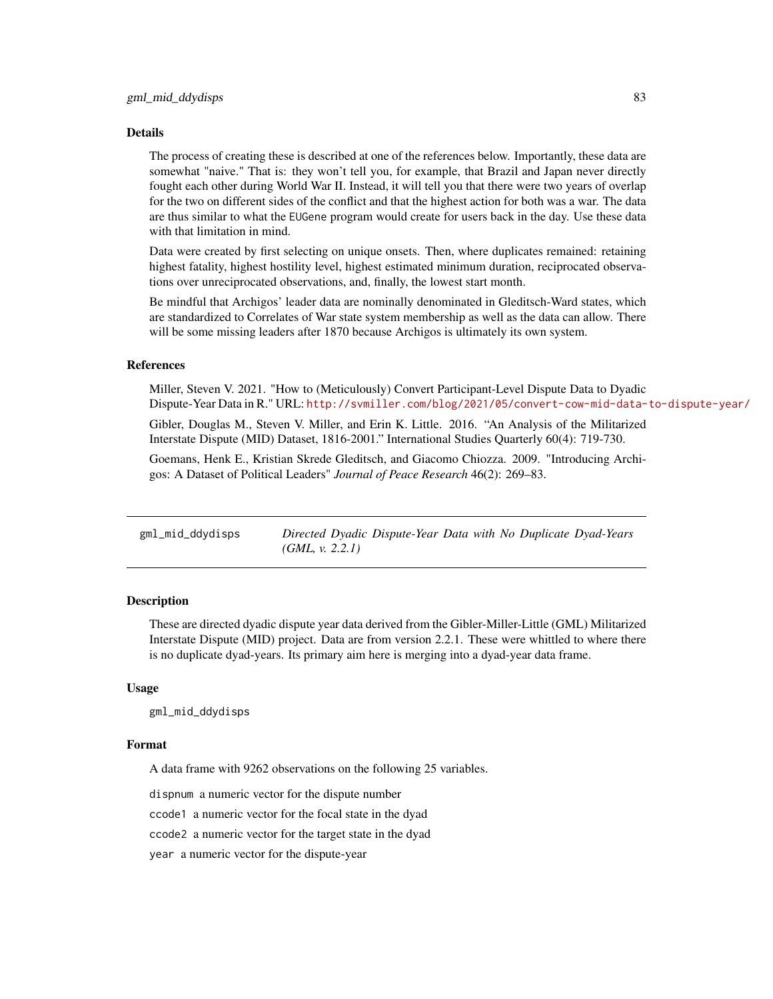The process of creating these is described at one of the references below. Importantly, these data are somewhat "naive." That is: they won't tell you, for example, that Brazil and Japan never directly fought each other during World War II. Instead, it will tell you that there were two years of overlap for the two on different sides of the conflict and that the highest action for both was a war. The data are thus similar to what the EUGene program would create for users back in the day. Use these data with that limitation in mind.

Data were created by first selecting on unique onsets. Then, where duplicates remained: retaining highest fatality, highest hostility level, highest estimated minimum duration, reciprocated observations over unreciprocated observations, and, finally, the lowest start month.

Be mindful that Archigos' leader data are nominally denominated in Gleditsch-Ward states, which are standardized to Correlates of War state system membership as well as the data can allow. There will be some missing leaders after 1870 because Archigos is ultimately its own system.

## References

Miller, Steven V. 2021. "How to (Meticulously) Convert Participant-Level Dispute Data to Dyadic Dispute-Year Data in R." URL: <http://svmiller.com/blog/2021/05/convert-cow-mid-data-to-dispute-year/>

Gibler, Douglas M., Steven V. Miller, and Erin K. Little. 2016. "An Analysis of the Militarized Interstate Dispute (MID) Dataset, 1816-2001." International Studies Quarterly 60(4): 719-730.

Goemans, Henk E., Kristian Skrede Gleditsch, and Giacomo Chiozza. 2009. "Introducing Archigos: A Dataset of Political Leaders" *Journal of Peace Research* 46(2): 269–83.

| gml_mid_ddydisps | Directed Dyadic Dispute-Year Data with No Duplicate Dyad-Years |  |  |  |
|------------------|----------------------------------------------------------------|--|--|--|
|                  | (GML, v. 2.2.1)                                                |  |  |  |

# Description

These are directed dyadic dispute year data derived from the Gibler-Miller-Little (GML) Militarized Interstate Dispute (MID) project. Data are from version 2.2.1. These were whittled to where there is no duplicate dyad-years. Its primary aim here is merging into a dyad-year data frame.

#### Usage

gml\_mid\_ddydisps

#### Format

A data frame with 9262 observations on the following 25 variables.

dispnum a numeric vector for the dispute number

ccode1 a numeric vector for the focal state in the dyad

ccode2 a numeric vector for the target state in the dyad

year a numeric vector for the dispute-year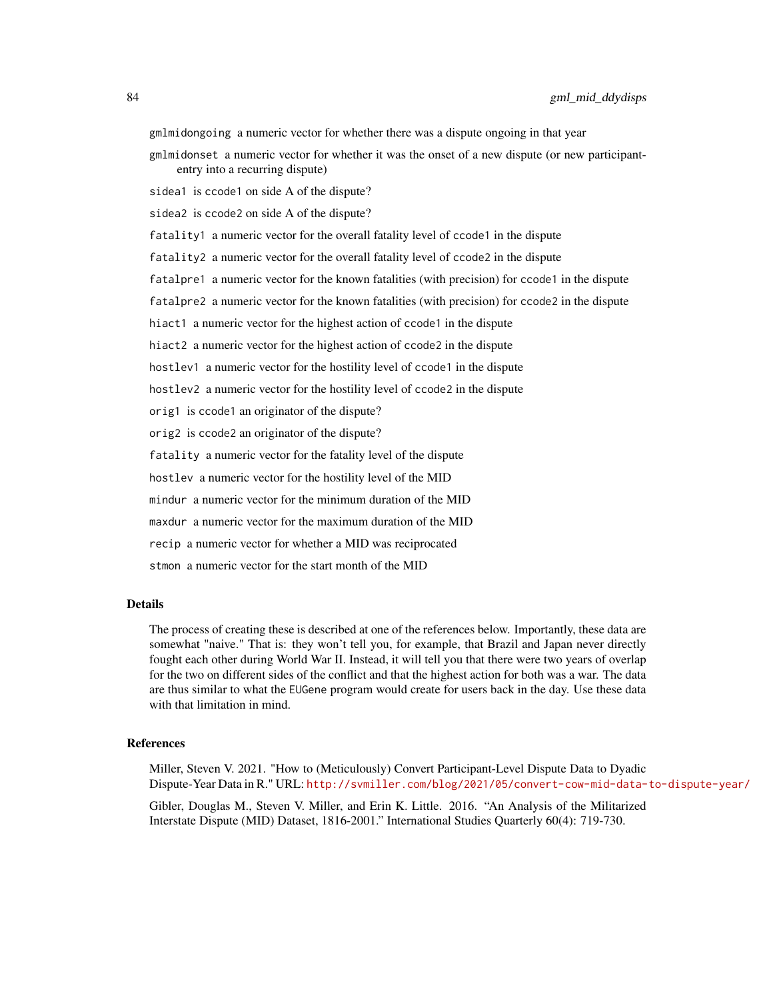gmlmidongoing a numeric vector for whether there was a dispute ongoing in that year

gmlmidonset a numeric vector for whether it was the onset of a new dispute (or new participantentry into a recurring dispute)

sidea1 is ccode1 on side A of the dispute?

sidea2 is ccode2 on side A of the dispute?

fatality1 a numeric vector for the overall fatality level of ccode1 in the dispute

fatality2 a numeric vector for the overall fatality level of ccode2 in the dispute

fatalpre1 a numeric vector for the known fatalities (with precision) for ccode1 in the dispute

fatalpre2 a numeric vector for the known fatalities (with precision) for ccode2 in the dispute

hiact1 a numeric vector for the highest action of ccode1 in the dispute

hiact2 a numeric vector for the highest action of ccode2 in the dispute

hostlev1 a numeric vector for the hostility level of ccode1 in the dispute

hostlev2 a numeric vector for the hostility level of ccode2 in the dispute

orig1 is ccode1 an originator of the dispute?

orig2 is ccode2 an originator of the dispute?

fatality a numeric vector for the fatality level of the dispute

hostlev a numeric vector for the hostility level of the MID

mindur a numeric vector for the minimum duration of the MID

maxdur a numeric vector for the maximum duration of the MID

recip a numeric vector for whether a MID was reciprocated

stmon a numeric vector for the start month of the MID

# Details

The process of creating these is described at one of the references below. Importantly, these data are somewhat "naive." That is: they won't tell you, for example, that Brazil and Japan never directly fought each other during World War II. Instead, it will tell you that there were two years of overlap for the two on different sides of the conflict and that the highest action for both was a war. The data are thus similar to what the EUGene program would create for users back in the day. Use these data with that limitation in mind.

# References

Miller, Steven V. 2021. "How to (Meticulously) Convert Participant-Level Dispute Data to Dyadic Dispute-Year Data in R." URL: <http://svmiller.com/blog/2021/05/convert-cow-mid-data-to-dispute-year/>

Gibler, Douglas M., Steven V. Miller, and Erin K. Little. 2016. "An Analysis of the Militarized Interstate Dispute (MID) Dataset, 1816-2001." International Studies Quarterly 60(4): 719-730.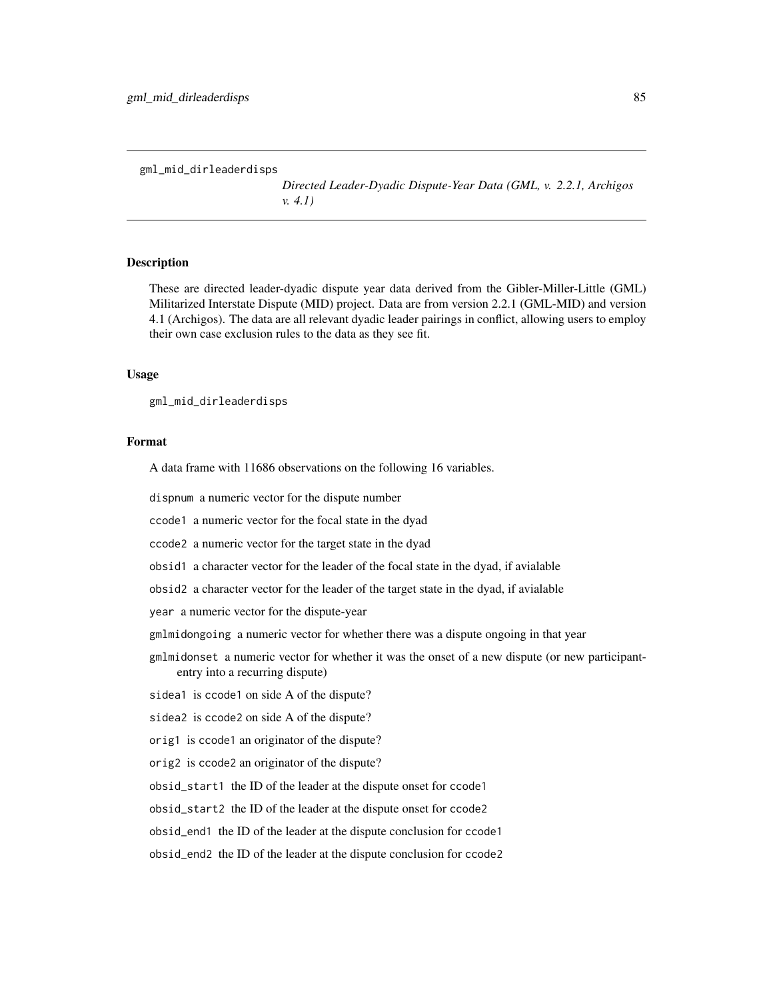gml\_mid\_dirleaderdisps

*Directed Leader-Dyadic Dispute-Year Data (GML, v. 2.2.1, Archigos v. 4.1)*

#### Description

These are directed leader-dyadic dispute year data derived from the Gibler-Miller-Little (GML) Militarized Interstate Dispute (MID) project. Data are from version 2.2.1 (GML-MID) and version 4.1 (Archigos). The data are all relevant dyadic leader pairings in conflict, allowing users to employ their own case exclusion rules to the data as they see fit.

#### Usage

gml\_mid\_dirleaderdisps

## Format

A data frame with 11686 observations on the following 16 variables.

dispnum a numeric vector for the dispute number

ccode1 a numeric vector for the focal state in the dyad

ccode2 a numeric vector for the target state in the dyad

obsid1 a character vector for the leader of the focal state in the dyad, if avialable

obsid2 a character vector for the leader of the target state in the dyad, if avialable

year a numeric vector for the dispute-year

gmlmidongoing a numeric vector for whether there was a dispute ongoing in that year

gmlmidonset a numeric vector for whether it was the onset of a new dispute (or new participantentry into a recurring dispute)

sidea1 is ccode1 on side A of the dispute?

sidea2 is ccode2 on side A of the dispute?

orig1 is ccode1 an originator of the dispute?

orig2 is ccode2 an originator of the dispute?

obsid\_start1 the ID of the leader at the dispute onset for ccode1

obsid\_start2 the ID of the leader at the dispute onset for ccode2

obsid\_end1 the ID of the leader at the dispute conclusion for ccode1

obsid\_end2 the ID of the leader at the dispute conclusion for ccode2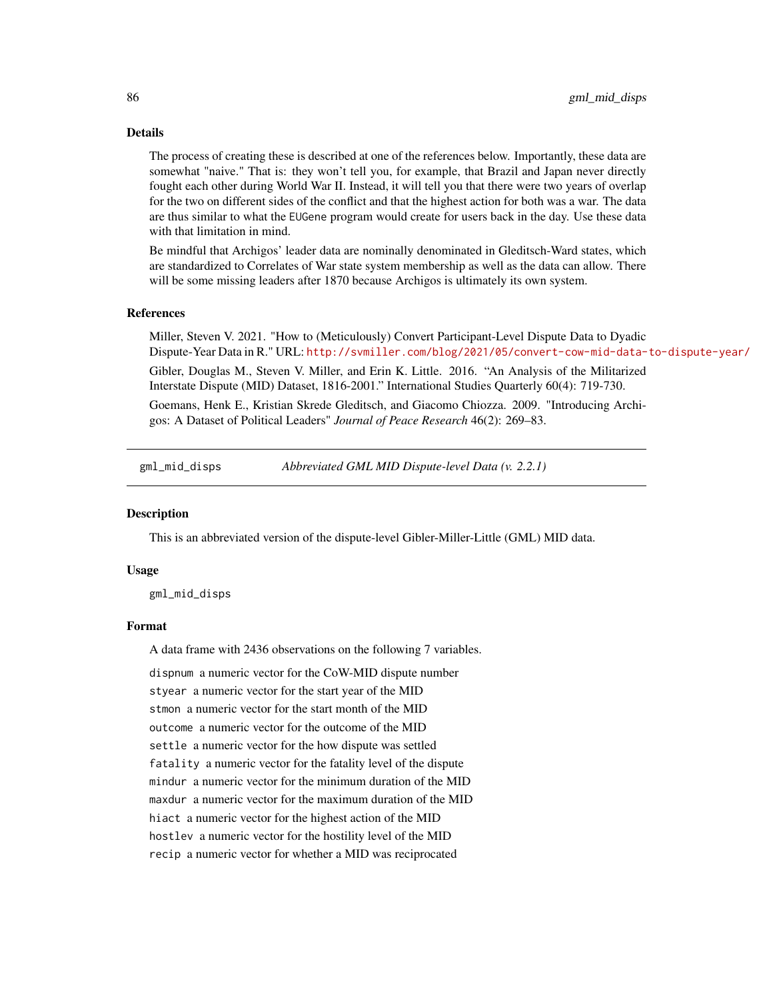The process of creating these is described at one of the references below. Importantly, these data are somewhat "naive." That is: they won't tell you, for example, that Brazil and Japan never directly fought each other during World War II. Instead, it will tell you that there were two years of overlap for the two on different sides of the conflict and that the highest action for both was a war. The data are thus similar to what the EUGene program would create for users back in the day. Use these data with that limitation in mind.

Be mindful that Archigos' leader data are nominally denominated in Gleditsch-Ward states, which are standardized to Correlates of War state system membership as well as the data can allow. There will be some missing leaders after 1870 because Archigos is ultimately its own system.

## References

Miller, Steven V. 2021. "How to (Meticulously) Convert Participant-Level Dispute Data to Dyadic Dispute-Year Data in R." URL: <http://svmiller.com/blog/2021/05/convert-cow-mid-data-to-dispute-year/> Gibler, Douglas M., Steven V. Miller, and Erin K. Little. 2016. "An Analysis of the Militarized Interstate Dispute (MID) Dataset, 1816-2001." International Studies Quarterly 60(4): 719-730. Goemans, Henk E., Kristian Skrede Gleditsch, and Giacomo Chiozza. 2009. "Introducing Archigos: A Dataset of Political Leaders" *Journal of Peace Research* 46(2): 269–83.

gml\_mid\_disps *Abbreviated GML MID Dispute-level Data (v. 2.2.1)*

# Description

This is an abbreviated version of the dispute-level Gibler-Miller-Little (GML) MID data.

## Usage

gml\_mid\_disps

#### Format

A data frame with 2436 observations on the following 7 variables.

dispnum a numeric vector for the CoW-MID dispute number styear a numeric vector for the start year of the MID stmon a numeric vector for the start month of the MID outcome a numeric vector for the outcome of the MID settle a numeric vector for the how dispute was settled fatality a numeric vector for the fatality level of the dispute mindur a numeric vector for the minimum duration of the MID maxdur a numeric vector for the maximum duration of the MID hiact a numeric vector for the highest action of the MID hostlev a numeric vector for the hostility level of the MID recip a numeric vector for whether a MID was reciprocated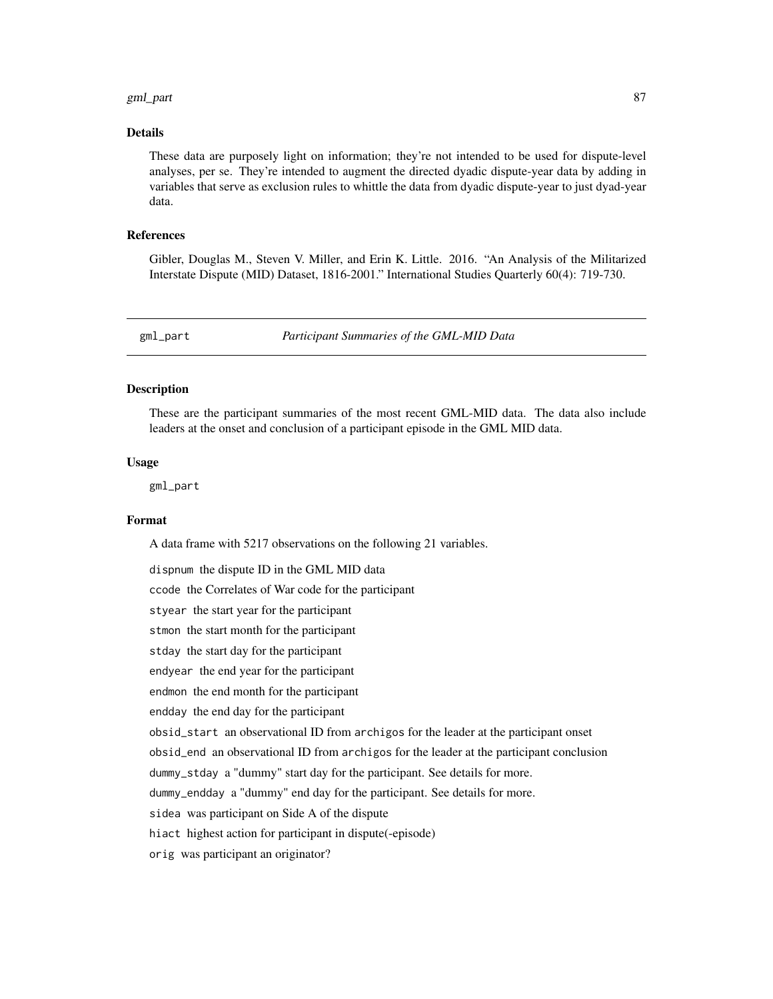#### gml\_part 87

#### Details

These data are purposely light on information; they're not intended to be used for dispute-level analyses, per se. They're intended to augment the directed dyadic dispute-year data by adding in variables that serve as exclusion rules to whittle the data from dyadic dispute-year to just dyad-year data.

## References

Gibler, Douglas M., Steven V. Miller, and Erin K. Little. 2016. "An Analysis of the Militarized Interstate Dispute (MID) Dataset, 1816-2001." International Studies Quarterly 60(4): 719-730.

gml\_part *Participant Summaries of the GML-MID Data*

## Description

These are the participant summaries of the most recent GML-MID data. The data also include leaders at the onset and conclusion of a participant episode in the GML MID data.

#### Usage

gml\_part

# Format

A data frame with 5217 observations on the following 21 variables.

dispnum the dispute ID in the GML MID data ccode the Correlates of War code for the participant styear the start year for the participant stmon the start month for the participant stday the start day for the participant endyear the end year for the participant endmon the end month for the participant endday the end day for the participant obsid\_start an observational ID from archigos for the leader at the participant onset obsid\_end an observational ID from archigos for the leader at the participant conclusion dummy\_stday a "dummy" start day for the participant. See details for more. dummy\_endday a "dummy" end day for the participant. See details for more. sidea was participant on Side A of the dispute hiact highest action for participant in dispute(-episode) orig was participant an originator?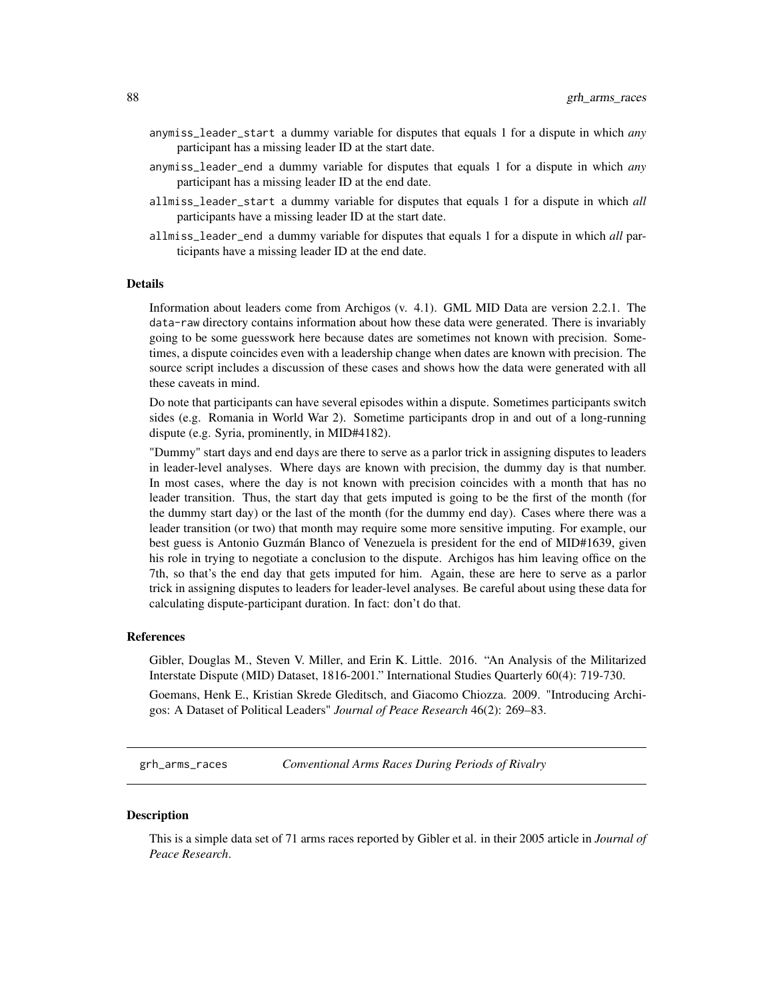- anymiss\_leader\_start a dummy variable for disputes that equals 1 for a dispute in which *any* participant has a missing leader ID at the start date.
- anymiss\_leader\_end a dummy variable for disputes that equals 1 for a dispute in which *any* participant has a missing leader ID at the end date.
- allmiss\_leader\_start a dummy variable for disputes that equals 1 for a dispute in which *all* participants have a missing leader ID at the start date.
- allmiss\_leader\_end a dummy variable for disputes that equals 1 for a dispute in which *all* participants have a missing leader ID at the end date.

Information about leaders come from Archigos (v. 4.1). GML MID Data are version 2.2.1. The data-raw directory contains information about how these data were generated. There is invariably going to be some guesswork here because dates are sometimes not known with precision. Sometimes, a dispute coincides even with a leadership change when dates are known with precision. The source script includes a discussion of these cases and shows how the data were generated with all these caveats in mind.

Do note that participants can have several episodes within a dispute. Sometimes participants switch sides (e.g. Romania in World War 2). Sometime participants drop in and out of a long-running dispute (e.g. Syria, prominently, in MID#4182).

"Dummy" start days and end days are there to serve as a parlor trick in assigning disputes to leaders in leader-level analyses. Where days are known with precision, the dummy day is that number. In most cases, where the day is not known with precision coincides with a month that has no leader transition. Thus, the start day that gets imputed is going to be the first of the month (for the dummy start day) or the last of the month (for the dummy end day). Cases where there was a leader transition (or two) that month may require some more sensitive imputing. For example, our best guess is Antonio Guzmán Blanco of Venezuela is president for the end of MID#1639, given his role in trying to negotiate a conclusion to the dispute. Archigos has him leaving office on the 7th, so that's the end day that gets imputed for him. Again, these are here to serve as a parlor trick in assigning disputes to leaders for leader-level analyses. Be careful about using these data for calculating dispute-participant duration. In fact: don't do that.

#### References

Gibler, Douglas M., Steven V. Miller, and Erin K. Little. 2016. "An Analysis of the Militarized Interstate Dispute (MID) Dataset, 1816-2001." International Studies Quarterly 60(4): 719-730.

Goemans, Henk E., Kristian Skrede Gleditsch, and Giacomo Chiozza. 2009. "Introducing Archigos: A Dataset of Political Leaders" *Journal of Peace Research* 46(2): 269–83.

grh\_arms\_races *Conventional Arms Races During Periods of Rivalry*

#### **Description**

This is a simple data set of 71 arms races reported by Gibler et al. in their 2005 article in *Journal of Peace Research*.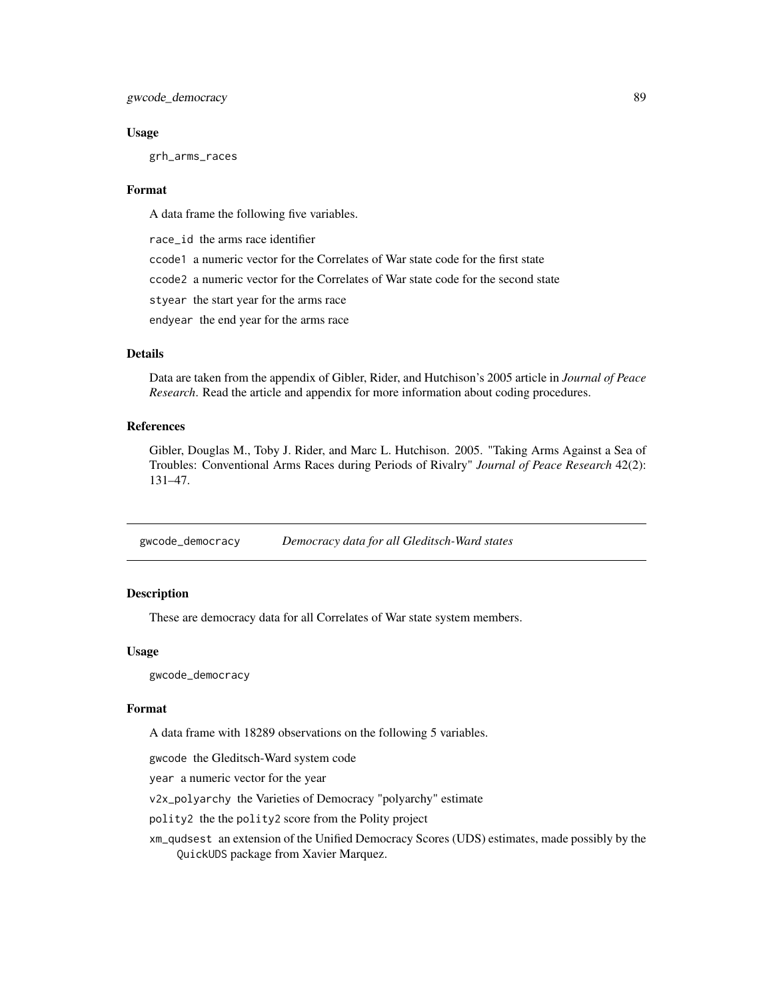## Usage

grh\_arms\_races

## Format

A data frame the following five variables.

race\_id the arms race identifier

ccode1 a numeric vector for the Correlates of War state code for the first state

ccode2 a numeric vector for the Correlates of War state code for the second state

styear the start year for the arms race

endyear the end year for the arms race

# Details

Data are taken from the appendix of Gibler, Rider, and Hutchison's 2005 article in *Journal of Peace Research*. Read the article and appendix for more information about coding procedures.

# References

Gibler, Douglas M., Toby J. Rider, and Marc L. Hutchison. 2005. "Taking Arms Against a Sea of Troubles: Conventional Arms Races during Periods of Rivalry" *Journal of Peace Research* 42(2): 131–47.

gwcode\_democracy *Democracy data for all Gleditsch-Ward states*

# Description

These are democracy data for all Correlates of War state system members.

## Usage

gwcode\_democracy

#### Format

A data frame with 18289 observations on the following 5 variables.

gwcode the Gleditsch-Ward system code

year a numeric vector for the year

v2x\_polyarchy the Varieties of Democracy "polyarchy" estimate

polity2 the the polity2 score from the Polity project

xm\_qudsest an extension of the Unified Democracy Scores (UDS) estimates, made possibly by the QuickUDS package from Xavier Marquez.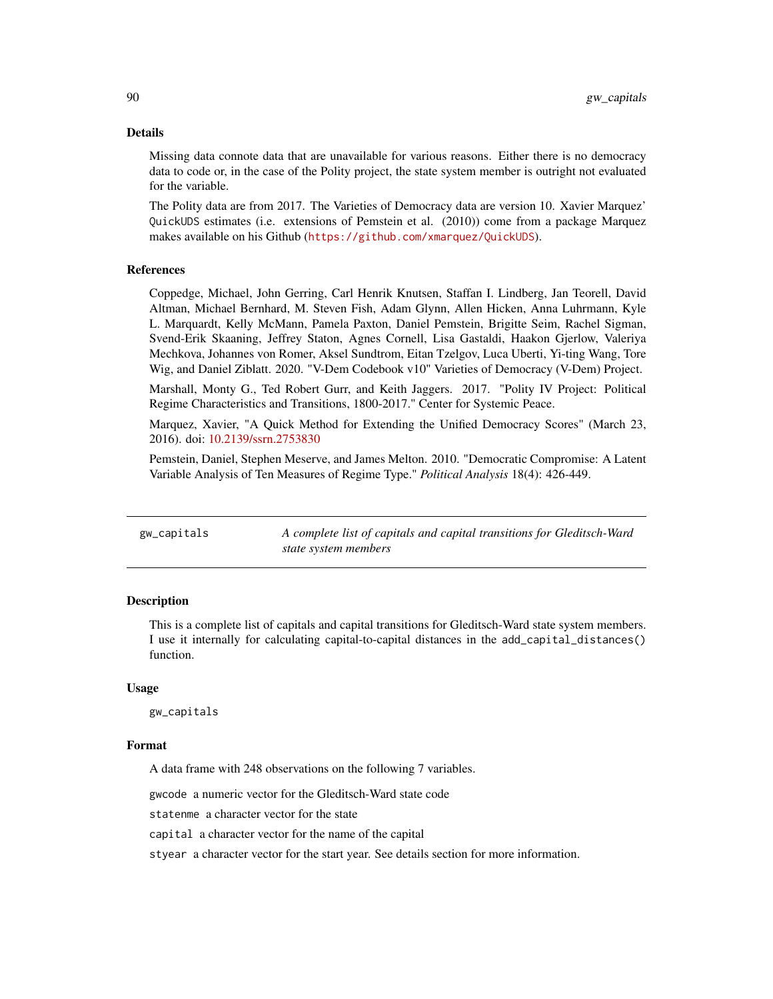Missing data connote data that are unavailable for various reasons. Either there is no democracy data to code or, in the case of the Polity project, the state system member is outright not evaluated for the variable.

The Polity data are from 2017. The Varieties of Democracy data are version 10. Xavier Marquez' QuickUDS estimates (i.e. extensions of Pemstein et al. (2010)) come from a package Marquez makes available on his Github (<https://github.com/xmarquez/QuickUDS>).

# References

Coppedge, Michael, John Gerring, Carl Henrik Knutsen, Staffan I. Lindberg, Jan Teorell, David Altman, Michael Bernhard, M. Steven Fish, Adam Glynn, Allen Hicken, Anna Luhrmann, Kyle L. Marquardt, Kelly McMann, Pamela Paxton, Daniel Pemstein, Brigitte Seim, Rachel Sigman, Svend-Erik Skaaning, Jeffrey Staton, Agnes Cornell, Lisa Gastaldi, Haakon Gjerlow, Valeriya Mechkova, Johannes von Romer, Aksel Sundtrom, Eitan Tzelgov, Luca Uberti, Yi-ting Wang, Tore Wig, and Daniel Ziblatt. 2020. "V-Dem Codebook v10" Varieties of Democracy (V-Dem) Project.

Marshall, Monty G., Ted Robert Gurr, and Keith Jaggers. 2017. "Polity IV Project: Political Regime Characteristics and Transitions, 1800-2017." Center for Systemic Peace.

Marquez, Xavier, "A Quick Method for Extending the Unified Democracy Scores" (March 23, 2016). doi: [10.2139/ssrn.2753830](https://doi.org/10.2139/ssrn.2753830)

Pemstein, Daniel, Stephen Meserve, and James Melton. 2010. "Democratic Compromise: A Latent Variable Analysis of Ten Measures of Regime Type." *Political Analysis* 18(4): 426-449.

| gw_capitals | A complete list of capitals and capital transitions for Gleditsch-Ward |
|-------------|------------------------------------------------------------------------|
|             | state system members                                                   |

# Description

This is a complete list of capitals and capital transitions for Gleditsch-Ward state system members. I use it internally for calculating capital-to-capital distances in the add\_capital\_distances() function.

#### Usage

gw\_capitals

## Format

A data frame with 248 observations on the following 7 variables.

gwcode a numeric vector for the Gleditsch-Ward state code

statenme a character vector for the state

capital a character vector for the name of the capital

styear a character vector for the start year. See details section for more information.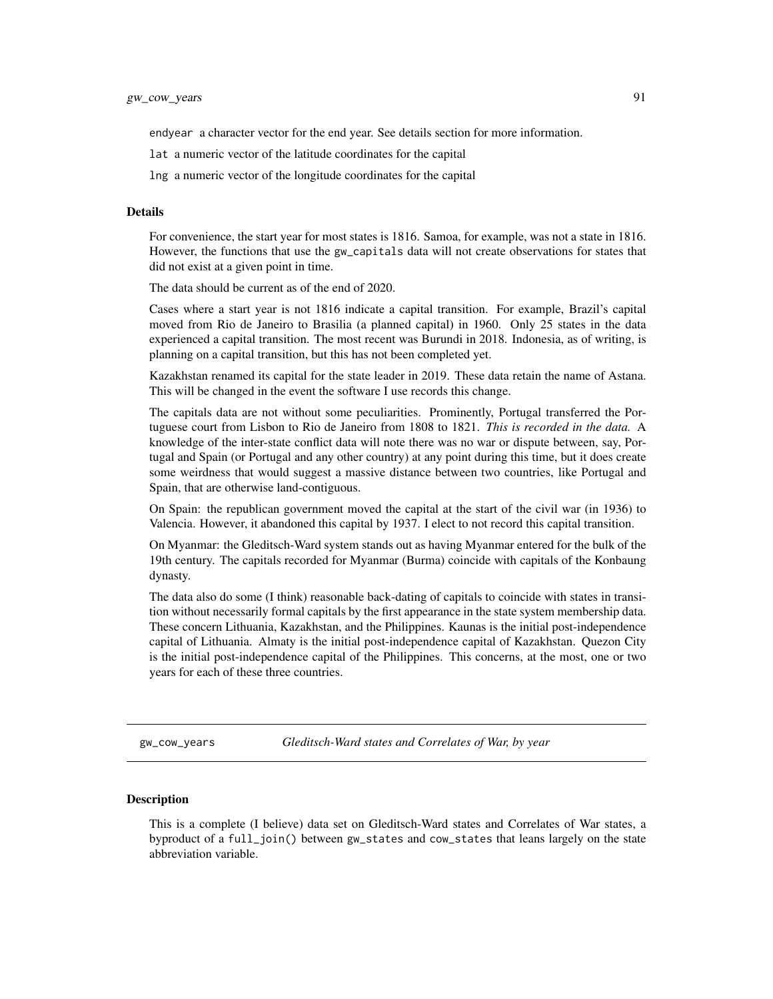endyear a character vector for the end year. See details section for more information.

lat a numeric vector of the latitude coordinates for the capital

lng a numeric vector of the longitude coordinates for the capital

#### **Details**

For convenience, the start year for most states is 1816. Samoa, for example, was not a state in 1816. However, the functions that use the gw\_capitals data will not create observations for states that did not exist at a given point in time.

The data should be current as of the end of 2020.

Cases where a start year is not 1816 indicate a capital transition. For example, Brazil's capital moved from Rio de Janeiro to Brasilia (a planned capital) in 1960. Only 25 states in the data experienced a capital transition. The most recent was Burundi in 2018. Indonesia, as of writing, is planning on a capital transition, but this has not been completed yet.

Kazakhstan renamed its capital for the state leader in 2019. These data retain the name of Astana. This will be changed in the event the software I use records this change.

The capitals data are not without some peculiarities. Prominently, Portugal transferred the Portuguese court from Lisbon to Rio de Janeiro from 1808 to 1821. *This is recorded in the data.* A knowledge of the inter-state conflict data will note there was no war or dispute between, say, Portugal and Spain (or Portugal and any other country) at any point during this time, but it does create some weirdness that would suggest a massive distance between two countries, like Portugal and Spain, that are otherwise land-contiguous.

On Spain: the republican government moved the capital at the start of the civil war (in 1936) to Valencia. However, it abandoned this capital by 1937. I elect to not record this capital transition.

On Myanmar: the Gleditsch-Ward system stands out as having Myanmar entered for the bulk of the 19th century. The capitals recorded for Myanmar (Burma) coincide with capitals of the Konbaung dynasty.

The data also do some (I think) reasonable back-dating of capitals to coincide with states in transition without necessarily formal capitals by the first appearance in the state system membership data. These concern Lithuania, Kazakhstan, and the Philippines. Kaunas is the initial post-independence capital of Lithuania. Almaty is the initial post-independence capital of Kazakhstan. Quezon City is the initial post-independence capital of the Philippines. This concerns, at the most, one or two years for each of these three countries.

gw\_cow\_years *Gleditsch-Ward states and Correlates of War, by year*

#### **Description**

This is a complete (I believe) data set on Gleditsch-Ward states and Correlates of War states, a byproduct of a full\_join() between gw\_states and cow\_states that leans largely on the state abbreviation variable.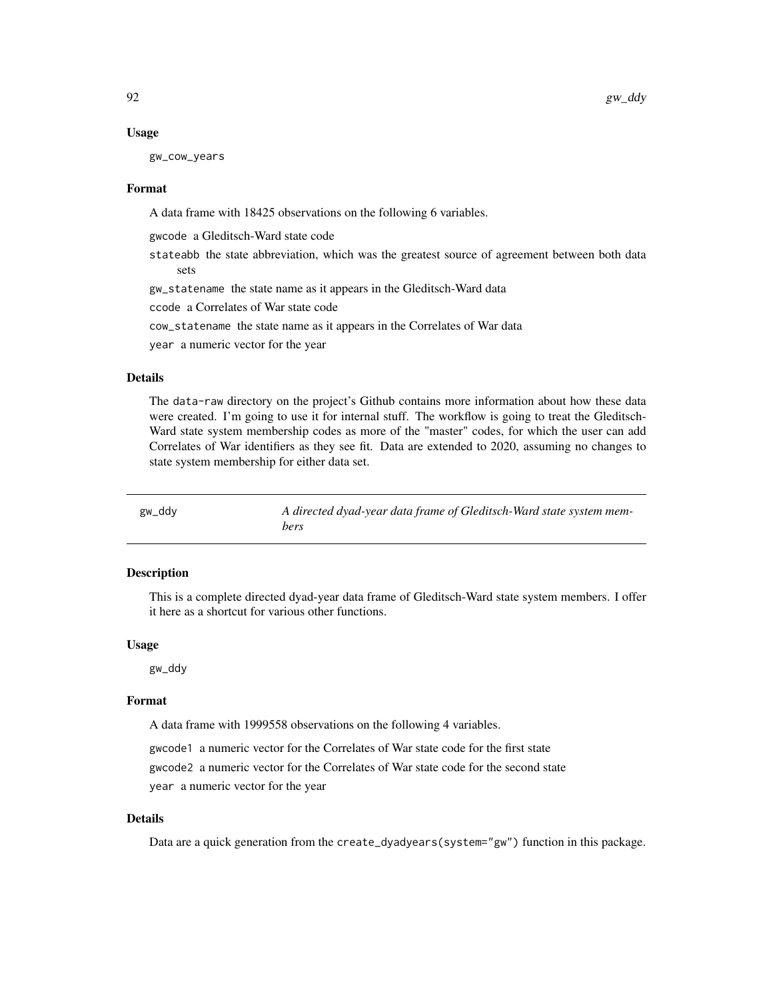## Usage

gw\_cow\_years

## Format

A data frame with 18425 observations on the following 6 variables.

gwcode a Gleditsch-Ward state code

stateabb the state abbreviation, which was the greatest source of agreement between both data sets

gw\_statename the state name as it appears in the Gleditsch-Ward data

ccode a Correlates of War state code

cow\_statename the state name as it appears in the Correlates of War data

year a numeric vector for the year

## Details

The data-raw directory on the project's Github contains more information about how these data were created. I'm going to use it for internal stuff. The workflow is going to treat the Gleditsch-Ward state system membership codes as more of the "master" codes, for which the user can add Correlates of War identifiers as they see fit. Data are extended to 2020, assuming no changes to state system membership for either data set.

gw\_ddy *A directed dyad-year data frame of Gleditsch-Ward state system members*

## **Description**

This is a complete directed dyad-year data frame of Gleditsch-Ward state system members. I offer it here as a shortcut for various other functions.

#### Usage

gw\_ddy

# Format

A data frame with 1999558 observations on the following 4 variables.

gwcode1 a numeric vector for the Correlates of War state code for the first state gwcode2 a numeric vector for the Correlates of War state code for the second state year a numeric vector for the year

## Details

Data are a quick generation from the create\_dyadyears(system="gw") function in this package.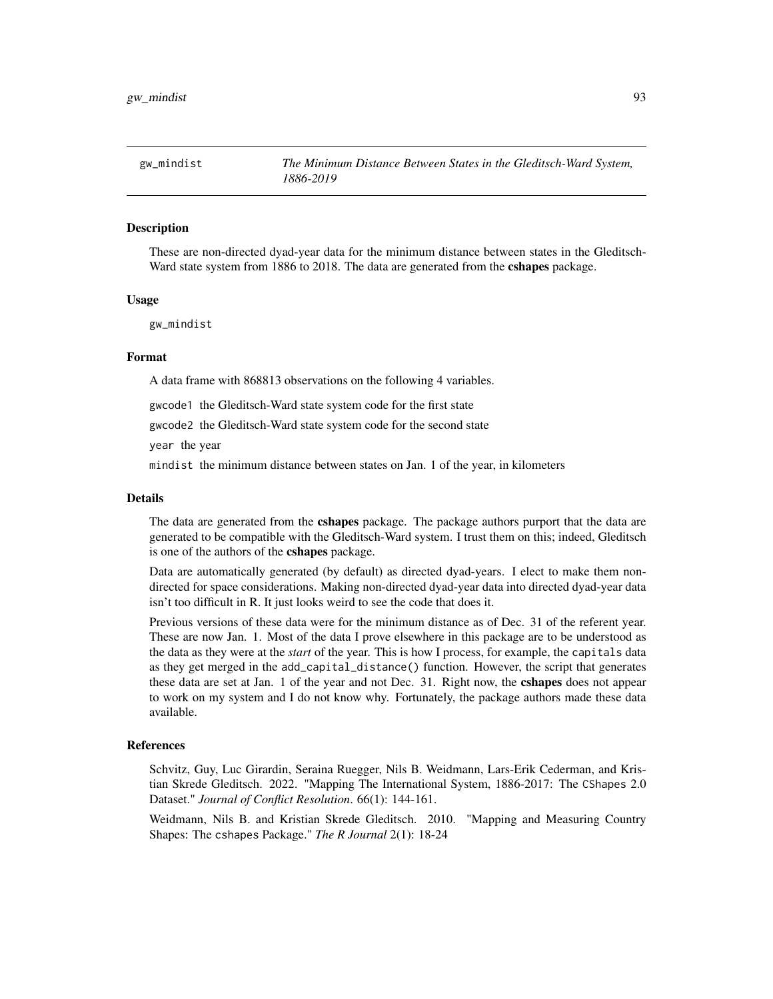These are non-directed dyad-year data for the minimum distance between states in the Gleditsch-Ward state system from 1886 to 2018. The data are generated from the **cshapes** package.

#### Usage

gw\_mindist

# Format

A data frame with 868813 observations on the following 4 variables.

gwcode1 the Gleditsch-Ward state system code for the first state

gwcode2 the Gleditsch-Ward state system code for the second state

year the year

mindist the minimum distance between states on Jan. 1 of the year, in kilometers

#### Details

The data are generated from the **cshapes** package. The package authors purport that the data are generated to be compatible with the Gleditsch-Ward system. I trust them on this; indeed, Gleditsch is one of the authors of the cshapes package.

Data are automatically generated (by default) as directed dyad-years. I elect to make them nondirected for space considerations. Making non-directed dyad-year data into directed dyad-year data isn't too difficult in R. It just looks weird to see the code that does it.

Previous versions of these data were for the minimum distance as of Dec. 31 of the referent year. These are now Jan. 1. Most of the data I prove elsewhere in this package are to be understood as the data as they were at the *start* of the year. This is how I process, for example, the capitals data as they get merged in the add\_capital\_distance() function. However, the script that generates these data are set at Jan. 1 of the year and not Dec. 31. Right now, the cshapes does not appear to work on my system and I do not know why. Fortunately, the package authors made these data available.

# References

Schvitz, Guy, Luc Girardin, Seraina Ruegger, Nils B. Weidmann, Lars-Erik Cederman, and Kristian Skrede Gleditsch. 2022. "Mapping The International System, 1886-2017: The CShapes 2.0 Dataset." *Journal of Conflict Resolution*. 66(1): 144-161.

Weidmann, Nils B. and Kristian Skrede Gleditsch. 2010. "Mapping and Measuring Country Shapes: The cshapes Package." *The R Journal* 2(1): 18-24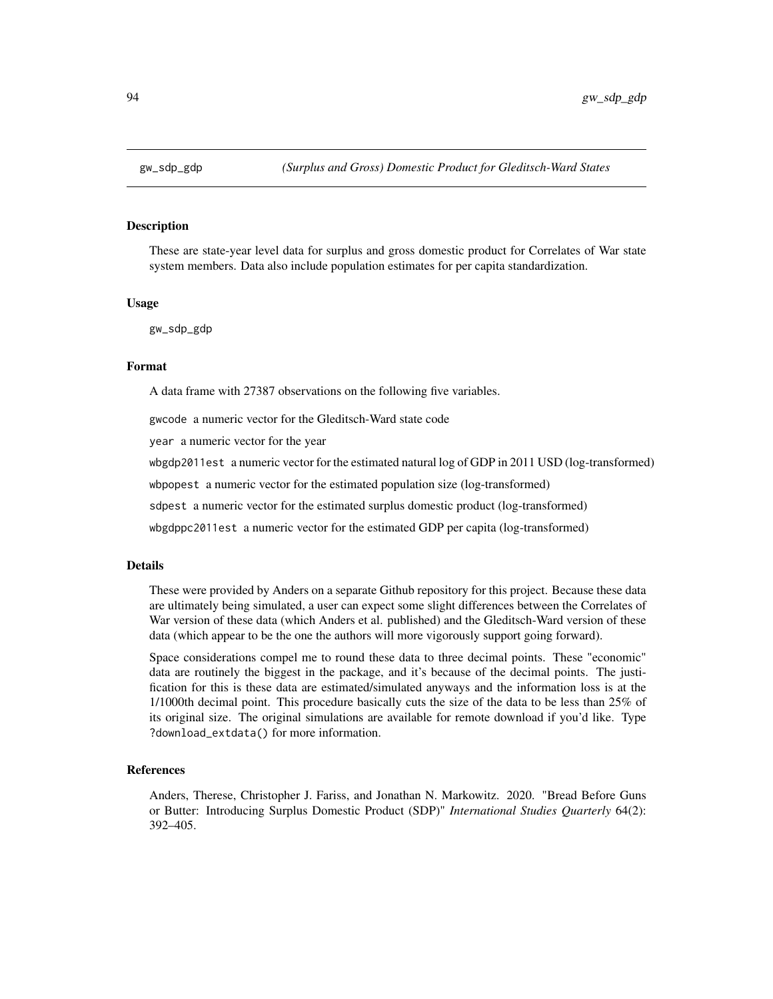These are state-year level data for surplus and gross domestic product for Correlates of War state system members. Data also include population estimates for per capita standardization.

## Usage

gw\_sdp\_gdp

## Format

A data frame with 27387 observations on the following five variables.

gwcode a numeric vector for the Gleditsch-Ward state code

year a numeric vector for the year

wbgdp2011est a numeric vector for the estimated natural log of GDP in 2011 USD (log-transformed)

wbpopest a numeric vector for the estimated population size (log-transformed)

sdpest a numeric vector for the estimated surplus domestic product (log-transformed)

wbgdppc2011est a numeric vector for the estimated GDP per capita (log-transformed)

## Details

These were provided by Anders on a separate Github repository for this project. Because these data are ultimately being simulated, a user can expect some slight differences between the Correlates of War version of these data (which Anders et al. published) and the Gleditsch-Ward version of these data (which appear to be the one the authors will more vigorously support going forward).

Space considerations compel me to round these data to three decimal points. These "economic" data are routinely the biggest in the package, and it's because of the decimal points. The justification for this is these data are estimated/simulated anyways and the information loss is at the 1/1000th decimal point. This procedure basically cuts the size of the data to be less than 25% of its original size. The original simulations are available for remote download if you'd like. Type ?download\_extdata() for more information.

# References

Anders, Therese, Christopher J. Fariss, and Jonathan N. Markowitz. 2020. "Bread Before Guns or Butter: Introducing Surplus Domestic Product (SDP)" *International Studies Quarterly* 64(2): 392–405.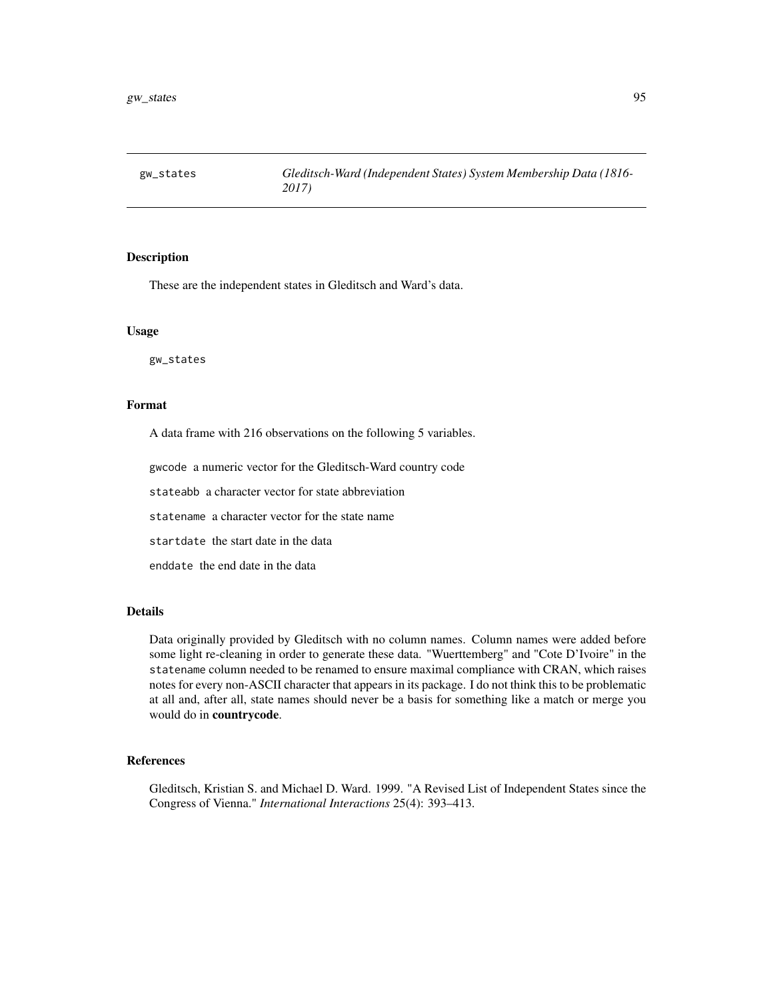These are the independent states in Gleditsch and Ward's data.

#### Usage

gw\_states

## Format

A data frame with 216 observations on the following 5 variables.

gwcode a numeric vector for the Gleditsch-Ward country code

stateabb a character vector for state abbreviation

statename a character vector for the state name

startdate the start date in the data

enddate the end date in the data

# Details

Data originally provided by Gleditsch with no column names. Column names were added before some light re-cleaning in order to generate these data. "Wuerttemberg" and "Cote D'Ivoire" in the statename column needed to be renamed to ensure maximal compliance with CRAN, which raises notes for every non-ASCII character that appears in its package. I do not think this to be problematic at all and, after all, state names should never be a basis for something like a match or merge you would do in countrycode.

## References

Gleditsch, Kristian S. and Michael D. Ward. 1999. "A Revised List of Independent States since the Congress of Vienna." *International Interactions* 25(4): 393–413.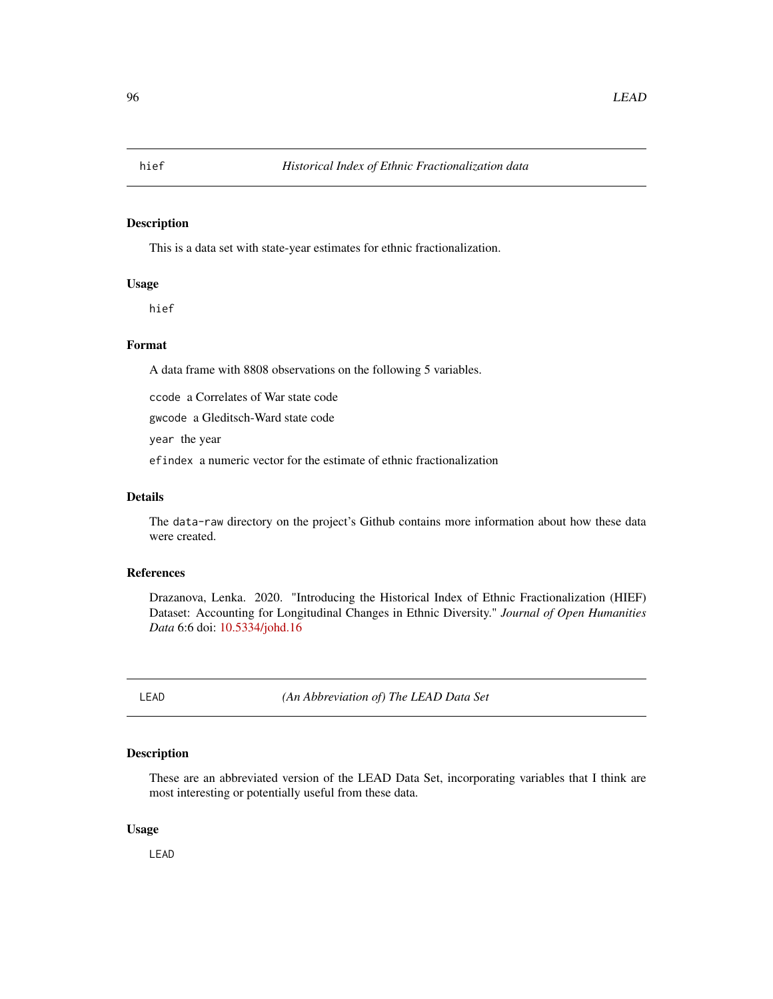This is a data set with state-year estimates for ethnic fractionalization.

# Usage

hief

# Format

A data frame with 8808 observations on the following 5 variables.

ccode a Correlates of War state code

gwcode a Gleditsch-Ward state code

year the year

efindex a numeric vector for the estimate of ethnic fractionalization

# Details

The data-raw directory on the project's Github contains more information about how these data were created.

## References

Drazanova, Lenka. 2020. "Introducing the Historical Index of Ethnic Fractionalization (HIEF) Dataset: Accounting for Longitudinal Changes in Ethnic Diversity." *Journal of Open Humanities Data* 6:6 doi: [10.5334/johd.16](https://doi.org/10.5334/johd.16)

LEAD *(An Abbreviation of) The LEAD Data Set*

# Description

These are an abbreviated version of the LEAD Data Set, incorporating variables that I think are most interesting or potentially useful from these data.

#### Usage

LEAD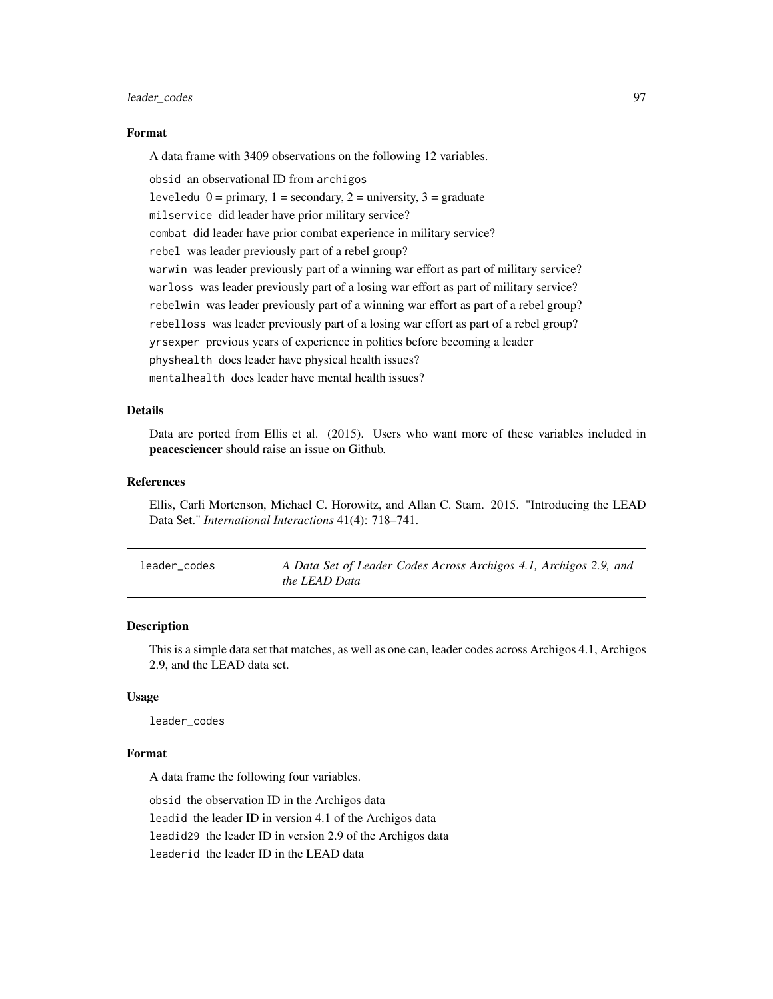# leader\_codes 97

# Format

A data frame with 3409 observations on the following 12 variables.

obsid an observational ID from archigos leveledu  $0 =$  primary,  $1 =$  secondary,  $2 =$  university,  $3 =$  graduate milservice did leader have prior military service? combat did leader have prior combat experience in military service? rebel was leader previously part of a rebel group? warwin was leader previously part of a winning war effort as part of military service? warloss was leader previously part of a losing war effort as part of military service? rebelwin was leader previously part of a winning war effort as part of a rebel group? rebelloss was leader previously part of a losing war effort as part of a rebel group? yrsexper previous years of experience in politics before becoming a leader physhealth does leader have physical health issues? mentalhealth does leader have mental health issues?

# Details

Data are ported from Ellis et al. (2015). Users who want more of these variables included in peacesciencer should raise an issue on Github.

# References

Ellis, Carli Mortenson, Michael C. Horowitz, and Allan C. Stam. 2015. "Introducing the LEAD Data Set." *International Interactions* 41(4): 718–741.

| leader codes | A Data Set of Leader Codes Across Archigos 4.1, Archigos 2.9, and |
|--------------|-------------------------------------------------------------------|
|              | the LEAD Data                                                     |

## **Description**

This is a simple data set that matches, as well as one can, leader codes across Archigos 4.1, Archigos 2.9, and the LEAD data set.

## Usage

leader\_codes

# Format

A data frame the following four variables.

obsid the observation ID in the Archigos data leadid the leader ID in version 4.1 of the Archigos data leadid29 the leader ID in version 2.9 of the Archigos data leaderid the leader ID in the LEAD data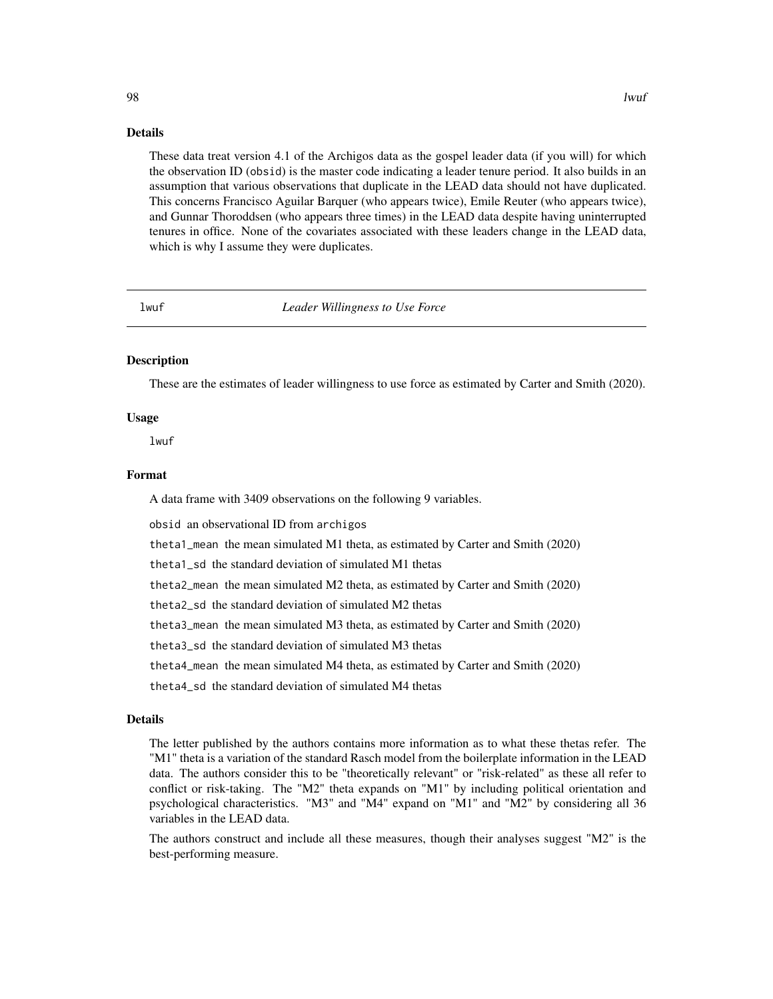These data treat version 4.1 of the Archigos data as the gospel leader data (if you will) for which the observation ID (obsid) is the master code indicating a leader tenure period. It also builds in an assumption that various observations that duplicate in the LEAD data should not have duplicated. This concerns Francisco Aguilar Barquer (who appears twice), Emile Reuter (who appears twice), and Gunnar Thoroddsen (who appears three times) in the LEAD data despite having uninterrupted tenures in office. None of the covariates associated with these leaders change in the LEAD data, which is why I assume they were duplicates.

lwuf *Leader Willingness to Use Force*

## Description

These are the estimates of leader willingness to use force as estimated by Carter and Smith (2020).

# Usage

lwuf

#### Format

A data frame with 3409 observations on the following 9 variables.

obsid an observational ID from archigos

theta1\_mean the mean simulated M1 theta, as estimated by Carter and Smith (2020)

theta1\_sd the standard deviation of simulated M1 thetas

theta2\_mean the mean simulated M2 theta, as estimated by Carter and Smith (2020)

theta2\_sd the standard deviation of simulated M2 thetas

theta3\_mean the mean simulated M3 theta, as estimated by Carter and Smith (2020)

theta3\_sd the standard deviation of simulated M3 thetas

theta4\_mean the mean simulated M4 theta, as estimated by Carter and Smith (2020)

theta4\_sd the standard deviation of simulated M4 thetas

## Details

The letter published by the authors contains more information as to what these thetas refer. The "M1" theta is a variation of the standard Rasch model from the boilerplate information in the LEAD data. The authors consider this to be "theoretically relevant" or "risk-related" as these all refer to conflict or risk-taking. The "M2" theta expands on "M1" by including political orientation and psychological characteristics. "M3" and "M4" expand on "M1" and "M2" by considering all 36 variables in the LEAD data.

The authors construct and include all these measures, though their analyses suggest "M2" is the best-performing measure.

#### 98 lwuf a bronze bronze bronze bronze bronze bronze bronze bronze bronze bronze bronze bronze bronze bronze br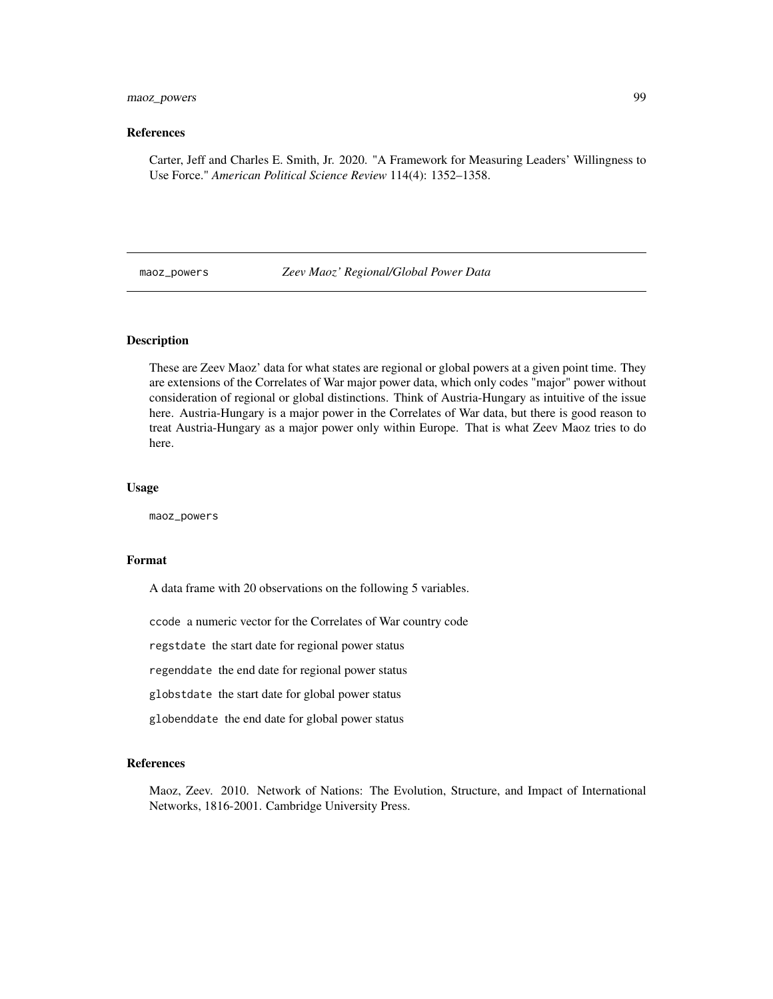# maoz\_powers 99

#### References

Carter, Jeff and Charles E. Smith, Jr. 2020. "A Framework for Measuring Leaders' Willingness to Use Force." *American Political Science Review* 114(4): 1352–1358.

maoz\_powers *Zeev Maoz' Regional/Global Power Data*

# **Description**

These are Zeev Maoz' data for what states are regional or global powers at a given point time. They are extensions of the Correlates of War major power data, which only codes "major" power without consideration of regional or global distinctions. Think of Austria-Hungary as intuitive of the issue here. Austria-Hungary is a major power in the Correlates of War data, but there is good reason to treat Austria-Hungary as a major power only within Europe. That is what Zeev Maoz tries to do here.

## Usage

maoz\_powers

# Format

A data frame with 20 observations on the following 5 variables.

ccode a numeric vector for the Correlates of War country code

regstdate the start date for regional power status

regenddate the end date for regional power status

globstdate the start date for global power status

globenddate the end date for global power status

# References

Maoz, Zeev. 2010. Network of Nations: The Evolution, Structure, and Impact of International Networks, 1816-2001. Cambridge University Press.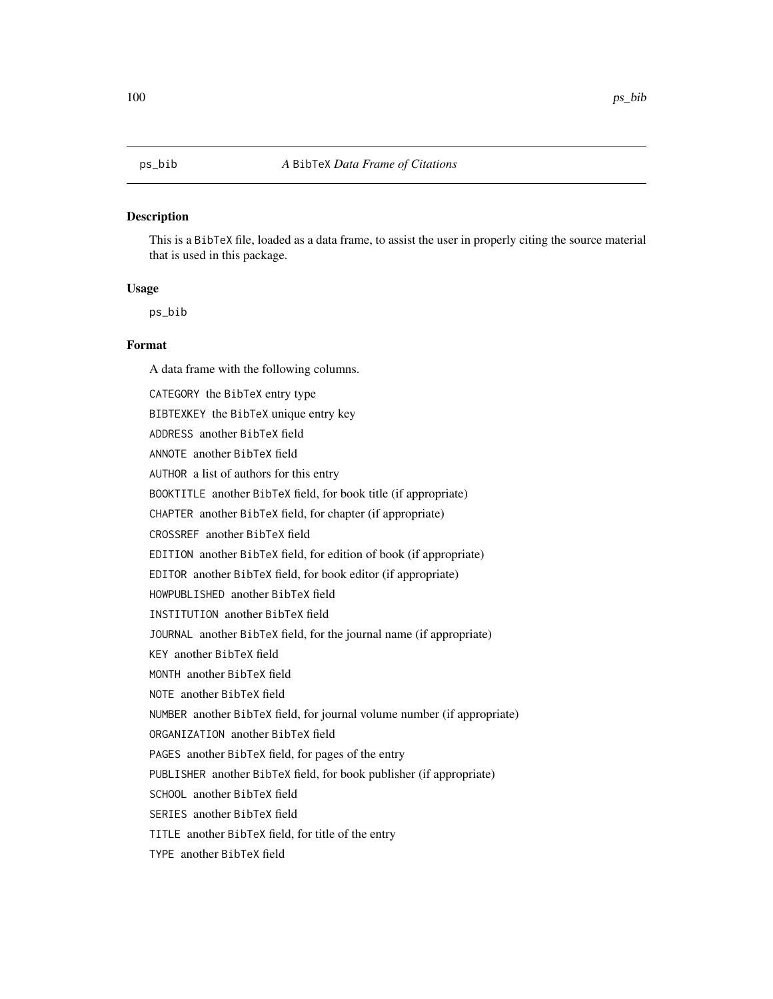This is a BibTeX file, loaded as a data frame, to assist the user in properly citing the source material that is used in this package.

#### Usage

ps\_bib

# Format

A data frame with the following columns. CATEGORY the BibTeX entry type BIBTEXKEY the BibTeX unique entry key ADDRESS another BibTeX field ANNOTE another BibTeX field AUTHOR a list of authors for this entry BOOKTITLE another BibTeX field, for book title (if appropriate) CHAPTER another BibTeX field, for chapter (if appropriate) CROSSREF another BibTeX field EDITION another BibTeX field, for edition of book (if appropriate) EDITOR another BibTeX field, for book editor (if appropriate) HOWPUBLISHED another BibTeX field INSTITUTION another BibTeX field JOURNAL another BibTeX field, for the journal name (if appropriate) KEY another BibTeX field MONTH another BibTeX field NOTE another BibTeX field NUMBER another BibTeX field, for journal volume number (if appropriate) ORGANIZATION another BibTeX field PAGES another BibTeX field, for pages of the entry PUBLISHER another BibTeX field, for book publisher (if appropriate) SCHOOL another BibTeX field SERIES another BibTeX field TITLE another BibTeX field, for title of the entry TYPE another BibTeX field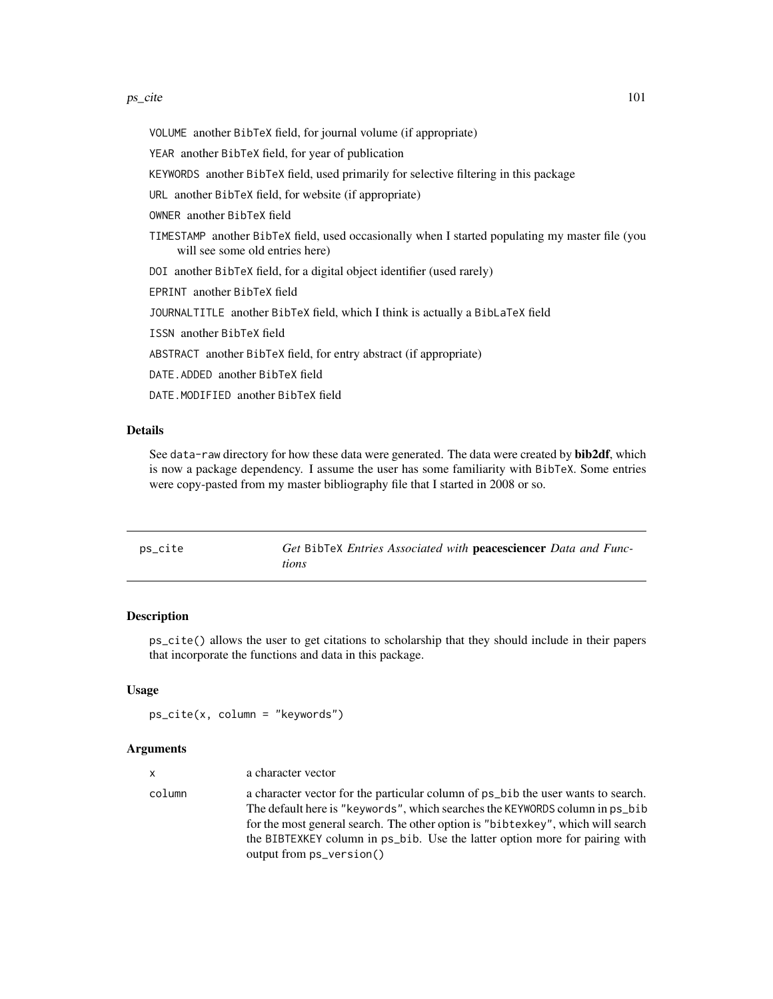#### ps\_cite 101

VOLUME another BibTeX field, for journal volume (if appropriate)

YEAR another BibTeX field, for year of publication

KEYWORDS another BibTeX field, used primarily for selective filtering in this package

URL another BibTeX field, for website (if appropriate)

OWNER another BibTeX field

- TIMESTAMP another BibTeX field, used occasionally when I started populating my master file (you will see some old entries here)
- DOI another BibTeX field, for a digital object identifier (used rarely)

EPRINT another BibTeX field

JOURNALTITLE another BibTeX field, which I think is actually a BibLaTeX field

ISSN another BibTeX field

ABSTRACT another BibTeX field, for entry abstract (if appropriate)

- DATE.ADDED another BibTeX field
- DATE.MODIFIED another BibTeX field

# Details

See data-raw directory for how these data were generated. The data were created by **bib2df**, which is now a package dependency. I assume the user has some familiarity with BibTeX. Some entries were copy-pasted from my master bibliography file that I started in 2008 or so.

| ps_cite | Get BibTeX Entries Associated with peacesciencer Data and Func- |
|---------|-----------------------------------------------------------------|
|         | tions                                                           |

## Description

ps\_cite() allows the user to get citations to scholarship that they should include in their papers that incorporate the functions and data in this package.

## Usage

ps\_cite(x, column = "keywords")

#### Arguments

| x      | a character vector                                                                                                                                                   |
|--------|----------------------------------------------------------------------------------------------------------------------------------------------------------------------|
| column | a character vector for the particular column of $ps_b$ bib the user wants to search.<br>The default here is "keywords", which searches the KEYWORDS column in ps_bib |
|        | for the most general search. The other option is "bibtexkey", which will search                                                                                      |
|        | the BIBTEXKEY column in ps_bib. Use the latter option more for pairing with                                                                                          |
|        | output from ps_version()                                                                                                                                             |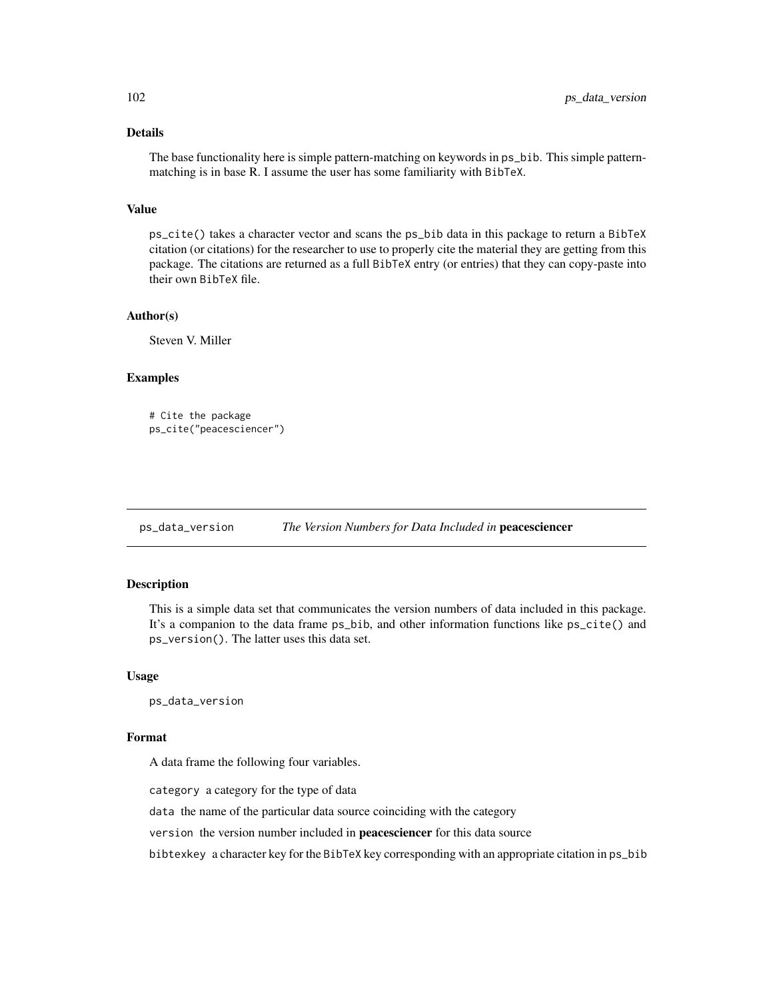The base functionality here is simple pattern-matching on keywords in ps\_bib. This simple patternmatching is in base R. I assume the user has some familiarity with BibTeX.

# Value

ps\_cite() takes a character vector and scans the ps\_bib data in this package to return a BibTeX citation (or citations) for the researcher to use to properly cite the material they are getting from this package. The citations are returned as a full BibTeX entry (or entries) that they can copy-paste into their own BibTeX file.

## Author(s)

Steven V. Miller

## Examples

```
# Cite the package
ps_cite("peacesciencer")
```
ps\_data\_version *The Version Numbers for Data Included in* peacesciencer

# Description

This is a simple data set that communicates the version numbers of data included in this package. It's a companion to the data frame ps\_bib, and other information functions like ps\_cite() and ps\_version(). The latter uses this data set.

#### Usage

ps\_data\_version

# Format

A data frame the following four variables.

category a category for the type of data

data the name of the particular data source coinciding with the category

version the version number included in peacesciencer for this data source

bibtexkey a character key for the BibTeX key corresponding with an appropriate citation in ps\_bib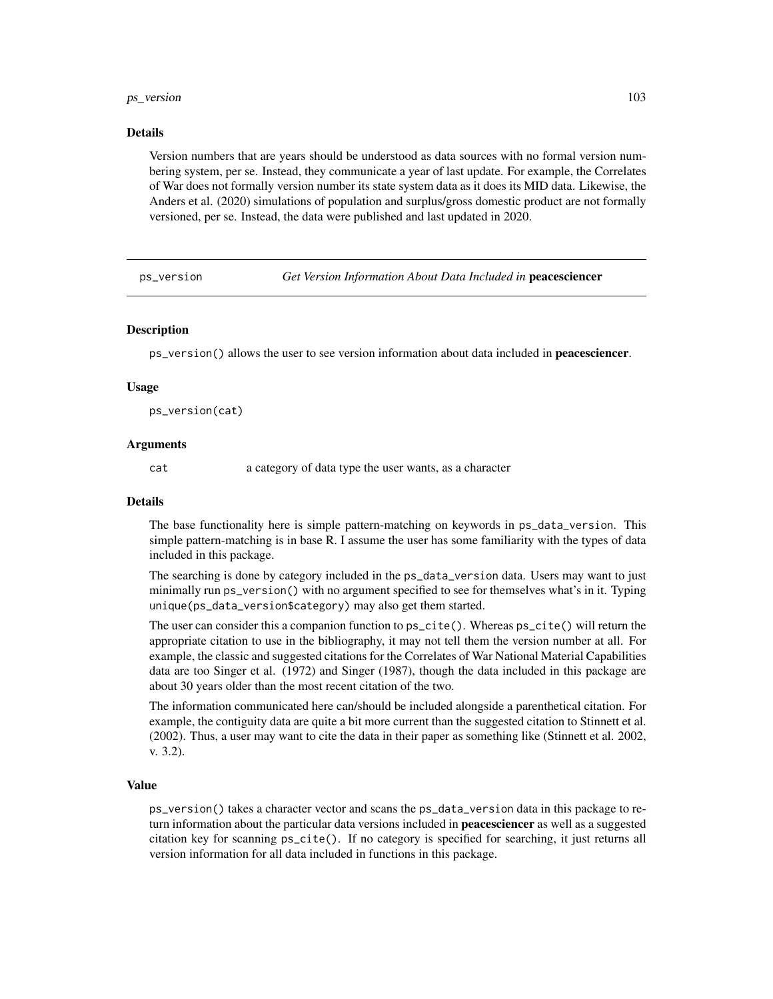## ps\_version 103

#### Details

Version numbers that are years should be understood as data sources with no formal version numbering system, per se. Instead, they communicate a year of last update. For example, the Correlates of War does not formally version number its state system data as it does its MID data. Likewise, the Anders et al. (2020) simulations of population and surplus/gross domestic product are not formally versioned, per se. Instead, the data were published and last updated in 2020.

ps\_version *Get Version Information About Data Included in* peacesciencer

## Description

ps\_version() allows the user to see version information about data included in peacesciencer.

## Usage

ps\_version(cat)

# Arguments

cat a category of data type the user wants, as a character

# Details

The base functionality here is simple pattern-matching on keywords in ps\_data\_version. This simple pattern-matching is in base R. I assume the user has some familiarity with the types of data included in this package.

The searching is done by category included in the ps\_data\_version data. Users may want to just minimally run ps\_version() with no argument specified to see for themselves what's in it. Typing unique(ps\_data\_version\$category) may also get them started.

The user can consider this a companion function to ps\_cite(). Whereas ps\_cite() will return the appropriate citation to use in the bibliography, it may not tell them the version number at all. For example, the classic and suggested citations for the Correlates of War National Material Capabilities data are too Singer et al. (1972) and Singer (1987), though the data included in this package are about 30 years older than the most recent citation of the two.

The information communicated here can/should be included alongside a parenthetical citation. For example, the contiguity data are quite a bit more current than the suggested citation to Stinnett et al. (2002). Thus, a user may want to cite the data in their paper as something like (Stinnett et al. 2002, v. 3.2).

#### Value

ps\_version() takes a character vector and scans the ps\_data\_version data in this package to return information about the particular data versions included in **peacesciencer** as well as a suggested citation key for scanning ps\_cite(). If no category is specified for searching, it just returns all version information for all data included in functions in this package.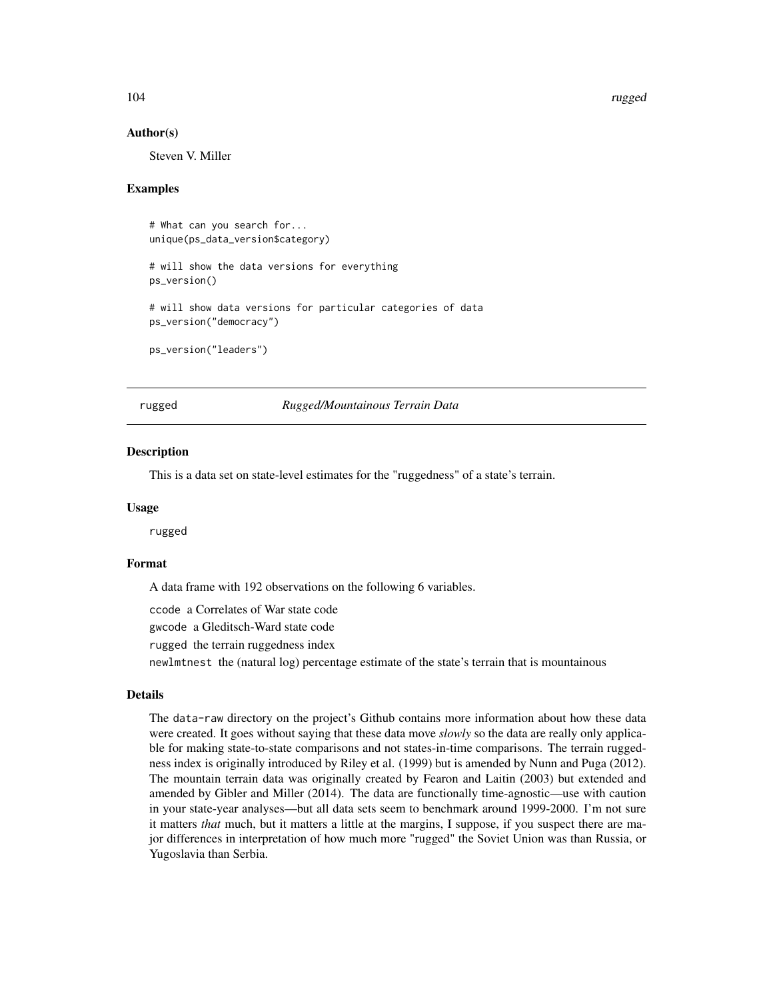#### 104 rugged

#### Author(s)

Steven V. Miller

# Examples

```
# What can you search for...
unique(ps_data_version$category)
```
# will show the data versions for everything ps\_version()

# will show data versions for particular categories of data ps\_version("democracy")

```
ps_version("leaders")
```
rugged *Rugged/Mountainous Terrain Data*

#### Description

This is a data set on state-level estimates for the "ruggedness" of a state's terrain.

#### Usage

rugged

# Format

A data frame with 192 observations on the following 6 variables.

ccode a Correlates of War state code

gwcode a Gleditsch-Ward state code

rugged the terrain ruggedness index

newlmtnest the (natural log) percentage estimate of the state's terrain that is mountainous

## Details

The data-raw directory on the project's Github contains more information about how these data were created. It goes without saying that these data move *slowly* so the data are really only applicable for making state-to-state comparisons and not states-in-time comparisons. The terrain ruggedness index is originally introduced by Riley et al. (1999) but is amended by Nunn and Puga (2012). The mountain terrain data was originally created by Fearon and Laitin (2003) but extended and amended by Gibler and Miller (2014). The data are functionally time-agnostic—use with caution in your state-year analyses—but all data sets seem to benchmark around 1999-2000. I'm not sure it matters *that* much, but it matters a little at the margins, I suppose, if you suspect there are major differences in interpretation of how much more "rugged" the Soviet Union was than Russia, or Yugoslavia than Serbia.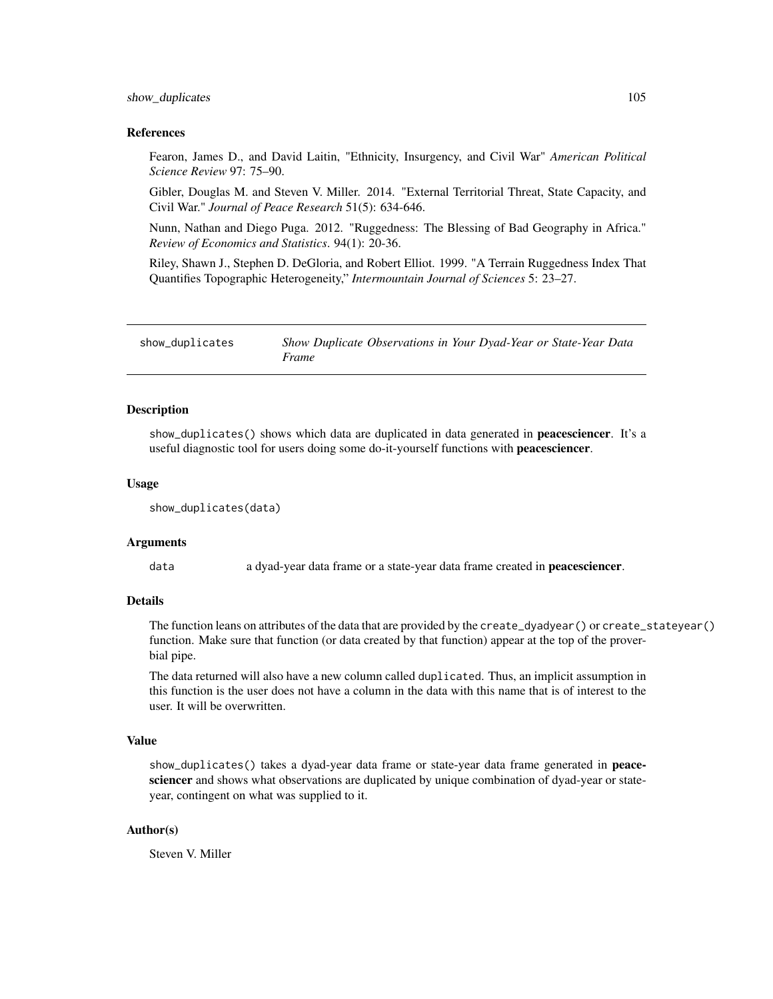show\_duplicates 105

#### References

Fearon, James D., and David Laitin, "Ethnicity, Insurgency, and Civil War" *American Political Science Review* 97: 75–90.

Gibler, Douglas M. and Steven V. Miller. 2014. "External Territorial Threat, State Capacity, and Civil War." *Journal of Peace Research* 51(5): 634-646.

Nunn, Nathan and Diego Puga. 2012. "Ruggedness: The Blessing of Bad Geography in Africa." *Review of Economics and Statistics*. 94(1): 20-36.

Riley, Shawn J., Stephen D. DeGloria, and Robert Elliot. 1999. "A Terrain Ruggedness Index That Quantifies Topographic Heterogeneity," *Intermountain Journal of Sciences* 5: 23–27.

| show_duplicates | Show Duplicate Observations in Your Dyad-Year or State-Year Data |
|-----------------|------------------------------------------------------------------|
|                 | Frame                                                            |

# Description

show\_duplicates() shows which data are duplicated in data generated in **peacesciencer**. It's a useful diagnostic tool for users doing some do-it-yourself functions with peacesciencer.

#### Usage

```
show_duplicates(data)
```
# Arguments

data a dyad-year data frame or a state-year data frame created in **peacesciencer**.

## Details

The function leans on attributes of the data that are provided by the create\_dyadyear() or create\_stateyear() function. Make sure that function (or data created by that function) appear at the top of the proverbial pipe.

The data returned will also have a new column called duplicated. Thus, an implicit assumption in this function is the user does not have a column in the data with this name that is of interest to the user. It will be overwritten.

# Value

show\_duplicates() takes a dyad-year data frame or state-year data frame generated in **peace**sciencer and shows what observations are duplicated by unique combination of dyad-year or stateyear, contingent on what was supplied to it.

# Author(s)

Steven V. Miller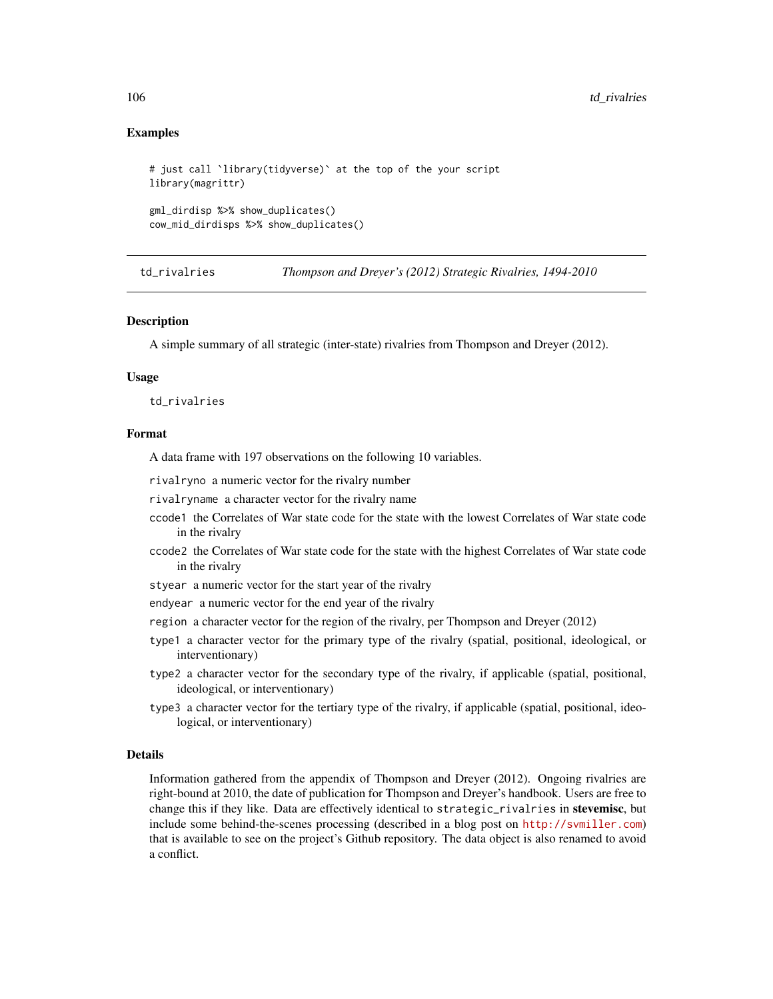# Examples

```
# just call `library(tidyverse)` at the top of the your script
library(magrittr)
gml_dirdisp %>% show_duplicates()
cow_mid_dirdisps %>% show_duplicates()
```
td\_rivalries *Thompson and Dreyer's (2012) Strategic Rivalries, 1494-2010*

#### Description

A simple summary of all strategic (inter-state) rivalries from Thompson and Dreyer (2012).

#### Usage

td\_rivalries

## Format

A data frame with 197 observations on the following 10 variables.

- rivalryno a numeric vector for the rivalry number
- rivalryname a character vector for the rivalry name
- ccode1 the Correlates of War state code for the state with the lowest Correlates of War state code in the rivalry
- ccode2 the Correlates of War state code for the state with the highest Correlates of War state code in the rivalry
- styear a numeric vector for the start year of the rivalry
- endyear a numeric vector for the end year of the rivalry
- region a character vector for the region of the rivalry, per Thompson and Dreyer (2012)
- type1 a character vector for the primary type of the rivalry (spatial, positional, ideological, or interventionary)
- type2 a character vector for the secondary type of the rivalry, if applicable (spatial, positional, ideological, or interventionary)
- type3 a character vector for the tertiary type of the rivalry, if applicable (spatial, positional, ideological, or interventionary)

#### Details

Information gathered from the appendix of Thompson and Dreyer (2012). Ongoing rivalries are right-bound at 2010, the date of publication for Thompson and Dreyer's handbook. Users are free to change this if they like. Data are effectively identical to strategic\_rivalries in stevemisc, but include some behind-the-scenes processing (described in a blog post on <http://svmiller.com>) that is available to see on the project's Github repository. The data object is also renamed to avoid a conflict.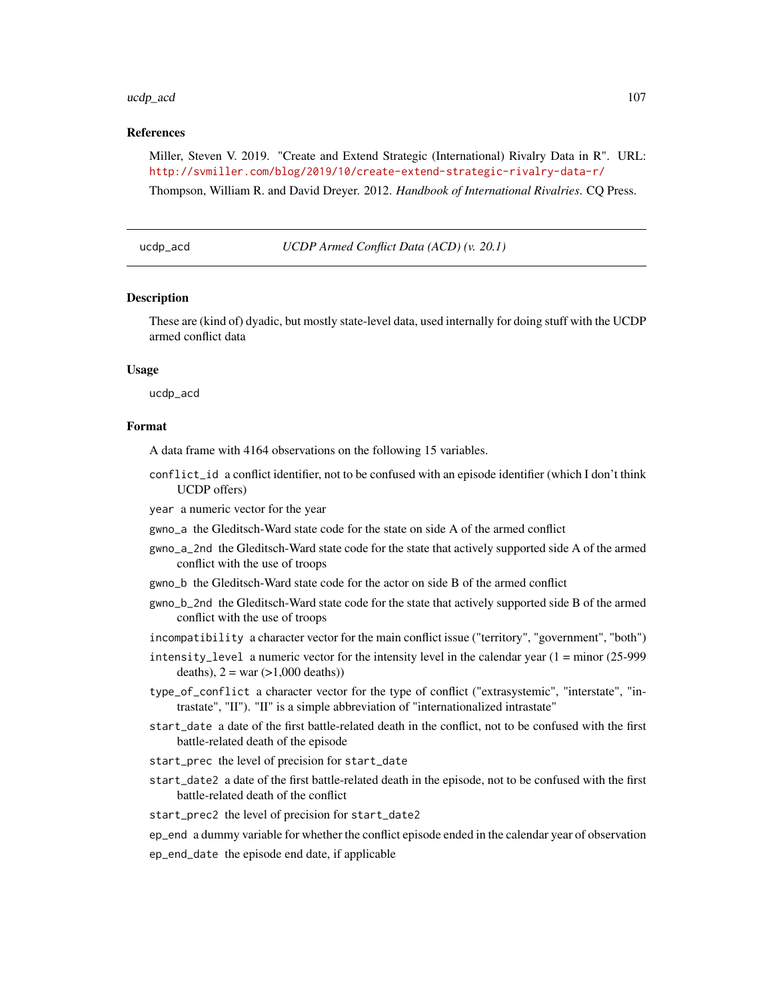#### ucdp\_acd 107

# References

Miller, Steven V. 2019. "Create and Extend Strategic (International) Rivalry Data in R". URL: <http://svmiller.com/blog/2019/10/create-extend-strategic-rivalry-data-r/>

Thompson, William R. and David Dreyer. 2012. *Handbook of International Rivalries*. CQ Press.

ucdp\_acd *UCDP Armed Conflict Data (ACD) (v. 20.1)*

## Description

These are (kind of) dyadic, but mostly state-level data, used internally for doing stuff with the UCDP armed conflict data

## Usage

ucdp\_acd

## Format

A data frame with 4164 observations on the following 15 variables.

conflict\_id a conflict identifier, not to be confused with an episode identifier (which I don't think UCDP offers)

year a numeric vector for the year

- gwno\_a the Gleditsch-Ward state code for the state on side A of the armed conflict
- gwno\_a\_2nd the Gleditsch-Ward state code for the state that actively supported side A of the armed conflict with the use of troops
- gwno\_b the Gleditsch-Ward state code for the actor on side B of the armed conflict
- gwno\_b\_2nd the Gleditsch-Ward state code for the state that actively supported side B of the armed conflict with the use of troops
- incompatibility a character vector for the main conflict issue ("territory", "government", "both")
- intensity\_level a numeric vector for the intensity level in the calendar year  $(1 = \text{minor } (25-999)$ deaths),  $2 = \text{war}(>= 1,000 \text{ deaths}))$
- type\_of\_conflict a character vector for the type of conflict ("extrasystemic", "interstate", "intrastate", "II"). "II" is a simple abbreviation of "internationalized intrastate"
- start\_date a date of the first battle-related death in the conflict, not to be confused with the first battle-related death of the episode
- start\_prec the level of precision for start\_date
- start\_date2 a date of the first battle-related death in the episode, not to be confused with the first battle-related death of the conflict
- start\_prec2 the level of precision for start\_date2
- ep\_end a dummy variable for whether the conflict episode ended in the calendar year of observation
- ep\_end\_date the episode end date, if applicable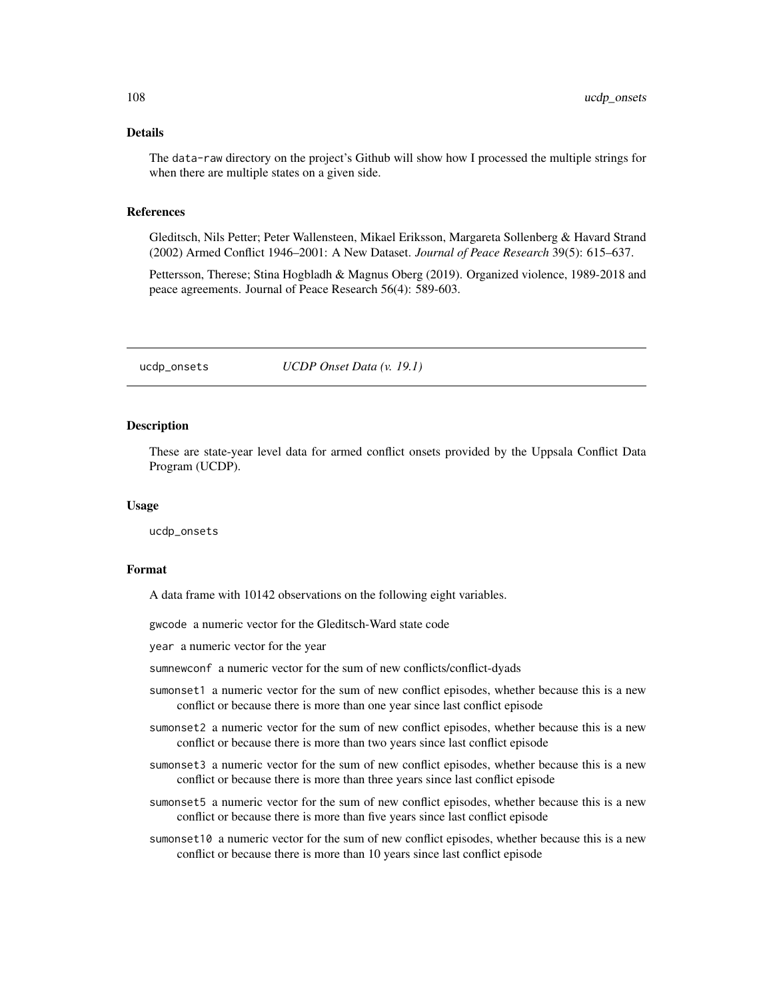The data-raw directory on the project's Github will show how I processed the multiple strings for when there are multiple states on a given side.

#### References

Gleditsch, Nils Petter; Peter Wallensteen, Mikael Eriksson, Margareta Sollenberg & Havard Strand (2002) Armed Conflict 1946–2001: A New Dataset. *Journal of Peace Research* 39(5): 615–637.

Pettersson, Therese; Stina Hogbladh & Magnus Oberg (2019). Organized violence, 1989-2018 and peace agreements. Journal of Peace Research 56(4): 589-603.

ucdp\_onsets *UCDP Onset Data (v. 19.1)*

## **Description**

These are state-year level data for armed conflict onsets provided by the Uppsala Conflict Data Program (UCDP).

#### Usage

ucdp\_onsets

# Format

A data frame with 10142 observations on the following eight variables.

gwcode a numeric vector for the Gleditsch-Ward state code

year a numeric vector for the year

sumnewconf a numeric vector for the sum of new conflicts/conflict-dyads

- sumonset1 a numeric vector for the sum of new conflict episodes, whether because this is a new conflict or because there is more than one year since last conflict episode
- sumonset2 a numeric vector for the sum of new conflict episodes, whether because this is a new conflict or because there is more than two years since last conflict episode
- sumonset3 a numeric vector for the sum of new conflict episodes, whether because this is a new conflict or because there is more than three years since last conflict episode
- sumonset5 a numeric vector for the sum of new conflict episodes, whether because this is a new conflict or because there is more than five years since last conflict episode
- sumonset10 a numeric vector for the sum of new conflict episodes, whether because this is a new conflict or because there is more than 10 years since last conflict episode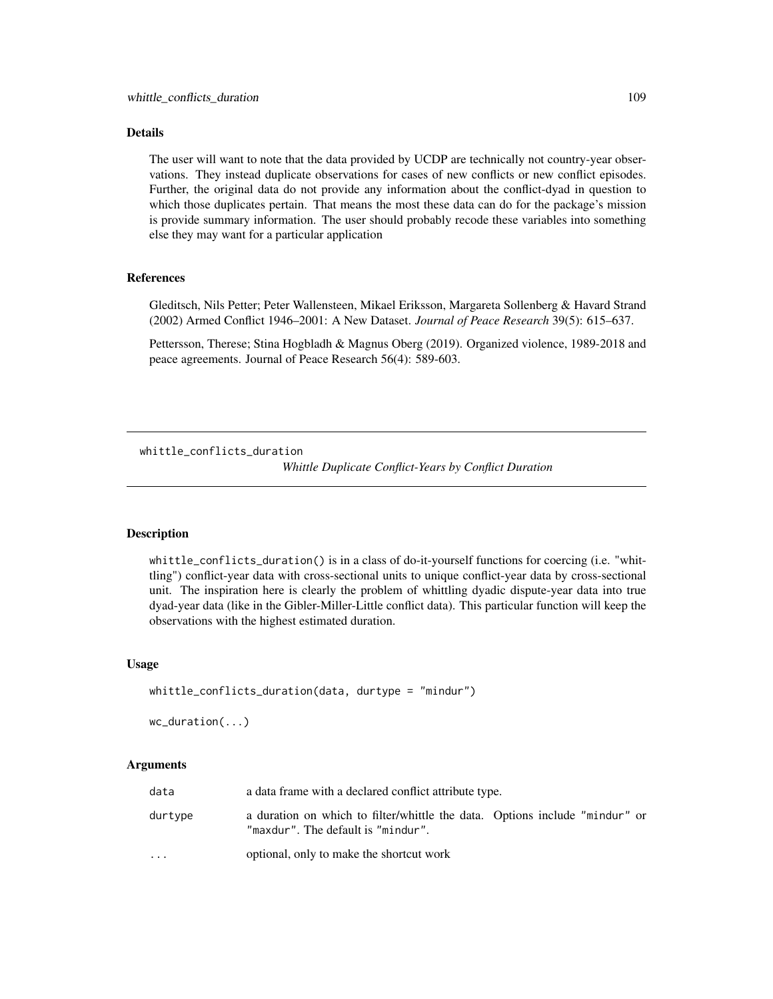# <span id="page-108-0"></span>Details

The user will want to note that the data provided by UCDP are technically not country-year observations. They instead duplicate observations for cases of new conflicts or new conflict episodes. Further, the original data do not provide any information about the conflict-dyad in question to which those duplicates pertain. That means the most these data can do for the package's mission is provide summary information. The user should probably recode these variables into something else they may want for a particular application

# References

Gleditsch, Nils Petter; Peter Wallensteen, Mikael Eriksson, Margareta Sollenberg & Havard Strand (2002) Armed Conflict 1946–2001: A New Dataset. *Journal of Peace Research* 39(5): 615–637.

Pettersson, Therese; Stina Hogbladh & Magnus Oberg (2019). Organized violence, 1989-2018 and peace agreements. Journal of Peace Research 56(4): 589-603.

whittle\_conflicts\_duration

*Whittle Duplicate Conflict-Years by Conflict Duration*

# **Description**

whittle\_conflicts\_duration() is in a class of do-it-yourself functions for coercing (i.e. "whittling") conflict-year data with cross-sectional units to unique conflict-year data by cross-sectional unit. The inspiration here is clearly the problem of whittling dyadic dispute-year data into true dyad-year data (like in the Gibler-Miller-Little conflict data). This particular function will keep the observations with the highest estimated duration.

# Usage

```
whittle_conflicts_duration(data, durtype = "mindur")
```
wc\_duration(...)

### Arguments

| data      | a data frame with a declared conflict attribute type.                                                             |  |
|-----------|-------------------------------------------------------------------------------------------------------------------|--|
| durtype   | a duration on which to filter/whittle the data. Options include "mindur" or<br>"maxdur". The default is "mindur". |  |
| $\ddotsc$ | optional, only to make the shortcut work                                                                          |  |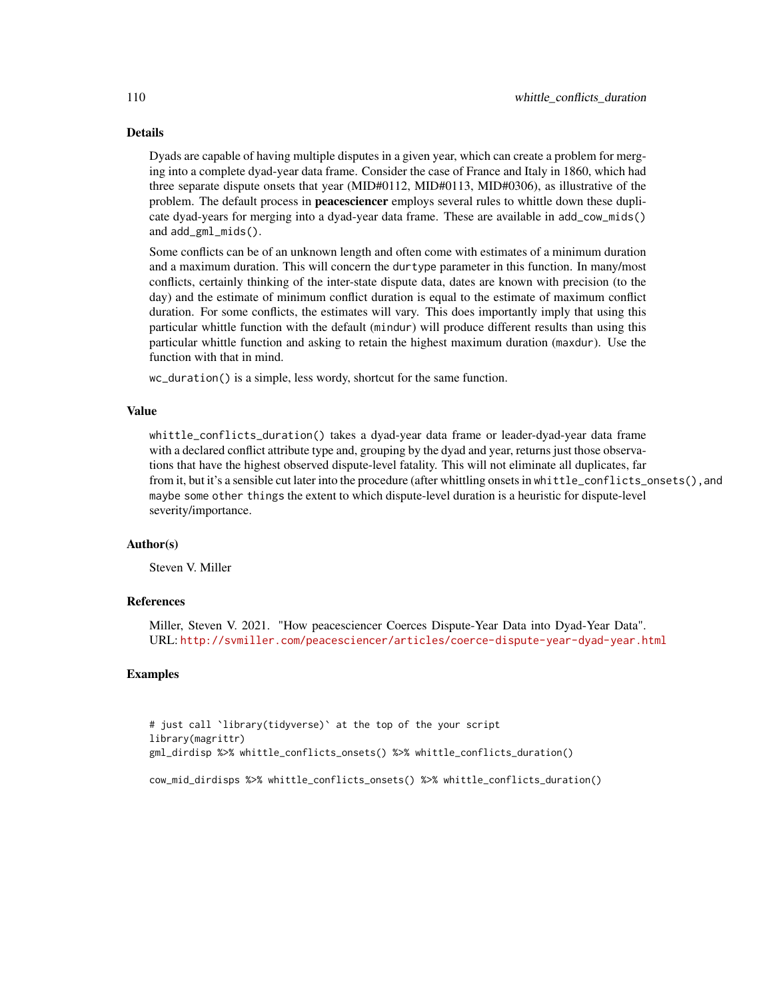# Details

Dyads are capable of having multiple disputes in a given year, which can create a problem for merging into a complete dyad-year data frame. Consider the case of France and Italy in 1860, which had three separate dispute onsets that year (MID#0112, MID#0113, MID#0306), as illustrative of the problem. The default process in **peacesciencer** employs several rules to whittle down these duplicate dyad-years for merging into a dyad-year data frame. These are available in add\_cow\_mids() and add\_gml\_mids().

Some conflicts can be of an unknown length and often come with estimates of a minimum duration and a maximum duration. This will concern the durtype parameter in this function. In many/most conflicts, certainly thinking of the inter-state dispute data, dates are known with precision (to the day) and the estimate of minimum conflict duration is equal to the estimate of maximum conflict duration. For some conflicts, the estimates will vary. This does importantly imply that using this particular whittle function with the default (mindur) will produce different results than using this particular whittle function and asking to retain the highest maximum duration (maxdur). Use the function with that in mind.

wc\_duration() is a simple, less wordy, shortcut for the same function.

# Value

whittle\_conflicts\_duration() takes a dyad-year data frame or leader-dyad-year data frame with a declared conflict attribute type and, grouping by the dyad and year, returns just those observations that have the highest observed dispute-level fatality. This will not eliminate all duplicates, far from it, but it's a sensible cut later into the procedure (after whittling onsets in whittle\_conflicts\_onsets(), and maybe some other things the extent to which dispute-level duration is a heuristic for dispute-level severity/importance.

# Author(s)

Steven V. Miller

# **References**

Miller, Steven V. 2021. "How peacesciencer Coerces Dispute-Year Data into Dyad-Year Data". URL: <http://svmiller.com/peacesciencer/articles/coerce-dispute-year-dyad-year.html>

# **Examples**

```
# just call `library(tidyverse)` at the top of the your script
library(magrittr)
gml_dirdisp %>% whittle_conflicts_onsets() %>% whittle_conflicts_duration()
```
cow\_mid\_dirdisps %>% whittle\_conflicts\_onsets() %>% whittle\_conflicts\_duration()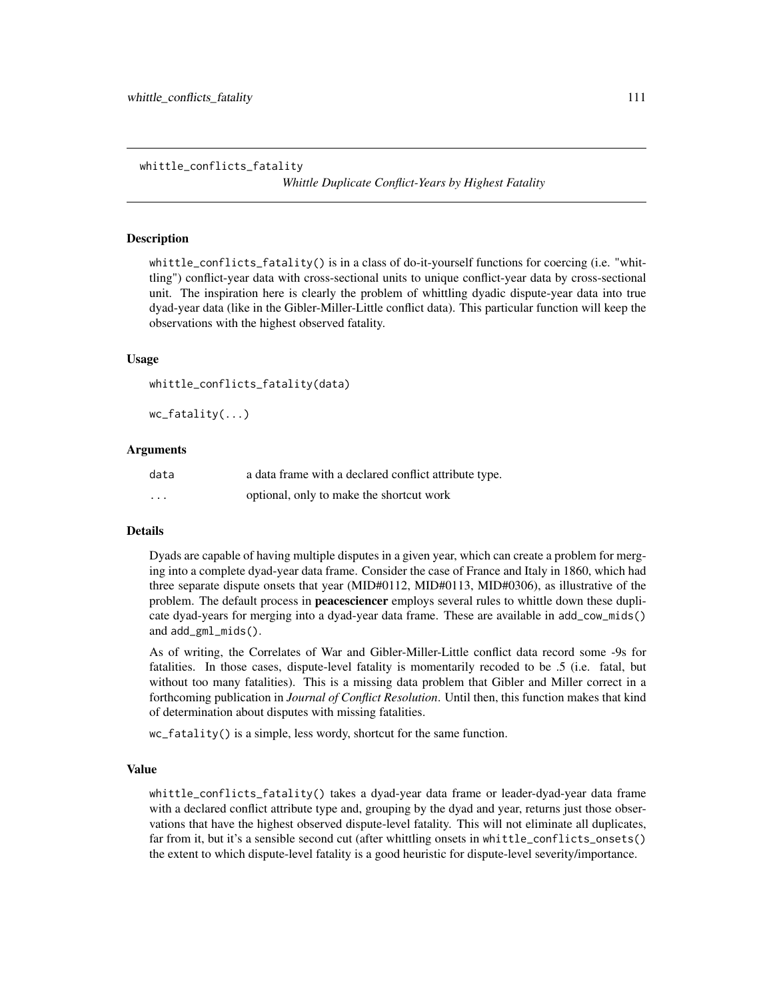*Whittle Duplicate Conflict-Years by Highest Fatality*

### <span id="page-110-0"></span>**Description**

whittle\_conflicts\_fatality() is in a class of do-it-yourself functions for coercing (i.e. "whittling") conflict-year data with cross-sectional units to unique conflict-year data by cross-sectional unit. The inspiration here is clearly the problem of whittling dyadic dispute-year data into true dyad-year data (like in the Gibler-Miller-Little conflict data). This particular function will keep the observations with the highest observed fatality.

# Usage

```
whittle_conflicts_fatality(data)
```
wc\_fatality(...)

### Arguments

| data     | a data frame with a declared conflict attribute type. |
|----------|-------------------------------------------------------|
| $\cdots$ | optional, only to make the shortcut work              |

### Details

Dyads are capable of having multiple disputes in a given year, which can create a problem for merging into a complete dyad-year data frame. Consider the case of France and Italy in 1860, which had three separate dispute onsets that year (MID#0112, MID#0113, MID#0306), as illustrative of the problem. The default process in **peacesciencer** employs several rules to whittle down these duplicate dyad-years for merging into a dyad-year data frame. These are available in add\_cow\_mids() and add\_gml\_mids().

As of writing, the Correlates of War and Gibler-Miller-Little conflict data record some -9s for fatalities. In those cases, dispute-level fatality is momentarily recoded to be .5 (i.e. fatal, but without too many fatalities). This is a missing data problem that Gibler and Miller correct in a forthcoming publication in *Journal of Conflict Resolution*. Until then, this function makes that kind of determination about disputes with missing fatalities.

wc\_fatality() is a simple, less wordy, shortcut for the same function.

# Value

whittle\_conflicts\_fatality() takes a dyad-year data frame or leader-dyad-year data frame with a declared conflict attribute type and, grouping by the dyad and year, returns just those observations that have the highest observed dispute-level fatality. This will not eliminate all duplicates, far from it, but it's a sensible second cut (after whittling onsets in whittle\_conflicts\_onsets() the extent to which dispute-level fatality is a good heuristic for dispute-level severity/importance.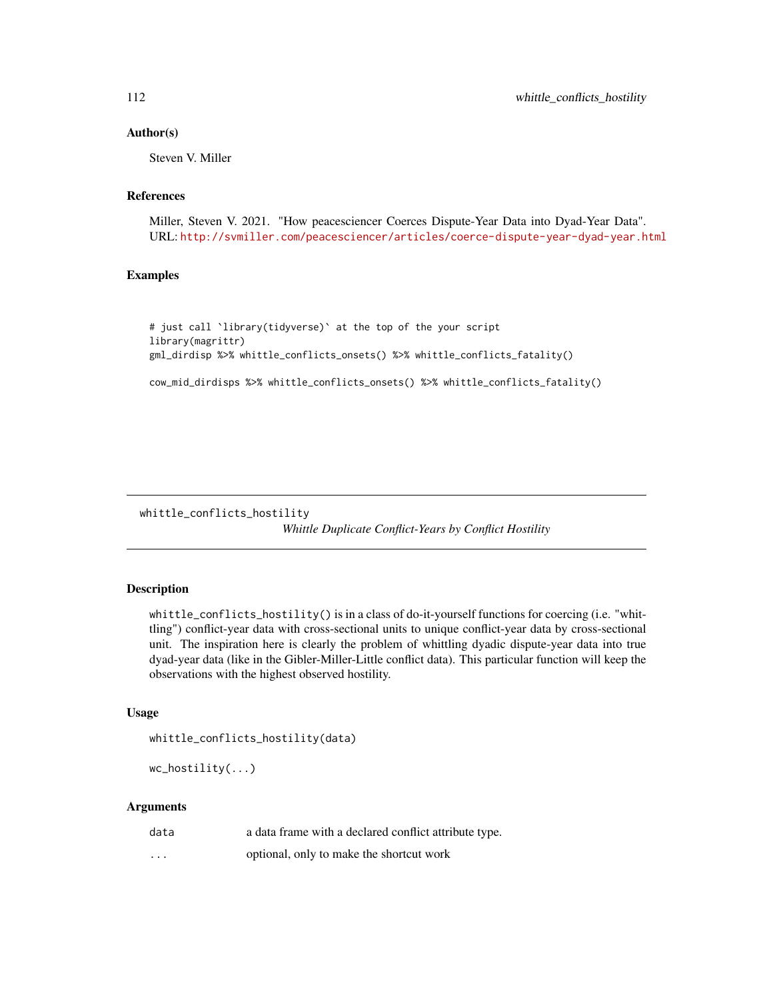### Author(s)

Steven V. Miller

### References

Miller, Steven V. 2021. "How peacesciencer Coerces Dispute-Year Data into Dyad-Year Data". URL: <http://svmiller.com/peacesciencer/articles/coerce-dispute-year-dyad-year.html>

# Examples

```
# just call `library(tidyverse)` at the top of the your script
library(magrittr)
gml_dirdisp %>% whittle_conflicts_onsets() %>% whittle_conflicts_fatality()
```
cow\_mid\_dirdisps %>% whittle\_conflicts\_onsets() %>% whittle\_conflicts\_fatality()

whittle\_conflicts\_hostility *Whittle Duplicate Conflict-Years by Conflict Hostility*

# **Description**

whittle\_conflicts\_hostility() is in a class of do-it-yourself functions for coercing (i.e. "whittling") conflict-year data with cross-sectional units to unique conflict-year data by cross-sectional unit. The inspiration here is clearly the problem of whittling dyadic dispute-year data into true dyad-year data (like in the Gibler-Miller-Little conflict data). This particular function will keep the observations with the highest observed hostility.

### Usage

```
whittle_conflicts_hostility(data)
```
wc\_hostility(...)

### Arguments

| data     | a data frame with a declared conflict attribute type. |
|----------|-------------------------------------------------------|
| $\cdots$ | optional, only to make the shortcut work              |

<span id="page-111-0"></span>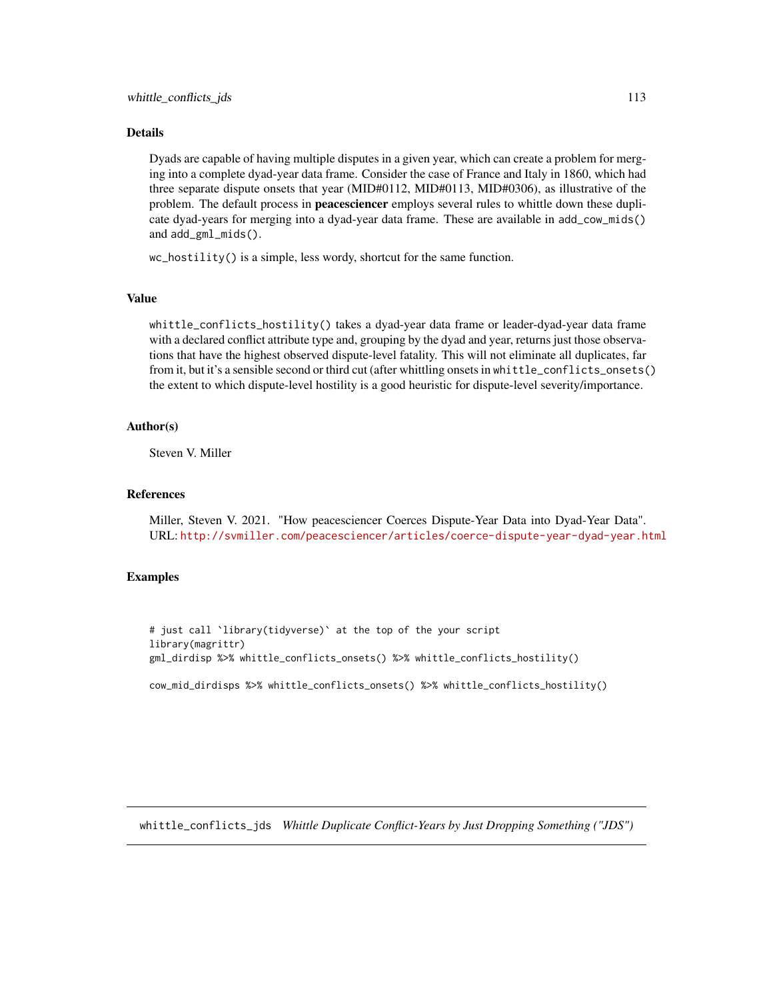### <span id="page-112-0"></span>Details

Dyads are capable of having multiple disputes in a given year, which can create a problem for merging into a complete dyad-year data frame. Consider the case of France and Italy in 1860, which had three separate dispute onsets that year (MID#0112, MID#0113, MID#0306), as illustrative of the problem. The default process in **peacesciencer** employs several rules to whittle down these duplicate dyad-years for merging into a dyad-year data frame. These are available in add\_cow\_mids() and add\_gml\_mids().

wc\_hostility() is a simple, less wordy, shortcut for the same function.

# Value

whittle\_conflicts\_hostility() takes a dyad-year data frame or leader-dyad-year data frame with a declared conflict attribute type and, grouping by the dyad and year, returns just those observations that have the highest observed dispute-level fatality. This will not eliminate all duplicates, far from it, but it's a sensible second or third cut (after whittling onsets in whittle\_conflicts\_onsets() the extent to which dispute-level hostility is a good heuristic for dispute-level severity/importance.

### Author(s)

Steven V. Miller

# References

Miller, Steven V. 2021. "How peacesciencer Coerces Dispute-Year Data into Dyad-Year Data". URL: <http://svmiller.com/peacesciencer/articles/coerce-dispute-year-dyad-year.html>

# Examples

# just call `library(tidyverse)` at the top of the your script library(magrittr) gml\_dirdisp %>% whittle\_conflicts\_onsets() %>% whittle\_conflicts\_hostility() cow\_mid\_dirdisps %>% whittle\_conflicts\_onsets() %>% whittle\_conflicts\_hostility()

whittle\_conflicts\_jds *Whittle Duplicate Conflict-Years by Just Dropping Something ("JDS")*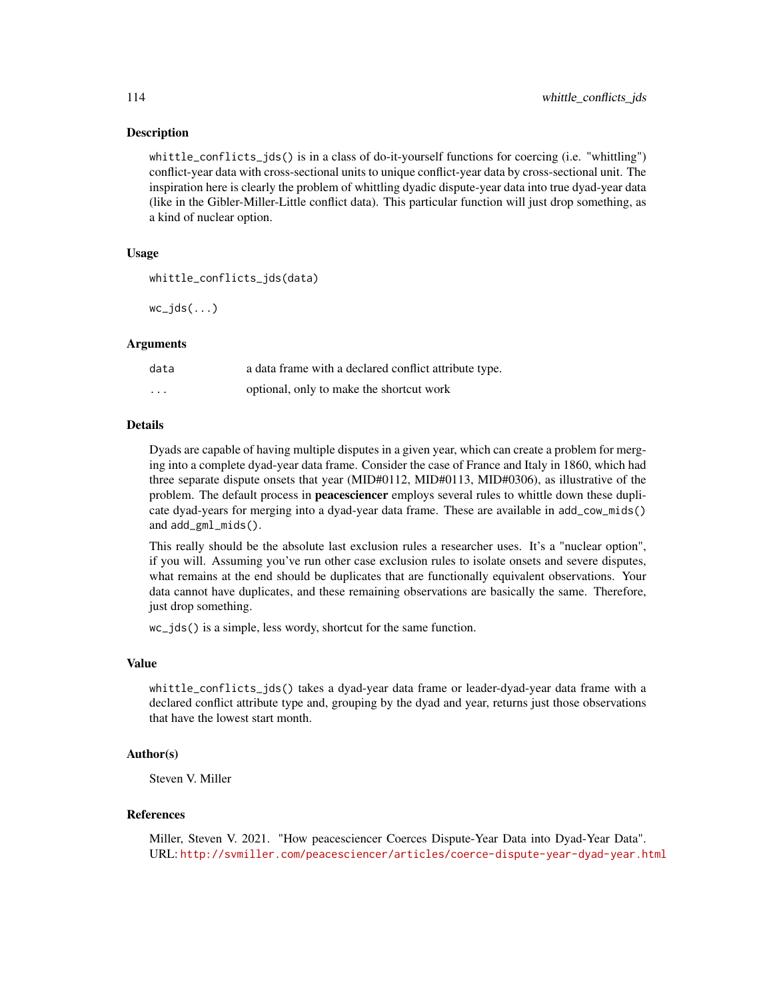### Description

whittle\_conflicts\_jds() is in a class of do-it-yourself functions for coercing (i.e. "whittling") conflict-year data with cross-sectional units to unique conflict-year data by cross-sectional unit. The inspiration here is clearly the problem of whittling dyadic dispute-year data into true dyad-year data (like in the Gibler-Miller-Little conflict data). This particular function will just drop something, as a kind of nuclear option.

# Usage

```
whittle_conflicts_jds(data)
```
 $wc\_jds$  $\dots$ 

# Arguments

| data              | a data frame with a declared conflict attribute type. |
|-------------------|-------------------------------------------------------|
| $\cdot\cdot\cdot$ | optional, only to make the shortcut work              |

### Details

Dyads are capable of having multiple disputes in a given year, which can create a problem for merging into a complete dyad-year data frame. Consider the case of France and Italy in 1860, which had three separate dispute onsets that year (MID#0112, MID#0113, MID#0306), as illustrative of the problem. The default process in **peacesciencer** employs several rules to whittle down these duplicate dyad-years for merging into a dyad-year data frame. These are available in add\_cow\_mids() and add\_gml\_mids().

This really should be the absolute last exclusion rules a researcher uses. It's a "nuclear option", if you will. Assuming you've run other case exclusion rules to isolate onsets and severe disputes, what remains at the end should be duplicates that are functionally equivalent observations. Your data cannot have duplicates, and these remaining observations are basically the same. Therefore, just drop something.

wc\_jds() is a simple, less wordy, shortcut for the same function.

# Value

whittle\_conflicts\_jds() takes a dyad-year data frame or leader-dyad-year data frame with a declared conflict attribute type and, grouping by the dyad and year, returns just those observations that have the lowest start month.

# Author(s)

Steven V. Miller

### References

Miller, Steven V. 2021. "How peacesciencer Coerces Dispute-Year Data into Dyad-Year Data". URL: <http://svmiller.com/peacesciencer/articles/coerce-dispute-year-dyad-year.html>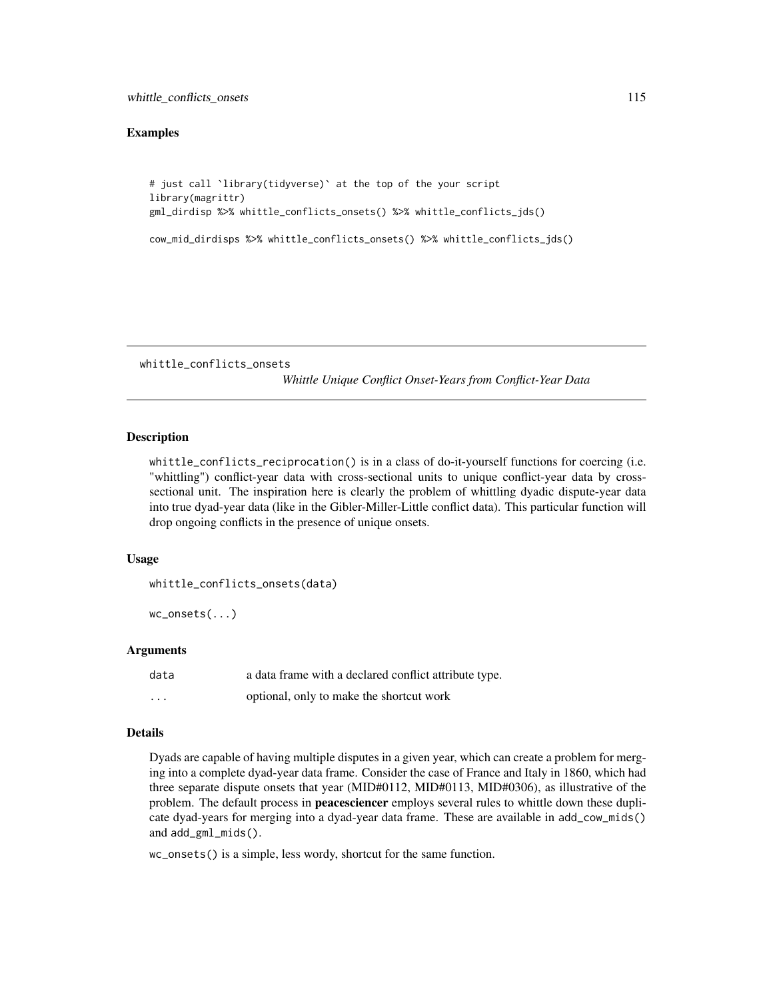# <span id="page-114-0"></span>Examples

```
# just call `library(tidyverse)` at the top of the your script
library(magrittr)
gml_dirdisp %>% whittle_conflicts_onsets() %>% whittle_conflicts_jds()
cow_mid_dirdisps %>% whittle_conflicts_onsets() %>% whittle_conflicts_jds()
```
whittle\_conflicts\_onsets

*Whittle Unique Conflict Onset-Years from Conflict-Year Data*

# Description

whittle\_conflicts\_reciprocation() is in a class of do-it-yourself functions for coercing (i.e. "whittling") conflict-year data with cross-sectional units to unique conflict-year data by crosssectional unit. The inspiration here is clearly the problem of whittling dyadic dispute-year data into true dyad-year data (like in the Gibler-Miller-Little conflict data). This particular function will drop ongoing conflicts in the presence of unique onsets.

### Usage

```
whittle_conflicts_onsets(data)
```
wc\_onsets(...)

# Arguments

| data     | a data frame with a declared conflict attribute type. |
|----------|-------------------------------------------------------|
| $\cdots$ | optional, only to make the shortcut work              |

### Details

Dyads are capable of having multiple disputes in a given year, which can create a problem for merging into a complete dyad-year data frame. Consider the case of France and Italy in 1860, which had three separate dispute onsets that year (MID#0112, MID#0113, MID#0306), as illustrative of the problem. The default process in **peacesciencer** employs several rules to whittle down these duplicate dyad-years for merging into a dyad-year data frame. These are available in add\_cow\_mids() and add\_gml\_mids().

wc\_onsets() is a simple, less wordy, shortcut for the same function.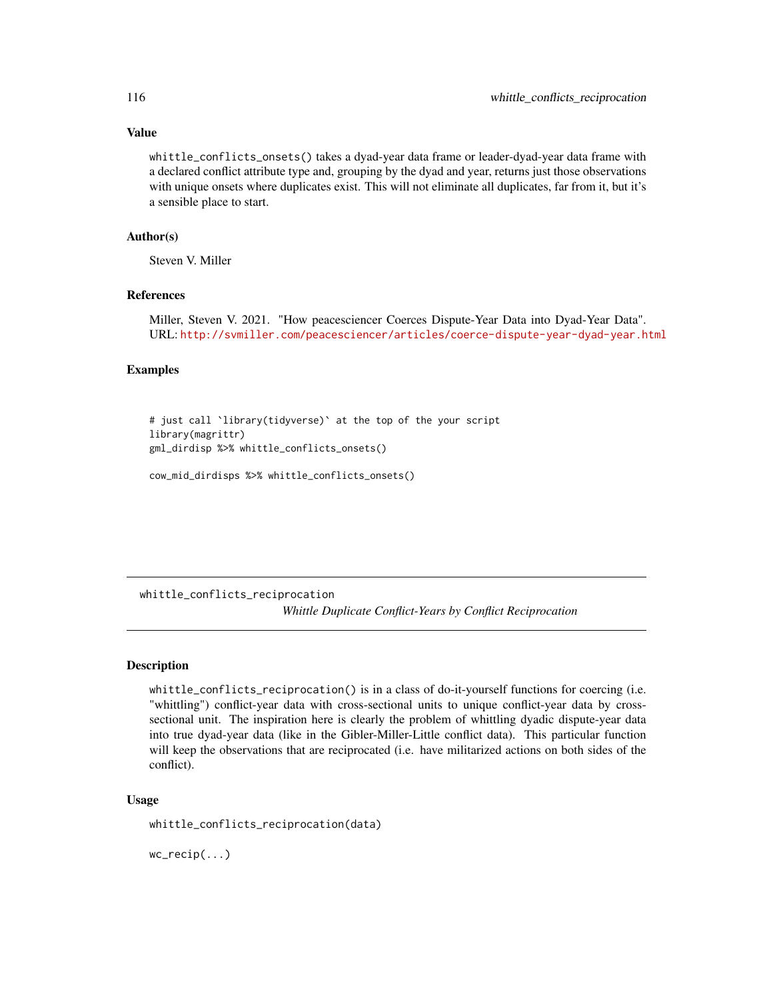# Value

whittle\_conflicts\_onsets() takes a dyad-year data frame or leader-dyad-year data frame with a declared conflict attribute type and, grouping by the dyad and year, returns just those observations with unique onsets where duplicates exist. This will not eliminate all duplicates, far from it, but it's a sensible place to start.

# Author(s)

Steven V. Miller

### References

Miller, Steven V. 2021. "How peacesciencer Coerces Dispute-Year Data into Dyad-Year Data". URL: <http://svmiller.com/peacesciencer/articles/coerce-dispute-year-dyad-year.html>

# Examples

```
# just call `library(tidyverse)` at the top of the your script
library(magrittr)
gml_dirdisp %>% whittle_conflicts_onsets()
```

```
cow_mid_dirdisps %>% whittle_conflicts_onsets()
```
whittle\_conflicts\_reciprocation

*Whittle Duplicate Conflict-Years by Conflict Reciprocation*

# Description

whittle\_conflicts\_reciprocation() is in a class of do-it-yourself functions for coercing (i.e. "whittling") conflict-year data with cross-sectional units to unique conflict-year data by crosssectional unit. The inspiration here is clearly the problem of whittling dyadic dispute-year data into true dyad-year data (like in the Gibler-Miller-Little conflict data). This particular function will keep the observations that are reciprocated (i.e. have militarized actions on both sides of the conflict).

### Usage

whittle\_conflicts\_reciprocation(data)

wc\_recip(...)

<span id="page-115-0"></span>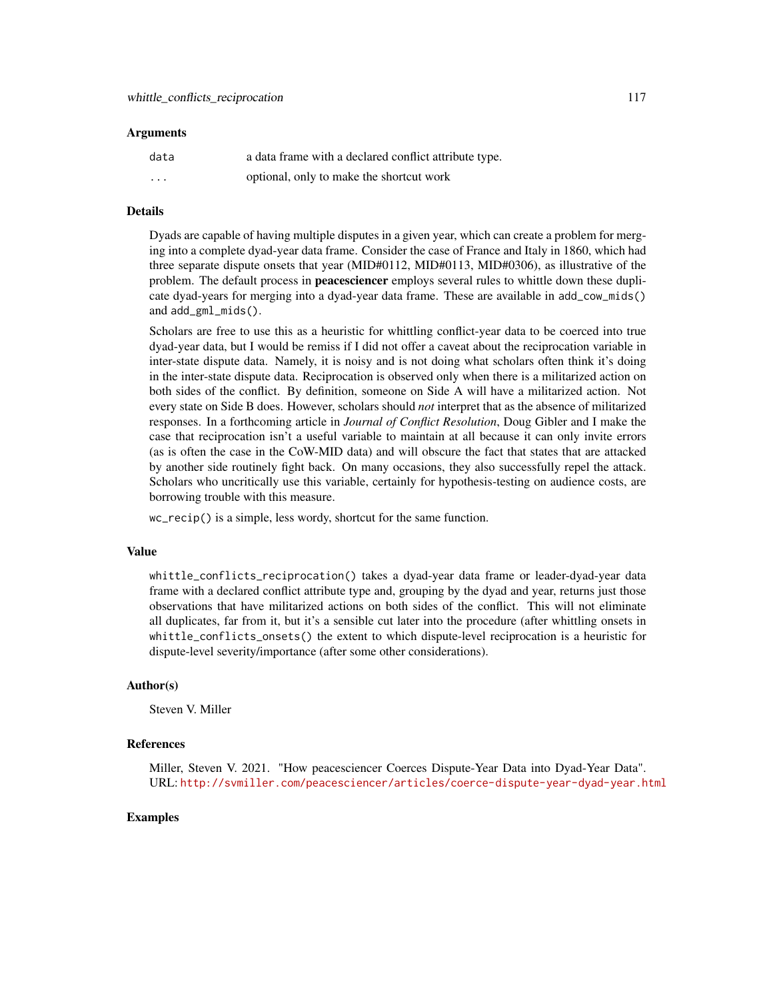### Arguments

| data     | a data frame with a declared conflict attribute type. |
|----------|-------------------------------------------------------|
| $\cdots$ | optional, only to make the shortcut work              |

### Details

Dyads are capable of having multiple disputes in a given year, which can create a problem for merging into a complete dyad-year data frame. Consider the case of France and Italy in 1860, which had three separate dispute onsets that year (MID#0112, MID#0113, MID#0306), as illustrative of the problem. The default process in **peacesciencer** employs several rules to whittle down these duplicate dyad-years for merging into a dyad-year data frame. These are available in add\_cow\_mids() and add\_gml\_mids().

Scholars are free to use this as a heuristic for whittling conflict-year data to be coerced into true dyad-year data, but I would be remiss if I did not offer a caveat about the reciprocation variable in inter-state dispute data. Namely, it is noisy and is not doing what scholars often think it's doing in the inter-state dispute data. Reciprocation is observed only when there is a militarized action on both sides of the conflict. By definition, someone on Side A will have a militarized action. Not every state on Side B does. However, scholars should *not* interpret that as the absence of militarized responses. In a forthcoming article in *Journal of Conflict Resolution*, Doug Gibler and I make the case that reciprocation isn't a useful variable to maintain at all because it can only invite errors (as is often the case in the CoW-MID data) and will obscure the fact that states that are attacked by another side routinely fight back. On many occasions, they also successfully repel the attack. Scholars who uncritically use this variable, certainly for hypothesis-testing on audience costs, are borrowing trouble with this measure.

wc\_recip() is a simple, less wordy, shortcut for the same function.

### Value

whittle\_conflicts\_reciprocation() takes a dyad-year data frame or leader-dyad-year data frame with a declared conflict attribute type and, grouping by the dyad and year, returns just those observations that have militarized actions on both sides of the conflict. This will not eliminate all duplicates, far from it, but it's a sensible cut later into the procedure (after whittling onsets in whittle\_conflicts\_onsets() the extent to which dispute-level reciprocation is a heuristic for dispute-level severity/importance (after some other considerations).

### Author(s)

Steven V. Miller

### References

Miller, Steven V. 2021. "How peacesciencer Coerces Dispute-Year Data into Dyad-Year Data". URL: <http://svmiller.com/peacesciencer/articles/coerce-dispute-year-dyad-year.html>

### Examples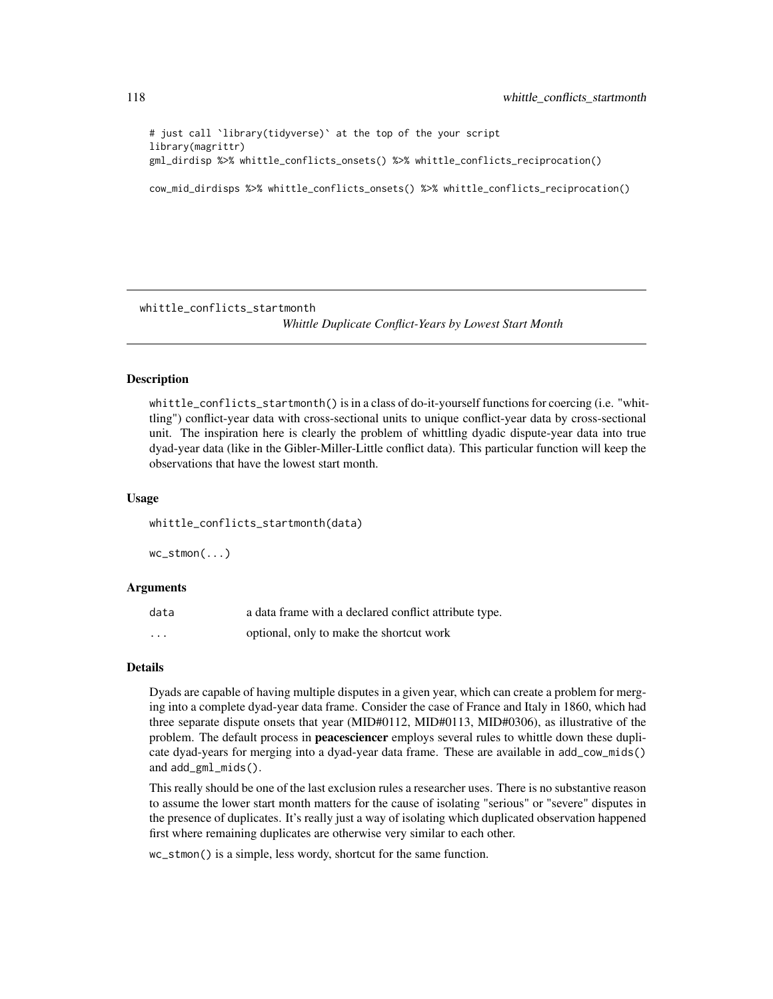```
# just call `library(tidyverse)` at the top of the your script
library(magrittr)
gml_dirdisp %>% whittle_conflicts_onsets() %>% whittle_conflicts_reciprocation()
cow_mid_dirdisps %>% whittle_conflicts_onsets() %>% whittle_conflicts_reciprocation()
```
whittle\_conflicts\_startmonth

*Whittle Duplicate Conflict-Years by Lowest Start Month*

### Description

whittle\_conflicts\_startmonth() is in a class of do-it-yourself functions for coercing (i.e. "whittling") conflict-year data with cross-sectional units to unique conflict-year data by cross-sectional unit. The inspiration here is clearly the problem of whittling dyadic dispute-year data into true dyad-year data (like in the Gibler-Miller-Little conflict data). This particular function will keep the observations that have the lowest start month.

# Usage

whittle\_conflicts\_startmonth(data)

wc\_stmon(...)

### Arguments

| data              | a data frame with a declared conflict attribute type. |
|-------------------|-------------------------------------------------------|
| $\cdot\cdot\cdot$ | optional, only to make the shortcut work              |

# Details

Dyads are capable of having multiple disputes in a given year, which can create a problem for merging into a complete dyad-year data frame. Consider the case of France and Italy in 1860, which had three separate dispute onsets that year (MID#0112, MID#0113, MID#0306), as illustrative of the problem. The default process in **peacesciencer** employs several rules to whittle down these duplicate dyad-years for merging into a dyad-year data frame. These are available in add\_cow\_mids() and add\_gml\_mids().

This really should be one of the last exclusion rules a researcher uses. There is no substantive reason to assume the lower start month matters for the cause of isolating "serious" or "severe" disputes in the presence of duplicates. It's really just a way of isolating which duplicated observation happened first where remaining duplicates are otherwise very similar to each other.

wc\_stmon() is a simple, less wordy, shortcut for the same function.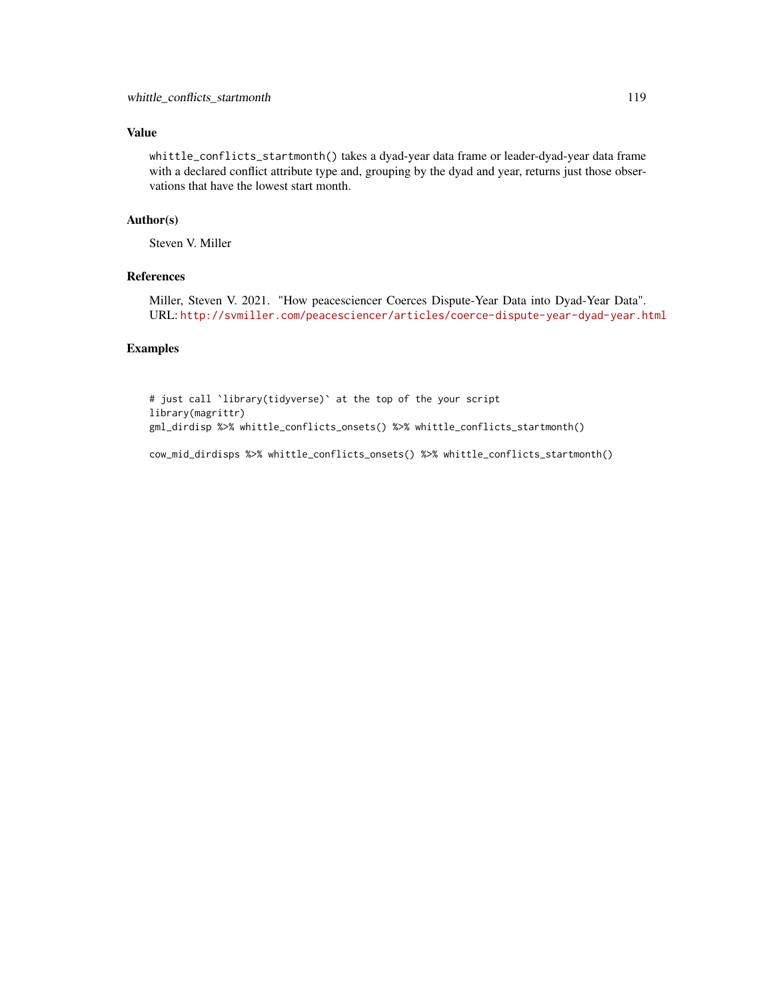# Value

whittle\_conflicts\_startmonth() takes a dyad-year data frame or leader-dyad-year data frame with a declared conflict attribute type and, grouping by the dyad and year, returns just those observations that have the lowest start month.

### Author(s)

Steven V. Miller

# References

Miller, Steven V. 2021. "How peacesciencer Coerces Dispute-Year Data into Dyad-Year Data". URL: <http://svmiller.com/peacesciencer/articles/coerce-dispute-year-dyad-year.html>

# Examples

```
# just call `library(tidyverse)` at the top of the your script
library(magrittr)
gml_dirdisp %>% whittle_conflicts_onsets() %>% whittle_conflicts_startmonth()
```
cow\_mid\_dirdisps %>% whittle\_conflicts\_onsets() %>% whittle\_conflicts\_startmonth()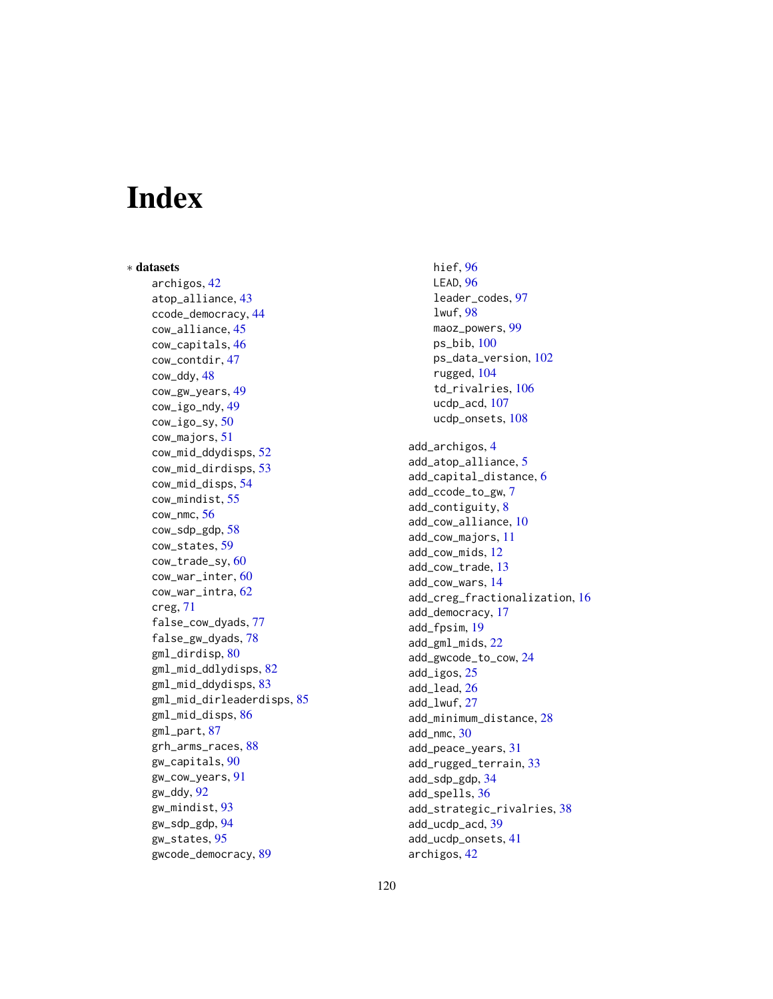# **Index**

∗ datasets archigos , [42](#page-41-0) atop\_alliance , [43](#page-42-0) ccode\_democracy , [44](#page-43-0) cow\_alliance , [45](#page-44-0) cow\_capitals , [46](#page-45-0) cow\_contdir , [47](#page-46-0) cow\_ddy , [48](#page-47-0) cow\_gw\_years , [49](#page-48-0) cow\_igo\_ndy , [49](#page-48-0) cow\_igo\_sy , [50](#page-49-0) cow\_majors , [51](#page-50-0) cow\_mid\_ddydisps , [52](#page-51-0) cow\_mid\_dirdisps , [53](#page-52-0) cow\_mid\_disps , [54](#page-53-0) cow\_mindist , [55](#page-54-0) cow\_nmc , [56](#page-55-0) cow\_sdp\_gdp , [58](#page-57-0) cow\_states , [59](#page-58-0) cow\_trade\_sy , [60](#page-59-0) cow\_war\_inter , [60](#page-59-0) cow\_war\_intra , [62](#page-61-0) creg , [71](#page-70-0) false\_cow\_dyads , [77](#page-76-0) false\_gw\_dyads , [78](#page-77-0) gml\_dirdisp , [80](#page-79-0) gml\_mid\_ddlydisps , [82](#page-81-0) gml\_mid\_ddydisps , [83](#page-82-0) gml\_mid\_dirleaderdisps , [85](#page-84-0) gml\_mid\_disps , [86](#page-85-0) gml\_part , [87](#page-86-0) grh\_arms\_races, [88](#page-87-0) gw\_capitals , [90](#page-89-0) gw\_cow\_years , [91](#page-90-0) gw\_ddy , [92](#page-91-0) gw\_mindist , [93](#page-92-0) gw\_sdp\_gdp , [94](#page-93-0) gw\_states , [95](#page-94-0) gwcode\_democracy , [89](#page-88-0)

hief, [96](#page-95-0) LEAD , [96](#page-95-0) leader\_codes , [97](#page-96-0) lwuf , [98](#page-97-0) maoz\_powers,[99](#page-98-0) ps\_bib , [100](#page-99-0) ps\_data\_version , [102](#page-101-0) rugged , [104](#page-103-0) td\_rivalries , [106](#page-105-0) ucdp\_acd , [107](#page-106-0) ucdp\_onsets,  $108$ add\_archigos , [4](#page-3-0) add\_atop\_alliance , [5](#page-4-0) add\_capital\_distance , [6](#page-5-0) add\_ccode\_to\_gw , [7](#page-6-0) add\_contiguity , [8](#page-7-0) add\_cow\_alliance , [10](#page-9-0) add\_cow\_majors , [11](#page-10-0) add\_cow\_mids , [12](#page-11-0) add\_cow\_trade , [13](#page-12-0) add\_cow\_wars , [14](#page-13-0) add\_creg\_fractionalization , [16](#page-15-0) add\_democracy , [17](#page-16-0) add\_fpsim , [19](#page-18-0) add\_gml\_mids , [22](#page-21-0) add\_gwcode\_to\_cow , [24](#page-23-0) add\_igos , [25](#page-24-0) add\_lead , [26](#page-25-0) add\_lwuf , [27](#page-26-0) add\_minimum\_distance , [28](#page-27-0) add\_nmc , [30](#page-29-0) add\_peace\_years , [31](#page-30-0) add\_rugged\_terrain , [33](#page-32-0) add\_sdp\_gdp , [34](#page-33-0) add\_spells , [36](#page-35-0) add\_strategic\_rivalries , [38](#page-37-0) add\_ucdp\_acd , [39](#page-38-0) add\_ucdp\_onsets , [41](#page-40-0) archigos , [42](#page-41-0)